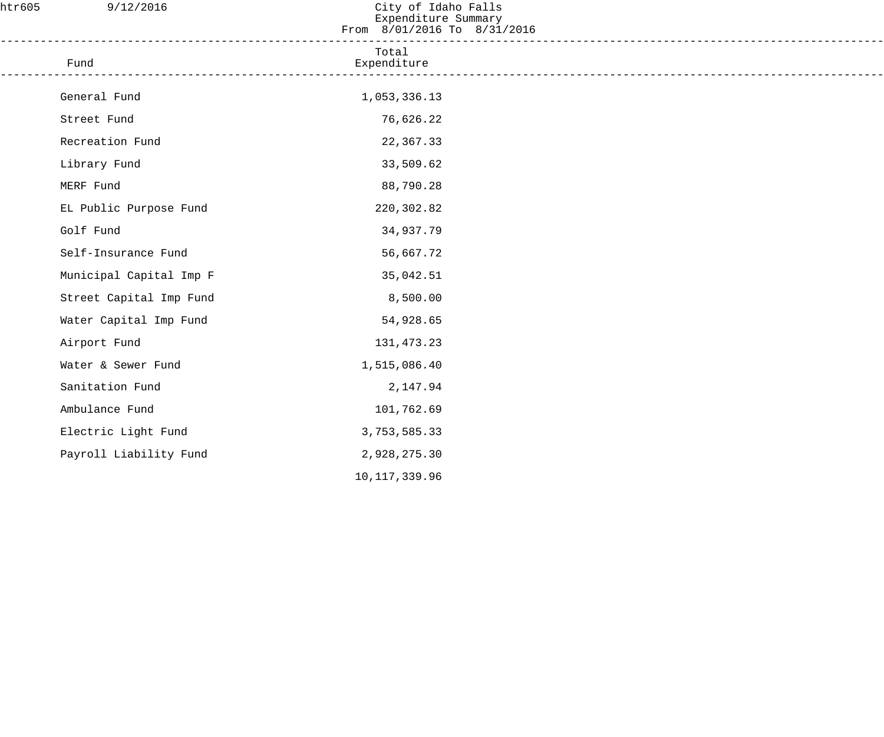| htr605 | 9/12/2016                                | City of Idaho Falls<br>Expenditure Summary<br>From 8/01/2016 To 8/31/2016 |  |
|--------|------------------------------------------|---------------------------------------------------------------------------|--|
|        | Fund<br>-------------------------------- | Total<br>Expenditure                                                      |  |
|        | General Fund                             | 1,053,336.13                                                              |  |
|        | Street Fund                              | 76,626.22                                                                 |  |
|        | Recreation Fund                          | 22,367.33                                                                 |  |
|        | Library Fund                             | 33,509.62                                                                 |  |
|        | MERF Fund                                | 88,790.28                                                                 |  |
|        | EL Public Purpose Fund                   | 220,302.82                                                                |  |
|        | Golf Fund                                | 34,937.79                                                                 |  |
|        | Self-Insurance Fund                      | 56,667.72                                                                 |  |
|        | Municipal Capital Imp F                  | 35,042.51                                                                 |  |
|        | Street Capital Imp Fund                  | 8,500.00                                                                  |  |
|        | Water Capital Imp Fund                   | 54,928.65                                                                 |  |
|        | Airport Fund                             | 131,473.23                                                                |  |
|        | Water & Sewer Fund                       | 1,515,086.40                                                              |  |
|        | Sanitation Fund                          | 2,147.94                                                                  |  |
|        | Ambulance Fund                           | 101,762.69                                                                |  |
|        | Electric Light Fund                      | 3,753,585.33                                                              |  |
|        | Payroll Liability Fund                   | 2,928,275.30                                                              |  |
|        |                                          | 10, 117, 339.96                                                           |  |
|        |                                          |                                                                           |  |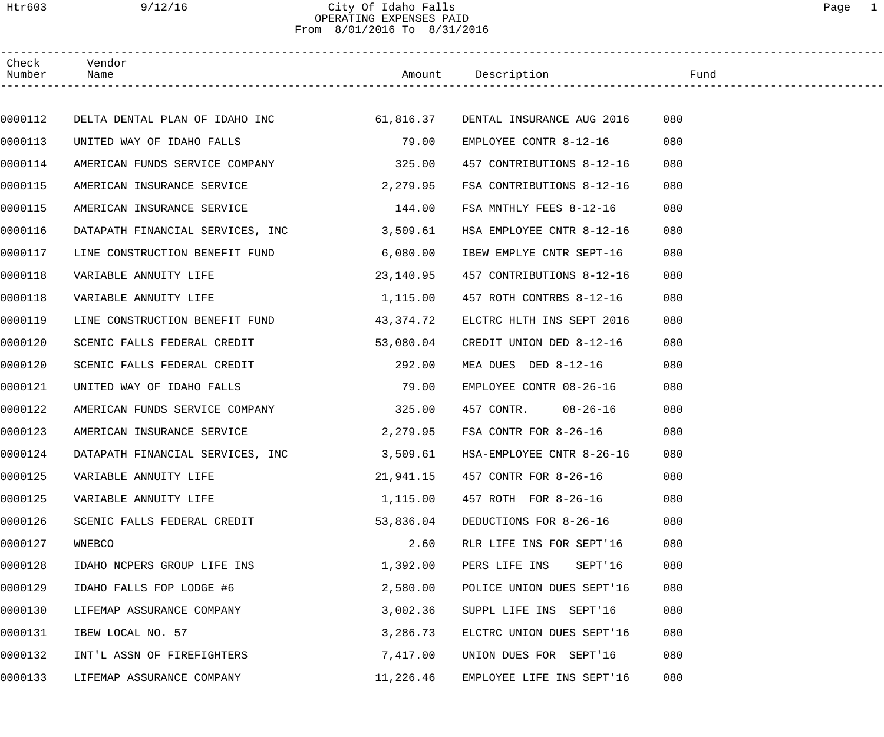# Htr603 9/12/16 City Of Idaho Falls Page 1 OPERATING EXPENSES PAID From 8/01/2016 To 8/31/2016

| Check<br>Number | Vendor<br>Name                                                     |           | Amount Description        | Fund |  |
|-----------------|--------------------------------------------------------------------|-----------|---------------------------|------|--|
|                 |                                                                    |           |                           |      |  |
| 0000112         | DELTA DENTAL PLAN OF IDAHO INC 61,816.37 DENTAL INSURANCE AUG 2016 |           |                           | 080  |  |
| 0000113         | UNITED WAY OF IDAHO FALLS                                          | 79.00     | EMPLOYEE CONTR 8-12-16    | 080  |  |
| 0000114         | AMERICAN FUNDS SERVICE COMPANY 325.00                              |           | 457 CONTRIBUTIONS 8-12-16 | 080  |  |
| 0000115         | AMERICAN INSURANCE SERVICE                                         | 2,279.95  | FSA CONTRIBUTIONS 8-12-16 | 080  |  |
| 0000115         | AMERICAN INSURANCE SERVICE                                         | 144.00    | FSA MNTHLY FEES 8-12-16   | 080  |  |
| 0000116         | DATAPATH FINANCIAL SERVICES, INC                                   | 3,509.61  | HSA EMPLOYEE CNTR 8-12-16 | 080  |  |
| 0000117         | LINE CONSTRUCTION BENEFIT FUND                                     | 6,080.00  | IBEW EMPLYE CNTR SEPT-16  | 080  |  |
| 0000118         | VARIABLE ANNUITY LIFE                                              | 23,140.95 | 457 CONTRIBUTIONS 8-12-16 | 080  |  |
| 0000118         | VARIABLE ANNUITY LIFE                                              | 1,115.00  | 457 ROTH CONTRBS 8-12-16  | 080  |  |
| 0000119         | LINE CONSTRUCTION BENEFIT FUND                                     | 43,374.72 | ELCTRC HLTH INS SEPT 2016 | 080  |  |
| 0000120         | SCENIC FALLS FEDERAL CREDIT                                        | 53,080.04 | CREDIT UNION DED 8-12-16  | 080  |  |
| 0000120         | SCENIC FALLS FEDERAL CREDIT                                        | 292.00    | MEA DUES DED 8-12-16      | 080  |  |
| 0000121         | UNITED WAY OF IDAHO FALLS                                          | 79.00     | EMPLOYEE CONTR 08-26-16   | 080  |  |
| 0000122         | AMERICAN FUNDS SERVICE COMPANY                                     | 325.00    | 457 CONTR. 08-26-16       | 080  |  |
| 0000123         | AMERICAN INSURANCE SERVICE                                         | 2,279.95  | FSA CONTR FOR 8-26-16     | 080  |  |
| 0000124         | DATAPATH FINANCIAL SERVICES, INC                                   | 3,509.61  | HSA-EMPLOYEE CNTR 8-26-16 | 080  |  |
| 0000125         | VARIABLE ANNUITY LIFE                                              | 21,941.15 | 457 CONTR FOR 8-26-16     | 080  |  |
| 0000125         | VARIABLE ANNUITY LIFE                                              | 1,115.00  | 457 ROTH FOR 8-26-16      | 080  |  |
| 0000126         | SCENIC FALLS FEDERAL CREDIT                                        | 53,836.04 | DEDUCTIONS FOR 8-26-16    | 080  |  |
| 0000127         | WNEBCO                                                             | 2.60      | RLR LIFE INS FOR SEPT'16  | 080  |  |
| 0000128         | IDAHO NCPERS GROUP LIFE INS                                        | 1,392.00  | SEPT'16<br>PERS LIFE INS  | 080  |  |
| 0000129         | IDAHO FALLS FOP LODGE #6                                           | 2,580.00  | POLICE UNION DUES SEPT'16 | 080  |  |
| 0000130         | LIFEMAP ASSURANCE COMPANY                                          | 3,002.36  | SUPPL LIFE INS SEPT'16    | 080  |  |
| 0000131         | IBEW LOCAL NO. 57                                                  | 3,286.73  | ELCTRC UNION DUES SEPT'16 | 080  |  |
| 0000132         | INT'L ASSN OF FIREFIGHTERS                                         | 7,417.00  | UNION DUES FOR SEPT'16    | 080  |  |
| 0000133         | LIFEMAP ASSURANCE COMPANY                                          | 11,226.46 | EMPLOYEE LIFE INS SEPT'16 | 080  |  |
|                 |                                                                    |           |                           |      |  |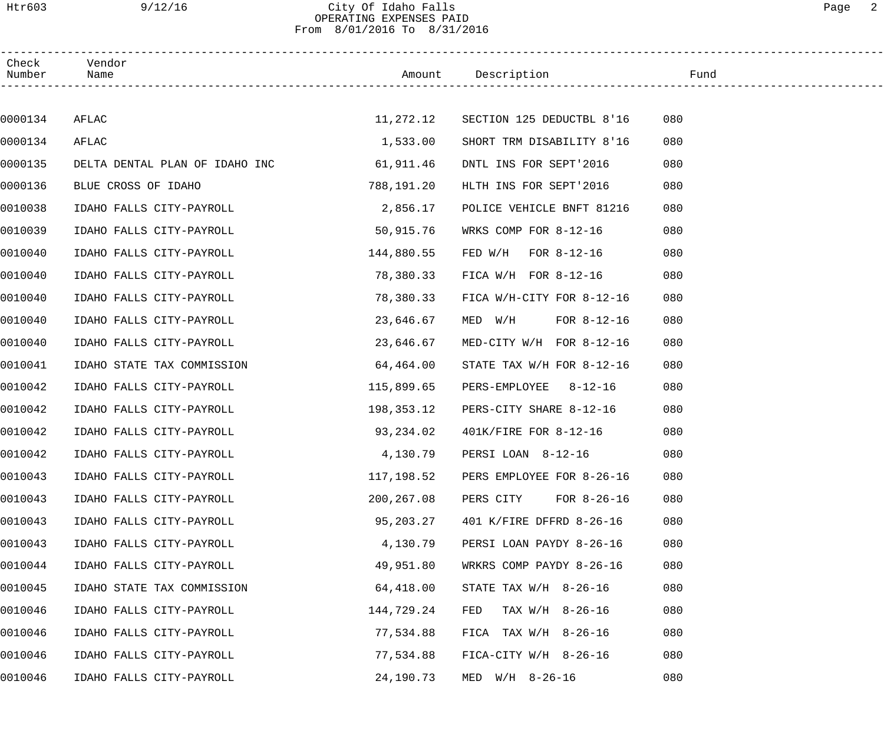# Htr603 9/12/16 City Of Idaho Falls Page 2 OPERATING EXPENSES PAID From 8/01/2016 To 8/31/2016

| Check<br>Number | Vendor<br>Name                           |             |                            |     |
|-----------------|------------------------------------------|-------------|----------------------------|-----|
|                 |                                          |             |                            |     |
| 0000134         | AFLAC                                    | 11,272.12   | SECTION 125 DEDUCTBL 8'16  | 080 |
| 0000134         | AFLAC                                    | 1,533.00    | SHORT TRM DISABILITY 8'16  | 080 |
| 0000135         | DELTA DENTAL PLAN OF IDAHO INC 61,911.46 |             | DNTL INS FOR SEPT'2016     | 080 |
| 0000136         | BLUE CROSS OF IDAHO                      | 788,191.20  | HLTH INS FOR SEPT'2016     | 080 |
| 0010038         | IDAHO FALLS CITY-PAYROLL                 | 2,856.17    | POLICE VEHICLE BNFT 81216  | 080 |
| 0010039         | IDAHO FALLS CITY-PAYROLL                 | 50,915.76   | WRKS COMP FOR 8-12-16      | 080 |
| 0010040         | IDAHO FALLS CITY-PAYROLL                 | 144,880.55  | FED $W/H$ FOR 8-12-16      | 080 |
| 0010040         | IDAHO FALLS CITY-PAYROLL                 | 78,380.33   | FICA $W/H$ FOR 8-12-16     | 080 |
| 0010040         | IDAHO FALLS CITY-PAYROLL                 | 78,380.33   | FICA W/H-CITY FOR 8-12-16  | 080 |
| 0010040         | IDAHO FALLS CITY-PAYROLL                 | 23,646.67   | MED $W/H$ FOR 8-12-16      | 080 |
| 0010040         | IDAHO FALLS CITY-PAYROLL                 | 23,646.67   | MED-CITY W/H FOR 8-12-16   | 080 |
| 0010041         | IDAHO STATE TAX COMMISSION               | 64,464.00   | STATE TAX W/H FOR 8-12-16  | 080 |
| 0010042         | IDAHO FALLS CITY-PAYROLL                 | 115,899.65  | PERS-EMPLOYEE 8-12-16      | 080 |
| 0010042         | IDAHO FALLS CITY-PAYROLL                 | 198,353.12  | PERS-CITY SHARE 8-12-16    | 080 |
| 0010042         | IDAHO FALLS CITY-PAYROLL                 | 93,234.02   | 401K/FIRE FOR 8-12-16      | 080 |
| 0010042         | IDAHO FALLS CITY-PAYROLL                 | 4,130.79    | PERSI LOAN 8-12-16         | 080 |
| 0010043         | IDAHO FALLS CITY-PAYROLL                 | 117,198.52  | PERS EMPLOYEE FOR 8-26-16  | 080 |
| 0010043         | IDAHO FALLS CITY-PAYROLL                 | 200, 267.08 | FOR $8-26-16$<br>PERS CITY | 080 |
| 0010043         | IDAHO FALLS CITY-PAYROLL                 | 95,203.27   | 401 K/FIRE DFFRD 8-26-16   | 080 |
| 0010043         | IDAHO FALLS CITY-PAYROLL                 | 4,130.79    | PERSI LOAN PAYDY 8-26-16   | 080 |
| 0010044         | IDAHO FALLS CITY-PAYROLL                 | 49,951.80   | WRKRS COMP PAYDY 8-26-16   | 080 |
| 0010045         | IDAHO STATE TAX COMMISSION               | 64,418.00   | STATE TAX $W/H$ 8-26-16    | 080 |
| 0010046         | IDAHO FALLS CITY-PAYROLL                 | 144,729.24  | FED<br>TAX W/H 8-26-16     | 080 |
| 0010046         | IDAHO FALLS CITY-PAYROLL                 | 77,534.88   | FICA TAX $W/H$ 8-26-16     | 080 |
| 0010046         | IDAHO FALLS CITY-PAYROLL                 | 77,534.88   | $FIGA-CITY W/H 8-26-16$    | 080 |
| 0010046         | IDAHO FALLS CITY-PAYROLL                 | 24,190.73   | $MED$ $W/H$ 8-26-16        | 080 |
|                 |                                          |             |                            |     |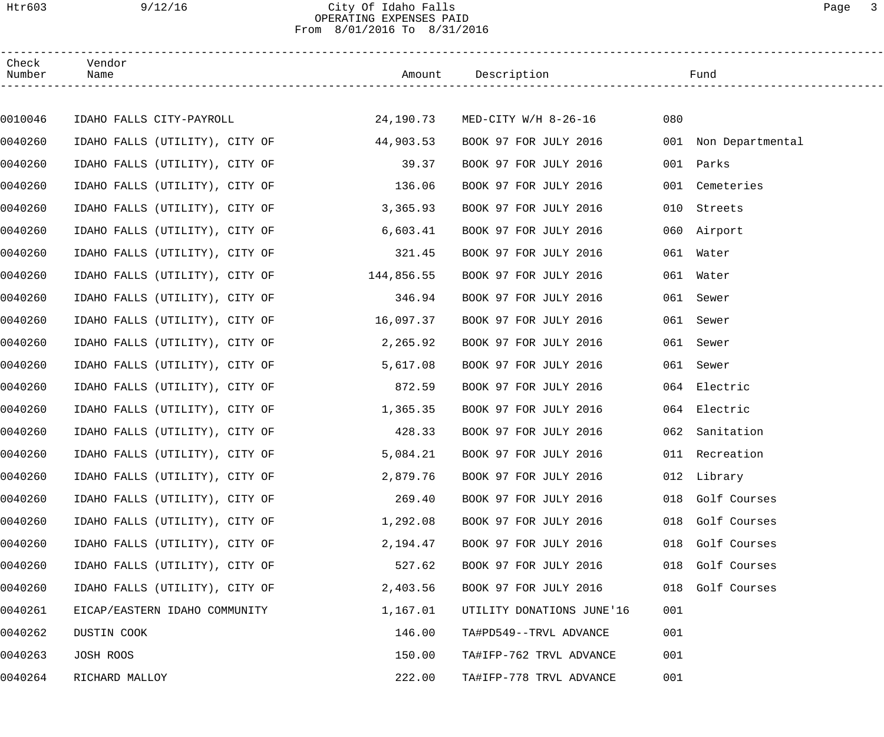## Htr603 9/12/16 City Of Idaho Falls Page 3 OPERATING EXPENSES PAID From 8/01/2016 To 8/31/2016

| Check<br>Number | Vendor<br>Name                 |            | Amount Description             |     | Fund                 |
|-----------------|--------------------------------|------------|--------------------------------|-----|----------------------|
|                 |                                |            |                                |     |                      |
| 0010046         | IDAHO FALLS CITY-PAYROLL       |            | 24,190.73 MED-CITY W/H 8-26-16 | 080 |                      |
| 0040260         | IDAHO FALLS (UTILITY), CITY OF | 44,903.53  | BOOK 97 FOR JULY 2016          |     | 001 Non Departmental |
| 0040260         | IDAHO FALLS (UTILITY), CITY OF | 39.37      | BOOK 97 FOR JULY 2016          |     | 001 Parks            |
| 0040260         | IDAHO FALLS (UTILITY), CITY OF | 136.06     | BOOK 97 FOR JULY 2016          |     | 001 Cemeteries       |
| 0040260         | IDAHO FALLS (UTILITY), CITY OF | 3,365.93   | BOOK 97 FOR JULY 2016          | 010 | Streets              |
| 0040260         | IDAHO FALLS (UTILITY), CITY OF | 6,603.41   | BOOK 97 FOR JULY 2016          |     | 060 Airport          |
| 0040260         | IDAHO FALLS (UTILITY), CITY OF | 321.45     | BOOK 97 FOR JULY 2016          |     | 061 Water            |
| 0040260         | IDAHO FALLS (UTILITY), CITY OF | 144,856.55 | BOOK 97 FOR JULY 2016          |     | 061 Water            |
| 0040260         | IDAHO FALLS (UTILITY), CITY OF | 346.94     | BOOK 97 FOR JULY 2016          | 061 | Sewer                |
| 0040260         | IDAHO FALLS (UTILITY), CITY OF | 16,097.37  | BOOK 97 FOR JULY 2016          | 061 | Sewer                |
| 0040260         | IDAHO FALLS (UTILITY), CITY OF | 2,265.92   | BOOK 97 FOR JULY 2016          | 061 | Sewer                |
| 0040260         | IDAHO FALLS (UTILITY), CITY OF | 5,617.08   | BOOK 97 FOR JULY 2016          | 061 | Sewer                |
| 0040260         | IDAHO FALLS (UTILITY), CITY OF | 872.59     | BOOK 97 FOR JULY 2016          | 064 | Electric             |
| 0040260         | IDAHO FALLS (UTILITY), CITY OF | 1,365.35   | BOOK 97 FOR JULY 2016          |     | 064 Electric         |
| 0040260         | IDAHO FALLS (UTILITY), CITY OF | 428.33     | BOOK 97 FOR JULY 2016          |     | 062 Sanitation       |
| 0040260         | IDAHO FALLS (UTILITY), CITY OF | 5,084.21   | BOOK 97 FOR JULY 2016          |     | 011 Recreation       |
| 0040260         | IDAHO FALLS (UTILITY), CITY OF | 2,879.76   | BOOK 97 FOR JULY 2016          |     | 012 Library          |
| 0040260         | IDAHO FALLS (UTILITY), CITY OF | 269.40     | BOOK 97 FOR JULY 2016          |     | 018 Golf Courses     |
| 0040260         | IDAHO FALLS (UTILITY), CITY OF | 1,292.08   | BOOK 97 FOR JULY 2016          |     | 018 Golf Courses     |
| 0040260         | IDAHO FALLS (UTILITY), CITY OF | 2,194.47   | BOOK 97 FOR JULY 2016          |     | 018 Golf Courses     |
| 0040260         | IDAHO FALLS (UTILITY), CITY OF | 527.62     | BOOK 97 FOR JULY 2016          |     | 018 Golf Courses     |
| 0040260         | IDAHO FALLS (UTILITY), CITY OF | 2,403.56   | BOOK 97 FOR JULY 2016          |     | 018 Golf Courses     |
| 0040261         | EICAP/EASTERN IDAHO COMMUNITY  | 1,167.01   | UTILITY DONATIONS JUNE'16      | 001 |                      |
| 0040262         | DUSTIN COOK                    | 146.00     | TA#PD549--TRVL ADVANCE         | 001 |                      |
| 0040263         | JOSH ROOS                      | 150.00     | TA#IFP-762 TRVL ADVANCE        | 001 |                      |
| 0040264         | RICHARD MALLOY                 | 222.00     | TA#IFP-778 TRVL ADVANCE        | 001 |                      |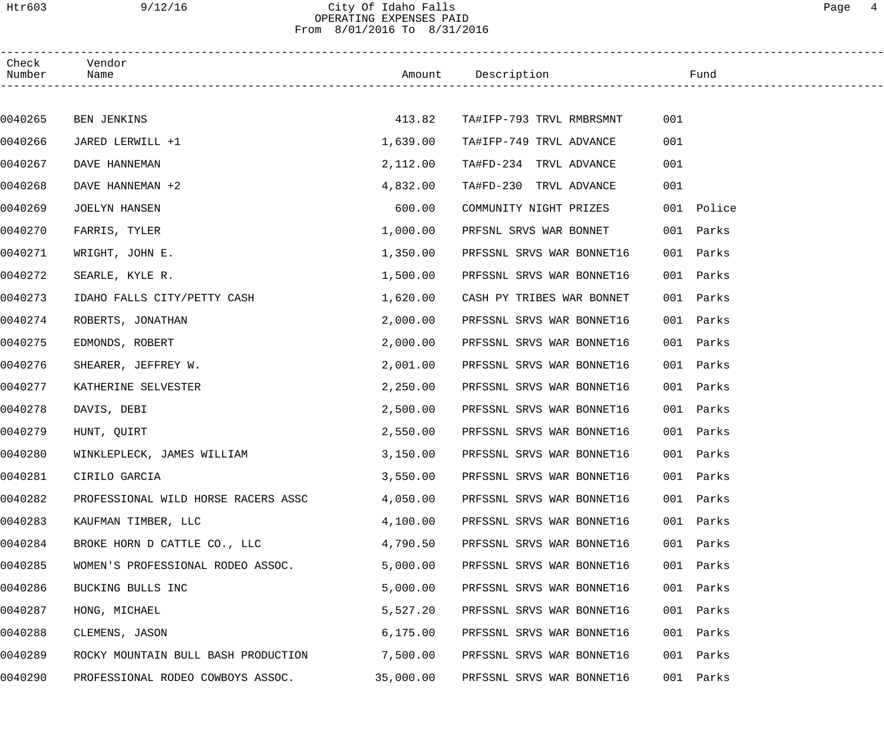# Htr603 9/12/16 City Of Idaho Falls Page 4 OPERATING EXPENSES PAID From 8/01/2016 To 8/31/2016

| Check<br>Number | Vendor<br>Name                      |           | Amount Description        | Fund         |  |
|-----------------|-------------------------------------|-----------|---------------------------|--------------|--|
|                 |                                     |           |                           |              |  |
| 0040265         | <b>BEN JENKINS</b>                  | 413.82    | TA#IFP-793 TRVL RMBRSMNT  | 001          |  |
| 0040266         | JARED LERWILL +1                    | 1,639.00  | TA#IFP-749 TRVL ADVANCE   | 001          |  |
| 0040267         | DAVE HANNEMAN                       | 2,112.00  | TA#FD-234 TRVL ADVANCE    | 001          |  |
| 0040268         | DAVE HANNEMAN +2                    | 4,832.00  | TA#FD-230 TRVL ADVANCE    | 001          |  |
| 0040269         | JOELYN HANSEN                       | 600.00    | COMMUNITY NIGHT PRIZES    | 001 Police   |  |
| 0040270         | FARRIS, TYLER                       | 1,000.00  | PRFSNL SRVS WAR BONNET    | 001 Parks    |  |
| 0040271         | WRIGHT, JOHN E.                     | 1,350.00  | PRFSSNL SRVS WAR BONNET16 | 001<br>Parks |  |
| 0040272         | SEARLE, KYLE R.                     | 1,500.00  | PRFSSNL SRVS WAR BONNET16 | 001<br>Parks |  |
| 0040273         | IDAHO FALLS CITY/PETTY CASH         | 1,620.00  | CASH PY TRIBES WAR BONNET | 001<br>Parks |  |
| 0040274         | ROBERTS, JONATHAN                   | 2,000.00  | PRFSSNL SRVS WAR BONNET16 | 001<br>Parks |  |
| 0040275         | EDMONDS, ROBERT                     | 2,000.00  | PRFSSNL SRVS WAR BONNET16 | 001<br>Parks |  |
| 0040276         | SHEARER, JEFFREY W.                 | 2,001.00  | PRFSSNL SRVS WAR BONNET16 | 001<br>Parks |  |
| 0040277         | KATHERINE SELVESTER                 | 2,250.00  | PRFSSNL SRVS WAR BONNET16 | 001<br>Parks |  |
| 0040278         | DAVIS, DEBI                         | 2,500.00  | PRFSSNL SRVS WAR BONNET16 | 001<br>Parks |  |
| 0040279         | HUNT, QUIRT                         | 2,550.00  | PRFSSNL SRVS WAR BONNET16 | 001 Parks    |  |
| 0040280         | WINKLEPLECK, JAMES WILLIAM          | 3,150.00  | PRFSSNL SRVS WAR BONNET16 | 001 Parks    |  |
| 0040281         | CIRILO GARCIA                       | 3,550.00  | PRFSSNL SRVS WAR BONNET16 | 001 Parks    |  |
| 0040282         | PROFESSIONAL WILD HORSE RACERS ASSC | 4,050.00  | PRFSSNL SRVS WAR BONNET16 | Parks<br>001 |  |
| 0040283         | KAUFMAN TIMBER, LLC                 | 4,100.00  | PRFSSNL SRVS WAR BONNET16 | 001<br>Parks |  |
| 0040284         | BROKE HORN D CATTLE CO., LLC        | 4,790.50  | PRFSSNL SRVS WAR BONNET16 | Parks<br>001 |  |
| 0040285         | WOMEN'S PROFESSIONAL RODEO ASSOC.   | 5,000.00  | PRFSSNL SRVS WAR BONNET16 | Parks<br>001 |  |
| 0040286         | BUCKING BULLS INC                   | 5,000.00  | PRFSSNL SRVS WAR BONNET16 | 001<br>Parks |  |
| 0040287         | HONG, MICHAEL                       | 5,527.20  | PRFSSNL SRVS WAR BONNET16 | 001<br>Parks |  |
| 0040288         | CLEMENS, JASON                      | 6, 175.00 | PRFSSNL SRVS WAR BONNET16 | Parks<br>001 |  |
| 0040289         | ROCKY MOUNTAIN BULL BASH PRODUCTION | 7,500.00  | PRFSSNL SRVS WAR BONNET16 | 001<br>Parks |  |
| 0040290         | PROFESSIONAL RODEO COWBOYS ASSOC.   | 35,000.00 | PRFSSNL SRVS WAR BONNET16 | 001 Parks    |  |
|                 |                                     |           |                           |              |  |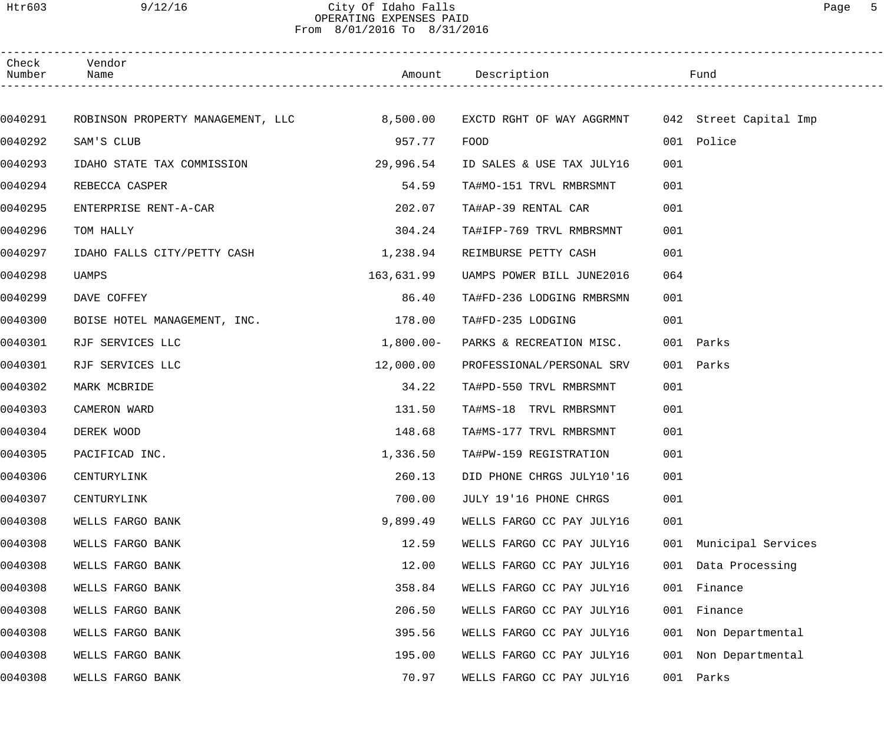Htr603 9/12/16 City Of Idaho Falls Page 5

OPERATING EXPENSES PAID From 8/01/2016 To 8/31/2016

| Check<br>Number | Vendor<br>Name                             |             | Amount Description                               |     | Fund               |  |
|-----------------|--------------------------------------------|-------------|--------------------------------------------------|-----|--------------------|--|
|                 |                                            |             |                                                  |     |                    |  |
| 0040291         | ROBINSON PROPERTY MANAGEMENT, LLC 8,500.00 |             | EXCTD RGHT OF WAY AGGRMNT 042 Street Capital Imp |     |                    |  |
| 0040292         | SAM'S CLUB                                 | 957.77      | FOOD                                             |     | 001 Police         |  |
| 0040293         | IDAHO STATE TAX COMMISSION                 | 29,996.54   | ID SALES & USE TAX JULY16                        | 001 |                    |  |
| 0040294         | REBECCA CASPER                             | 54.59       | TA#MO-151 TRVL RMBRSMNT                          | 001 |                    |  |
| 0040295         | ENTERPRISE RENT-A-CAR                      | 202.07      | TA#AP-39 RENTAL CAR                              | 001 |                    |  |
| 0040296         | TOM HALLY                                  | 304.24      | TA#IFP-769 TRVL RMBRSMNT                         | 001 |                    |  |
| 0040297         | IDAHO FALLS CITY/PETTY CASH                | 1,238.94    | REIMBURSE PETTY CASH                             | 001 |                    |  |
| 0040298         | UAMPS                                      | 163,631.99  | UAMPS POWER BILL JUNE2016                        | 064 |                    |  |
| 0040299         | DAVE COFFEY                                | 86.40       | TA#FD-236 LODGING RMBRSMN                        | 001 |                    |  |
| 0040300         | BOISE HOTEL MANAGEMENT, INC.               | 178.00      | TA#FD-235 LODGING                                | 001 |                    |  |
| 0040301         | RJF SERVICES LLC                           | $1,800.00-$ | PARKS & RECREATION MISC.                         |     | 001 Parks          |  |
| 0040301         | RJF SERVICES LLC                           | 12,000.00   | PROFESSIONAL/PERSONAL SRV                        |     | 001 Parks          |  |
| 0040302         | MARK MCBRIDE                               | 34.22       | TA#PD-550 TRVL RMBRSMNT                          | 001 |                    |  |
| 0040303         | CAMERON WARD                               | 131.50      | TA#MS-18 TRVL RMBRSMNT                           | 001 |                    |  |
| 0040304         | DEREK WOOD                                 | 148.68      | TA#MS-177 TRVL RMBRSMNT                          | 001 |                    |  |
| 0040305         | PACIFICAD INC.                             | 1,336.50    | TA#PW-159 REGISTRATION                           | 001 |                    |  |
| 0040306         | CENTURYLINK                                | 260.13      | DID PHONE CHRGS JULY10'16                        | 001 |                    |  |
| 0040307         | CENTURYLINK                                | 700.00      | JULY 19'16 PHONE CHRGS                           | 001 |                    |  |
| 0040308         | WELLS FARGO BANK                           | 9,899.49    | WELLS FARGO CC PAY JULY16                        | 001 |                    |  |
| 0040308         | WELLS FARGO BANK                           | 12.59       | WELLS FARGO CC PAY JULY16                        | 001 | Municipal Services |  |
| 0040308         | WELLS FARGO BANK                           | 12.00       | WELLS FARGO CC PAY JULY16                        | 001 | Data Processing    |  |
| 0040308         | WELLS FARGO BANK                           | 358.84      | WELLS FARGO CC PAY JULY16                        | 001 | Finance            |  |
| 0040308         | WELLS FARGO BANK                           | 206.50      | WELLS FARGO CC PAY JULY16                        | 001 | Finance            |  |
| 0040308         | WELLS FARGO BANK                           | 395.56      | WELLS FARGO CC PAY JULY16                        | 001 | Non Departmental   |  |
| 0040308         | WELLS FARGO BANK                           | 195.00      | WELLS FARGO CC PAY JULY16                        | 001 | Non Departmental   |  |
| 0040308         | WELLS FARGO BANK                           | 70.97       | WELLS FARGO CC PAY JULY16                        | 001 | Parks              |  |
|                 |                                            |             |                                                  |     |                    |  |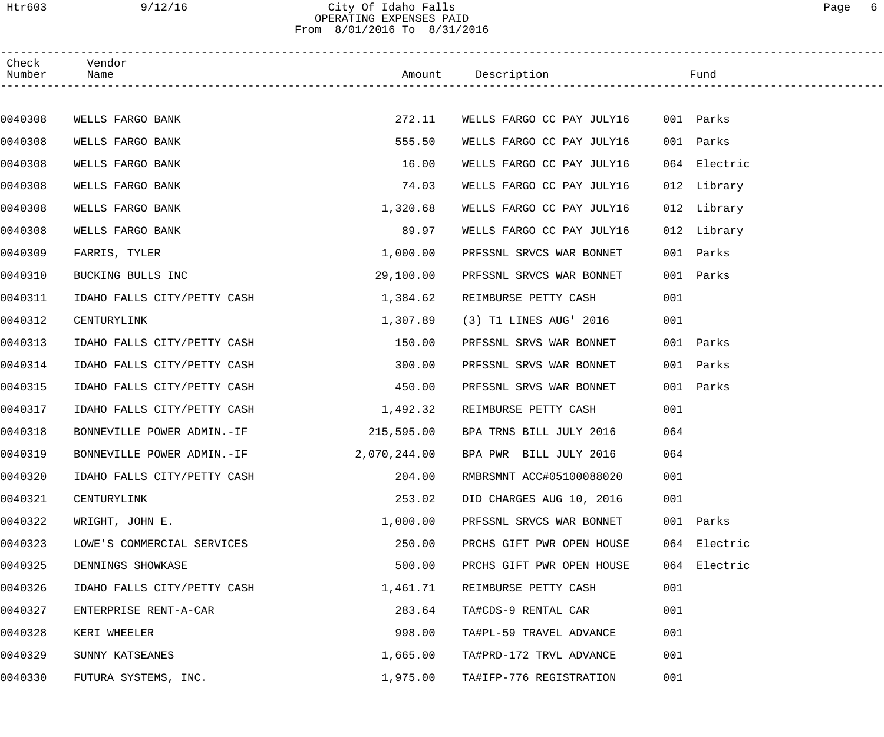# Htr603 9/12/16 City Of Idaho Falls Page 6 OPERATING EXPENSES PAID From 8/01/2016 To 8/31/2016

| Check<br>Number | Vendor<br>Name                        |           |                                     |              |  |
|-----------------|---------------------------------------|-----------|-------------------------------------|--------------|--|
|                 |                                       |           |                                     |              |  |
| 0040308         | WELLS FARGO BANK                      | 272.11    | WELLS FARGO CC PAY JULY16           | 001 Parks    |  |
| 0040308         | WELLS FARGO BANK                      | 555.50    | WELLS FARGO CC PAY JULY16           | 001 Parks    |  |
| 0040308         | WELLS FARGO BANK                      | 16.00     | WELLS FARGO CC PAY JULY16           | 064 Electric |  |
| 0040308         | WELLS FARGO BANK                      | 74.03     | WELLS FARGO CC PAY JULY16           | 012 Library  |  |
| 0040308         | WELLS FARGO BANK                      | 1,320.68  | WELLS FARGO CC PAY JULY16           | 012 Library  |  |
| 0040308         | WELLS FARGO BANK                      | 89.97     | WELLS FARGO CC PAY JULY16           | 012 Library  |  |
| 0040309         | FARRIS, TYLER                         | 1,000.00  | PRFSSNL SRVCS WAR BONNET            | 001 Parks    |  |
| 0040310         | BUCKING BULLS INC                     | 29,100.00 | PRFSSNL SRVCS WAR BONNET            | 001 Parks    |  |
| 0040311         | IDAHO FALLS CITY/PETTY CASH           | 1,384.62  | REIMBURSE PETTY CASH                | 001          |  |
| 0040312         | CENTURYLINK                           | 1,307.89  | (3) T1 LINES AUG' 2016              | 001          |  |
| 0040313         | IDAHO FALLS CITY/PETTY CASH           | 150.00    | PRFSSNL SRVS WAR BONNET             | 001 Parks    |  |
| 0040314         | IDAHO FALLS CITY/PETTY CASH           | 300.00    | PRFSSNL SRVS WAR BONNET             | 001 Parks    |  |
| 0040315         | IDAHO FALLS CITY/PETTY CASH           | 450.00    | PRFSSNL SRVS WAR BONNET             | 001 Parks    |  |
| 0040317         | IDAHO FALLS CITY/PETTY CASH           | 1,492.32  | REIMBURSE PETTY CASH                | 001          |  |
| 0040318         | BONNEVILLE POWER ADMIN.-IF 215,595.00 |           | BPA TRNS BILL JULY 2016             | 064          |  |
| 0040319         | BONNEVILLE POWER ADMIN.-IF            |           | 2,070,244.00 BPA PWR BILL JULY 2016 | 064          |  |
| 0040320         | IDAHO FALLS CITY/PETTY CASH           | 204.00    | RMBRSMNT ACC#05100088020            | 001          |  |
| 0040321         | CENTURYLINK                           | 253.02    | DID CHARGES AUG 10, 2016            | 001          |  |
| 0040322         | WRIGHT, JOHN E.                       | 1,000.00  | PRFSSNL SRVCS WAR BONNET            | 001 Parks    |  |
| 0040323         | LOWE'S COMMERCIAL SERVICES            | 250.00    | PRCHS GIFT PWR OPEN HOUSE           | 064 Electric |  |
| 0040325         | DENNINGS SHOWKASE                     | 500.00    | PRCHS GIFT PWR OPEN HOUSE           | 064 Electric |  |
| 0040326         | IDAHO FALLS CITY/PETTY CASH           | 1,461.71  | REIMBURSE PETTY CASH                | 001          |  |
| 0040327         | ENTERPRISE RENT-A-CAR                 | 283.64    | TA#CDS-9 RENTAL CAR                 | 001          |  |
| 0040328         | KERI WHEELER                          | 998.00    | TA#PL-59 TRAVEL ADVANCE             | 001          |  |
| 0040329         | SUNNY KATSEANES                       | 1,665.00  | TA#PRD-172 TRVL ADVANCE             | 001          |  |
| 0040330         | FUTURA SYSTEMS, INC.                  | 1,975.00  | TA#IFP-776 REGISTRATION             | 001          |  |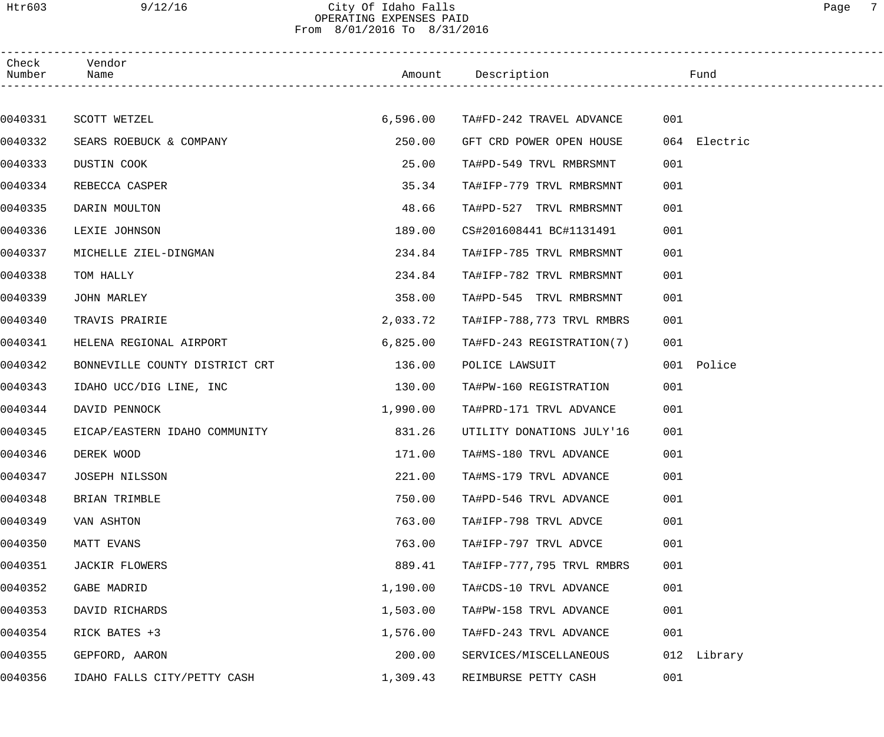# Htr603 9/12/16 City Of Idaho Falls Page 7 OPERATING EXPENSES PAID From 8/01/2016 To 8/31/2016

| Check<br>Number | Vendor<br>Name                 |          | Amount Description                |     | Fund         |
|-----------------|--------------------------------|----------|-----------------------------------|-----|--------------|
|                 |                                |          |                                   |     |              |
| 0040331         | SCOTT WETZEL                   |          | 6,596.00 TA#FD-242 TRAVEL ADVANCE | 001 |              |
| 0040332         | SEARS ROEBUCK & COMPANY        | 250.00   | GFT CRD POWER OPEN HOUSE          |     | 064 Electric |
| 0040333         | DUSTIN COOK                    | 25.00    | TA#PD-549 TRVL RMBRSMNT           | 001 |              |
| 0040334         | REBECCA CASPER                 | 35.34    | TA#IFP-779 TRVL RMBRSMNT          | 001 |              |
| 0040335         | DARIN MOULTON                  | 48.66    | TA#PD-527 TRVL RMBRSMNT           | 001 |              |
| 0040336         | LEXIE JOHNSON                  | 189.00   | CS#201608441 BC#1131491           | 001 |              |
| 0040337         | MICHELLE ZIEL-DINGMAN          | 234.84   | TA#IFP-785 TRVL RMBRSMNT          | 001 |              |
| 0040338         | TOM HALLY                      | 234.84   | TA#IFP-782 TRVL RMBRSMNT          | 001 |              |
| 0040339         | JOHN MARLEY                    | 358.00   | TA#PD-545 TRVL RMBRSMNT           | 001 |              |
| 0040340         | TRAVIS PRAIRIE                 | 2,033.72 | TA#IFP-788,773 TRVL RMBRS         | 001 |              |
| 0040341         | HELENA REGIONAL AIRPORT        | 6,825.00 | TA#FD-243 REGISTRATION(7)         | 001 |              |
| 0040342         | BONNEVILLE COUNTY DISTRICT CRT | 136.00   | POLICE LAWSUIT                    |     | 001 Police   |
| 0040343         | IDAHO UCC/DIG LINE, INC        | 130.00   | TA#PW-160 REGISTRATION            | 001 |              |
| 0040344         | DAVID PENNOCK                  | 1,990.00 | TA#PRD-171 TRVL ADVANCE           | 001 |              |
| 0040345         | EICAP/EASTERN IDAHO COMMUNITY  | 831.26   | UTILITY DONATIONS JULY'16         | 001 |              |
| 0040346         | DEREK WOOD                     | 171.00   | TA#MS-180 TRVL ADVANCE            | 001 |              |
| 0040347         | JOSEPH NILSSON                 | 221.00   | TA#MS-179 TRVL ADVANCE            | 001 |              |
| 0040348         | BRIAN TRIMBLE                  | 750.00   | TA#PD-546 TRVL ADVANCE            | 001 |              |
| 0040349         | VAN ASHTON                     | 763.00   | TA#IFP-798 TRVL ADVCE             | 001 |              |
| 0040350         | MATT EVANS                     | 763.00   | TA#IFP-797 TRVL ADVCE             | 001 |              |
| 0040351         | JACKIR FLOWERS                 | 889.41   | TA#IFP-777,795 TRVL RMBRS         | 001 |              |
| 0040352         | GABE MADRID                    | 1,190.00 | TA#CDS-10 TRVL ADVANCE            | 001 |              |
| 0040353         | DAVID RICHARDS                 | 1,503.00 | TA#PW-158 TRVL ADVANCE            | 001 |              |
| 0040354         | RICK BATES +3                  | 1,576.00 | TA#FD-243 TRVL ADVANCE            | 001 |              |
| 0040355         | GEPFORD, AARON                 | 200.00   | SERVICES/MISCELLANEOUS            |     | 012 Library  |
| 0040356         | IDAHO FALLS CITY/PETTY CASH    | 1,309.43 | REIMBURSE PETTY CASH              | 001 |              |
|                 |                                |          |                                   |     |              |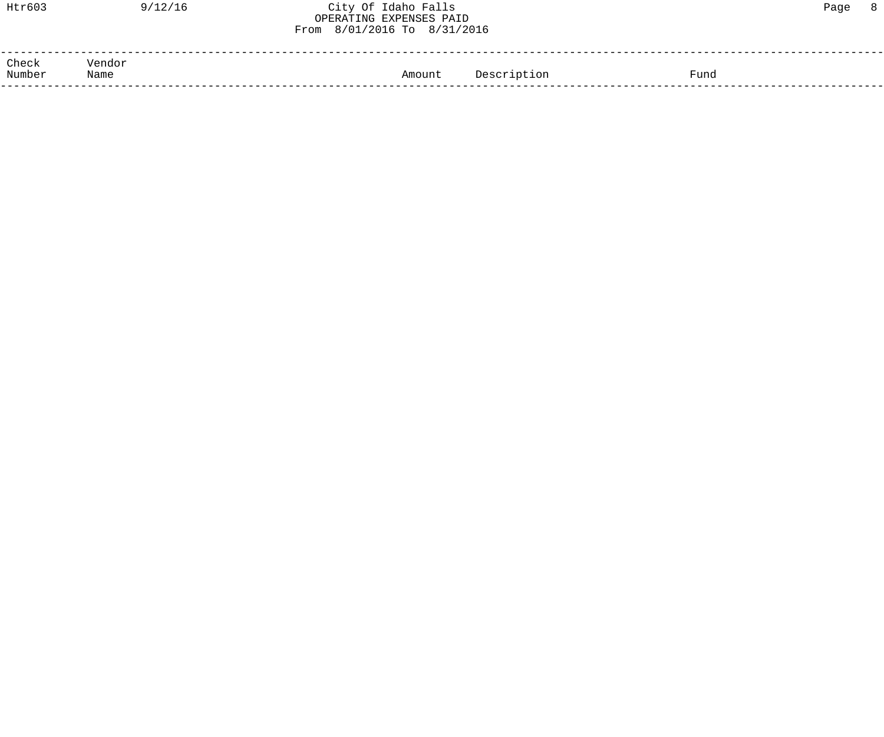| Htr603          | 9/12/16        | City Of Idaho Falls<br>OPERATING EXPENSES PAID<br>From 8/01/2016 To 8/31/2016 | 8 <sup>8</sup><br>Page |  |
|-----------------|----------------|-------------------------------------------------------------------------------|------------------------|--|
| Check<br>Number | Vendor<br>Name | Description<br>Fund<br>Amount                                                 |                        |  |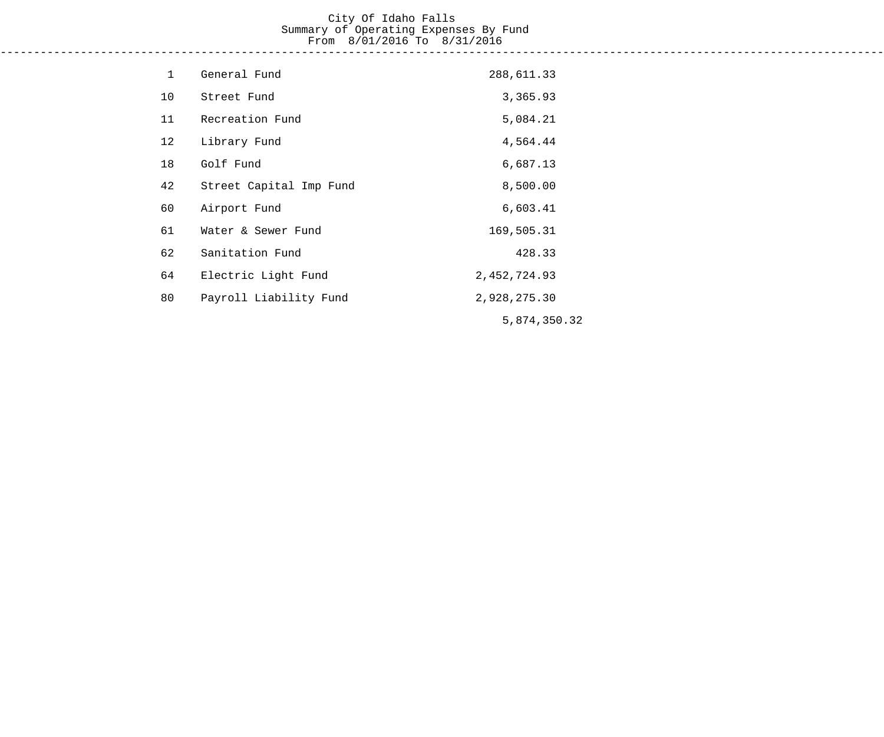#### City Of Idaho Falls Summary of Operating Expenses By Fund From 8/01/2016 To 8/31/2016 ------------------------------------------------------------------------------------------------------------------------------------

| $\mathbf 1$ | General Fund            | 288,611.33     |
|-------------|-------------------------|----------------|
| 10          | Street Fund             | 3,365.93       |
| 11          | Recreation Fund         | 5,084.21       |
| 12          | Library Fund            | 4,564.44       |
| 18          | Golf Fund               | 6,687.13       |
| 42          | Street Capital Imp Fund | 8,500.00       |
| 60          | Airport Fund            | 6,603.41       |
| 61          | Water & Sewer Fund      | 169,505.31     |
| 62          | Sanitation Fund         | 428.33         |
| 64          | Electric Light Fund     | 2, 452, 724.93 |
| 80          | Payroll Liability Fund  | 2,928,275.30   |
|             |                         | 5,874,350.32   |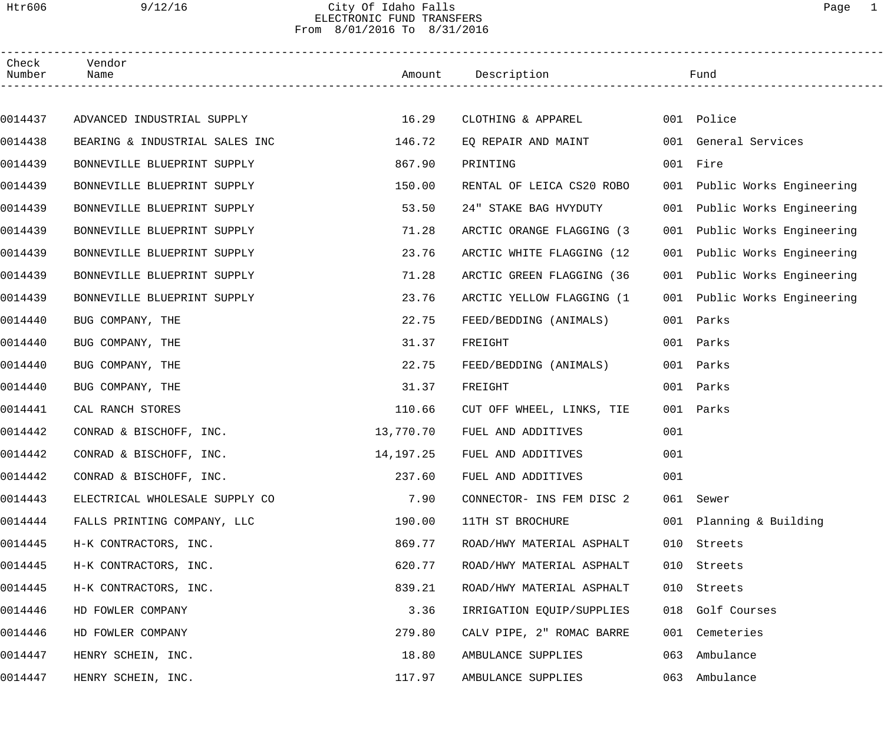# Htr606 9/12/16 City Of Idaho Falls Page 1 ELECTRONIC FUND TRANSFERS From 8/01/2016 To 8/31/2016

| Check<br>Number | Vendor<br>Name                 |           | Amount Description         |     | Fund                         |
|-----------------|--------------------------------|-----------|----------------------------|-----|------------------------------|
|                 |                                |           |                            |     |                              |
| 0014437         | ADVANCED INDUSTRIAL SUPPLY     | 16.29     | CLOTHING & APPAREL         |     | 001 Police                   |
| 0014438         | BEARING & INDUSTRIAL SALES INC | 146.72    | EQ REPAIR AND MAINT        |     | 001 General Services         |
| 0014439         | BONNEVILLE BLUEPRINT SUPPLY    | 867.90    | PRINTING                   |     | 001 Fire                     |
| 0014439         | BONNEVILLE BLUEPRINT SUPPLY    | 150.00    | RENTAL OF LEICA CS20 ROBO  |     | 001 Public Works Engineering |
| 0014439         | BONNEVILLE BLUEPRINT SUPPLY    | 53.50     | 24" STAKE BAG HVYDUTY      | 001 | Public Works Engineering     |
| 0014439         | BONNEVILLE BLUEPRINT SUPPLY    | 71.28     | ARCTIC ORANGE FLAGGING (3) | 001 | Public Works Engineering     |
| 0014439         | BONNEVILLE BLUEPRINT SUPPLY    | 23.76     | ARCTIC WHITE FLAGGING (12  | 001 | Public Works Engineering     |
| 0014439         | BONNEVILLE BLUEPRINT SUPPLY    | 71.28     | ARCTIC GREEN FLAGGING (36  | 001 | Public Works Engineering     |
| 0014439         | BONNEVILLE BLUEPRINT SUPPLY    | 23.76     | ARCTIC YELLOW FLAGGING (1  | 001 | Public Works Engineering     |
| 0014440         | BUG COMPANY, THE               | 22.75     | FEED/BEDDING (ANIMALS)     | 001 | Parks                        |
| 0014440         | BUG COMPANY, THE               | 31.37     | FREIGHT                    | 001 | Parks                        |
| 0014440         | BUG COMPANY, THE               | 22.75     | FEED/BEDDING (ANIMALS)     | 001 | Parks                        |
| 0014440         | BUG COMPANY, THE               | 31.37     | FREIGHT                    | 001 | Parks                        |
| 0014441         | CAL RANCH STORES               | 110.66    | CUT OFF WHEEL, LINKS, TIE  | 001 | Parks                        |
| 0014442         | CONRAD & BISCHOFF, INC.        | 13,770.70 | FUEL AND ADDITIVES         | 001 |                              |
| 0014442         | CONRAD & BISCHOFF, INC.        | 14,197.25 | FUEL AND ADDITIVES         | 001 |                              |
| 0014442         | CONRAD & BISCHOFF, INC.        | 237.60    | FUEL AND ADDITIVES         | 001 |                              |
| 0014443         | ELECTRICAL WHOLESALE SUPPLY CO | 7.90      | CONNECTOR- INS FEM DISC 2  |     | 061 Sewer                    |
| 0014444         | FALLS PRINTING COMPANY, LLC    | 190.00    | 11TH ST BROCHURE           |     | 001 Planning & Building      |
| 0014445         | H-K CONTRACTORS, INC.          | 869.77    | ROAD/HWY MATERIAL ASPHALT  | 010 | Streets                      |
| 0014445         | H-K CONTRACTORS, INC.          | 620.77    | ROAD/HWY MATERIAL ASPHALT  | 010 | Streets                      |
| 0014445         | H-K CONTRACTORS, INC.          | 839.21    | ROAD/HWY MATERIAL ASPHALT  | 010 | Streets                      |
| 0014446         | HD FOWLER COMPANY              | 3.36      | IRRIGATION EQUIP/SUPPLIES  | 018 | Golf Courses                 |
| 0014446         | HD FOWLER COMPANY              | 279.80    | CALV PIPE, 2" ROMAC BARRE  |     | 001 Cemeteries               |
| 0014447         | HENRY SCHEIN, INC.             | 18.80     | AMBULANCE SUPPLIES         | 063 | Ambulance                    |
| 0014447         | HENRY SCHEIN, INC.             | 117.97    | AMBULANCE SUPPLIES         |     | 063 Ambulance                |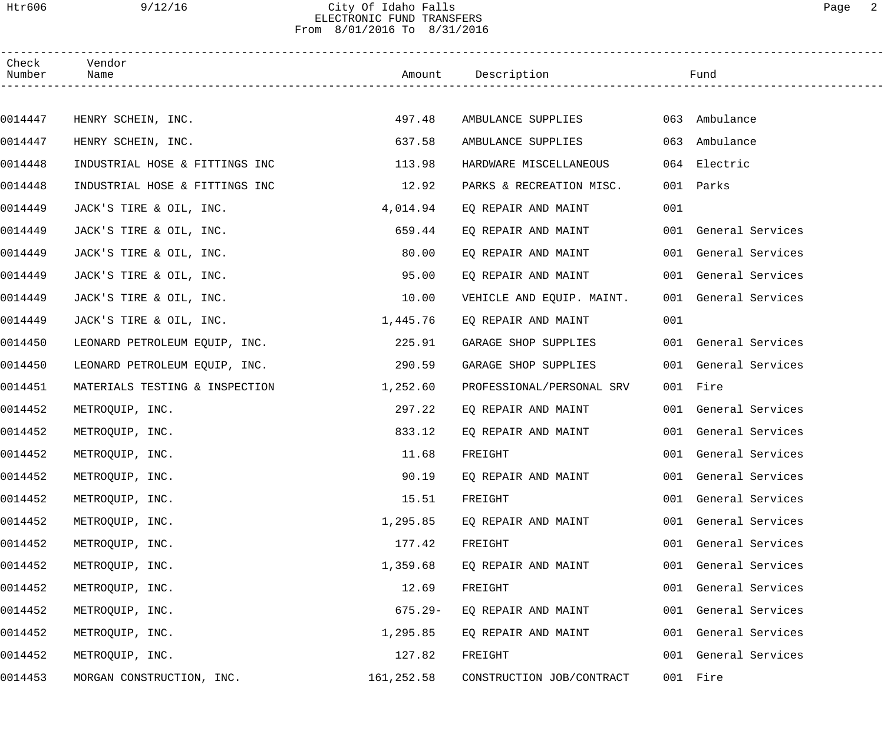## Htr606 9/12/16 City Of Idaho Falls Page 2 ELECTRONIC FUND TRANSFERS From 8/01/2016 To 8/31/2016

| Check<br>Number | Vendor<br>Name                 |            | Amount Description        |     | Fund                 |
|-----------------|--------------------------------|------------|---------------------------|-----|----------------------|
|                 |                                |            |                           |     |                      |
| 0014447         | HENRY SCHEIN, INC.             | 497.48     | AMBULANCE SUPPLIES        |     | 063 Ambulance        |
| 0014447         | HENRY SCHEIN, INC.             | 637.58     | AMBULANCE SUPPLIES        |     | 063 Ambulance        |
| 0014448         | INDUSTRIAL HOSE & FITTINGS INC | 113.98     | HARDWARE MISCELLANEOUS    |     | 064 Electric         |
| 0014448         | INDUSTRIAL HOSE & FITTINGS INC | 12.92      | PARKS & RECREATION MISC.  | 001 | Parks                |
| 0014449         | JACK'S TIRE & OIL, INC.        | 4,014.94   | EQ REPAIR AND MAINT       | 001 |                      |
| 0014449         | JACK'S TIRE & OIL, INC.        | 659.44     | EQ REPAIR AND MAINT       |     | 001 General Services |
| 0014449         | JACK'S TIRE & OIL, INC.        | 80.00      | EQ REPAIR AND MAINT       |     | 001 General Services |
| 0014449         | JACK'S TIRE & OIL, INC.        | 95.00      | EQ REPAIR AND MAINT       |     | 001 General Services |
| 0014449         | JACK'S TIRE & OIL, INC.        | 10.00      | VEHICLE AND EQUIP. MAINT. |     | 001 General Services |
| 0014449         | JACK'S TIRE & OIL, INC.        | 1,445.76   | EQ REPAIR AND MAINT       | 001 |                      |
| 0014450         | LEONARD PETROLEUM EQUIP, INC.  | 225.91     | GARAGE SHOP SUPPLIES      |     | 001 General Services |
| 0014450         | LEONARD PETROLEUM EQUIP, INC.  | 290.59     | GARAGE SHOP SUPPLIES      |     | 001 General Services |
| 0014451         | MATERIALS TESTING & INSPECTION | 1,252.60   | PROFESSIONAL/PERSONAL SRV |     | 001 Fire             |
| 0014452         | METROQUIP, INC.                | 297.22     | EQ REPAIR AND MAINT       |     | 001 General Services |
| 0014452         | METROQUIP, INC.                | 833.12     | EQ REPAIR AND MAINT       |     | 001 General Services |
| 0014452         | METROQUIP, INC.                | 11.68      | FREIGHT                   |     | 001 General Services |
| 0014452         | METROQUIP, INC.                | 90.19      | EO REPAIR AND MAINT       |     | 001 General Services |
| 0014452         | METROQUIP, INC.                | 15.51      | FREIGHT                   |     | 001 General Services |
| 0014452         | METROQUIP, INC.                | 1,295.85   | EQ REPAIR AND MAINT       | 001 | General Services     |
| 0014452         | METROQUIP, INC.                | 177.42     | FREIGHT                   |     | 001 General Services |
| 0014452         | METROQUIP, INC.                | 1,359.68   | EO REPAIR AND MAINT       |     | 001 General Services |
| 0014452         | METROQUIP, INC.                | 12.69      | FREIGHT                   | 001 | General Services     |
| 0014452         | METROQUIP, INC.                | $675.29 -$ | EQ REPAIR AND MAINT       |     | 001 General Services |
| 0014452         | METROQUIP, INC.                | 1,295.85   | EQ REPAIR AND MAINT       |     | 001 General Services |
| 0014452         | METROQUIP, INC.                | 127.82     | FREIGHT                   |     | 001 General Services |
| 0014453         | MORGAN CONSTRUCTION, INC.      | 161,252.58 | CONSTRUCTION JOB/CONTRACT |     | 001 Fire             |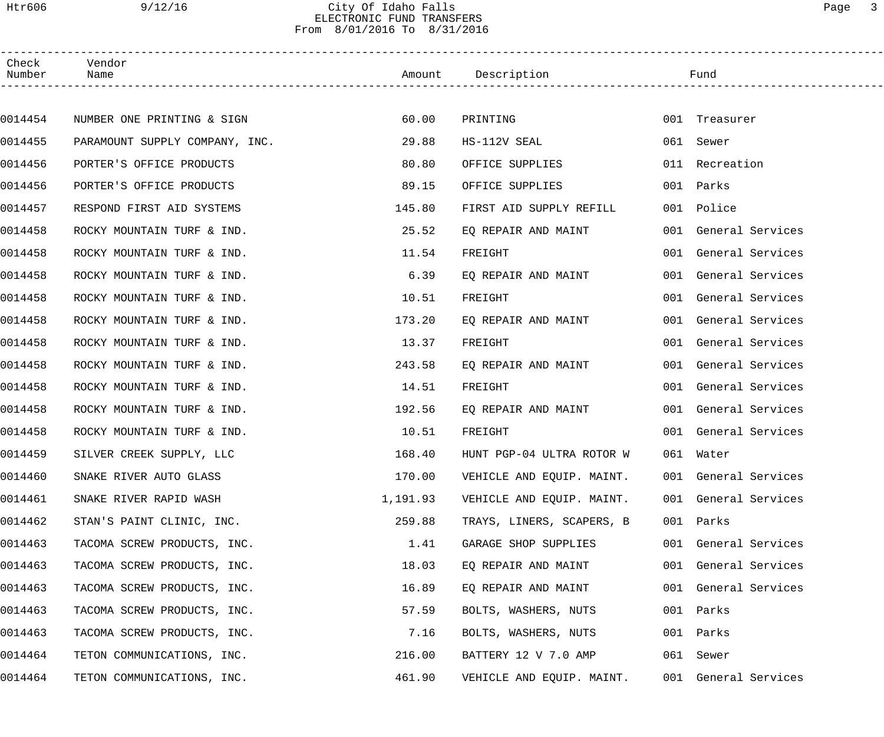# Htr606 9/12/16 City Of Idaho Falls Page 3 ELECTRONIC FUND TRANSFERS From 8/01/2016 To 8/31/2016

| Check<br>Number | Vendor<br>Name                 |          | Amount Description        | Fund                 |
|-----------------|--------------------------------|----------|---------------------------|----------------------|
|                 |                                |          |                           |                      |
| 0014454         | NUMBER ONE PRINTING & SIGN     | 60.00    | PRINTING                  | 001 Treasurer        |
| 0014455         | PARAMOUNT SUPPLY COMPANY, INC. | 29.88    | HS-112V SEAL              | 061 Sewer            |
| 0014456         | PORTER'S OFFICE PRODUCTS       | 80.80    | OFFICE SUPPLIES           | 011 Recreation       |
| 0014456         | PORTER'S OFFICE PRODUCTS       | 89.15    | OFFICE SUPPLIES           | 001 Parks            |
| 0014457         | RESPOND FIRST AID SYSTEMS      | 145.80   | FIRST AID SUPPLY REFILL   | 001 Police           |
| 0014458         | ROCKY MOUNTAIN TURF & IND.     | 25.52    | EQ REPAIR AND MAINT       | 001 General Services |
| 0014458         | ROCKY MOUNTAIN TURF & IND.     | 11.54    | FREIGHT                   | 001 General Services |
| 0014458         | ROCKY MOUNTAIN TURF & IND.     | 6.39     | EQ REPAIR AND MAINT       | 001 General Services |
| 0014458         | ROCKY MOUNTAIN TURF & IND.     | 10.51    | FREIGHT                   | 001 General Services |
| 0014458         | ROCKY MOUNTAIN TURF & IND.     | 173.20   | EQ REPAIR AND MAINT       | 001 General Services |
| 0014458         | ROCKY MOUNTAIN TURF & IND.     | 13.37    | FREIGHT                   | 001 General Services |
| 0014458         | ROCKY MOUNTAIN TURF & IND.     | 243.58   | EQ REPAIR AND MAINT       | 001 General Services |
| 0014458         | ROCKY MOUNTAIN TURF & IND.     | 14.51    | FREIGHT                   | 001 General Services |
| 0014458         | ROCKY MOUNTAIN TURF & IND.     | 192.56   | EQ REPAIR AND MAINT       | 001 General Services |
| 0014458         | ROCKY MOUNTAIN TURF & IND.     | 10.51    | FREIGHT                   | 001 General Services |
| 0014459         | SILVER CREEK SUPPLY, LLC       | 168.40   | HUNT PGP-04 ULTRA ROTOR W | 061 Water            |
| 0014460         | SNAKE RIVER AUTO GLASS         | 170.00   | VEHICLE AND EQUIP. MAINT. | 001 General Services |
| 0014461         | SNAKE RIVER RAPID WASH         | 1,191.93 | VEHICLE AND EQUIP. MAINT. | 001 General Services |
| 0014462         | STAN'S PAINT CLINIC, INC.      | 259.88   | TRAYS, LINERS, SCAPERS, B | 001 Parks            |
| 0014463         | TACOMA SCREW PRODUCTS, INC.    | 1.41     | GARAGE SHOP SUPPLIES      | 001 General Services |
| 0014463         | TACOMA SCREW PRODUCTS, INC.    | 18.03    | EQ REPAIR AND MAINT       | 001 General Services |
| 0014463         | TACOMA SCREW PRODUCTS, INC.    | 16.89    | EQ REPAIR AND MAINT       | 001 General Services |
| 0014463         | TACOMA SCREW PRODUCTS, INC.    | 57.59    | BOLTS, WASHERS, NUTS      | 001 Parks            |
| 0014463         | TACOMA SCREW PRODUCTS, INC.    | 7.16     | BOLTS, WASHERS, NUTS      | 001 Parks            |
| 0014464         | TETON COMMUNICATIONS, INC.     | 216.00   | BATTERY 12 V 7.0 AMP      | 061 Sewer            |
| 0014464         | TETON COMMUNICATIONS, INC.     | 461.90   | VEHICLE AND EQUIP. MAINT. | 001 General Services |
|                 |                                |          |                           |                      |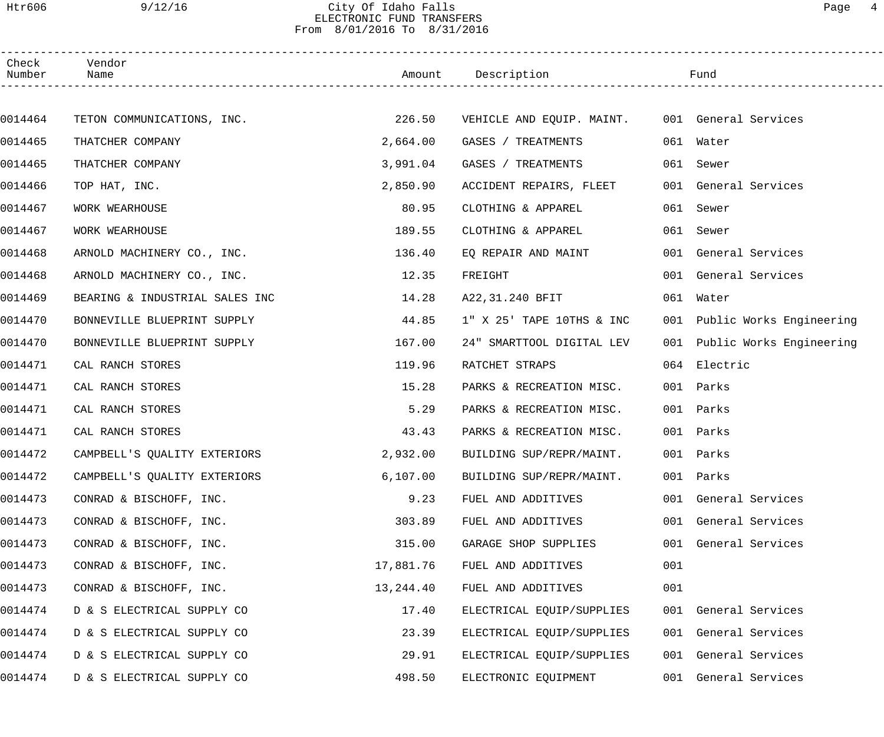# Htr606 9/12/16 City Of Idaho Falls Page 4 ELECTRONIC FUND TRANSFERS From 8/01/2016 To 8/31/2016

| Check<br>Number | Vendor<br>Name                 |           | Amount Description                             |     | Fund                         |  |
|-----------------|--------------------------------|-----------|------------------------------------------------|-----|------------------------------|--|
|                 |                                |           |                                                |     |                              |  |
| 0014464         | TETON COMMUNICATIONS, INC.     | 226.50    | VEHICLE AND EQUIP. MAINT. 001 General Services |     |                              |  |
| 0014465         | THATCHER COMPANY               | 2,664.00  | GASES / TREATMENTS                             |     | 061 Water                    |  |
| 0014465         | THATCHER COMPANY               | 3,991.04  | GASES / TREATMENTS                             |     | 061 Sewer                    |  |
| 0014466         | TOP HAT, INC.                  | 2,850.90  | ACCIDENT REPAIRS, FLEET                        |     | 001 General Services         |  |
| 0014467         | WORK WEARHOUSE                 | 80.95     | CLOTHING & APPAREL                             | 061 | Sewer                        |  |
| 0014467         | WORK WEARHOUSE                 | 189.55    | CLOTHING & APPAREL                             | 061 | Sewer                        |  |
| 0014468         | ARNOLD MACHINERY CO., INC.     | 136.40    | EO REPAIR AND MAINT                            |     | 001 General Services         |  |
| 0014468         | ARNOLD MACHINERY CO., INC.     | 12.35     | FREIGHT                                        |     | 001 General Services         |  |
| 0014469         | BEARING & INDUSTRIAL SALES INC | 14.28     | A22,31.240 BFIT                                |     | 061 Water                    |  |
| 0014470         | BONNEVILLE BLUEPRINT SUPPLY    | 44.85     | 1" X 25' TAPE 10THS & INC                      |     | 001 Public Works Engineering |  |
| 0014470         | BONNEVILLE BLUEPRINT SUPPLY    | 167.00    | 24" SMARTTOOL DIGITAL LEV                      |     | 001 Public Works Engineering |  |
| 0014471         | CAL RANCH STORES               | 119.96    | RATCHET STRAPS                                 |     | 064 Electric                 |  |
| 0014471         | CAL RANCH STORES               | 15.28     | PARKS & RECREATION MISC.                       | 001 | Parks                        |  |
| 0014471         | CAL RANCH STORES               | 5.29      | PARKS & RECREATION MISC.                       | 001 | Parks                        |  |
| 0014471         | CAL RANCH STORES               | 43.43     | PARKS & RECREATION MISC.                       |     | 001 Parks                    |  |
| 0014472         | CAMPBELL'S OUALITY EXTERIORS   | 2,932.00  | BUILDING SUP/REPR/MAINT.                       |     | 001 Parks                    |  |
| 0014472         | CAMPBELL'S QUALITY EXTERIORS   | 6, 107.00 | BUILDING SUP/REPR/MAINT.                       |     | 001 Parks                    |  |
| 0014473         | CONRAD & BISCHOFF, INC.        | 9.23      | FUEL AND ADDITIVES                             |     | 001 General Services         |  |
| 0014473         | CONRAD & BISCHOFF, INC.        | 303.89    | FUEL AND ADDITIVES                             |     | 001 General Services         |  |
| 0014473         | CONRAD & BISCHOFF, INC.        | 315.00    | GARAGE SHOP SUPPLIES                           |     | 001 General Services         |  |
| 0014473         | CONRAD & BISCHOFF, INC.        | 17,881.76 | FUEL AND ADDITIVES                             | 001 |                              |  |
| 0014473         | CONRAD & BISCHOFF, INC.        | 13,244.40 | FUEL AND ADDITIVES                             | 001 |                              |  |
| 0014474         | D & S ELECTRICAL SUPPLY CO     | 17.40     | ELECTRICAL EQUIP/SUPPLIES                      |     | 001 General Services         |  |
| 0014474         | D & S ELECTRICAL SUPPLY CO     | 23.39     | ELECTRICAL EQUIP/SUPPLIES                      |     | 001 General Services         |  |
| 0014474         | D & S ELECTRICAL SUPPLY CO     | 29.91     | ELECTRICAL EQUIP/SUPPLIES                      |     | 001 General Services         |  |
| 0014474         | D & S ELECTRICAL SUPPLY CO     | 498.50    | ELECTRONIC EQUIPMENT                           |     | 001 General Services         |  |
|                 |                                |           |                                                |     |                              |  |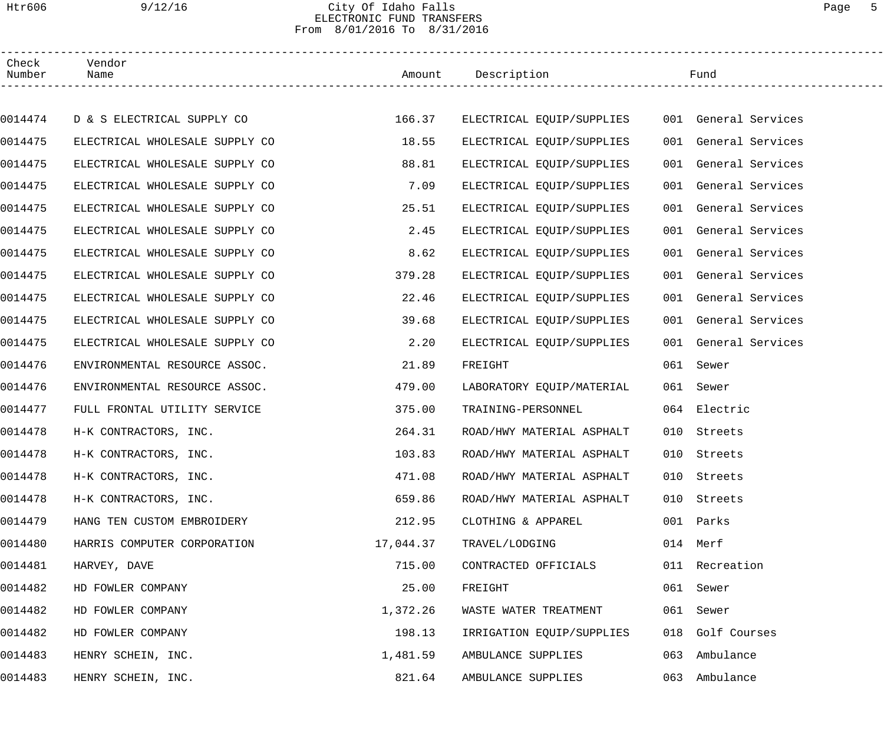## Htr606 9/12/16 City Of Idaho Falls Page 5 ELECTRONIC FUND TRANSFERS From 8/01/2016 To 8/31/2016

| Check<br>Number | Vendor<br>Name                 |           | Amount Description                             |     | Fund                 |  |
|-----------------|--------------------------------|-----------|------------------------------------------------|-----|----------------------|--|
|                 |                                |           |                                                |     |                      |  |
| 0014474         | D & S ELECTRICAL SUPPLY CO     | 166.37    | ELECTRICAL EQUIP/SUPPLIES 001 General Services |     |                      |  |
| 0014475         | ELECTRICAL WHOLESALE SUPPLY CO | 18.55     | ELECTRICAL EQUIP/SUPPLIES                      |     | 001 General Services |  |
| 0014475         | ELECTRICAL WHOLESALE SUPPLY CO | 88.81     | ELECTRICAL EQUIP/SUPPLIES                      |     | 001 General Services |  |
| 0014475         | ELECTRICAL WHOLESALE SUPPLY CO | 7.09      | ELECTRICAL EQUIP/SUPPLIES                      |     | 001 General Services |  |
| 0014475         | ELECTRICAL WHOLESALE SUPPLY CO | 25.51     | ELECTRICAL EQUIP/SUPPLIES                      |     | 001 General Services |  |
| 0014475         | ELECTRICAL WHOLESALE SUPPLY CO | 2.45      | ELECTRICAL EQUIP/SUPPLIES                      |     | 001 General Services |  |
| 0014475         | ELECTRICAL WHOLESALE SUPPLY CO | 8.62      | ELECTRICAL EQUIP/SUPPLIES                      |     | 001 General Services |  |
| 0014475         | ELECTRICAL WHOLESALE SUPPLY CO | 379.28    | ELECTRICAL EQUIP/SUPPLIES                      |     | 001 General Services |  |
| 0014475         | ELECTRICAL WHOLESALE SUPPLY CO | 22.46     | ELECTRICAL EQUIP/SUPPLIES                      |     | 001 General Services |  |
| 0014475         | ELECTRICAL WHOLESALE SUPPLY CO | 39.68     | ELECTRICAL EQUIP/SUPPLIES                      |     | 001 General Services |  |
| 0014475         | ELECTRICAL WHOLESALE SUPPLY CO | 2.20      | ELECTRICAL EQUIP/SUPPLIES                      |     | 001 General Services |  |
| 0014476         | ENVIRONMENTAL RESOURCE ASSOC.  | 21.89     | FREIGHT                                        |     | 061 Sewer            |  |
| 0014476         | ENVIRONMENTAL RESOURCE ASSOC.  | 479.00    | LABORATORY EQUIP/MATERIAL                      |     | 061 Sewer            |  |
| 0014477         | FULL FRONTAL UTILITY SERVICE   | 375.00    | TRAINING-PERSONNEL                             |     | 064 Electric         |  |
| 0014478         | H-K CONTRACTORS, INC.          | 264.31    | ROAD/HWY MATERIAL ASPHALT                      |     | 010 Streets          |  |
| 0014478         | H-K CONTRACTORS, INC.          | 103.83    | ROAD/HWY MATERIAL ASPHALT                      |     | 010 Streets          |  |
| 0014478         | H-K CONTRACTORS, INC.          | 471.08    | ROAD/HWY MATERIAL ASPHALT                      |     | 010 Streets          |  |
| 0014478         | H-K CONTRACTORS, INC.          | 659.86    | ROAD/HWY MATERIAL ASPHALT                      | 010 | Streets              |  |
| 0014479         | HANG TEN CUSTOM EMBROIDERY     | 212.95    | CLOTHING & APPAREL                             | 001 | Parks                |  |
| 0014480         | HARRIS COMPUTER CORPORATION    | 17,044.37 | TRAVEL/LODGING                                 |     | 014 Merf             |  |
| 0014481         | HARVEY, DAVE                   | 715.00    | CONTRACTED OFFICIALS                           |     | 011 Recreation       |  |
| 0014482         | HD FOWLER COMPANY              | 25.00     | FREIGHT                                        |     | 061 Sewer            |  |
| 0014482         | HD FOWLER COMPANY              | 1,372.26  | WASTE WATER TREATMENT                          | 061 | Sewer                |  |
| 0014482         | HD FOWLER COMPANY              | 198.13    | IRRIGATION EQUIP/SUPPLIES                      |     | 018 Golf Courses     |  |
| 0014483         | HENRY SCHEIN, INC.             | 1,481.59  | AMBULANCE SUPPLIES                             | 063 | Ambulance            |  |
| 0014483         | HENRY SCHEIN, INC.             | 821.64    | AMBULANCE SUPPLIES                             |     | 063 Ambulance        |  |
|                 |                                |           |                                                |     |                      |  |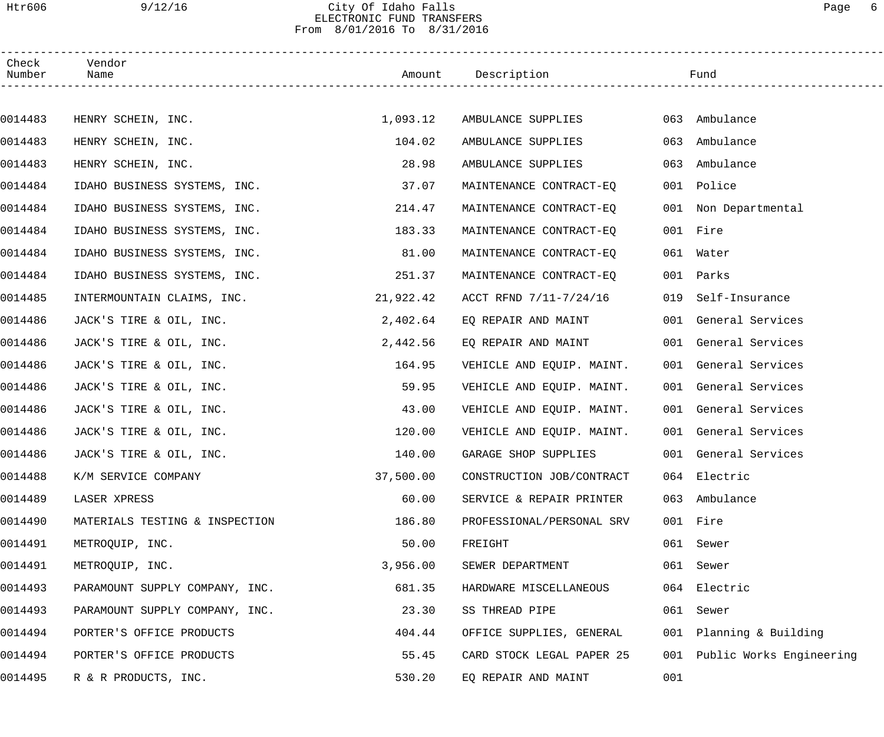### Htr606 9/12/16 City Of Idaho Falls Page 6 ELECTRONIC FUND TRANSFERS From 8/01/2016 To 8/31/2016

| Check<br>Number | Vendor<br>Name                 |           | Amount Description        |     | Fund                     |  |
|-----------------|--------------------------------|-----------|---------------------------|-----|--------------------------|--|
|                 |                                |           |                           |     |                          |  |
| 0014483         | HENRY SCHEIN, INC.             | 1,093.12  | AMBULANCE SUPPLIES        |     | 063 Ambulance            |  |
| 0014483         | HENRY SCHEIN, INC.             | 104.02    | AMBULANCE SUPPLIES        | 063 | Ambulance                |  |
| 0014483         | HENRY SCHEIN, INC.             | 28.98     | AMBULANCE SUPPLIES        | 063 | Ambulance                |  |
| 0014484         | IDAHO BUSINESS SYSTEMS, INC.   | 37.07     | MAINTENANCE CONTRACT-EQ   |     | 001 Police               |  |
| 0014484         | IDAHO BUSINESS SYSTEMS, INC.   | 214.47    | MAINTENANCE CONTRACT-EQ   |     | 001 Non Departmental     |  |
| 0014484         | IDAHO BUSINESS SYSTEMS, INC.   | 183.33    | MAINTENANCE CONTRACT-EQ   |     | 001 Fire                 |  |
| 0014484         | IDAHO BUSINESS SYSTEMS, INC.   | 81.00     | MAINTENANCE CONTRACT-EQ   |     | 061 Water                |  |
| 0014484         | IDAHO BUSINESS SYSTEMS, INC.   | 251.37    | MAINTENANCE CONTRACT-EQ   |     | 001 Parks                |  |
| 0014485         | INTERMOUNTAIN CLAIMS, INC.     | 21,922.42 | ACCT RFND 7/11-7/24/16    | 019 | Self-Insurance           |  |
| 0014486         | JACK'S TIRE & OIL, INC.        | 2,402.64  | EQ REPAIR AND MAINT       |     | 001 General Services     |  |
| 0014486         | JACK'S TIRE & OIL, INC.        | 2,442.56  | EQ REPAIR AND MAINT       |     | 001 General Services     |  |
| 0014486         | JACK'S TIRE & OIL, INC.        | 164.95    | VEHICLE AND EQUIP. MAINT. |     | 001 General Services     |  |
| 0014486         | JACK'S TIRE & OIL, INC.        | 59.95     | VEHICLE AND EQUIP. MAINT. |     | 001 General Services     |  |
| 0014486         | JACK'S TIRE & OIL, INC.        | 43.00     | VEHICLE AND EQUIP. MAINT. |     | 001 General Services     |  |
| 0014486         | JACK'S TIRE & OIL, INC.        | 120.00    | VEHICLE AND EQUIP. MAINT. |     | 001 General Services     |  |
| 0014486         | JACK'S TIRE & OIL, INC.        | 140.00    | GARAGE SHOP SUPPLIES      |     | 001 General Services     |  |
| 0014488         | K/M SERVICE COMPANY            | 37,500.00 | CONSTRUCTION JOB/CONTRACT |     | 064 Electric             |  |
| 0014489         | LASER XPRESS                   | 60.00     | SERVICE & REPAIR PRINTER  |     | 063 Ambulance            |  |
| 0014490         | MATERIALS TESTING & INSPECTION | 186.80    | PROFESSIONAL/PERSONAL SRV |     | 001 Fire                 |  |
| 0014491         | METROQUIP, INC.                | 50.00     | FREIGHT                   |     | 061 Sewer                |  |
| 0014491         | METROQUIP, INC.                | 3,956.00  | SEWER DEPARTMENT          |     | 061 Sewer                |  |
| 0014493         | PARAMOUNT SUPPLY COMPANY, INC. | 681.35    | HARDWARE MISCELLANEOUS    |     | 064 Electric             |  |
| 0014493         | PARAMOUNT SUPPLY COMPANY, INC. | 23.30     | SS THREAD PIPE            |     | 061 Sewer                |  |
| 0014494         | PORTER'S OFFICE PRODUCTS       | 404.44    | OFFICE SUPPLIES, GENERAL  |     | 001 Planning & Building  |  |
| 0014494         | PORTER'S OFFICE PRODUCTS       | 55.45     | CARD STOCK LEGAL PAPER 25 | 001 | Public Works Engineering |  |
| 0014495         | R & R PRODUCTS, INC.           | 530.20    | EQ REPAIR AND MAINT       | 001 |                          |  |
|                 |                                |           |                           |     |                          |  |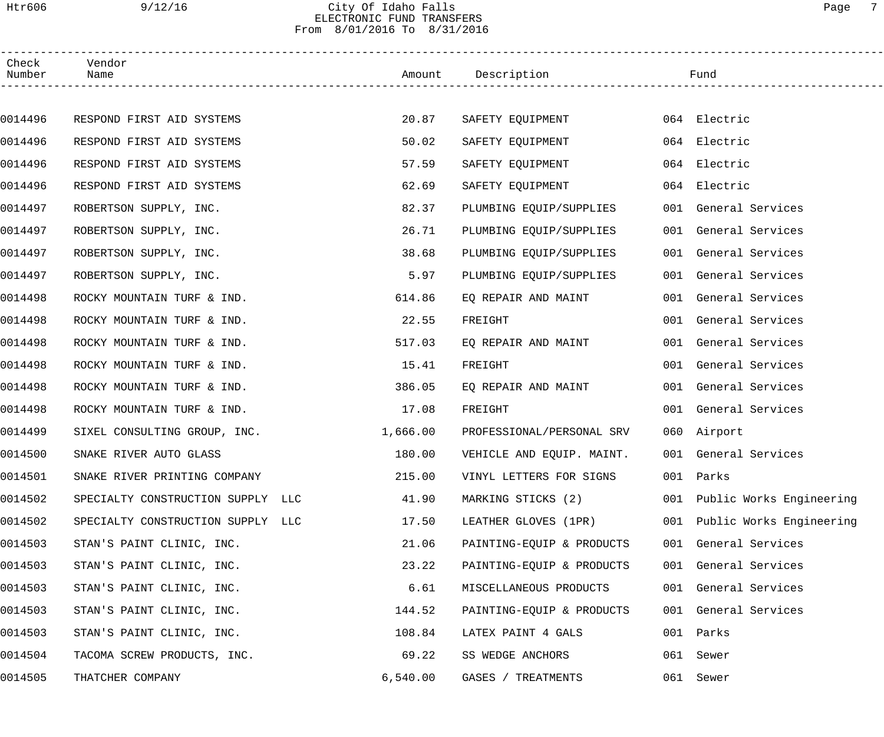# Htr606 9/12/16 City Of Idaho Falls Page 7 ELECTRONIC FUND TRANSFERS From 8/01/2016 To 8/31/2016

| Check<br>Number | Vendor<br>Name                    |          | Amount Description        |     | Fund                         |  |
|-----------------|-----------------------------------|----------|---------------------------|-----|------------------------------|--|
|                 |                                   |          |                           |     |                              |  |
| 0014496         | RESPOND FIRST AID SYSTEMS         | 20.87    | SAFETY EQUIPMENT          |     | 064 Electric                 |  |
| 0014496         | RESPOND FIRST AID SYSTEMS         | 50.02    | SAFETY EQUIPMENT          |     | 064 Electric                 |  |
| 0014496         | RESPOND FIRST AID SYSTEMS         | 57.59    | SAFETY EQUIPMENT          |     | 064 Electric                 |  |
| 0014496         | RESPOND FIRST AID SYSTEMS         | 62.69    | SAFETY EQUIPMENT          |     | 064 Electric                 |  |
| 0014497         | ROBERTSON SUPPLY, INC.            | 82.37    | PLUMBING EQUIP/SUPPLIES   |     | 001 General Services         |  |
| 0014497         | ROBERTSON SUPPLY, INC.            | 26.71    | PLUMBING EQUIP/SUPPLIES   |     | 001 General Services         |  |
| 0014497         | ROBERTSON SUPPLY, INC.            | 38.68    | PLUMBING EQUIP/SUPPLIES   |     | 001 General Services         |  |
| 0014497         | ROBERTSON SUPPLY, INC.            | 5.97     | PLUMBING EQUIP/SUPPLIES   |     | 001 General Services         |  |
| 0014498         | ROCKY MOUNTAIN TURF & IND.        | 614.86   | EQ REPAIR AND MAINT       |     | 001 General Services         |  |
| 0014498         | ROCKY MOUNTAIN TURF & IND.        | 22.55    | FREIGHT                   |     | 001 General Services         |  |
| 0014498         | ROCKY MOUNTAIN TURF & IND.        | 517.03   | EQ REPAIR AND MAINT       |     | 001 General Services         |  |
| 0014498         | ROCKY MOUNTAIN TURF & IND.        | 15.41    | FREIGHT                   |     | 001 General Services         |  |
| 0014498         | ROCKY MOUNTAIN TURF & IND.        | 386.05   | EQ REPAIR AND MAINT       |     | 001 General Services         |  |
| 0014498         | ROCKY MOUNTAIN TURF & IND.        | 17.08    | FREIGHT                   |     | 001 General Services         |  |
| 0014499         | SIXEL CONSULTING GROUP, INC.      | 1,666.00 | PROFESSIONAL/PERSONAL SRV |     | 060 Airport                  |  |
| 0014500         | SNAKE RIVER AUTO GLASS            | 180.00   | VEHICLE AND EQUIP. MAINT. |     | 001 General Services         |  |
| 0014501         | SNAKE RIVER PRINTING COMPANY      | 215.00   | VINYL LETTERS FOR SIGNS   |     | 001 Parks                    |  |
| 0014502         | SPECIALTY CONSTRUCTION SUPPLY LLC | 41.90    | MARKING STICKS (2)        |     | 001 Public Works Engineering |  |
| 0014502         | SPECIALTY CONSTRUCTION SUPPLY LLC | 17.50    | LEATHER GLOVES (1PR)      | 001 | Public Works Engineering     |  |
| 0014503         | STAN'S PAINT CLINIC, INC.         | 21.06    | PAINTING-EQUIP & PRODUCTS |     | 001 General Services         |  |
| 0014503         | STAN'S PAINT CLINIC, INC.         | 23.22    | PAINTING-EQUIP & PRODUCTS |     | 001 General Services         |  |
| 0014503         | STAN'S PAINT CLINIC, INC.         | 6.61     | MISCELLANEOUS PRODUCTS    |     | 001 General Services         |  |
| 0014503         | STAN'S PAINT CLINIC, INC.         | 144.52   | PAINTING-EQUIP & PRODUCTS |     | 001 General Services         |  |
| 0014503         | STAN'S PAINT CLINIC, INC.         | 108.84   | LATEX PAINT 4 GALS        |     | 001 Parks                    |  |
| 0014504         | TACOMA SCREW PRODUCTS, INC.       | 69.22    | SS WEDGE ANCHORS          |     | 061 Sewer                    |  |
| 0014505         | THATCHER COMPANY                  | 6,540.00 | GASES / TREATMENTS        |     | 061 Sewer                    |  |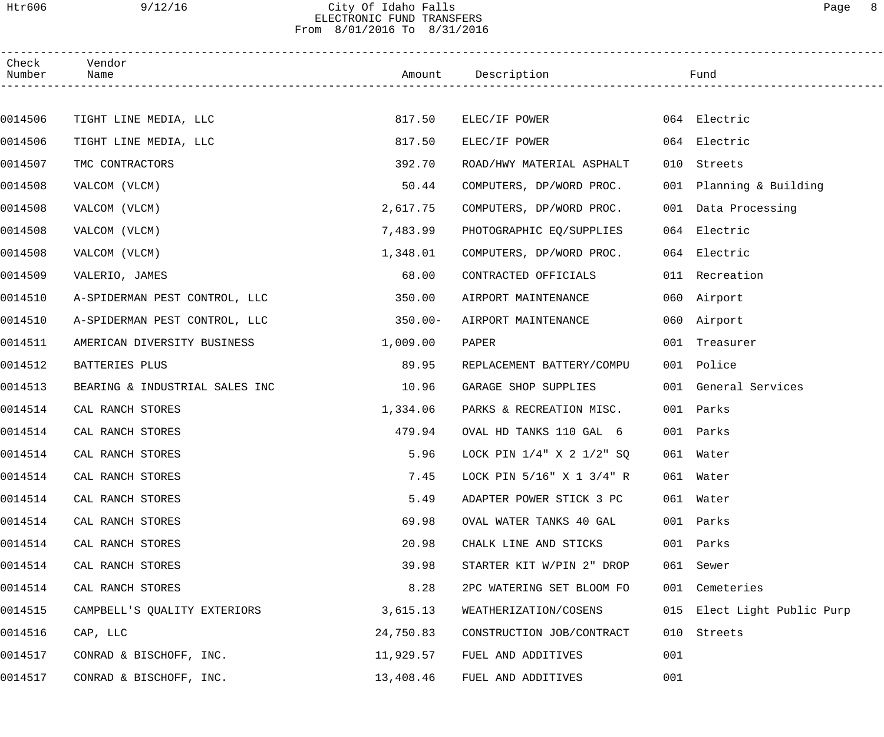### Htr606 9/12/16 City Of Idaho Falls Page 8 ELECTRONIC FUND TRANSFERS From 8/01/2016 To 8/31/2016

| Check<br>Number | Vendor<br>Name                 |            | Amount Description              |     | Fund                        |
|-----------------|--------------------------------|------------|---------------------------------|-----|-----------------------------|
|                 |                                |            |                                 |     |                             |
| 0014506         | TIGHT LINE MEDIA, LLC          | 817.50     | ELEC/IF POWER                   |     | 064 Electric                |
| 0014506         | TIGHT LINE MEDIA, LLC          | 817.50     | ELEC/IF POWER                   |     | 064 Electric                |
| 0014507         | TMC CONTRACTORS                | 392.70     | ROAD/HWY MATERIAL ASPHALT       | 010 | Streets                     |
| 0014508         | VALCOM (VLCM)                  | 50.44      | COMPUTERS, DP/WORD PROC.        |     | 001 Planning & Building     |
| 0014508         | VALCOM (VLCM)                  | 2,617.75   | COMPUTERS, DP/WORD PROC.        |     | 001 Data Processing         |
| 0014508         | VALCOM (VLCM)                  | 7,483.99   | PHOTOGRAPHIC EQ/SUPPLIES        |     | 064 Electric                |
| 0014508         | VALCOM (VLCM)                  | 1,348.01   | COMPUTERS, DP/WORD PROC.        |     | 064 Electric                |
| 0014509         | VALERIO, JAMES                 | 68.00      | CONTRACTED OFFICIALS            |     | 011 Recreation              |
| 0014510         | A-SPIDERMAN PEST CONTROL, LLC  | 350.00     | AIRPORT MAINTENANCE             |     | 060 Airport                 |
| 0014510         | A-SPIDERMAN PEST CONTROL, LLC  | $350.00 -$ | AIRPORT MAINTENANCE             |     | 060 Airport                 |
| 0014511         | AMERICAN DIVERSITY BUSINESS    | 1,009.00   | PAPER                           |     | 001 Treasurer               |
| 0014512         | BATTERIES PLUS                 | 89.95      | REPLACEMENT BATTERY/COMPU       |     | 001 Police                  |
| 0014513         | BEARING & INDUSTRIAL SALES INC | 10.96      | GARAGE SHOP SUPPLIES            |     | 001 General Services        |
| 0014514         | CAL RANCH STORES               | 1,334.06   | PARKS & RECREATION MISC.        |     | 001 Parks                   |
| 0014514         | CAL RANCH STORES               | 479.94     | OVAL HD TANKS 110 GAL 6         |     | 001 Parks                   |
| 0014514         | CAL RANCH STORES               | 5.96       | LOCK PIN 1/4" X 2 1/2" SO       |     | 061 Water                   |
| 0014514         | CAL RANCH STORES               | 7.45       | LOCK PIN $5/16$ " X 1 $3/4$ " R |     | 061 Water                   |
| 0014514         | CAL RANCH STORES               | 5.49       | ADAPTER POWER STICK 3 PC        |     | 061 Water                   |
| 0014514         | CAL RANCH STORES               | 69.98      | OVAL WATER TANKS 40 GAL         |     | 001 Parks                   |
| 0014514         | CAL RANCH STORES               | 20.98      | CHALK LINE AND STICKS           |     | 001 Parks                   |
| 0014514         | CAL RANCH STORES               | 39.98      | STARTER KIT W/PIN 2" DROP       |     | 061 Sewer                   |
| 0014514         | CAL RANCH STORES               | 8.28       | 2PC WATERING SET BLOOM FO       |     | 001 Cemeteries              |
| 0014515         | CAMPBELL'S QUALITY EXTERIORS   | 3,615.13   | WEATHERIZATION/COSENS           |     | 015 Elect Light Public Purp |
| 0014516         | CAP, LLC                       | 24,750.83  | CONSTRUCTION JOB/CONTRACT       | 010 | Streets                     |
| 0014517         | CONRAD & BISCHOFF, INC.        | 11,929.57  | FUEL AND ADDITIVES              | 001 |                             |
| 0014517         | CONRAD & BISCHOFF, INC.        | 13,408.46  | FUEL AND ADDITIVES              | 001 |                             |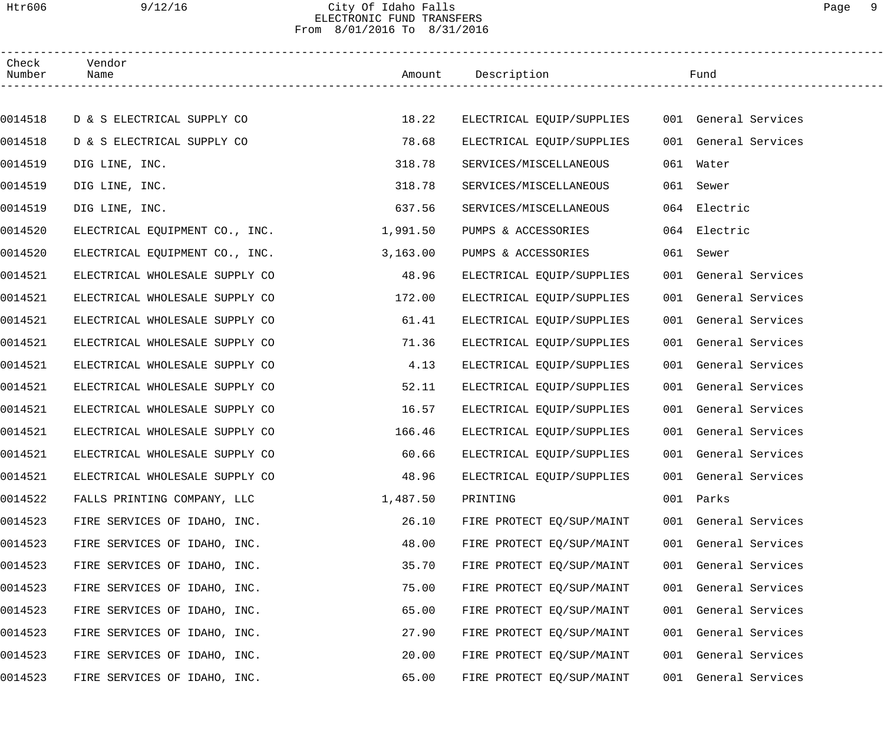### Htr606 9/12/16 City Of Idaho Falls Page 9 ELECTRONIC FUND TRANSFERS From 8/01/2016 To 8/31/2016

| Check<br>Number | Vendor<br>Name                 |          | Amount Description        |     | Fund                 |  |
|-----------------|--------------------------------|----------|---------------------------|-----|----------------------|--|
|                 |                                |          |                           |     |                      |  |
| 0014518         | D & S ELECTRICAL SUPPLY CO     | 18.22    | ELECTRICAL EQUIP/SUPPLIES |     | 001 General Services |  |
| 0014518         | D & S ELECTRICAL SUPPLY CO     | 78.68    | ELECTRICAL EQUIP/SUPPLIES |     | 001 General Services |  |
| 0014519         | DIG LINE, INC.                 | 318.78   | SERVICES/MISCELLANEOUS    | 061 | Water                |  |
| 0014519         | DIG LINE, INC.                 | 318.78   | SERVICES/MISCELLANEOUS    |     | 061 Sewer            |  |
| 0014519         | DIG LINE, INC.                 | 637.56   | SERVICES/MISCELLANEOUS    |     | 064 Electric         |  |
| 0014520         | ELECTRICAL EQUIPMENT CO., INC. | 1,991.50 | PUMPS & ACCESSORIES       |     | 064 Electric         |  |
| 0014520         | ELECTRICAL EQUIPMENT CO., INC. | 3,163.00 | PUMPS & ACCESSORIES       |     | 061 Sewer            |  |
| 0014521         | ELECTRICAL WHOLESALE SUPPLY CO | 48.96    | ELECTRICAL EQUIP/SUPPLIES |     | 001 General Services |  |
| 0014521         | ELECTRICAL WHOLESALE SUPPLY CO | 172.00   | ELECTRICAL EQUIP/SUPPLIES |     | 001 General Services |  |
| 0014521         | ELECTRICAL WHOLESALE SUPPLY CO | 61.41    | ELECTRICAL EQUIP/SUPPLIES |     | 001 General Services |  |
| 0014521         | ELECTRICAL WHOLESALE SUPPLY CO | 71.36    | ELECTRICAL EQUIP/SUPPLIES |     | 001 General Services |  |
| 0014521         | ELECTRICAL WHOLESALE SUPPLY CO | 4.13     | ELECTRICAL EQUIP/SUPPLIES |     | 001 General Services |  |
| 0014521         | ELECTRICAL WHOLESALE SUPPLY CO | 52.11    | ELECTRICAL EQUIP/SUPPLIES |     | 001 General Services |  |
| 0014521         | ELECTRICAL WHOLESALE SUPPLY CO | 16.57    | ELECTRICAL EQUIP/SUPPLIES |     | 001 General Services |  |
| 0014521         | ELECTRICAL WHOLESALE SUPPLY CO | 166.46   | ELECTRICAL EQUIP/SUPPLIES |     | 001 General Services |  |
| 0014521         | ELECTRICAL WHOLESALE SUPPLY CO | 60.66    | ELECTRICAL EQUIP/SUPPLIES |     | 001 General Services |  |
| 0014521         | ELECTRICAL WHOLESALE SUPPLY CO | 48.96    | ELECTRICAL EQUIP/SUPPLIES |     | 001 General Services |  |
| 0014522         | FALLS PRINTING COMPANY, LLC    | 1,487.50 | PRINTING                  | 001 | Parks                |  |
| 0014523         | FIRE SERVICES OF IDAHO, INC.   | 26.10    | FIRE PROTECT EQ/SUP/MAINT |     | 001 General Services |  |
| 0014523         | FIRE SERVICES OF IDAHO, INC.   | 48.00    | FIRE PROTECT EQ/SUP/MAINT |     | 001 General Services |  |
| 0014523         | FIRE SERVICES OF IDAHO, INC.   | 35.70    | FIRE PROTECT EQ/SUP/MAINT |     | 001 General Services |  |
| 0014523         | FIRE SERVICES OF IDAHO, INC.   | 75.00    | FIRE PROTECT EQ/SUP/MAINT |     | 001 General Services |  |
| 0014523         | FIRE SERVICES OF IDAHO, INC.   | 65.00    | FIRE PROTECT EQ/SUP/MAINT |     | 001 General Services |  |
| 0014523         | FIRE SERVICES OF IDAHO, INC.   | 27.90    | FIRE PROTECT EQ/SUP/MAINT |     | 001 General Services |  |
| 0014523         | FIRE SERVICES OF IDAHO, INC.   | 20.00    | FIRE PROTECT EQ/SUP/MAINT |     | 001 General Services |  |
| 0014523         | FIRE SERVICES OF IDAHO, INC.   | 65.00    | FIRE PROTECT EQ/SUP/MAINT |     | 001 General Services |  |
|                 |                                |          |                           |     |                      |  |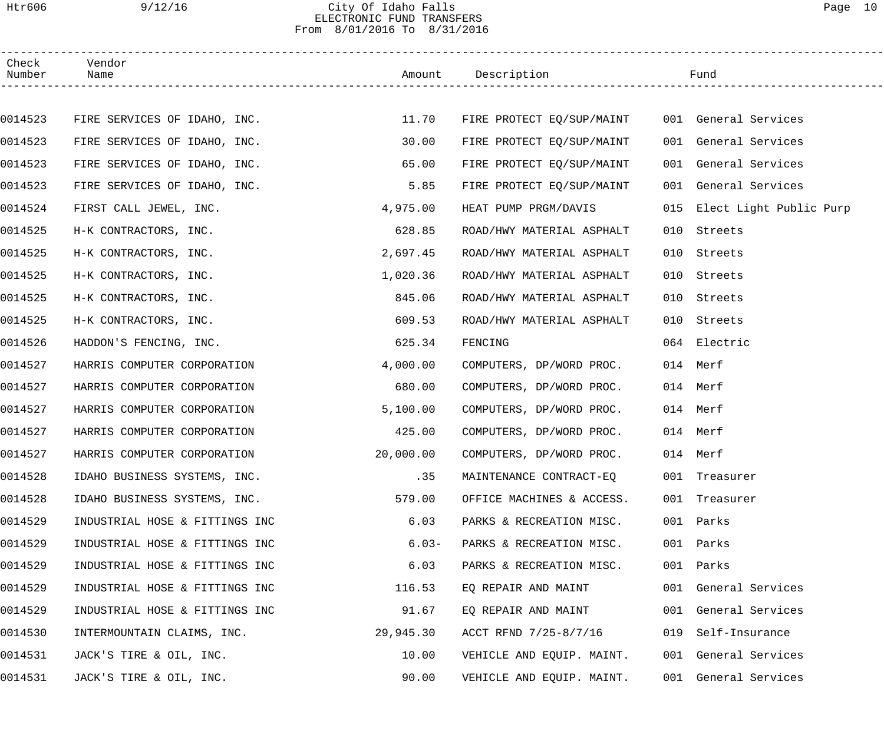# Htr606 9/12/16 City Of Idaho Falls Page 10 ELECTRONIC FUND TRANSFERS From 8/01/2016 To 8/31/2016

| Check<br>Number | Vendor<br>Name                 |           | Amount Description        |     | Fund                        |  |
|-----------------|--------------------------------|-----------|---------------------------|-----|-----------------------------|--|
|                 |                                |           |                           |     |                             |  |
| 0014523         | FIRE SERVICES OF IDAHO, INC.   | 11.70     | FIRE PROTECT EQ/SUP/MAINT |     | 001 General Services        |  |
| 0014523         | FIRE SERVICES OF IDAHO, INC.   | 30.00     | FIRE PROTECT EQ/SUP/MAINT |     | 001 General Services        |  |
| 0014523         | FIRE SERVICES OF IDAHO, INC.   | 65.00     | FIRE PROTECT EQ/SUP/MAINT |     | 001 General Services        |  |
| 0014523         | FIRE SERVICES OF IDAHO, INC.   | 5.85      | FIRE PROTECT EQ/SUP/MAINT |     | 001 General Services        |  |
| 0014524         | FIRST CALL JEWEL, INC.         | 4,975.00  | HEAT PUMP PRGM/DAVIS      |     | 015 Elect Light Public Purp |  |
| 0014525         | H-K CONTRACTORS, INC.          | 628.85    | ROAD/HWY MATERIAL ASPHALT | 010 | Streets                     |  |
| 0014525         | H-K CONTRACTORS, INC.          | 2,697.45  | ROAD/HWY MATERIAL ASPHALT | 010 | Streets                     |  |
| 0014525         | H-K CONTRACTORS, INC.          | 1,020.36  | ROAD/HWY MATERIAL ASPHALT | 010 | Streets                     |  |
| 0014525         | H-K CONTRACTORS, INC.          | 845.06    | ROAD/HWY MATERIAL ASPHALT | 010 | Streets                     |  |
| 0014525         | H-K CONTRACTORS, INC.          | 609.53    | ROAD/HWY MATERIAL ASPHALT | 010 | Streets                     |  |
| 0014526         | HADDON'S FENCING, INC.         | 625.34    | FENCING                   |     | 064 Electric                |  |
| 0014527         | HARRIS COMPUTER CORPORATION    | 4,000.00  | COMPUTERS, DP/WORD PROC.  |     | 014 Merf                    |  |
| 0014527         | HARRIS COMPUTER CORPORATION    | 680.00    | COMPUTERS, DP/WORD PROC.  |     | 014 Merf                    |  |
| 0014527         | HARRIS COMPUTER CORPORATION    | 5,100.00  | COMPUTERS, DP/WORD PROC.  |     | 014 Merf                    |  |
| 0014527         | HARRIS COMPUTER CORPORATION    | 425.00    | COMPUTERS, DP/WORD PROC.  |     | 014 Merf                    |  |
| 0014527         | HARRIS COMPUTER CORPORATION    | 20,000.00 | COMPUTERS, DP/WORD PROC.  |     | 014 Merf                    |  |
| 0014528         | IDAHO BUSINESS SYSTEMS, INC.   | .35       | MAINTENANCE CONTRACT-EQ   |     | 001 Treasurer               |  |
| 0014528         | IDAHO BUSINESS SYSTEMS, INC.   | 579.00    | OFFICE MACHINES & ACCESS. |     | 001 Treasurer               |  |
| 0014529         | INDUSTRIAL HOSE & FITTINGS INC | 6.03      | PARKS & RECREATION MISC.  |     | 001 Parks                   |  |
| 0014529         | INDUSTRIAL HOSE & FITTINGS INC | $6.03-$   | PARKS & RECREATION MISC.  |     | 001 Parks                   |  |
| 0014529         | INDUSTRIAL HOSE & FITTINGS INC | 6.03      | PARKS & RECREATION MISC.  |     | 001 Parks                   |  |
| 0014529         | INDUSTRIAL HOSE & FITTINGS INC | 116.53    | EQ REPAIR AND MAINT       |     | 001 General Services        |  |
| 0014529         | INDUSTRIAL HOSE & FITTINGS INC | 91.67     | EQ REPAIR AND MAINT       |     | 001 General Services        |  |
| 0014530         | INTERMOUNTAIN CLAIMS, INC.     | 29,945.30 | ACCT RFND 7/25-8/7/16     |     | 019 Self-Insurance          |  |
| 0014531         | JACK'S TIRE & OIL, INC.        | 10.00     | VEHICLE AND EQUIP. MAINT. |     | 001 General Services        |  |
| 0014531         | JACK'S TIRE & OIL, INC.        | 90.00     | VEHICLE AND EQUIP. MAINT. |     | 001 General Services        |  |
|                 |                                |           |                           |     |                             |  |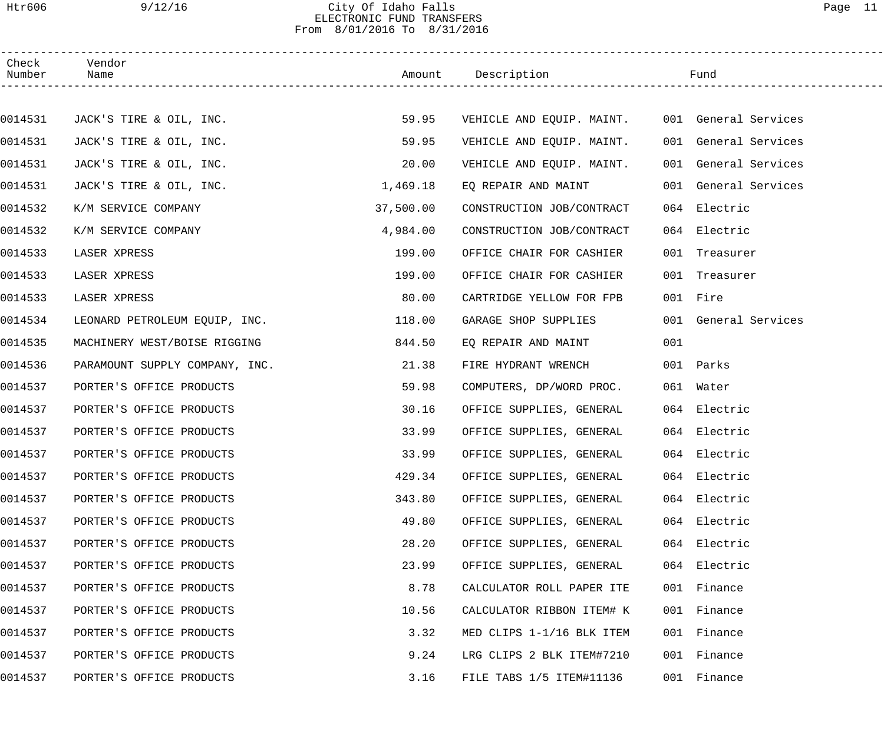## Htr606 9/12/16 City Of Idaho Falls Page 11 ELECTRONIC FUND TRANSFERS From 8/01/2016 To 8/31/2016

| Check<br>Number | Vendor<br>Name                 |           | Amount Description                             |     | Fund                 |
|-----------------|--------------------------------|-----------|------------------------------------------------|-----|----------------------|
|                 |                                |           |                                                |     |                      |
| 0014531         | JACK'S TIRE & OIL, INC.        | 59.95     | VEHICLE AND EQUIP. MAINT. 001 General Services |     |                      |
| 0014531         | JACK'S TIRE & OIL, INC.        | 59.95     | VEHICLE AND EQUIP. MAINT.                      |     | 001 General Services |
| 0014531         | JACK'S TIRE & OIL, INC.        | 20.00     | VEHICLE AND EQUIP. MAINT.                      |     | 001 General Services |
| 0014531         | JACK'S TIRE & OIL, INC.        | 1,469.18  | EQ REPAIR AND MAINT                            |     | 001 General Services |
| 0014532         | K/M SERVICE COMPANY            | 37,500.00 | CONSTRUCTION JOB/CONTRACT                      |     | 064 Electric         |
| 0014532         | K/M SERVICE COMPANY            | 4,984.00  | CONSTRUCTION JOB/CONTRACT                      |     | 064 Electric         |
| 0014533         | LASER XPRESS                   | 199.00    | OFFICE CHAIR FOR CASHIER                       |     | 001 Treasurer        |
| 0014533         | LASER XPRESS                   | 199.00    | OFFICE CHAIR FOR CASHIER                       |     | 001 Treasurer        |
| 0014533         | LASER XPRESS                   | 80.00     | CARTRIDGE YELLOW FOR FPB                       |     | 001 Fire             |
| 0014534         | LEONARD PETROLEUM EQUIP, INC.  | 118.00    | GARAGE SHOP SUPPLIES                           |     | 001 General Services |
| 0014535         | MACHINERY WEST/BOISE RIGGING   | 844.50    | EQ REPAIR AND MAINT                            | 001 |                      |
| 0014536         | PARAMOUNT SUPPLY COMPANY, INC. | 21.38     | FIRE HYDRANT WRENCH                            |     | 001 Parks            |
| 0014537         | PORTER'S OFFICE PRODUCTS       | 59.98     | COMPUTERS, DP/WORD PROC.                       |     | 061 Water            |
| 0014537         | PORTER'S OFFICE PRODUCTS       | 30.16     | OFFICE SUPPLIES, GENERAL                       |     | 064 Electric         |
| 0014537         | PORTER'S OFFICE PRODUCTS       | 33.99     | OFFICE SUPPLIES, GENERAL                       |     | 064 Electric         |
| 0014537         | PORTER'S OFFICE PRODUCTS       | 33.99     | OFFICE SUPPLIES, GENERAL                       |     | 064 Electric         |
| 0014537         | PORTER'S OFFICE PRODUCTS       | 429.34    | OFFICE SUPPLIES, GENERAL                       |     | 064 Electric         |
| 0014537         | PORTER'S OFFICE PRODUCTS       | 343.80    | OFFICE SUPPLIES, GENERAL                       |     | 064 Electric         |
| 0014537         | PORTER'S OFFICE PRODUCTS       | 49.80     | OFFICE SUPPLIES, GENERAL                       |     | 064 Electric         |
| 0014537         | PORTER'S OFFICE PRODUCTS       | 28.20     | OFFICE SUPPLIES, GENERAL                       |     | 064 Electric         |
| 0014537         | PORTER'S OFFICE PRODUCTS       | 23.99     | OFFICE SUPPLIES, GENERAL                       |     | 064 Electric         |
| 0014537         | PORTER'S OFFICE PRODUCTS       | 8.78      | CALCULATOR ROLL PAPER ITE                      |     | 001 Finance          |
| 0014537         | PORTER'S OFFICE PRODUCTS       | 10.56     | CALCULATOR RIBBON ITEM# K                      |     | 001 Finance          |
| 0014537         | PORTER'S OFFICE PRODUCTS       | 3.32      | MED CLIPS 1-1/16 BLK ITEM                      |     | 001 Finance          |
| 0014537         | PORTER'S OFFICE PRODUCTS       | 9.24      | LRG CLIPS 2 BLK ITEM#7210                      | 001 | Finance              |
| 0014537         | PORTER'S OFFICE PRODUCTS       | 3.16      | FILE TABS 1/5 ITEM#11136                       |     | 001 Finance          |
|                 |                                |           |                                                |     |                      |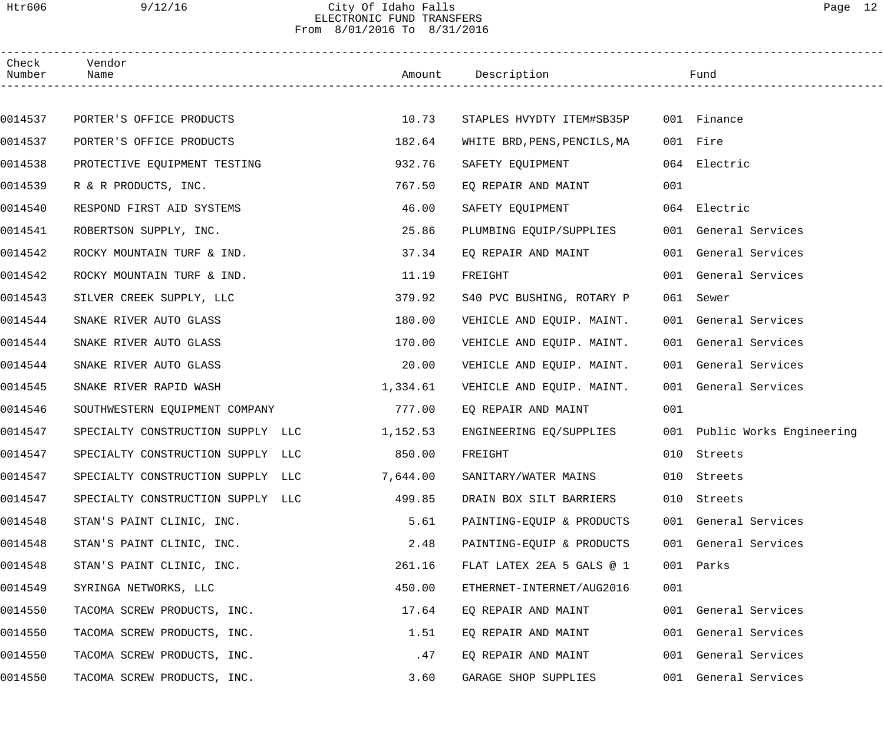# Htr606 9/12/16 City Of Idaho Falls Page 12 ELECTRONIC FUND TRANSFERS From 8/01/2016 To 8/31/2016

| Check<br>Number | Vendor<br>Name                    |          | Amount Description                    |     | Fund                         |
|-----------------|-----------------------------------|----------|---------------------------------------|-----|------------------------------|
|                 |                                   |          |                                       |     |                              |
| 0014537         | PORTER'S OFFICE PRODUCTS          | 10.73    | STAPLES HVYDTY ITEM#SB35P 001 Finance |     |                              |
| 0014537         | PORTER'S OFFICE PRODUCTS          | 182.64   | WHITE BRD, PENS, PENCILS, MA          |     | 001 Fire                     |
| 0014538         | PROTECTIVE EQUIPMENT TESTING      | 932.76   | SAFETY EQUIPMENT                      |     | 064 Electric                 |
| 0014539         | R & R PRODUCTS, INC.              | 767.50   | EQ REPAIR AND MAINT                   | 001 |                              |
| 0014540         | RESPOND FIRST AID SYSTEMS         | 46.00    | SAFETY EQUIPMENT                      |     | 064 Electric                 |
| 0014541         | ROBERTSON SUPPLY, INC.            | 25.86    | PLUMBING EQUIP/SUPPLIES               |     | 001 General Services         |
| 0014542         | ROCKY MOUNTAIN TURF & IND.        | 37.34    | EQ REPAIR AND MAINT                   |     | 001 General Services         |
| 0014542         | ROCKY MOUNTAIN TURF & IND.        | 11.19    | FREIGHT                               |     | 001 General Services         |
| 0014543         | SILVER CREEK SUPPLY, LLC          | 379.92   | S40 PVC BUSHING, ROTARY P             |     | 061 Sewer                    |
| 0014544         | SNAKE RIVER AUTO GLASS            | 180.00   | VEHICLE AND EQUIP. MAINT.             |     | 001 General Services         |
| 0014544         | SNAKE RIVER AUTO GLASS            | 170.00   | VEHICLE AND EQUIP. MAINT.             |     | 001 General Services         |
| 0014544         | SNAKE RIVER AUTO GLASS            | 20.00    | VEHICLE AND EQUIP. MAINT.             |     | 001 General Services         |
| 0014545         | SNAKE RIVER RAPID WASH            | 1,334.61 | VEHICLE AND EQUIP. MAINT.             |     | 001 General Services         |
| 0014546         | SOUTHWESTERN EQUIPMENT COMPANY    | 777.00   | EO REPAIR AND MAINT                   | 001 |                              |
| 0014547         | SPECIALTY CONSTRUCTION SUPPLY LLC | 1,152.53 | ENGINEERING EQ/SUPPLIES               |     | 001 Public Works Engineering |
| 0014547         | SPECIALTY CONSTRUCTION SUPPLY LLC | 850.00   | FREIGHT                               |     | 010 Streets                  |
| 0014547         | SPECIALTY CONSTRUCTION SUPPLY LLC | 7,644.00 | SANITARY/WATER MAINS                  |     | 010 Streets                  |
| 0014547         | SPECIALTY CONSTRUCTION SUPPLY LLC | 499.85   | DRAIN BOX SILT BARRIERS               |     | 010 Streets                  |
| 0014548         | STAN'S PAINT CLINIC, INC.         | 5.61     | PAINTING-EQUIP & PRODUCTS             |     | 001 General Services         |
| 0014548         | STAN'S PAINT CLINIC, INC.         | 2.48     | PAINTING-EQUIP & PRODUCTS             |     | 001 General Services         |
| 0014548         | STAN'S PAINT CLINIC, INC.         | 261.16   | FLAT LATEX 2EA 5 GALS @ 1             |     | 001 Parks                    |
| 0014549         | SYRINGA NETWORKS, LLC             | 450.00   | ETHERNET-INTERNET/AUG2016             | 001 |                              |
| 0014550         | TACOMA SCREW PRODUCTS, INC.       | 17.64    | EQ REPAIR AND MAINT                   |     | 001 General Services         |
| 0014550         | TACOMA SCREW PRODUCTS, INC.       | 1.51     | EQ REPAIR AND MAINT                   | 001 | General Services             |
| 0014550         | TACOMA SCREW PRODUCTS, INC.       | .47      | EQ REPAIR AND MAINT                   |     | 001 General Services         |
| 0014550         | TACOMA SCREW PRODUCTS, INC.       | 3.60     | GARAGE SHOP SUPPLIES                  |     | 001 General Services         |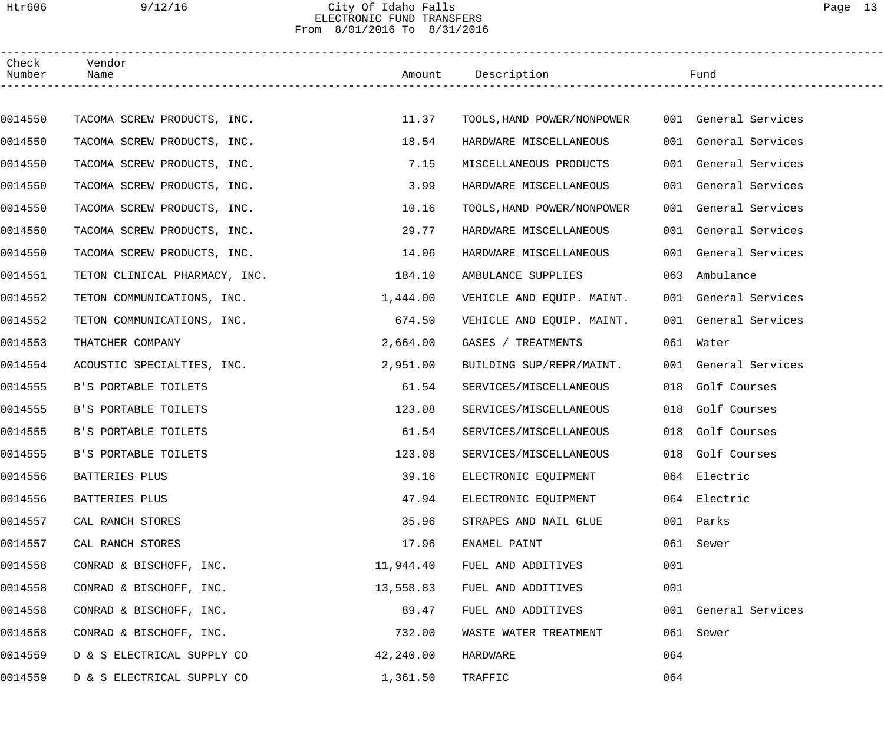# Htr606 9/12/16 City Of Idaho Falls Page 13 ELECTRONIC FUND TRANSFERS From 8/01/2016 To 8/31/2016

| Check<br>Number | Vendor<br>Name                |           | Amount Description                              |     | Fund                 |
|-----------------|-------------------------------|-----------|-------------------------------------------------|-----|----------------------|
|                 |                               |           |                                                 |     |                      |
| 0014550         | TACOMA SCREW PRODUCTS, INC.   | 11.37     | TOOLS, HAND POWER/NONPOWER 001 General Services |     |                      |
| 0014550         | TACOMA SCREW PRODUCTS, INC.   | 18.54     | HARDWARE MISCELLANEOUS                          |     | 001 General Services |
| 0014550         | TACOMA SCREW PRODUCTS, INC.   | 7.15      | MISCELLANEOUS PRODUCTS                          |     | 001 General Services |
| 0014550         | TACOMA SCREW PRODUCTS, INC.   | 3.99      | HARDWARE MISCELLANEOUS                          |     | 001 General Services |
| 0014550         | TACOMA SCREW PRODUCTS, INC.   | 10.16     | TOOLS, HAND POWER/NONPOWER                      |     | 001 General Services |
| 0014550         | TACOMA SCREW PRODUCTS, INC.   | 29.77     | HARDWARE MISCELLANEOUS                          |     | 001 General Services |
| 0014550         | TACOMA SCREW PRODUCTS, INC.   | 14.06     | HARDWARE MISCELLANEOUS                          |     | 001 General Services |
| 0014551         | TETON CLINICAL PHARMACY, INC. | 184.10    | AMBULANCE SUPPLIES                              |     | 063 Ambulance        |
| 0014552         | TETON COMMUNICATIONS, INC.    | 1,444.00  | VEHICLE AND EQUIP. MAINT.                       |     | 001 General Services |
| 0014552         | TETON COMMUNICATIONS, INC.    | 674.50    | VEHICLE AND EQUIP. MAINT.                       |     | 001 General Services |
| 0014553         | THATCHER COMPANY              | 2,664.00  | GASES / TREATMENTS                              |     | 061 Water            |
| 0014554         | ACOUSTIC SPECIALTIES, INC.    | 2,951.00  | BUILDING SUP/REPR/MAINT.                        |     | 001 General Services |
| 0014555         | B'S PORTABLE TOILETS          | 61.54     | SERVICES/MISCELLANEOUS                          | 018 | Golf Courses         |
| 0014555         | B'S PORTABLE TOILETS          | 123.08    | SERVICES/MISCELLANEOUS                          |     | 018 Golf Courses     |
| 0014555         | B'S PORTABLE TOILETS          | 61.54     | SERVICES/MISCELLANEOUS                          |     | 018 Golf Courses     |
| 0014555         | B'S PORTABLE TOILETS          | 123.08    | SERVICES/MISCELLANEOUS                          |     | 018 Golf Courses     |
| 0014556         | BATTERIES PLUS                | 39.16     | ELECTRONIC EQUIPMENT                            |     | 064 Electric         |
| 0014556         | BATTERIES PLUS                | 47.94     | ELECTRONIC EQUIPMENT                            |     | 064 Electric         |
| 0014557         | CAL RANCH STORES              | 35.96     | STRAPES AND NAIL GLUE                           | 001 | Parks                |
| 0014557         | CAL RANCH STORES              | 17.96     | ENAMEL PAINT                                    | 061 | Sewer                |
| 0014558         | CONRAD & BISCHOFF, INC.       | 11,944.40 | FUEL AND ADDITIVES                              | 001 |                      |
| 0014558         | CONRAD & BISCHOFF, INC.       | 13,558.83 | FUEL AND ADDITIVES                              | 001 |                      |
| 0014558         | CONRAD & BISCHOFF, INC.       | 89.47     | FUEL AND ADDITIVES                              |     | 001 General Services |
| 0014558         | CONRAD & BISCHOFF, INC.       | 732.00    | WASTE WATER TREATMENT                           | 061 | Sewer                |
| 0014559         | D & S ELECTRICAL SUPPLY CO    | 42,240.00 | HARDWARE                                        | 064 |                      |
| 0014559         | D & S ELECTRICAL SUPPLY CO    | 1,361.50  | TRAFFIC                                         | 064 |                      |
|                 |                               |           |                                                 |     |                      |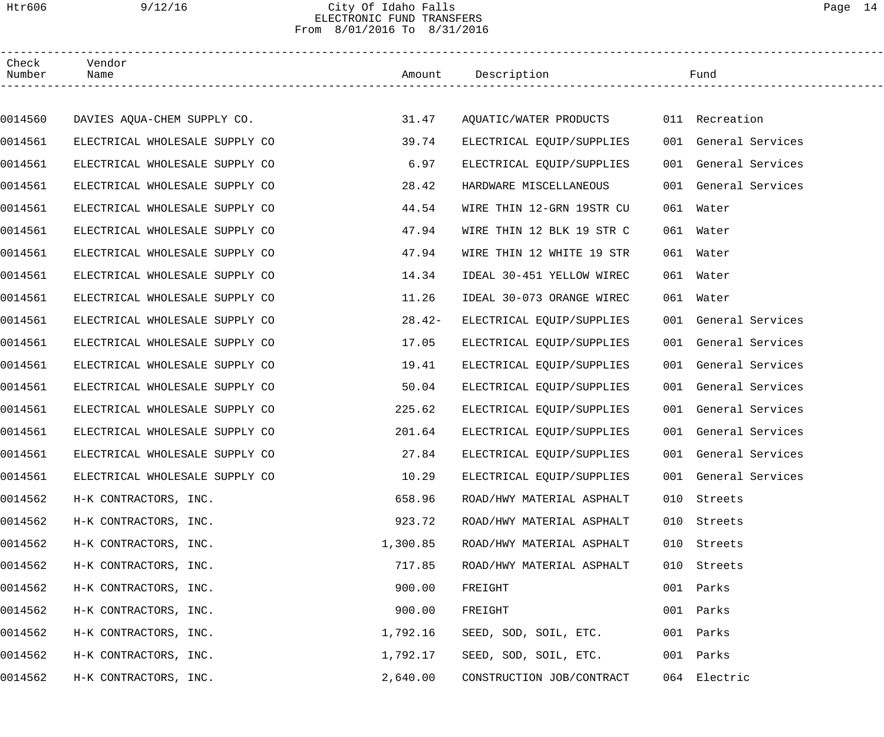# Htr606 9/12/16 City Of Idaho Falls Page 14 ELECTRONIC FUND TRANSFERS From 8/01/2016 To 8/31/2016

| Check<br>Number | Vendor<br>Name                 |          | Amount Description                    |     | Fund                 |
|-----------------|--------------------------------|----------|---------------------------------------|-----|----------------------|
|                 |                                |          |                                       |     |                      |
| 0014560         | DAVIES AQUA-CHEM SUPPLY CO.    | 31.47    | AQUATIC/WATER PRODUCTS 011 Recreation |     |                      |
| 0014561         | ELECTRICAL WHOLESALE SUPPLY CO | 39.74    | ELECTRICAL EQUIP/SUPPLIES             |     | 001 General Services |
| 0014561         | ELECTRICAL WHOLESALE SUPPLY CO | 6.97     | ELECTRICAL EQUIP/SUPPLIES             |     | 001 General Services |
| 0014561         | ELECTRICAL WHOLESALE SUPPLY CO | 28.42    | HARDWARE MISCELLANEOUS                |     | 001 General Services |
| 0014561         | ELECTRICAL WHOLESALE SUPPLY CO | 44.54    | WIRE THIN 12-GRN 19STR CU             |     | 061 Water            |
| 0014561         | ELECTRICAL WHOLESALE SUPPLY CO | 47.94    | WIRE THIN 12 BLK 19 STR C             |     | 061 Water            |
| 0014561         | ELECTRICAL WHOLESALE SUPPLY CO | 47.94    | WIRE THIN 12 WHITE 19 STR             |     | 061 Water            |
| 0014561         | ELECTRICAL WHOLESALE SUPPLY CO | 14.34    | IDEAL 30-451 YELLOW WIREC             |     | 061 Water            |
| 0014561         | ELECTRICAL WHOLESALE SUPPLY CO | 11.26    | IDEAL 30-073 ORANGE WIREC             |     | 061 Water            |
| 0014561         | ELECTRICAL WHOLESALE SUPPLY CO | $28.42-$ | ELECTRICAL EQUIP/SUPPLIES             |     | 001 General Services |
| 0014561         | ELECTRICAL WHOLESALE SUPPLY CO | 17.05    | ELECTRICAL EQUIP/SUPPLIES             |     | 001 General Services |
| 0014561         | ELECTRICAL WHOLESALE SUPPLY CO | 19.41    | ELECTRICAL EQUIP/SUPPLIES             |     | 001 General Services |
| 0014561         | ELECTRICAL WHOLESALE SUPPLY CO | 50.04    | ELECTRICAL EQUIP/SUPPLIES             |     | 001 General Services |
| 0014561         | ELECTRICAL WHOLESALE SUPPLY CO | 225.62   | ELECTRICAL EQUIP/SUPPLIES             |     | 001 General Services |
| 0014561         | ELECTRICAL WHOLESALE SUPPLY CO | 201.64   | ELECTRICAL EQUIP/SUPPLIES             |     | 001 General Services |
| 0014561         | ELECTRICAL WHOLESALE SUPPLY CO | 27.84    | ELECTRICAL EQUIP/SUPPLIES             |     | 001 General Services |
| 0014561         | ELECTRICAL WHOLESALE SUPPLY CO | 10.29    | ELECTRICAL EQUIP/SUPPLIES             |     | 001 General Services |
| 0014562         | H-K CONTRACTORS, INC.          | 658.96   | ROAD/HWY MATERIAL ASPHALT             | 010 | Streets              |
| 0014562         | H-K CONTRACTORS, INC.          | 923.72   | ROAD/HWY MATERIAL ASPHALT             | 010 | Streets              |
| 0014562         | H-K CONTRACTORS, INC.          | 1,300.85 | ROAD/HWY MATERIAL ASPHALT             | 010 | Streets              |
| 0014562         | H-K CONTRACTORS, INC.          | 717.85   | ROAD/HWY MATERIAL ASPHALT             | 010 | Streets              |
| 0014562         | H-K CONTRACTORS, INC.          | 900.00   | FREIGHT                               | 001 | Parks                |
| 0014562         | H-K CONTRACTORS, INC.          | 900.00   | FREIGHT                               | 001 | Parks                |
| 0014562         | H-K CONTRACTORS, INC.          | 1,792.16 | SEED, SOD, SOIL, ETC.                 | 001 | Parks                |
| 0014562         | H-K CONTRACTORS, INC.          | 1,792.17 | SEED, SOD, SOIL, ETC.                 | 001 | Parks                |
| 0014562         | H-K CONTRACTORS, INC.          | 2,640.00 | CONSTRUCTION JOB/CONTRACT             | 064 | Electric             |
|                 |                                |          |                                       |     |                      |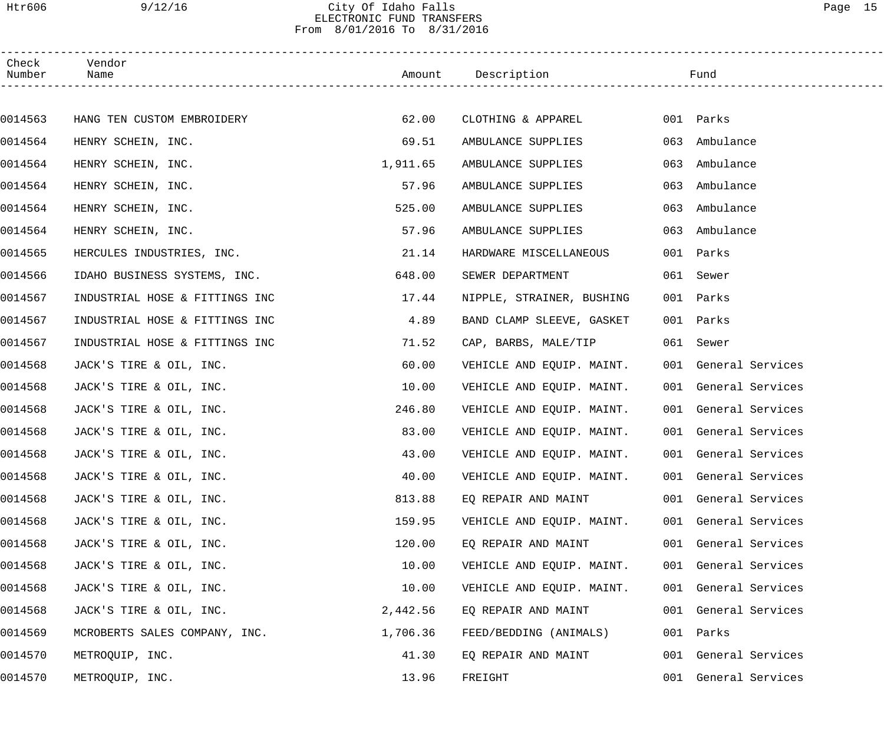### Htr606 9/12/16 City Of Idaho Falls Page 15 ELECTRONIC FUND TRANSFERS From 8/01/2016 To 8/31/2016

| Check<br>Number | Vendor<br>Name                 |          | Amount Description        |     | Fund                 |  |
|-----------------|--------------------------------|----------|---------------------------|-----|----------------------|--|
|                 |                                |          |                           |     |                      |  |
| 0014563         | HANG TEN CUSTOM EMBROIDERY     | 62.00    | CLOTHING & APPAREL        |     | 001 Parks            |  |
| 0014564         | HENRY SCHEIN, INC.             | 69.51    | AMBULANCE SUPPLIES        | 063 | Ambulance            |  |
| 0014564         | HENRY SCHEIN, INC.             | 1,911.65 | AMBULANCE SUPPLIES        | 063 | Ambulance            |  |
| 0014564         | HENRY SCHEIN, INC.             | 57.96    | AMBULANCE SUPPLIES        | 063 | Ambulance            |  |
| 0014564         | HENRY SCHEIN, INC.             | 525.00   | AMBULANCE SUPPLIES        | 063 | Ambulance            |  |
| 0014564         | HENRY SCHEIN, INC.             | 57.96    | AMBULANCE SUPPLIES        | 063 | Ambulance            |  |
| 0014565         | HERCULES INDUSTRIES, INC.      | 21.14    | HARDWARE MISCELLANEOUS    |     | 001 Parks            |  |
| 0014566         | IDAHO BUSINESS SYSTEMS, INC.   | 648.00   | SEWER DEPARTMENT          |     | 061 Sewer            |  |
| 0014567         | INDUSTRIAL HOSE & FITTINGS INC | 17.44    | NIPPLE, STRAINER, BUSHING |     | 001 Parks            |  |
| 0014567         | INDUSTRIAL HOSE & FITTINGS INC | 4.89     | BAND CLAMP SLEEVE, GASKET |     | 001 Parks            |  |
| 0014567         | INDUSTRIAL HOSE & FITTINGS INC | 71.52    | CAP, BARBS, MALE/TIP      |     | 061 Sewer            |  |
| 0014568         | JACK'S TIRE & OIL, INC.        | 60.00    | VEHICLE AND EQUIP. MAINT. |     | 001 General Services |  |
| 0014568         | JACK'S TIRE & OIL, INC.        | 10.00    | VEHICLE AND EQUIP. MAINT. |     | 001 General Services |  |
| 0014568         | JACK'S TIRE & OIL, INC.        | 246.80   | VEHICLE AND EQUIP. MAINT. |     | 001 General Services |  |
| 0014568         | JACK'S TIRE & OIL, INC.        | 83.00    | VEHICLE AND EQUIP. MAINT. |     | 001 General Services |  |
| 0014568         | JACK'S TIRE & OIL, INC.        | 43.00    | VEHICLE AND EQUIP. MAINT. |     | 001 General Services |  |
| 0014568         | JACK'S TIRE & OIL, INC.        | 40.00    | VEHICLE AND EQUIP. MAINT. |     | 001 General Services |  |
| 0014568         | JACK'S TIRE & OIL, INC.        | 813.88   | EQ REPAIR AND MAINT       |     | 001 General Services |  |
| 0014568         | JACK'S TIRE & OIL, INC.        | 159.95   | VEHICLE AND EQUIP. MAINT. |     | 001 General Services |  |
| 0014568         | JACK'S TIRE & OIL, INC.        | 120.00   | EQ REPAIR AND MAINT       |     | 001 General Services |  |
| 0014568         | JACK'S TIRE & OIL, INC.        | 10.00    | VEHICLE AND EQUIP. MAINT. |     | 001 General Services |  |
| 0014568         | JACK'S TIRE & OIL, INC.        | 10.00    | VEHICLE AND EQUIP. MAINT. |     | 001 General Services |  |
| 0014568         | JACK'S TIRE & OIL, INC.        | 2,442.56 | EQ REPAIR AND MAINT       |     | 001 General Services |  |
| 0014569         | MCROBERTS SALES COMPANY, INC.  | 1,706.36 | FEED/BEDDING (ANIMALS)    |     | 001 Parks            |  |
| 0014570         | METROQUIP, INC.                | 41.30    | EQ REPAIR AND MAINT       |     | 001 General Services |  |
| 0014570         | METROQUIP, INC.                | 13.96    | FREIGHT                   |     | 001 General Services |  |
|                 |                                |          |                           |     |                      |  |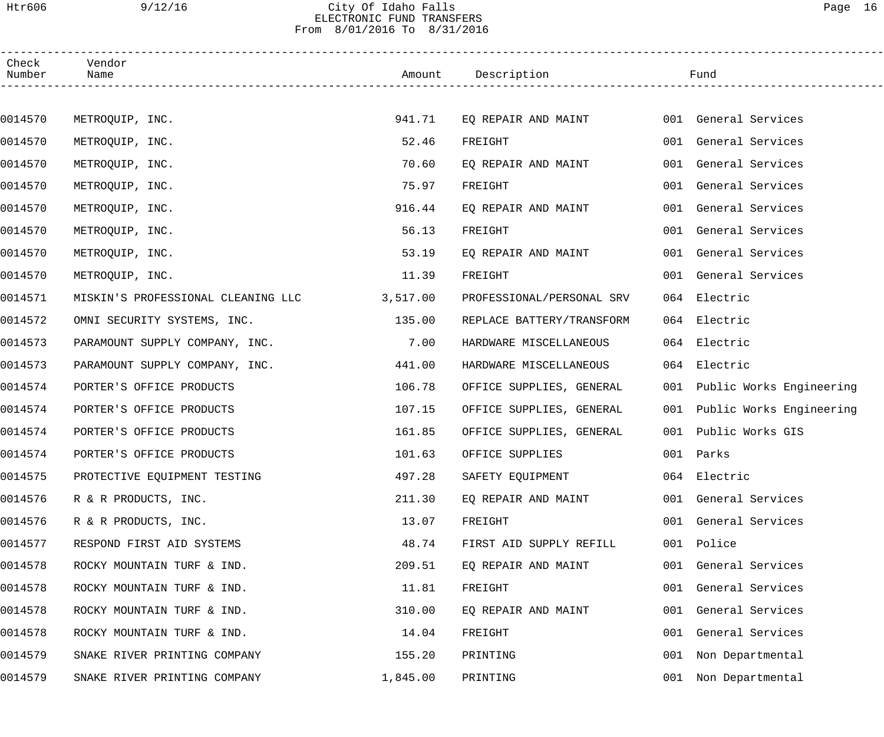# Htr606 9/12/16 City Of Idaho Falls Page 16 ELECTRONIC FUND TRANSFERS From 8/01/2016 To 8/31/2016

| Check<br>Number | Vendor<br>Name                     |          | Amount Description        |     | Fund                         |
|-----------------|------------------------------------|----------|---------------------------|-----|------------------------------|
|                 |                                    |          |                           |     |                              |
| 0014570         | METROQUIP, INC.                    | 941.71   | EQ REPAIR AND MAINT       |     | 001 General Services         |
| 0014570         | METROQUIP, INC.                    | 52.46    | FREIGHT                   |     | 001 General Services         |
| 0014570         | METROQUIP, INC.                    | 70.60    | EQ REPAIR AND MAINT       |     | 001 General Services         |
| 0014570         | METROQUIP, INC.                    | 75.97    | FREIGHT                   |     | 001 General Services         |
| 0014570         | METROQUIP, INC.                    | 916.44   | EQ REPAIR AND MAINT       |     | 001 General Services         |
| 0014570         | METROQUIP, INC.                    | 56.13    | FREIGHT                   |     | 001 General Services         |
| 0014570         | METROQUIP, INC.                    | 53.19    | EO REPAIR AND MAINT       |     | 001 General Services         |
| 0014570         | METROQUIP, INC.                    | 11.39    | FREIGHT                   |     | 001 General Services         |
| 0014571         | MISKIN'S PROFESSIONAL CLEANING LLC | 3,517.00 | PROFESSIONAL/PERSONAL SRV |     | 064 Electric                 |
| 0014572         | OMNI SECURITY SYSTEMS, INC.        | 135.00   | REPLACE BATTERY/TRANSFORM |     | 064 Electric                 |
| 0014573         | PARAMOUNT SUPPLY COMPANY, INC.     | 7.00     | HARDWARE MISCELLANEOUS    |     | 064 Electric                 |
| 0014573         | PARAMOUNT SUPPLY COMPANY, INC.     | 441.00   | HARDWARE MISCELLANEOUS    |     | 064 Electric                 |
| 0014574         | PORTER'S OFFICE PRODUCTS           | 106.78   | OFFICE SUPPLIES, GENERAL  |     | 001 Public Works Engineering |
| 0014574         | PORTER'S OFFICE PRODUCTS           | 107.15   | OFFICE SUPPLIES, GENERAL  |     | 001 Public Works Engineering |
| 0014574         | PORTER'S OFFICE PRODUCTS           | 161.85   | OFFICE SUPPLIES, GENERAL  |     | 001 Public Works GIS         |
| 0014574         | PORTER'S OFFICE PRODUCTS           | 101.63   | OFFICE SUPPLIES           |     | 001 Parks                    |
| 0014575         | PROTECTIVE EQUIPMENT TESTING       | 497.28   | SAFETY EQUIPMENT          |     | 064 Electric                 |
| 0014576         | R & R PRODUCTS, INC.               | 211.30   | EQ REPAIR AND MAINT       |     | 001 General Services         |
| 0014576         | R & R PRODUCTS, INC.               | 13.07    | FREIGHT                   |     | 001 General Services         |
| 0014577         | RESPOND FIRST AID SYSTEMS          | 48.74    | FIRST AID SUPPLY REFILL   |     | 001 Police                   |
| 0014578         | ROCKY MOUNTAIN TURF & IND.         | 209.51   | EQ REPAIR AND MAINT       |     | 001 General Services         |
| 0014578         | ROCKY MOUNTAIN TURF & IND.         | 11.81    | FREIGHT                   | 001 | General Services             |
| 0014578         | ROCKY MOUNTAIN TURF & IND.         | 310.00   | EQ REPAIR AND MAINT       | 001 | General Services             |
| 0014578         | ROCKY MOUNTAIN TURF & IND.         | 14.04    | FREIGHT                   | 001 | General Services             |
| 0014579         | SNAKE RIVER PRINTING COMPANY       | 155.20   | PRINTING                  | 001 | Non Departmental             |
| 0014579         | SNAKE RIVER PRINTING COMPANY       | 1,845.00 | PRINTING                  | 001 | Non Departmental             |
|                 |                                    |          |                           |     |                              |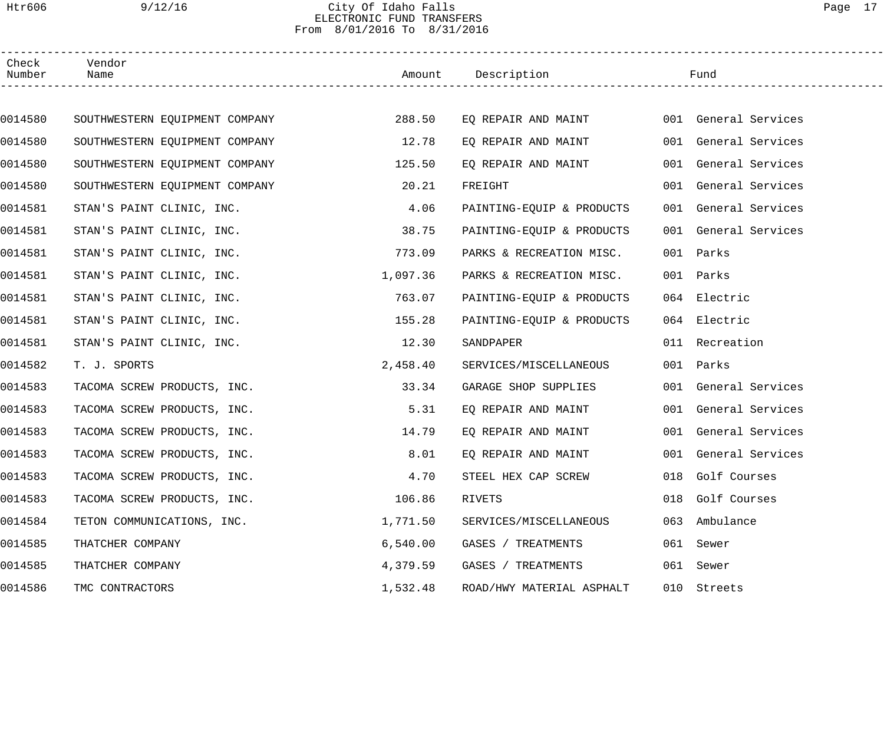# Htr606 9/12/16 City Of Idaho Falls Page 17 ELECTRONIC FUND TRANSFERS From 8/01/2016 To 8/31/2016

| Check<br>Number | Vendor<br>Name                 |          | Amount Description        |     | Fund                 |  |
|-----------------|--------------------------------|----------|---------------------------|-----|----------------------|--|
|                 |                                |          |                           |     |                      |  |
| 0014580         | SOUTHWESTERN EQUIPMENT COMPANY | 288.50   | EQ REPAIR AND MAINT       |     | 001 General Services |  |
| 0014580         | SOUTHWESTERN EQUIPMENT COMPANY | 12.78    | EQ REPAIR AND MAINT       |     | 001 General Services |  |
| 0014580         | SOUTHWESTERN EQUIPMENT COMPANY | 125.50   | EQ REPAIR AND MAINT       |     | 001 General Services |  |
| 0014580         | SOUTHWESTERN EQUIPMENT COMPANY | 20.21    | FREIGHT                   |     | 001 General Services |  |
| 0014581         | STAN'S PAINT CLINIC, INC.      | 4.06     | PAINTING-EQUIP & PRODUCTS |     | 001 General Services |  |
| 0014581         | STAN'S PAINT CLINIC, INC.      | 38.75    | PAINTING-EQUIP & PRODUCTS |     | 001 General Services |  |
| 0014581         | STAN'S PAINT CLINIC, INC.      | 773.09   | PARKS & RECREATION MISC.  |     | 001 Parks            |  |
| 0014581         | STAN'S PAINT CLINIC, INC.      | 1,097.36 | PARKS & RECREATION MISC.  |     | 001 Parks            |  |
| 0014581         | STAN'S PAINT CLINIC, INC.      | 763.07   | PAINTING-EQUIP & PRODUCTS |     | 064 Electric         |  |
| 0014581         | STAN'S PAINT CLINIC, INC.      | 155.28   | PAINTING-EQUIP & PRODUCTS |     | 064 Electric         |  |
| 0014581         | STAN'S PAINT CLINIC, INC.      | 12.30    | SANDPAPER                 |     | 011 Recreation       |  |
| 0014582         | T. J. SPORTS                   | 2,458.40 | SERVICES/MISCELLANEOUS    |     | 001 Parks            |  |
| 0014583         | TACOMA SCREW PRODUCTS, INC.    | 33.34    | GARAGE SHOP SUPPLIES      |     | 001 General Services |  |
| 0014583         | TACOMA SCREW PRODUCTS, INC.    | 5.31     | EQ REPAIR AND MAINT       |     | 001 General Services |  |
| 0014583         | TACOMA SCREW PRODUCTS, INC.    | 14.79    | EQ REPAIR AND MAINT       |     | 001 General Services |  |
| 0014583         | TACOMA SCREW PRODUCTS, INC.    | 8.01     | EQ REPAIR AND MAINT       |     | 001 General Services |  |
| 0014583         | TACOMA SCREW PRODUCTS, INC.    | 4.70     | STEEL HEX CAP SCREW       |     | 018 Golf Courses     |  |
| 0014583         | TACOMA SCREW PRODUCTS, INC.    | 106.86   | RIVETS                    |     | 018 Golf Courses     |  |
| 0014584         | TETON COMMUNICATIONS, INC.     | 1,771.50 | SERVICES/MISCELLANEOUS    | 063 | Ambulance            |  |
| 0014585         | THATCHER COMPANY               | 6,540.00 | GASES / TREATMENTS        |     | 061 Sewer            |  |
| 0014585         | THATCHER COMPANY               | 4,379.59 | GASES / TREATMENTS        |     | 061 Sewer            |  |
| 0014586         | TMC CONTRACTORS                | 1,532.48 | ROAD/HWY MATERIAL ASPHALT |     | 010 Streets          |  |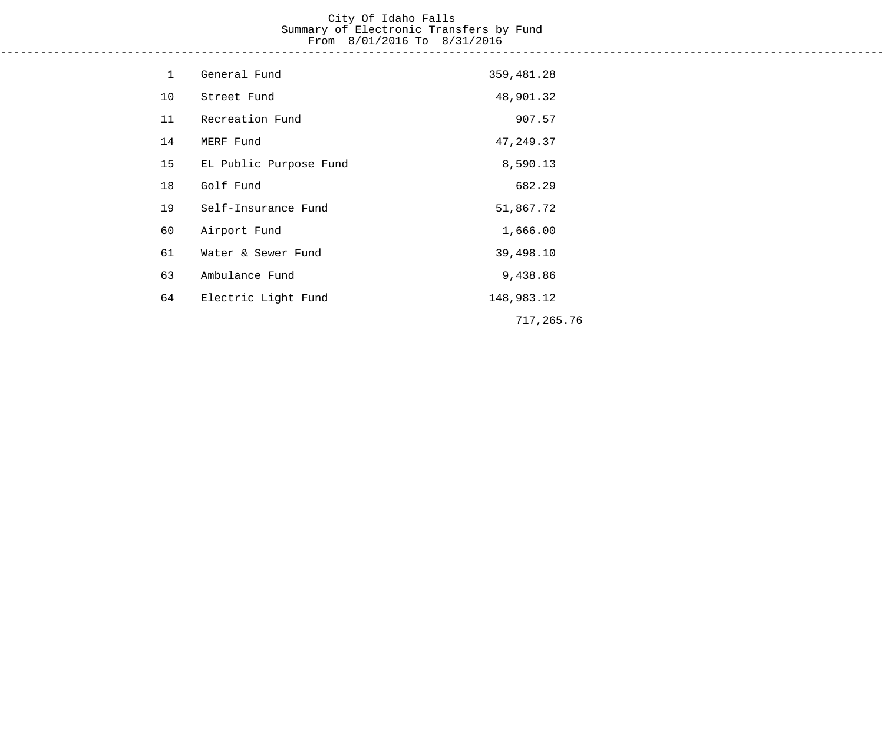#### City Of Idaho Falls Summary of Electronic Transfers by Fund From 8/01/2016 To 8/31/2016 ------------------------------------------------------------------------------------------------------------------------------------

| $\mathbf 1$ | General Fund           | 359,481.28 |  |
|-------------|------------------------|------------|--|
| 10          | Street Fund            | 48,901.32  |  |
| 11          | Recreation Fund        | 907.57     |  |
| 14          | MERF Fund              | 47, 249.37 |  |
| 15          | EL Public Purpose Fund | 8,590.13   |  |
| 18          | Golf Fund              | 682.29     |  |
| 19          | Self-Insurance Fund    | 51,867.72  |  |
| 60          | Airport Fund           | 1,666.00   |  |
| 61          | Water & Sewer Fund     | 39,498.10  |  |
| 63          | Ambulance Fund         | 9,438.86   |  |
| 64          | Electric Light Fund    | 148,983.12 |  |
|             |                        | 717,265.76 |  |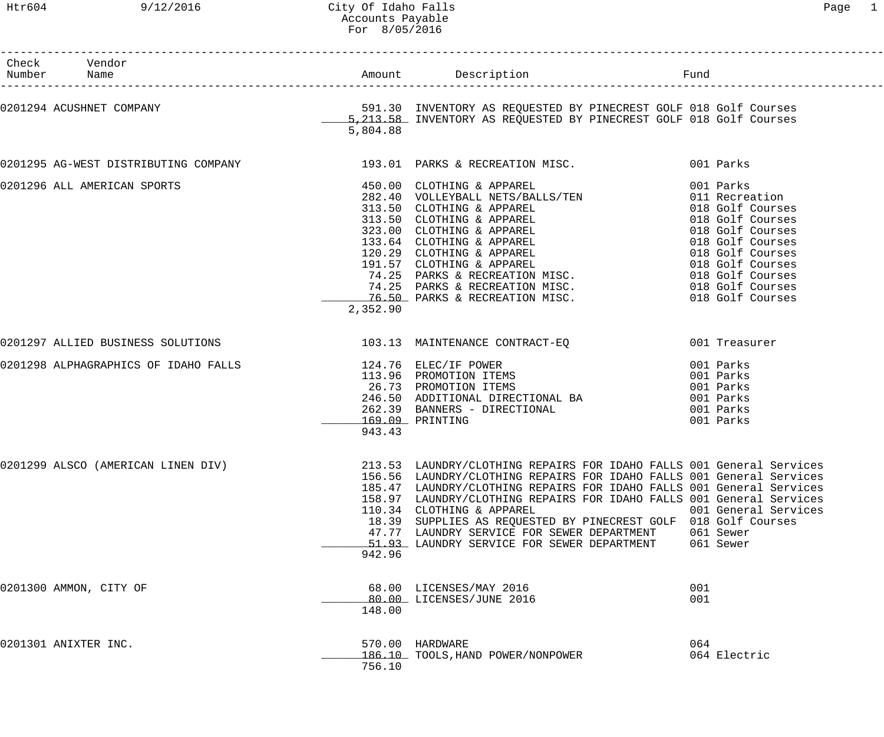------------------------------------------------------------------------------------------------------------------------------------

| Check<br>Number Name | Vendor                      |                           |                                                                                                                                                                                                                                                                                                                                                                                                                                                                                                                            |                                                |
|----------------------|-----------------------------|---------------------------|----------------------------------------------------------------------------------------------------------------------------------------------------------------------------------------------------------------------------------------------------------------------------------------------------------------------------------------------------------------------------------------------------------------------------------------------------------------------------------------------------------------------------|------------------------------------------------|
|                      |                             | 5,804.88                  |                                                                                                                                                                                                                                                                                                                                                                                                                                                                                                                            |                                                |
|                      |                             |                           | 0201295 AG-WEST DISTRIBUTING COMPANY 193.01 PARKS & RECREATION MISC. 001 Parks                                                                                                                                                                                                                                                                                                                                                                                                                                             |                                                |
|                      | 0201296 ALL AMERICAN SPORTS | 2,352.90                  | 450.00 CLOTHING & APPAREL<br>282.40 VOLLEYBALL NETS/BALLS/TEN 001 Parks<br>313.50 CLOTHING & APPAREL 018 Golf Courses<br>313.50 CLOTHING & APPAREL 018 Golf Courses<br>323.00 CLOTHING & APPAREL 018 Golf Courses<br>33.64 CLOTHING & AP                                                                                                                                                                                                                                                                                   |                                                |
|                      |                             |                           | 0201297 ALLIED BUSINESS SOLUTIONS 103.13 MAINTENANCE CONTRACT-EQ                                                                                                                                                                                                                                                                                                                                                                                                                                                           |                                                |
|                      |                             | 169.09 PRINTING<br>943.43 | 0201298 ALPHAGRAPHICS OF IDAHO FALLS<br>001 Parks<br>26.73 PROMOTION ITEMS<br>26.73 PROMOTION ITEMS<br>262.39 BANNERS - DIRECTIONAL BA<br>262.39 BANNERS - DIRECTIONAL BA<br>262.39 BANNERS - DIRECTIONAL (001 Parks<br>262.39 BANNERS - DI<br>1991 Darks                                                                                                                                                                                                                                                                  |                                                |
|                      |                             | 942.96                    | 0201299 ALSCO (AMERICAN LINEN DIV) 213.53 LAUNDRY/CLOTHING REPAIRS FOR IDAHO FALLS 001 General Services<br>156.56 LAUNDRY/CLOTHING REPAIRS FOR IDAHO FALLS 001 General Services<br>185.47 LAUNDRY/CLOTHING REPAIRS FOR IDAHO FALLS 001 General Services<br>158.97 LAUNDRY/CLOTHING REPAIRS FOR IDAHO FALLS 001 General Services<br>110.34 CLOTHING & APPAREL<br>18.39 SUPPLIES AS REQUESTED BY PINECREST GOLF 018 Golf Courses<br>47.77 LAUNDRY SERVICE FOR SEWER DEPARTMENT<br>51.93 LAUNDRY SERVICE FOR SEWER DEPARTMENT | 001 General Services<br>061 Sewer<br>061 Sewer |
|                      | 0201300 AMMON, CITY OF      | 148.00                    | 68.00 LICENSES/MAY 2016<br>80.00 LICENSES/JUNE 2016                                                                                                                                                                                                                                                                                                                                                                                                                                                                        | 001<br>001                                     |
|                      | 0201301 ANIXTER INC.        | 756.10                    | 570.00 HARDWARE<br>186.10 TOOLS, HAND POWER/NONPOWER                                                                                                                                                                                                                                                                                                                                                                                                                                                                       | 064<br>064 Electric                            |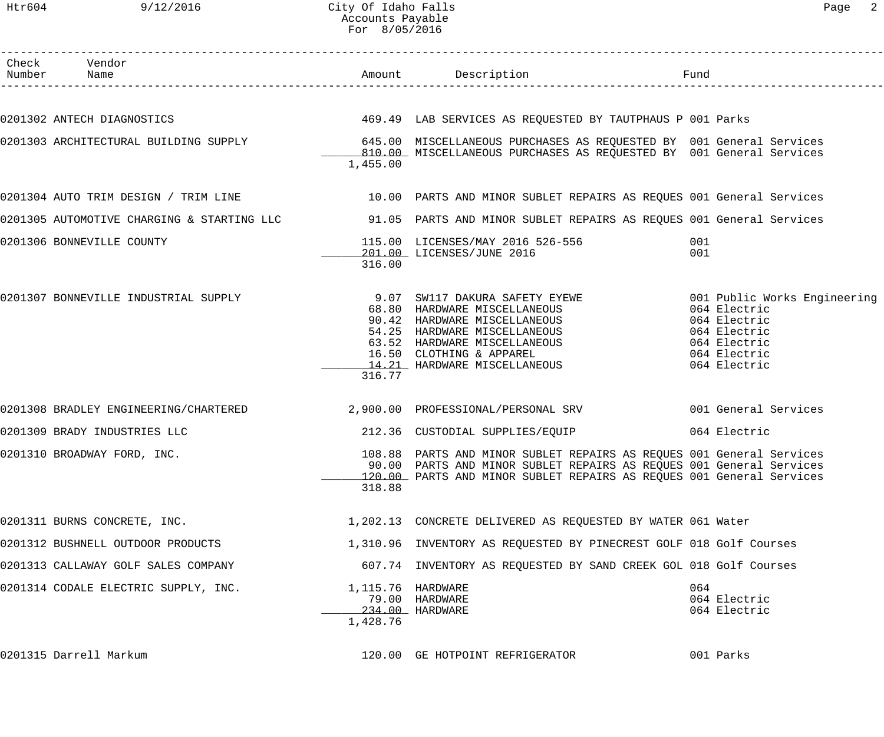Htr604 9/12/2016 City Of Idaho Falls Page 2 Accounts Payable For 8/05/2016

| Check Vendor<br>Number Name          |                               | Amount Description                                                                                                                                                                                                                                                                    | Fund                                                                                         |
|--------------------------------------|-------------------------------|---------------------------------------------------------------------------------------------------------------------------------------------------------------------------------------------------------------------------------------------------------------------------------------|----------------------------------------------------------------------------------------------|
|                                      |                               |                                                                                                                                                                                                                                                                                       |                                                                                              |
|                                      |                               | 0201302 ANTECH DIAGNOSTICS 600 CONTROL 469.49 LAB SERVICES AS REQUESTED BY TAUTPHAUS P 001 Parks                                                                                                                                                                                      |                                                                                              |
|                                      | 1,455.00                      | 0201303 ARCHITECTURAL BUILDING SUPPLY 645.00 MISCELLANEOUS PURCHASES AS REQUESTED BY 001 General Services<br>810.00 MISCELLANEOUS PURCHASES AS REQUESTED BY 001 General Services                                                                                                      |                                                                                              |
|                                      |                               | 0201304 AUTO TRIM DESIGN / TRIM LINE 10.00 PARTS AND MINOR SUBLET REPAIRS AS REQUES 001 General Services                                                                                                                                                                              |                                                                                              |
|                                      |                               | 0201305 AUTOMOTIVE CHARGING & STARTING LLC 31.05 PARTS AND MINOR SUBLET REPAIRS AS REQUES 001 General Services                                                                                                                                                                        |                                                                                              |
| 0201306 BONNEVILLE COUNTY            | 316.00                        | 115.00 LICENSES/MAY 2016 526-556<br>201.00 LICENSES/JUNE 2016                                                                                                                                                                                                                         | 001<br>001                                                                                   |
| 0201307 BONNEVILLE INDUSTRIAL SUPPLY | 316.77                        | 9.07 SW117 DAKURA SAFETY EYEWE                               001 Public Works Engineering<br>68.80 HARDWARE MISCELLANEOUS<br>90.42 HARDWARE MISCELLANEOUS<br>54.25 HARDWARE MISCELLANEOUS<br>63.52 HARDWARE MISCELLANEOUS<br>16.50 CLOTHING & APPAREL<br>14.21 HARDWARE MISCELLANEOUS | 064 Electric<br>064 Electric<br>064 Electric<br>064 Electric<br>064 Electric<br>064 Electric |
|                                      |                               | 0201308 BRADLEY ENGINEERING/CHARTERED 2,900.00 PROFESSIONAL/PERSONAL SRV 001 General Services                                                                                                                                                                                         |                                                                                              |
| 0201309 BRADY INDUSTRIES LLC         |                               | 212.36 CUSTODIAL SUPPLIES/EQUIP                                                                                                                                                                                                                                                       | 064 Electric                                                                                 |
| 0201310 BROADWAY FORD, INC.          | 318.88                        | 108.88 PARTS AND MINOR SUBLET REPAIRS AS REQUES 001 General Services<br>90.00 PARTS AND MINOR SUBLET REPAIRS AS REQUES 001 General Services<br>120.00 PARTS AND MINOR SUBLET REPAIRS AS REQUES 001 General Services                                                                   |                                                                                              |
| 0201311 BURNS CONCRETE, INC.         |                               | 1,202.13 CONCRETE DELIVERED AS REQUESTED BY WATER 061 Water                                                                                                                                                                                                                           |                                                                                              |
| 0201312 BUSHNELL OUTDOOR PRODUCTS    |                               | 1,310.96 INVENTORY AS REQUESTED BY PINECREST GOLF 018 Golf Courses                                                                                                                                                                                                                    |                                                                                              |
| 0201313 CALLAWAY GOLF SALES COMPANY  |                               | 607.74 INVENTORY AS REQUESTED BY SAND CREEK GOL 018 Golf Courses                                                                                                                                                                                                                      |                                                                                              |
| 0201314 CODALE ELECTRIC SUPPLY, INC. | 1,115.76 HARDWARE<br>1,428.76 | 79.00 HARDWARE<br>234.00 HARDWARE                                                                                                                                                                                                                                                     | 064<br>064 Electric<br>064 Electric                                                          |
| 0201315 Darrell Markum               |                               | 120.00 GE HOTPOINT REFRIGERATOR                                                                                                                                                                                                                                                       | 001 Parks                                                                                    |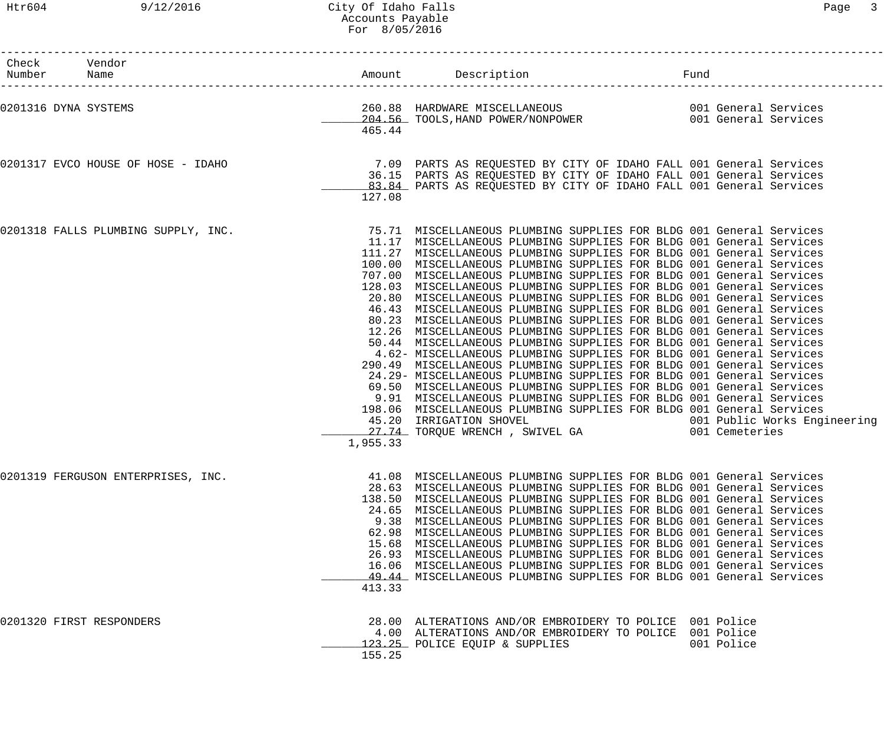### Htr604 9/12/2016 City Of Idaho Falls Page 3 Accounts Payable For 8/05/2016

| Check Vendor<br>Number Name         |          | Amount Description                                                                                                                                                                                                                                                                                                                                                                                                                                                                                                                                                                                                                                                                                                                                                                                                                                                                                                                                                                                                                                                                                                                                                                                                                                                                                                                                                   | Fund |            |
|-------------------------------------|----------|----------------------------------------------------------------------------------------------------------------------------------------------------------------------------------------------------------------------------------------------------------------------------------------------------------------------------------------------------------------------------------------------------------------------------------------------------------------------------------------------------------------------------------------------------------------------------------------------------------------------------------------------------------------------------------------------------------------------------------------------------------------------------------------------------------------------------------------------------------------------------------------------------------------------------------------------------------------------------------------------------------------------------------------------------------------------------------------------------------------------------------------------------------------------------------------------------------------------------------------------------------------------------------------------------------------------------------------------------------------------|------|------------|
| 0201316 DYNA SYSTEMS                | 465.44   | 260.88 HARDWARE MISCELLANEOUS                              001 General Services<br>204.56 TOOLS, HAND POWER/NONPOWER                        001 General Services                                                                                                                                                                                                                                                                                                                                                                                                                                                                                                                                                                                                                                                                                                                                                                                                                                                                                                                                                                                                                                                                                                                                                                                                     |      |            |
| 0201317 EVCO HOUSE OF HOSE - IDAHO  | 127.08   | 7.09 PARTS AS REQUESTED BY CITY OF IDAHO FALL 001 General Services<br>36.15 PARTS AS REQUESTED BY CITY OF IDAHO FALL 001 General Services<br>83.84 PARTS AS REQUESTED BY CITY OF IDAHO FALL 001 General Services                                                                                                                                                                                                                                                                                                                                                                                                                                                                                                                                                                                                                                                                                                                                                                                                                                                                                                                                                                                                                                                                                                                                                     |      |            |
| 0201318 FALLS PLUMBING SUPPLY, INC. | 1,955.33 | 75.71 MISCELLANEOUS PLUMBING SUPPLIES FOR BLDG 001 General Services<br>11.17 MISCELLANEOUS PLUMBING SUPPLIES FOR BLDG 001 General Services<br>111.27 MISCELLANEOUS PLUMBING SUPPLIES FOR BLDG 001 General Services<br>100.00 MISCELLANEOUS PLUMBING SUPPLIES FOR BLDG 001 General Services<br>707.00 MISCELLANEOUS PLUMBING SUPPLIES FOR BLDG 001 General Services<br>128.03 MISCELLANEOUS PLUMBING SUPPLIES FOR BLDG 001 General Services<br>20.80 MISCELLANEOUS PLUMBING SUPPLIES FOR BLDG 001 General Services<br>46.43 MISCELLANEOUS PLUMBING SUPPLIES FOR BLDG 001 General Services<br>80.23 MISCELLANEOUS PLUMBING SUPPLIES FOR BLDG 001 General Services<br>12.26 MISCELLANEOUS PLUMBING SUPPLIES FOR BLDG 001 General Services<br>50.44 MISCELLANEOUS PLUMBING SUPPLIES FOR BLDG 001 General Services<br>4.62- MISCELLANEOUS PLUMBING SUPPLIES FOR BLDG 001 General Services<br>290.49 MISCELLANEOUS PLUMBING SUPPLIES FOR BLDG 001 General Services<br>24.29- MISCELLANEOUS PLUMBING SUPPLIES FOR BLDG 001 General Services<br>69.50 MISCELLANEOUS PLUMBING SUPPLIES FOR BLDG 001 General Services<br>9.91 MISCELLANEOUS PLUMBING SUPPLIES FOR BLDG 001 General Services<br>198.06 MISCELLANEOUS PLUMBING SUPPLIES FOR BLDG 001 General Services<br>45.20 IRRIGATION SHOVEL 1001 Public Works Engineering<br>27.74 TORQUE WRENCH, SWIVEL GA 1001 Cemeteries |      |            |
| 0201319 FERGUSON ENTERPRISES, INC.  | 413.33   | 41.08 MISCELLANEOUS PLUMBING SUPPLIES FOR BLDG 001 General Services<br>28.63 MISCELLANEOUS PLUMBING SUPPLIES FOR BLDG 001 General Services<br>138.50 MISCELLANEOUS PLUMBING SUPPLIES FOR BLDG 001 General Services<br>24.65 MISCELLANEOUS PLUMBING SUPPLIES FOR BLDG 001 General Services<br>9.38 MISCELLANEOUS PLUMBING SUPPLIES FOR BLDG 001 General Services<br>62.98 MISCELLANEOUS PLUMBING SUPPLIES FOR BLDG 001 General Services<br>15.68 MISCELLANEOUS PLUMBING SUPPLIES FOR BLDG 001 General Services<br>26.93 MISCELLANEOUS PLUMBING SUPPLIES FOR BLDG 001 General Services<br>16.06 MISCELLANEOUS PLUMBING SUPPLIES FOR BLDG 001 General Services<br>49.44 MISCELLANEOUS PLUMBING SUPPLIES FOR BLDG 001 General Services                                                                                                                                                                                                                                                                                                                                                                                                                                                                                                                                                                                                                                   |      |            |
| 0201320 FIRST RESPONDERS            | 155.25   | 28.00 ALTERATIONS AND/OR EMBROIDERY TO POLICE 001 Police<br>4.00 ALTERATIONS AND/OR EMBROIDERY TO POLICE 001 Police<br>123.25 POLICE EQUIP & SUPPLIES                                                                                                                                                                                                                                                                                                                                                                                                                                                                                                                                                                                                                                                                                                                                                                                                                                                                                                                                                                                                                                                                                                                                                                                                                |      | 001 Police |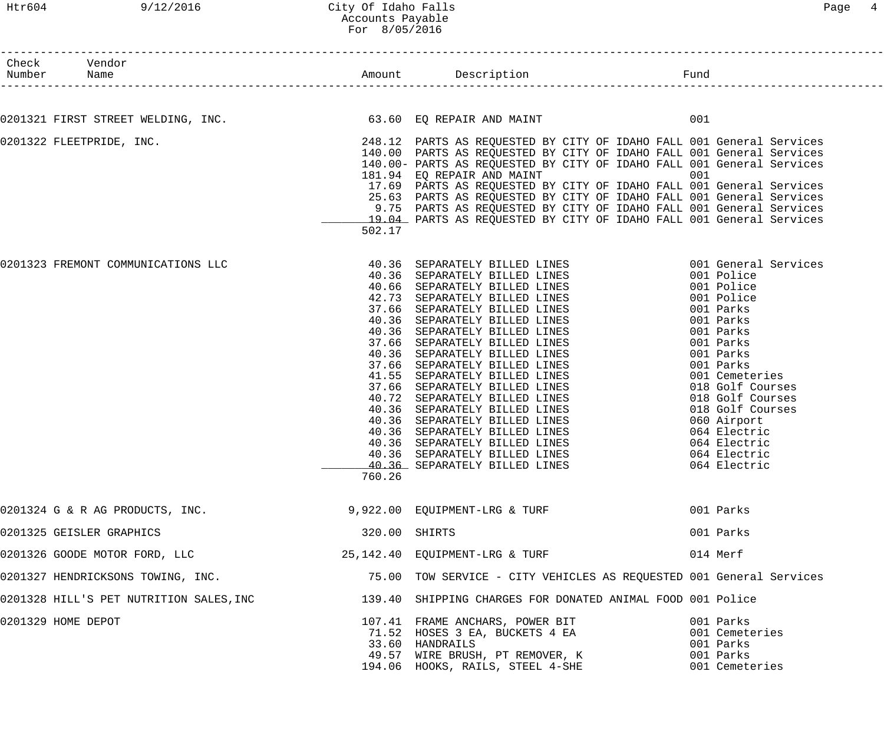| Check Vendor<br>Number Name                                              |               |                                                                                                                                               |                                      |
|--------------------------------------------------------------------------|---------------|-----------------------------------------------------------------------------------------------------------------------------------------------|--------------------------------------|
|                                                                          |               |                                                                                                                                               |                                      |
| 0201321 FIRST STREET WELDING, INC. 63.60 EQ REPAIR AND MAINT             |               |                                                                                                                                               | 001                                  |
| 0201322 FLEETPRIDE, INC.                                                 |               | 248.12 PARTS AS REQUESTED BY CITY OF IDAHO FALL 001 General Services<br>140.00 PARTS AS REQUESTED BY CITY OF IDAHO FALL 001 General Services  |                                      |
|                                                                          |               | 140.00 PARTS AS REQUESTED BY CITY OF IDAHO FALL 001 General Services<br>140.00- PARTS AS REQUESTED BY CITY OF IDAHO FALL 001 General Services |                                      |
|                                                                          |               | 181.94 EQ REPAIR AND MAINT                                                                                                                    | 001                                  |
|                                                                          |               | 17.69 PARTS AS REQUESTED BY CITY OF IDAHO FALL 001 General Services                                                                           |                                      |
|                                                                          |               | 25.63 PARTS AS REQUESTED BY CITY OF IDAHO FALL 001 General Services                                                                           |                                      |
|                                                                          |               | 9.75 PARTS AS REQUESTED BY CITY OF IDAHO FALL 001 General Services<br>19.04 PARTS AS REQUESTED BY CITY OF IDAHO FALL 001 General Services     |                                      |
|                                                                          | 502.17        |                                                                                                                                               |                                      |
| 0201323 FREMONT COMMUNICATIONS LLC                                       |               |                                                                                                                                               |                                      |
|                                                                          |               | 40.36 SEPARATELY BILLED LINES                                                                                                                 | 001 Police                           |
|                                                                          |               | 40.66 SEPARATELY BILLED LINES<br>42.73 SEPARATELY BILLED LINES<br>37.66 SEPARATELY BILLED LINES<br>40.36 SEPARATELY BILLED LINES              | 001 Police                           |
|                                                                          |               |                                                                                                                                               | 001 Police                           |
|                                                                          |               |                                                                                                                                               | 001 Parks                            |
|                                                                          |               | 40.36 SEPARATELY BILLED LINES                                                                                                                 | 001 Parks<br>001 Parks               |
|                                                                          |               | 37.66 SEPARATELY BILLED LINES                                                                                                                 | 001 Parks                            |
|                                                                          |               | 40.36 SEPARATELY BILLED LINES                                                                                                                 | 001 Parks                            |
|                                                                          |               | 37.66 SEPARATELY BILLED LINES                                                                                                                 | 001 Parks                            |
|                                                                          |               | 41.55 SEPARATELY BILLED LINES                                                                                                                 | 001 Cemeteries                       |
|                                                                          |               | 37.66 SEPARATELY BILLED LINES<br>40.72 SEPARATELY BILLED LINES                                                                                | 018 Golf Courses<br>018 Golf Courses |
|                                                                          |               | 40.36 SEPARATELY BILLED LINES                                                                                                                 | 018 Golf Courses                     |
|                                                                          |               | 40.36 SEPARATELY BILLED LINES                                                                                                                 | 060 Airport                          |
|                                                                          |               | 40.36 SEPARATELY BILLED LINES                                                                                                                 | 064 Electric                         |
|                                                                          |               | 40.36 SEPARATELY BILLED LINES                                                                                                                 | 064 Electric                         |
|                                                                          |               | 40.36 SEPARATELY BILLED LINES                                                                                                                 | 064 Electric                         |
|                                                                          | 760.26        | 40.36 SEPARATELY BILLED LINES                                                                                                                 | 064 Electric                         |
| 0201324 G & R AG PRODUCTS, INC. 4.4 (2013) 9,922.00 EQUIPMENT-LRG & TURF |               |                                                                                                                                               | 001 Parks                            |
| 0201325 GEISLER GRAPHICS                                                 | 320.00 SHIRTS |                                                                                                                                               | 001 Parks                            |
| 0201326 GOODE MOTOR FORD, LLC                                            |               | 25,142.40 EQUIPMENT-LRG & TURF                                                                                                                | 014 Merf                             |
| 0201327 HENDRICKSONS TOWING, INC.                                        |               | 75.00 TOW SERVICE - CITY VEHICLES AS REQUESTED 001 General Services                                                                           |                                      |
|                                                                          |               | 0201328 HILL'S PET NUTRITION SALES, INC 139.40 SHIPPING CHARGES FOR DONATED ANIMAL FOOD 001 Police                                            |                                      |
| 0201329 HOME DEPOT                                                       |               |                                                                                                                                               | 001 Parks                            |
|                                                                          |               | 107.41 FRAME ANCHARS, POWER BIT<br>71.52 HOSES 3 EA, BUCKETS 4 EA                                                                             | 001 Cemeteries                       |
|                                                                          |               | 33.60 HANDRAILS                                                                                                                               | 001 Parks                            |
|                                                                          |               | 49.57 WIRE BRUSH, PT REMOVER, K                                                                                                               | 001 Parks                            |
|                                                                          |               | 194.06 HOOKS, RAILS, STEEL 4-SHE                                                                                                              | 001 Cemeteries                       |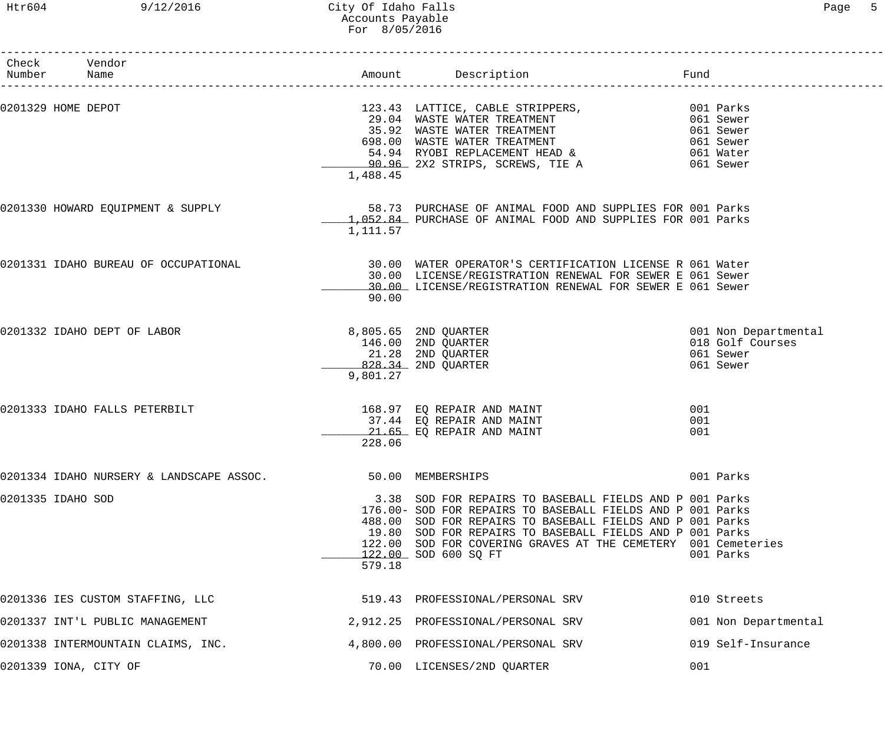# Htr604 9/12/2016 City Of Idaho Falls Page 5 Accounts Payable For 8/05/2016

| Number | Check Vendor<br>Name                     |          | Amount Description                                                                                                                                                                                                                                                                                                                      | Fund              |                                                                    |
|--------|------------------------------------------|----------|-----------------------------------------------------------------------------------------------------------------------------------------------------------------------------------------------------------------------------------------------------------------------------------------------------------------------------------------|-------------------|--------------------------------------------------------------------|
|        | 0201329 HOME DEPOT                       | 1,488.45 | 123.43 LATTICE, CABLE STRIPPERS, 001 Parks<br>29.04 WASTE WATER TREATMENT 061 Sewer<br>35.92 WASTE WATER TREATMENT 061 Sewer<br>698.00 WASTE WATER TREATMENT 061 Sewer<br>54.94 RYOBI REPLACEMENT HEAD & 061 Water<br>90.96 2X2 STRIPS,                                                                                                 |                   |                                                                    |
|        | 0201330 HOWARD EQUIPMENT & SUPPLY        | 1,111.57 | 58.73 PURCHASE OF ANIMAL FOOD AND SUPPLIES FOR 001 Parks<br>1,052.84 PURCHASE OF ANIMAL FOOD AND SUPPLIES FOR 001 Parks                                                                                                                                                                                                                 |                   |                                                                    |
|        | 0201331 IDAHO BUREAU OF OCCUPATIONAL     | 90.00    | 30.00 WATER OPERATOR'S CERTIFICATION LICENSE R 061 Water<br>30.00 LICENSE/REGISTRATION RENEWAL FOR SEWER E 061 Sewer<br>30.00 LICENSE/REGISTRATION RENEWAL FOR SEWER E 061 Sewer                                                                                                                                                        |                   |                                                                    |
|        | 0201332 IDAHO DEPT OF LABOR              | 9,801.27 | 8,805.65 2ND QUARTER<br>146.00 2ND QUARTER<br>21.28 2ND QUARTER<br>828.34 2ND QUARTER                                                                                                                                                                                                                                                   |                   | 001 Non Departmental<br>018 Golf Courses<br>061 Sewer<br>061 Sewer |
|        | 0201333 IDAHO FALLS PETERBILT            | 228.06   | 168.97 EQ REPAIR AND MAINT<br>37.44 EQ REPAIR AND MAINT<br>21.65 EQ REPAIR AND MAINT                                                                                                                                                                                                                                                    | 001<br>001<br>001 |                                                                    |
|        | 0201334 IDAHO NURSERY & LANDSCAPE ASSOC. |          | 50.00 MEMBERSHIPS                                                                                                                                                                                                                                                                                                                       |                   | 001 Parks                                                          |
|        | 0201335 IDAHO SOD                        | 579.18   | 3.38 SOD FOR REPAIRS TO BASEBALL FIELDS AND P 001 Parks<br>176.00- SOD FOR REPAIRS TO BASEBALL FIELDS AND P 001 Parks<br>488.00 SOD FOR REPAIRS TO BASEBALL FIELDS AND P 001 Parks<br>19.80 SOD FOR REPAIRS TO BASEBALL FIELDS AND P 001 Parks<br>122.00 SOD FOR COVERING GRAVES AT THE CEMETERY 001 Cemeteries<br>122.00 SOD 600 SO FT |                   | 001 Parks                                                          |
|        | 0201336 IES CUSTOM STAFFING, LLC         |          | 519.43 PROFESSIONAL/PERSONAL SRV                                                                                                                                                                                                                                                                                                        |                   | 010 Streets                                                        |
|        | 0201337 INT'L PUBLIC MANAGEMENT          |          | 2,912.25 PROFESSIONAL/PERSONAL SRV                                                                                                                                                                                                                                                                                                      |                   | 001 Non Departmental                                               |
|        | 0201338 INTERMOUNTAIN CLAIMS, INC.       |          | 4,800.00 PROFESSIONAL/PERSONAL SRV                                                                                                                                                                                                                                                                                                      |                   | 019 Self-Insurance                                                 |
|        | 0201339 IONA, CITY OF                    |          | 70.00 LICENSES/2ND QUARTER                                                                                                                                                                                                                                                                                                              | 001               |                                                                    |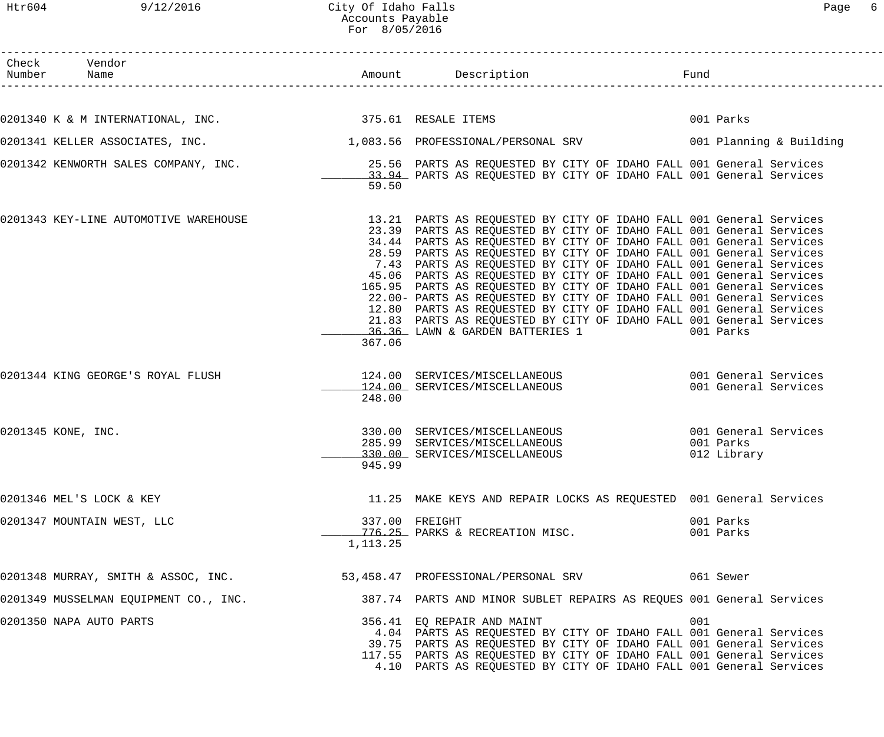Htr604 9/12/2016 City Of Idaho Falls Page 6 Accounts Payable

| ٢аαе |  |
|------|--|
|------|--|

|                                                                                                                 | For 8/05/2016 |                                                                                                                                                                                                                                                                                                                                                                                                                                                                                                                                                                                                                                                                                                                                                                                   |     |                                                  |
|-----------------------------------------------------------------------------------------------------------------|---------------|-----------------------------------------------------------------------------------------------------------------------------------------------------------------------------------------------------------------------------------------------------------------------------------------------------------------------------------------------------------------------------------------------------------------------------------------------------------------------------------------------------------------------------------------------------------------------------------------------------------------------------------------------------------------------------------------------------------------------------------------------------------------------------------|-----|--------------------------------------------------|
| Check Vendor                                                                                                    |               |                                                                                                                                                                                                                                                                                                                                                                                                                                                                                                                                                                                                                                                                                                                                                                                   |     |                                                  |
| 0201340 K & M INTERNATIONAL, INC. 375.61 RESALE ITEMS                                                           |               |                                                                                                                                                                                                                                                                                                                                                                                                                                                                                                                                                                                                                                                                                                                                                                                   |     | 001 Parks                                        |
|                                                                                                                 |               |                                                                                                                                                                                                                                                                                                                                                                                                                                                                                                                                                                                                                                                                                                                                                                                   |     |                                                  |
| 0201341 KELLER ASSOCIATES, INC.                                                                                 |               | 1,083.56 PROFESSIONAL/PERSONAL SRV 6001 Planning & Building                                                                                                                                                                                                                                                                                                                                                                                                                                                                                                                                                                                                                                                                                                                       |     |                                                  |
| 0201342 KENWORTH SALES COMPANY, INC. THE REAST SERVERTS AS REQUESTED BY CITY OF IDAHO FALL 001 General Services | 59.50         | 33.94 PARTS AS REQUESTED BY CITY OF IDAHO FALL 001 General Services                                                                                                                                                                                                                                                                                                                                                                                                                                                                                                                                                                                                                                                                                                               |     |                                                  |
| 0201343 KEY-LINE AUTOMOTIVE WAREHOUSE                                                                           | 367.06        | 13.21 PARTS AS REQUESTED BY CITY OF IDAHO FALL 001 General Services<br>23.39 PARTS AS REQUESTED BY CITY OF IDAHO FALL 001 General Services<br>34.44 PARTS AS REQUESTED BY CITY OF IDAHO FALL 001 General Services<br>28.59 PARTS AS REQUESTED BY CITY OF IDAHO FALL 001 General Services<br>7.43 PARTS AS REQUESTED BY CITY OF IDAHO FALL 001 General Services<br>45.06 PARTS AS REQUESTED BY CITY OF IDAHO FALL 001 General Services<br>165.95 PARTS AS REQUESTED BY CITY OF IDAHO FALL 001 General Services<br>22.00- PARTS AS REQUESTED BY CITY OF IDAHO FALL 001 General Services<br>12.80 PARTS AS REQUESTED BY CITY OF IDAHO FALL 001 General Services<br>21.83 PARTS AS REQUESTED BY CITY OF IDAHO FALL 001 General Services<br>36.36 LAWN & GARDEN BATTERIES 1 (001 Parks |     |                                                  |
| 0201344 KING GEORGE'S ROYAL FLUSH                                                                               | 248.00        | 124.00 SERVICES/MISCELLANEOUS 001 General Services<br>124.00 SERVICES/MISCELLANEOUS                                                                                                                                                                                                                                                                                                                                                                                                                                                                                                                                                                                                                                                                                               |     | 001 General Services                             |
| 0201345 KONE, INC.                                                                                              | 945.99        | 330.00 SERVICES/MISCELLANEOUS<br>285.99 SERVICES/MISCELLANEOUS<br>330.00 SERVICES/MISCELLANEOUS                                                                                                                                                                                                                                                                                                                                                                                                                                                                                                                                                                                                                                                                                   |     | 001 General Services<br>001 Parks<br>012 Library |
| 0201346 MEL'S LOCK & KEY                                                                                        |               | 11.25 MAKE KEYS AND REPAIR LOCKS AS REQUESTED 001 General Services                                                                                                                                                                                                                                                                                                                                                                                                                                                                                                                                                                                                                                                                                                                |     |                                                  |
| 0201347 MOUNTAIN WEST, LLC                                                                                      | 1, 113. 25    | 337.00 FREIGHT<br>776.25 PARKS & RECREATION MISC.                                                                                                                                                                                                                                                                                                                                                                                                                                                                                                                                                                                                                                                                                                                                 |     | 001 Parks<br>001 Parks                           |
| 0201348 MURRAY, SMITH & ASSOC, INC.                                                                             |               |                                                                                                                                                                                                                                                                                                                                                                                                                                                                                                                                                                                                                                                                                                                                                                                   |     |                                                  |
| 0201349 MUSSELMAN EQUIPMENT CO., INC.                                                                           |               | 387.74 PARTS AND MINOR SUBLET REPAIRS AS REQUES 001 General Services                                                                                                                                                                                                                                                                                                                                                                                                                                                                                                                                                                                                                                                                                                              |     |                                                  |
| 0201350 NAPA AUTO PARTS                                                                                         |               | 356.41 EQ REPAIR AND MAINT<br>4.04 PARTS AS REQUESTED BY CITY OF IDAHO FALL 001 General Services<br>39.75 PARTS AS REQUESTED BY CITY OF IDAHO FALL 001 General Services<br>117.55 PARTS AS REQUESTED BY CITY OF IDAHO FALL 001 General Services<br>4.10 PARTS AS REQUESTED BY CITY OF IDAHO FALL 001 General Services                                                                                                                                                                                                                                                                                                                                                                                                                                                             | 001 |                                                  |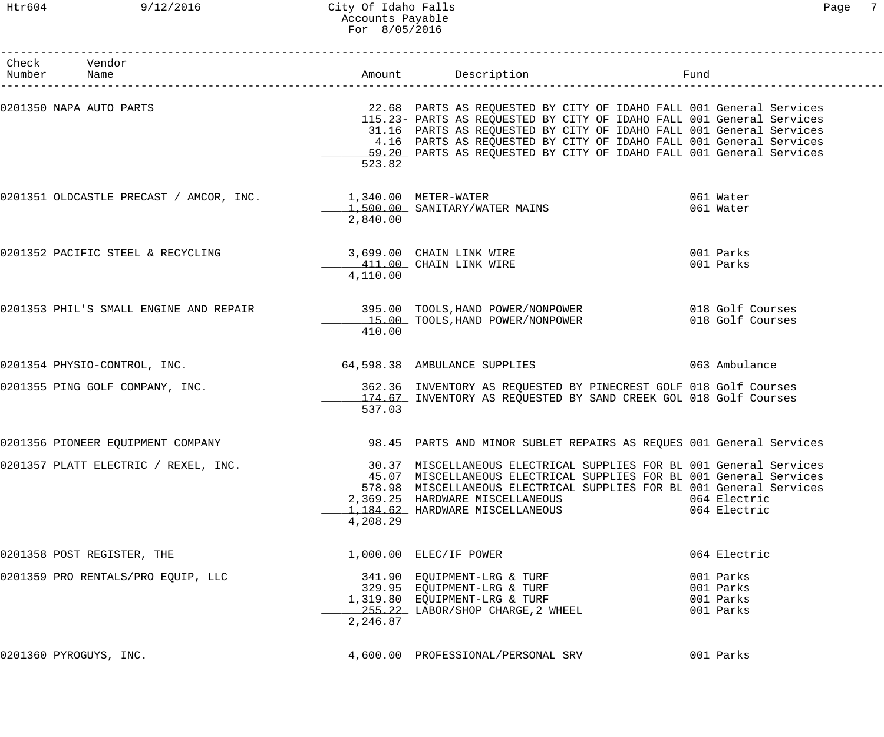# Htr604 9/12/2016 City Of Idaho Falls Page 7 Accounts Payable For 8/05/2016

| Check Vendor<br>Number Name                                                                     |          |                                                                                                                                                                                                                                                                                                                                                                  |                                                  |
|-------------------------------------------------------------------------------------------------|----------|------------------------------------------------------------------------------------------------------------------------------------------------------------------------------------------------------------------------------------------------------------------------------------------------------------------------------------------------------------------|--------------------------------------------------|
| 0201350 NAPA AUTO PARTS                                                                         | 523.82   | 22.68 PARTS AS REQUESTED BY CITY OF IDAHO FALL 001 General Services<br>115.23- PARTS AS REQUESTED BY CITY OF IDAHO FALL 001 General Services<br>31.16 PARTS AS REQUESTED BY CITY OF IDAHO FALL 001 General Services<br>4.16 PARTS AS REQUESTED BY CITY OF IDAHO FALL 001 General Services<br>59.20 PARTS AS REQUESTED BY CITY OF IDAHO FALL 001 General Services |                                                  |
| 0201351 OLDCASTLE PRECAST / AMCOR, INC. $1,340.00$ METER-WATER<br>1,500.00 SANITARY/WATER MAINS | 2,840.00 |                                                                                                                                                                                                                                                                                                                                                                  | 061 Water<br>061 Water                           |
| 0201352 PACIFIC STEEL & RECYCLING 3,699.00 CHAIN LINK WIRE                                      | 4,110.00 | 411.00 CHAIN LINK WIRE                                                                                                                                                                                                                                                                                                                                           | 001 Parks<br>001 Parks                           |
|                                                                                                 | 410.00   | 0201353 PHIL'S SMALL ENGINE AND REPAIR 395.00 TOOLS, HAND POWER/NONPOWER 018 Golf Courses<br>15.00 TOOLS, HAND POWER/NONPOWER                                                                                                                                                                                                                                    | 018 Golf Courses                                 |
| 0201354 PHYSIO-CONTROL, INC.                                                                    |          | 64,598.38 AMBULANCE SUPPLIES                                                                                                                                                                                                                                                                                                                                     | 063 Ambulance                                    |
| 0201355 PING GOLF COMPANY, INC.                                                                 | 537.03   | 362.36 INVENTORY AS REQUESTED BY PINECREST GOLF 018 Golf Courses<br>174.67 INVENTORY AS REQUESTED BY SAND CREEK GOL 018 Golf Courses                                                                                                                                                                                                                             |                                                  |
| 0201356 PIONEER EQUIPMENT COMPANY                                                               |          | 98.45 PARTS AND MINOR SUBLET REPAIRS AS REQUES 001 General Services                                                                                                                                                                                                                                                                                              |                                                  |
| 0201357 PLATT ELECTRIC / REXEL, INC.                                                            | 4,208.29 | 30.37 MISCELLANEOUS ELECTRICAL SUPPLIES FOR BL 001 General Services<br>45.07 MISCELLANEOUS ELECTRICAL SUPPLIES FOR BL 001 General Services<br>578.98 MISCELLANEOUS ELECTRICAL SUPPLIES FOR BL 001 General Services<br>2,369.25 HARDWARE MISCELLANEOUS<br>1,184.62 HARDWARE MISCELLANEOUS                                                                         | 064 Electric<br>064 Electric                     |
| 0201358 POST REGISTER, THE                                                                      |          | 1,000.00 ELEC/IF POWER                                                                                                                                                                                                                                                                                                                                           | 064 Electric                                     |
| 0201359 PRO RENTALS/PRO EQUIP, LLC                                                              | 2,246.87 | 341.90 EQUIPMENT-LRG & TURF<br>329.95 EQUIPMENT-LRG & TURF<br>210.90 EOUIPMENT-LRG & TURF<br>1,319.80 EQUIPMENT-LRG & TURF<br>255.22 LABOR/SHOP CHARGE, 2 WHEEL                                                                                                                                                                                                  | 001 Parks<br>001 Parks<br>001 Parks<br>001 Parks |
| 0201360 PYROGUYS, INC.                                                                          |          | 4,600.00 PROFESSIONAL/PERSONAL SRV                                                                                                                                                                                                                                                                                                                               | 001 Parks                                        |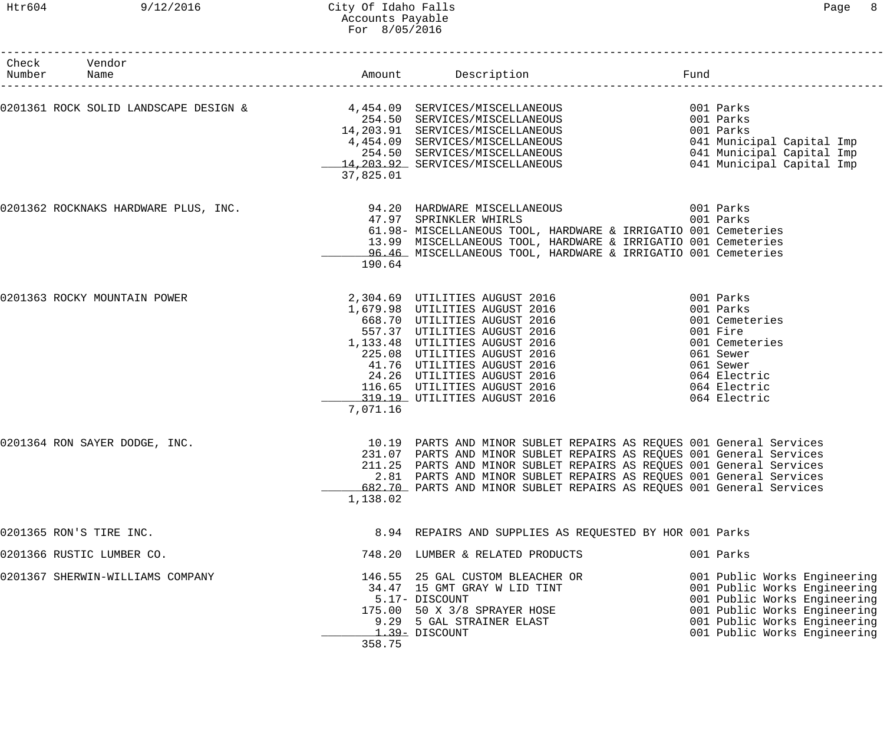| Check<br>Number | Vendor<br>Name                       |           | Amount Description Description                                                                                                                                                                                                                                                                                                                                    |                                                                                                                                                                                              |
|-----------------|--------------------------------------|-----------|-------------------------------------------------------------------------------------------------------------------------------------------------------------------------------------------------------------------------------------------------------------------------------------------------------------------------------------------------------------------|----------------------------------------------------------------------------------------------------------------------------------------------------------------------------------------------|
|                 |                                      | 37,825.01 | 0201361 ROCK SOLID LANDSCAPE DESIGN & $\begin{array}{cc} 4,454.09 & \text{SERVICES/MISCELLANEOUS} \end{array}$<br>4,454.09 SERVICES/MISCELLANEOUS<br>254.50 SERVICES/MISCELLANEOUS<br>14,203.91 SERVICES/MISCELLANEOUS<br>4,454.09 SERVICES/MISCELLANEOUS<br>254.50 SERVICES/MISCELLANEOUS<br>14,203.92 SERVICES/MISCELLANEOUS                                    | 001 Parks<br>001 Parks<br>001 Parks<br>041 Municipal Capital Imp<br>041 Municipal Capital Imp<br>041 Municipal Capital Imp                                                                   |
|                 | 0201362 ROCKNAKS HARDWARE PLUS, INC. | 190.64    | 94.20 HARDWARE MISCELLANEOUS<br>001 Parks<br>47.97 SPRINKLER WHIRLS<br>61.98- MISCELLANEOUS TOOL, HARDWARE & IRRIGATIO 001 Cemeteries<br>13.99 MISCELLANEOUS TOOL, HARDWARE & IRRIGATIO 001 Cemeteries<br>96.46 MISCELLANEOUS TOOL, HARDWARE & IRRIGATIO 001 Cemeteries                                                                                           | 001 Parks                                                                                                                                                                                    |
|                 | 0201363 ROCKY MOUNTAIN POWER         | 7,071.16  | 2,304.69 UTILITIES AUGUST 2016<br>1,679.98 UTILITIES AUGUST 2016<br>668.70 UTILITIES AUGUST 2016<br>557.37 UTILITIES AUGUST 2016<br>1,133.48 UTILITIES AUGUST 2016<br>225.08 UTILITIES AUGUST 2016<br>41.76 UTILITIES AUGUST 2016<br>24.26 UTILITIE                                                                                                               | 001 Parks<br>001 Parks<br>001 Cemeteries<br>001 Fire<br>001 Cemeteries<br>061 Sewer<br>061 Sewer<br>064 Electric<br>064 Electric<br>064 Electric                                             |
|                 | 0201364 RON SAYER DODGE, INC.        | 1,138.02  | 10.19 PARTS AND MINOR SUBLET REPAIRS AS REQUES 001 General Services<br>231.07 PARTS AND MINOR SUBLET REPAIRS AS REQUES 001 General Services<br>211.25 PARTS AND MINOR SUBLET REPAIRS AS REQUES 001 General Services<br>2.81 PARTS AND MINOR SUBLET REPAIRS AS REQUES 001 General Services<br>682.70 PARTS AND MINOR SUBLET REPAIRS AS REQUES 001 General Services |                                                                                                                                                                                              |
|                 | 0201365 RON'S TIRE INC.              |           | 8.94 REPAIRS AND SUPPLIES AS REQUESTED BY HOR 001 Parks                                                                                                                                                                                                                                                                                                           |                                                                                                                                                                                              |
|                 | 0201366 RUSTIC LUMBER CO.            |           | 748.20 LUMBER & RELATED PRODUCTS                                                                                                                                                                                                                                                                                                                                  | 001 Parks                                                                                                                                                                                    |
|                 | 0201367 SHERWIN-WILLIAMS COMPANY     | 358.75    | 146.55 25 GAL CUSTOM BLEACHER OR<br>34.47 15 GMT GRAY W LID TINT<br>5.17- DISCOUNT<br>175.00 50 X 3/8 SPRAYER HOSE<br>9.29 5 GAL STRAINER ELAST<br>1.39- DISCOUNT                                                                                                                                                                                                 | 001 Public Works Engineering<br>001 Public Works Engineering<br>001 Public Works Engineering<br>001 Public Works Engineering<br>001 Public Works Engineering<br>001 Public Works Engineering |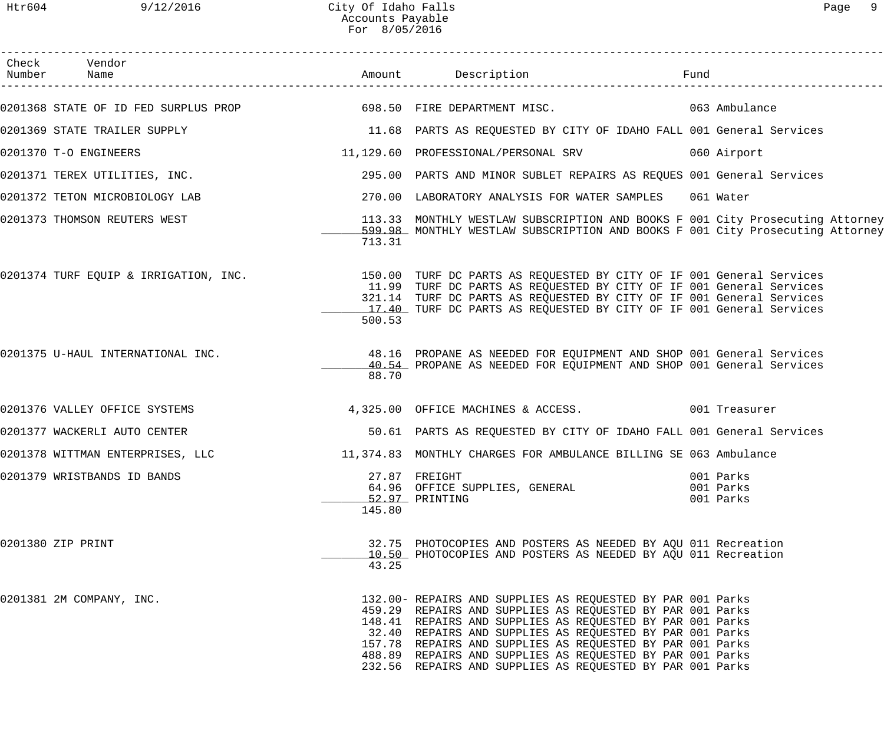|                                                                                                   | ACCOUNTS Payable<br>For 8/05/2016 |                                                                                                                                                                                                                                                                                                                                                                                                                                         |                                     |               |  |
|---------------------------------------------------------------------------------------------------|-----------------------------------|-----------------------------------------------------------------------------------------------------------------------------------------------------------------------------------------------------------------------------------------------------------------------------------------------------------------------------------------------------------------------------------------------------------------------------------------|-------------------------------------|---------------|--|
| Check Vendor<br>Number Name                                                                       |                                   |                                                                                                                                                                                                                                                                                                                                                                                                                                         |                                     |               |  |
| 0201368 STATE OF ID FED SURPLUS PROP 698.50 FIRE DEPARTMENT MISC.                                 |                                   |                                                                                                                                                                                                                                                                                                                                                                                                                                         |                                     | 063 Ambulance |  |
| 0201369 STATE TRAILER SUPPLY                                                                      |                                   | 11.68 PARTS AS REQUESTED BY CITY OF IDAHO FALL 001 General Services                                                                                                                                                                                                                                                                                                                                                                     |                                     |               |  |
| 0201370 T-O ENGINEERS                                                                             |                                   | 11,129.60 PROFESSIONAL/PERSONAL SRV                                                                                                                                                                                                                                                                                                                                                                                                     |                                     | 060 Airport   |  |
| 0201371 TEREX UTILITIES, INC.                                                                     |                                   | 295.00 PARTS AND MINOR SUBLET REPAIRS AS REQUES 001 General Services                                                                                                                                                                                                                                                                                                                                                                    |                                     |               |  |
| 0201372 TETON MICROBIOLOGY LAB                                                                    |                                   | 270.00 LABORATORY ANALYSIS FOR WATER SAMPLES 061 Water                                                                                                                                                                                                                                                                                                                                                                                  |                                     |               |  |
| 0201373 THOMSON REUTERS WEST                                                                      | 713.31                            | 113.33 MONTHLY WESTLAW SUBSCRIPTION AND BOOKS F 001 City Prosecuting Attorney<br>599.98 MONTHLY WESTLAW SUBSCRIPTION AND BOOKS F 001 City Prosecuting Attorney                                                                                                                                                                                                                                                                          |                                     |               |  |
| 0201374 TURF EQUIP & IRRIGATION, INC.                                                             | 500.53                            | 150.00 TURF DC PARTS AS REQUESTED BY CITY OF IF 001 General Services<br>11.99 TURF DC PARTS AS REQUESTED BY CITY OF IF 001 General Services<br>321.14 TURF DC PARTS AS REQUESTED BY CITY OF IF 001 General Services<br>17.40 TURF DC PARTS AS REQUESTED BY CITY OF IF 001 General Services                                                                                                                                              |                                     |               |  |
| 0201375 U-HAUL INTERNATIONAL INC.                                                                 | 88.70                             | 48.16 PROPANE AS NEEDED FOR EQUIPMENT AND SHOP 001 General Services<br>40.54 PROPANE AS NEEDED FOR EQUIPMENT AND SHOP 001 General Services                                                                                                                                                                                                                                                                                              |                                     |               |  |
| 0201376 VALLEY OFFICE SYSTEMS                                                                     |                                   | 4,325.00 OFFICE MACHINES & ACCESS. 001 Treasurer                                                                                                                                                                                                                                                                                                                                                                                        |                                     |               |  |
| 0201377 WACKERLI AUTO CENTER                                                                      |                                   | 50.61 PARTS AS REQUESTED BY CITY OF IDAHO FALL 001 General Services                                                                                                                                                                                                                                                                                                                                                                     |                                     |               |  |
| 0201378 WITTMAN ENTERPRISES, LLC 11,374.83 MONTHLY CHARGES FOR AMBULANCE BILLING SE 063 Ambulance |                                   |                                                                                                                                                                                                                                                                                                                                                                                                                                         |                                     |               |  |
| 0201379 WRISTBANDS ID BANDS                                                                       | 145.80                            | 27.87 FREIGHT<br>64.96 OFFICE SUPPLIES, GENERAL<br>52.97 PRINTING                                                                                                                                                                                                                                                                                                                                                                       | 001 Parks<br>001 Parks<br>001 Parks |               |  |
| 0201380 ZIP PRINT                                                                                 | 43.25                             | 32.75 PHOTOCOPIES AND POSTERS AS NEEDED BY AQU 011 Recreation<br>10.50 PHOTOCOPIES AND POSTERS AS NEEDED BY AOU 011 Recreation                                                                                                                                                                                                                                                                                                          |                                     |               |  |
| 0201381 2M COMPANY, INC.                                                                          |                                   | 132.00- REPAIRS AND SUPPLIES AS REQUESTED BY PAR 001 Parks<br>459.29 REPAIRS AND SUPPLIES AS REQUESTED BY PAR 001 Parks<br>148.41 REPAIRS AND SUPPLIES AS REQUESTED BY PAR 001 Parks<br>32.40 REPAIRS AND SUPPLIES AS REQUESTED BY PAR 001 Parks<br>157.78 REPAIRS AND SUPPLIES AS REQUESTED BY PAR 001 Parks<br>488.89 REPAIRS AND SUPPLIES AS REQUESTED BY PAR 001 Parks<br>232.56 REPAIRS AND SUPPLIES AS REQUESTED BY PAR 001 Parks |                                     |               |  |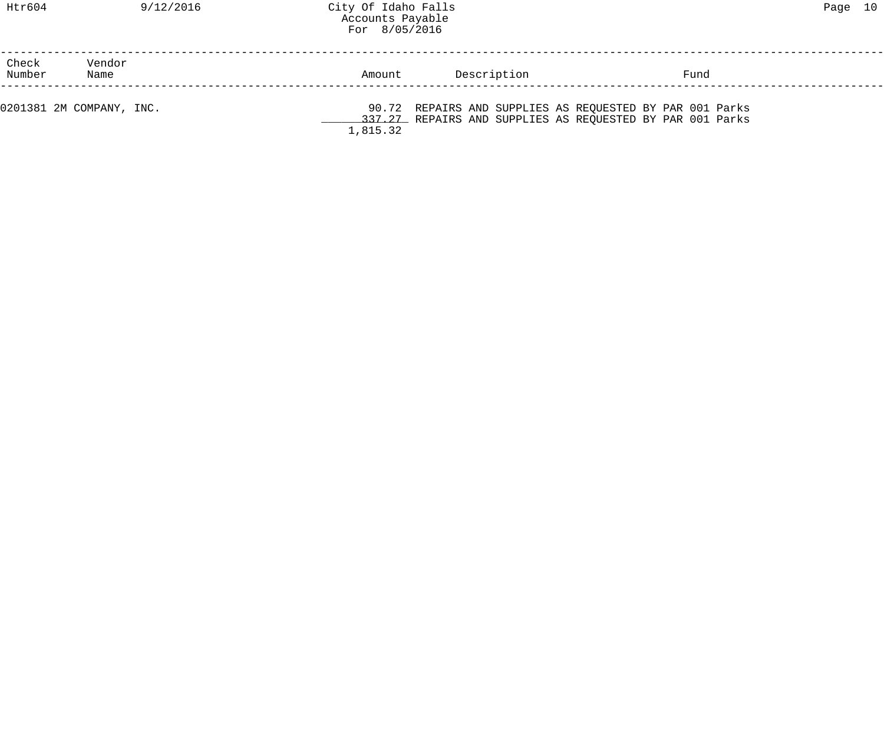|                 |                          | $\frac{1}{2}$ $\frac{1}{2}$ $\frac{1}{2}$ $\frac{1}{2}$ $\frac{1}{2}$ $\frac{1}{2}$ $\frac{1}{2}$ $\frac{1}{2}$ $\frac{1}{2}$ $\frac{1}{2}$ $\frac{1}{2}$ $\frac{1}{2}$ $\frac{1}{2}$ $\frac{1}{2}$ $\frac{1}{2}$ $\frac{1}{2}$ $\frac{1}{2}$ $\frac{1}{2}$ $\frac{1}{2}$ $\frac{1}{2}$ $\frac{1}{2}$ $\frac{1}{2}$ |             |                                                                                                                       |  |
|-----------------|--------------------------|---------------------------------------------------------------------------------------------------------------------------------------------------------------------------------------------------------------------------------------------------------------------------------------------------------------------|-------------|-----------------------------------------------------------------------------------------------------------------------|--|
| Check<br>Number | Vendor<br>Name           | Amount                                                                                                                                                                                                                                                                                                              | Description | Fund                                                                                                                  |  |
|                 | 0201381 2M COMPANY, INC. | 1,815.32                                                                                                                                                                                                                                                                                                            |             | 90.72 REPAIRS AND SUPPLIES AS REQUESTED BY PAR 001 Parks<br>337.27 REPAIRS AND SUPPLIES AS REQUESTED BY PAR 001 Parks |  |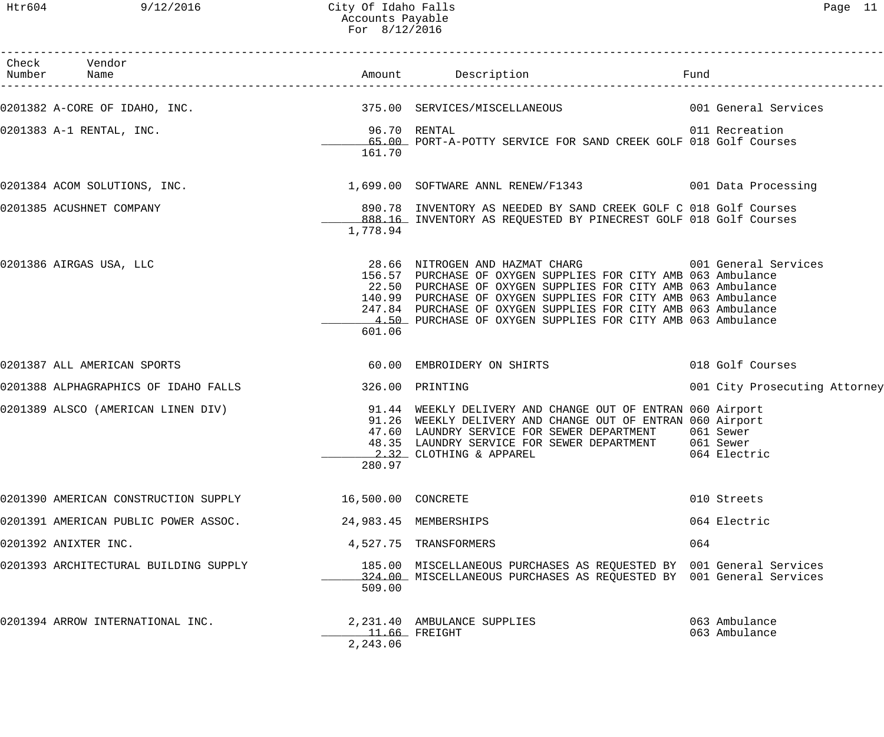Htr604 9/12/2016 City Of Idaho Falls Page 11 Accounts Payable For 8/12/2016

| Check Vendor<br>Number Name           |                        |                                                                                                                                                                                                                                                                                                                                                                                         | Fund                           |
|---------------------------------------|------------------------|-----------------------------------------------------------------------------------------------------------------------------------------------------------------------------------------------------------------------------------------------------------------------------------------------------------------------------------------------------------------------------------------|--------------------------------|
|                                       |                        | 0201382 A-CORE OF IDAHO, INC.                               375.00 SERVICES/MISCELLANEOUS                   001 General Services                                                                                                                                                                                                                                                        |                                |
| 0201383 A-1 RENTAL, INC.              | 96.70 RENTAL<br>161.70 | 65.00 PORT-A-POTTY SERVICE FOR SAND CREEK GOLF 018 Golf Courses                                                                                                                                                                                                                                                                                                                         | 011 Recreation                 |
| 0201384 ACOM SOLUTIONS, INC.          |                        | 1,699.00 SOFTWARE ANNL RENEW/F1343 6001 Data Processing                                                                                                                                                                                                                                                                                                                                 |                                |
| 0201385 ACUSHNET COMPANY              | 1,778.94               | 890.78 INVENTORY AS NEEDED BY SAND CREEK GOLF C 018 Golf Courses<br>888.16 INVENTORY AS REQUESTED BY PINECREST GOLF 018 Golf Courses                                                                                                                                                                                                                                                    |                                |
| 0201386 AIRGAS USA, LLC               | 601.06                 | 28.66 NITROGEN AND HAZMAT CHARG 6001 General Services<br>156.57 PURCHASE OF OXYGEN SUPPLIES FOR CITY AMB 063 Ambulance<br>22.50 PURCHASE OF OXYGEN SUPPLIES FOR CITY AMB 063 Ambulance<br>140.99 PURCHASE OF OXYGEN SUPPLIES FOR CITY AMB 063 Ambulance<br>247.84 PURCHASE OF OXYGEN SUPPLIES FOR CITY AMB 063 Ambulance<br>4.50 PURCHASE OF OXYGEN SUPPLIES FOR CITY AMB 063 Ambulance |                                |
| 0201387 ALL AMERICAN SPORTS           |                        | 60.00 EMBROIDERY ON SHIRTS                                                                                                                                                                                                                                                                                                                                                              | 018 Golf Courses               |
| 0201388 ALPHAGRAPHICS OF IDAHO FALLS  |                        | 326.00 PRINTING                                                                                                                                                                                                                                                                                                                                                                         | 001 City Prosecuting Attorney  |
|                                       | 280.97                 | 0201389 ALSCO (AMERICAN LINEN DIV) 31.44 WEEKLY DELIVERY AND CHANGE OUT OF ENTRAN 060 Airport<br>91.26 WEEKLY DELIVERY AND CHANGE OUT OF ENTRAN 060 Airport<br>47.60 LAUNDRY SERVICE FOR SEWER DEPARTMENT 061 Sewer<br>48.35 LAUNDRY SERVICE FOR SEWER DEPARTMENT 061 Sewer<br>2.32 CLOTHING & APPAREL                                                                                  | 064 Electric                   |
| 0201390 AMERICAN CONSTRUCTION SUPPLY  | 16,500.00 CONCRETE     |                                                                                                                                                                                                                                                                                                                                                                                         | 010 Streets                    |
| 0201391 AMERICAN PUBLIC POWER ASSOC.  |                        | 24,983.45 MEMBERSHIPS                                                                                                                                                                                                                                                                                                                                                                   | 064 Electric                   |
| 0201392 ANIXTER INC.                  |                        | 4,527.75 TRANSFORMERS                                                                                                                                                                                                                                                                                                                                                                   | 064                            |
| 0201393 ARCHITECTURAL BUILDING SUPPLY | 509.00                 | 185.00 MISCELLANEOUS PURCHASES AS REQUESTED BY 001 General Services<br>324.00 MISCELLANEOUS PURCHASES AS REQUESTED BY 001 General Services                                                                                                                                                                                                                                              |                                |
| 0201394 ARROW INTERNATIONAL INC.      | 2,243.06               | 2,231.40 AMBULANCE SUPPLIES<br>$11.66$ FREIGHT                                                                                                                                                                                                                                                                                                                                          | 063 Ambulance<br>063 Ambulance |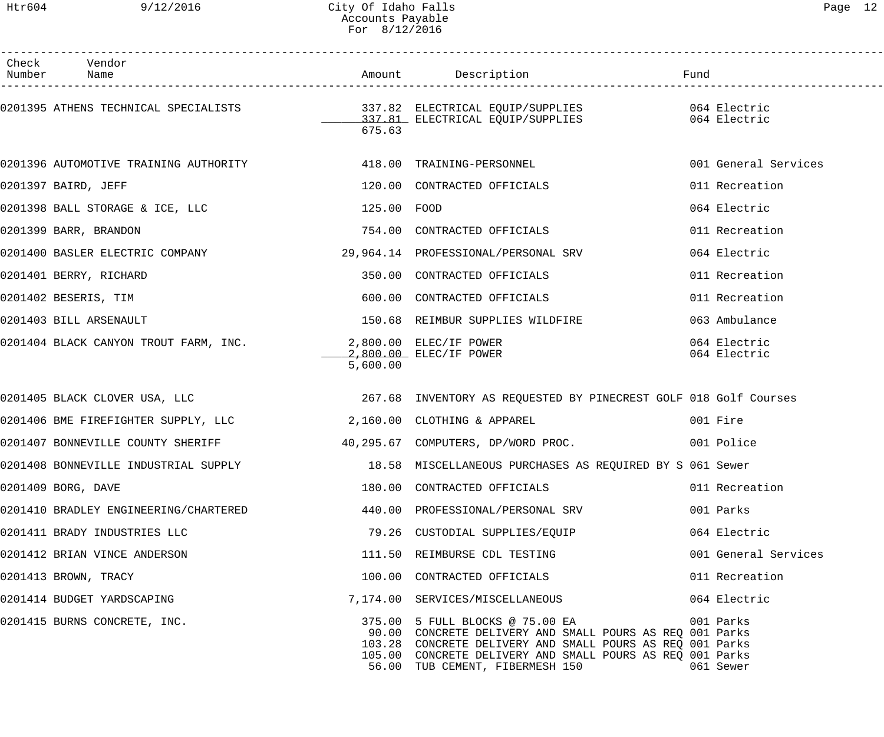| Check Vendor<br>Number Name                                                             |             |                                                                                                                                                                                                                                                                     |                              |
|-----------------------------------------------------------------------------------------|-------------|---------------------------------------------------------------------------------------------------------------------------------------------------------------------------------------------------------------------------------------------------------------------|------------------------------|
|                                                                                         | 675.63      |                                                                                                                                                                                                                                                                     |                              |
| 0201396 AUTOMOTIVE TRAINING AUTHORITY 418.00 TRAINING-PERSONNEL                         |             |                                                                                                                                                                                                                                                                     | 001 General Services         |
| 0201397 BAIRD, JEFF                                                                     |             | 120.00 CONTRACTED OFFICIALS                                                                                                                                                                                                                                         | 011 Recreation               |
| 0201398 BALL STORAGE & ICE, LLC                                                         | 125.00 FOOD |                                                                                                                                                                                                                                                                     | 064 Electric                 |
| 0201399 BARR, BRANDON                                                                   |             | 754.00 CONTRACTED OFFICIALS                                                                                                                                                                                                                                         | 011 Recreation               |
| 0201400 BASLER ELECTRIC COMPANY 29,964.14 PROFESSIONAL/PERSONAL SRV                     |             |                                                                                                                                                                                                                                                                     | 064 Electric                 |
| 0201401 BERRY, RICHARD                                                                  |             | 350.00 CONTRACTED OFFICIALS                                                                                                                                                                                                                                         | 011 Recreation               |
| 0201402 BESERIS, TIM                                                                    |             | 600.00 CONTRACTED OFFICIALS                                                                                                                                                                                                                                         | 011 Recreation               |
| 0201403 BILL ARSENAULT                                                                  |             | 150.68 REIMBUR SUPPLIES WILDFIRE                                                                                                                                                                                                                                    | 063 Ambulance                |
| 0201404 BLACK CANYON TROUT FARM, INC.<br>2,800.00 ELEC/IF POWER (2,800.00 ELEC/IF POWER | 5,600.00    |                                                                                                                                                                                                                                                                     | 064 Electric<br>064 Electric |
|                                                                                         |             | 0201405 BLACK CLOVER USA, LLC (267.68) INVENTORY AS REQUESTED BY PINECREST GOLF 018 Golf Courses                                                                                                                                                                    |                              |
| 0201406 BME FIREFIGHTER SUPPLY, LLC 2,160.00 CLOTHING & APPAREL                         |             |                                                                                                                                                                                                                                                                     | 001 Fire                     |
|                                                                                         |             | 0201407 BONNEVILLE COUNTY SHERIFF 40,295.67 COMPUTERS, DP/WORD PROC. 0001 Police                                                                                                                                                                                    |                              |
|                                                                                         |             | 0201408 BONNEVILLE INDUSTRIAL SUPPLY 18.58 MISCELLANEOUS PURCHASES AS REQUIRED BY S 061 Sewer                                                                                                                                                                       |                              |
| 0201409 BORG, DAVE                                                                      |             | 180.00 CONTRACTED OFFICIALS                                                                                                                                                                                                                                         | 011 Recreation               |
| 0201410 BRADLEY ENGINEERING/CHARTERED                                                   |             | 440.00 PROFESSIONAL/PERSONAL SRV                                                                                                                                                                                                                                    | 001 Parks                    |
| 0201411 BRADY INDUSTRIES LLC                                                            |             | 79.26 CUSTODIAL SUPPLIES/EQUIP                                                                                                                                                                                                                                      | 064 Electric                 |
| 0201412 BRIAN VINCE ANDERSON                                                            |             | 111.50 REIMBURSE CDL TESTING                                                                                                                                                                                                                                        | 001 General Services         |
| 0201413 BROWN, TRACY                                                                    |             | 100.00 CONTRACTED OFFICIALS                                                                                                                                                                                                                                         | 011 Recreation               |
| 0201414 BUDGET YARDSCAPING                                                              |             | 7,174.00 SERVICES/MISCELLANEOUS                                                                                                                                                                                                                                     | 064 Electric                 |
| 0201415 BURNS CONCRETE, INC.                                                            |             | 375.00 5 FULL BLOCKS @ 75.00 EA 6001 Parks<br>90.00 CONCRETE DELIVERY AND SMALL POURS AS REQ 001 Parks<br>103.28 CONCRETE DELIVERY AND SMALL POURS AS REQ 001 Parks<br>105.00 CONCRETE DELIVERY AND SMALL POURS AS REQ 001 Parks<br>56.00 TUB CEMENT, FIBERMESH 150 | 061 Sewer                    |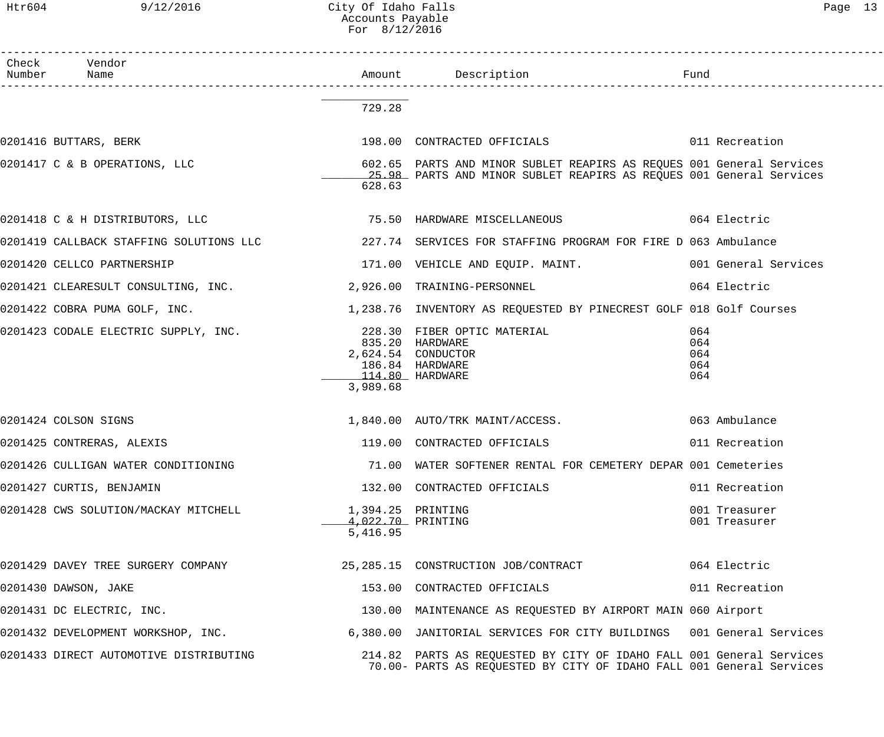Htr604 9/12/2016 City Of Idaho Falls Page 13 Accounts Payable For 8/12/2016

| Check Vendor<br>Number Name                                                                                            |                                                    |                                                                                                                                             |                                 |
|------------------------------------------------------------------------------------------------------------------------|----------------------------------------------------|---------------------------------------------------------------------------------------------------------------------------------------------|---------------------------------|
|                                                                                                                        | 729.28                                             |                                                                                                                                             |                                 |
| 0201416 BUTTARS, BERK                                                                                                  |                                                    | 198.00 CONTRACTED OFFICIALS 6011 Recreation                                                                                                 |                                 |
| 0201417 C & B OPERATIONS, LLC                                                                                          | 628.63                                             | 602.65 PARTS AND MINOR SUBLET REAPIRS AS REQUES 001 General Services<br>25.98 PARTS AND MINOR SUBLET REAPIRS AS REQUES 001 General Services |                                 |
|                                                                                                                        |                                                    |                                                                                                                                             |                                 |
| 0201419 CALLBACK STAFFING SOLUTIONS LLC 227.74 SERVICES FOR STAFFING PROGRAM FOR FIRE D 063 Ambulance                  |                                                    |                                                                                                                                             |                                 |
| 0201420 CELLCO PARTNERSHIP                                                                                             |                                                    | 171.00 VEHICLE AND EQUIP. MAINT. 4001 General Services                                                                                      |                                 |
| 0201421 CLEARESULT CONSULTING, INC. 2,926.00 TRAINING-PERSONNEL                                                        |                                                    |                                                                                                                                             | 064 Electric                    |
| 0201422 COBRA PUMA GOLF, INC.                                                                                          |                                                    | 1,238.76 INVENTORY AS REQUESTED BY PINECREST GOLF 018 Golf Courses                                                                          |                                 |
| 0201423 CODALE ELECTRIC SUPPLY, INC.                                                                                   | 114.80 HARDWARE<br>3,989.68                        | 228.30 FIBER OPTIC MATERIAL<br>835.20 HARDWARE<br>2,624.54 CONDUCTOR<br>186.84 HARDWARE                                                     | 064<br>064<br>064<br>064<br>064 |
| 0201424 COLSON SIGNS                                                                                                   |                                                    | 1,840.00 AUTO/TRK MAINT/ACCESS.                                                                                                             | 063 Ambulance                   |
| 0201425 CONTRERAS, ALEXIS                                                                                              |                                                    | 119.00 CONTRACTED OFFICIALS                                                                                                                 | 011 Recreation                  |
| 0201426 CULLIGAN WATER CONDITIONING                                                                                    |                                                    | 71.00 WATER SOFTENER RENTAL FOR CEMETERY DEPAR 001 Cemeteries                                                                               |                                 |
| 0201427 CURTIS, BENJAMIN                                                                                               |                                                    | 132.00 CONTRACTED OFFICIALS                                                                                                                 | 011 Recreation                  |
| 0201428 CWS SOLUTION/MACKAY MITCHELL                                                                                   | 1,394.25 PRINTING<br>4,022.70 PRINTING<br>5,416.95 |                                                                                                                                             | 001 Treasurer<br>001 Treasurer  |
| 0201429 DAVEY TREE SURGERY COMPANY 25,285.15 CONSTRUCTION JOB/CONTRACT 664 Electric                                    |                                                    |                                                                                                                                             |                                 |
| 0201430 DAWSON, JAKE                                                                                                   |                                                    | 153.00 CONTRACTED OFFICIALS                                                                                                                 | 011 Recreation                  |
| 0201431 DC ELECTRIC, INC.                                                                                              |                                                    | 130.00 MAINTENANCE AS REQUESTED BY AIRPORT MAIN 060 Airport                                                                                 |                                 |
| 0201432 DEVELOPMENT WORKSHOP, INC. 6,380.00 JANITORIAL SERVICES FOR CITY BUILDINGS 001 General Services                |                                                    |                                                                                                                                             |                                 |
| 0201433 DIRECT AUTOMOTIVE DISTRIBUTING THE REALLY 214.82 PARTS AS REQUESTED BY CITY OF IDAHO FALL 001 General Services |                                                    | 70.00- PARTS AS REQUESTED BY CITY OF IDAHO FALL 001 General Services                                                                        |                                 |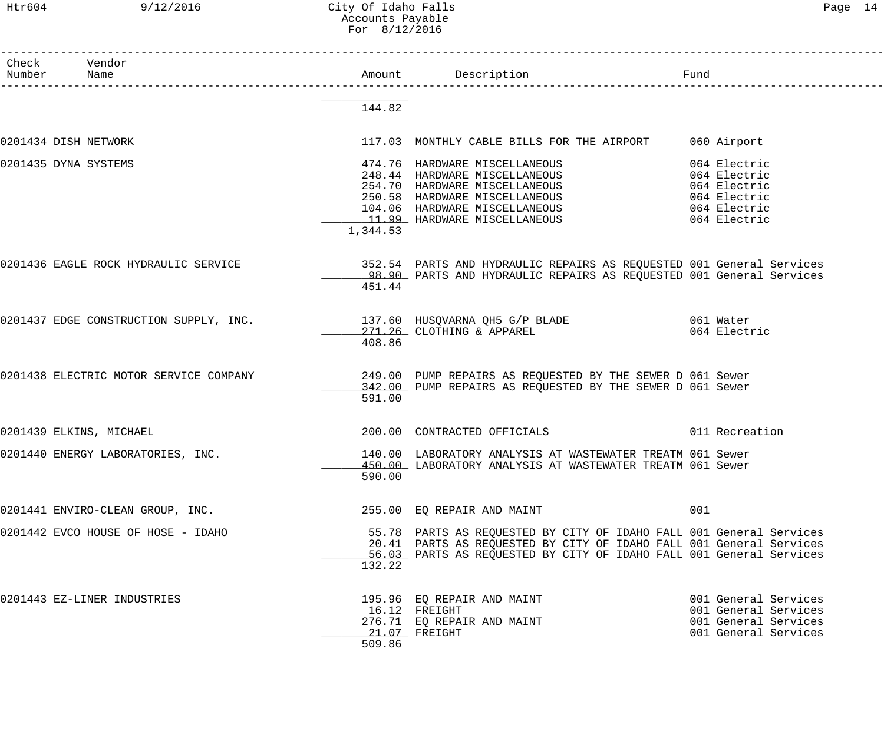# Htr604 9/12/2016 City Of Idaho Falls Page 14 Accounts Payable For 8/12/2016

| Check Vendor<br>Number | Name                                   |          |                                                                                                                                                                                                                                                                   | Fund                                                                                         |
|------------------------|----------------------------------------|----------|-------------------------------------------------------------------------------------------------------------------------------------------------------------------------------------------------------------------------------------------------------------------|----------------------------------------------------------------------------------------------|
|                        |                                        |          |                                                                                                                                                                                                                                                                   |                                                                                              |
|                        |                                        | 144.82   |                                                                                                                                                                                                                                                                   |                                                                                              |
| 0201434 DISH NETWORK   |                                        |          | 117.03 MONTHLY CABLE BILLS FOR THE AIRPORT                                                                                                                                                                                                                        | 060 Airport                                                                                  |
| 0201435 DYNA SYSTEMS   |                                        | 1,344.53 | 474.76 HARDWARE MISCELLANEOUS<br>248.44 HARDWARE MISCELLANEOUS 664 Electric<br>254.70 HARDWARE MISCELLANEOUS 664 Electric<br>250.58 HARDWARE MISCELLANEOUS 6064 Electric<br>104.06 HARDWARE MISCELLANEOUS 64 Electric<br>11.99 HARDWARE MISCELLANEOUS 64 Electric | 064 Electric                                                                                 |
|                        |                                        | 451.44   | 0201436 EAGLE ROCK HYDRAULIC SERVICE 352.54 PARTS AND HYDRAULIC REPAIRS AS REQUESTED 001 General Services<br>98.90 PARTS AND HYDRAULIC REPAIRS AS REOUESTED 001 General Services                                                                                  |                                                                                              |
|                        |                                        | 408.86   | 0201437 EDGE CONSTRUCTION SUPPLY, INC. 137.60 HUSQVARNA QH5 G/P BLADE 60 1 Water<br>271.26 CLOTHING & APPAREL 064 Electr                                                                                                                                          | 064 Electric                                                                                 |
|                        | 0201438 ELECTRIC MOTOR SERVICE COMPANY | 591.00   | 249.00 PUMP REPAIRS AS REQUESTED BY THE SEWER D 061 Sewer<br>342.00 PUMP REPAIRS AS REQUESTED BY THE SEWER D 061 Sewer                                                                                                                                            |                                                                                              |
|                        | 0201439 ELKINS, MICHAEL                |          |                                                                                                                                                                                                                                                                   |                                                                                              |
|                        | 0201440 ENERGY LABORATORIES, INC.      | 590.00   | 140.00 LABORATORY ANALYSIS AT WASTEWATER TREATM 061 Sewer<br>450.00 LABORATORY ANALYSIS AT WASTEWATER TREATM 061 Sewer                                                                                                                                            |                                                                                              |
|                        | 0201441 ENVIRO-CLEAN GROUP, INC.       |          | 255.00 EQ REPAIR AND MAINT                                                                                                                                                                                                                                        | 001                                                                                          |
|                        | 0201442 EVCO HOUSE OF HOSE - IDAHO     | 132.22   | 55.78 PARTS AS REQUESTED BY CITY OF IDAHO FALL 001 General Services<br>20.41 PARTS AS REQUESTED BY CITY OF IDAHO FALL 001 General Services<br>56.03 PARTS AS REQUESTED BY CITY OF IDAHO FALL 001 General Services                                                 |                                                                                              |
|                        | 0201443 EZ-LINER INDUSTRIES            | 509.86   | 195.96 EQ REPAIR AND MAINT<br>16.12 FREIGHT<br>276.71 EQ REPAIR AND MAINT<br>21.07 FREIGHT                                                                                                                                                                        | 001 General Services<br>001 General Services<br>001 General Services<br>001 General Services |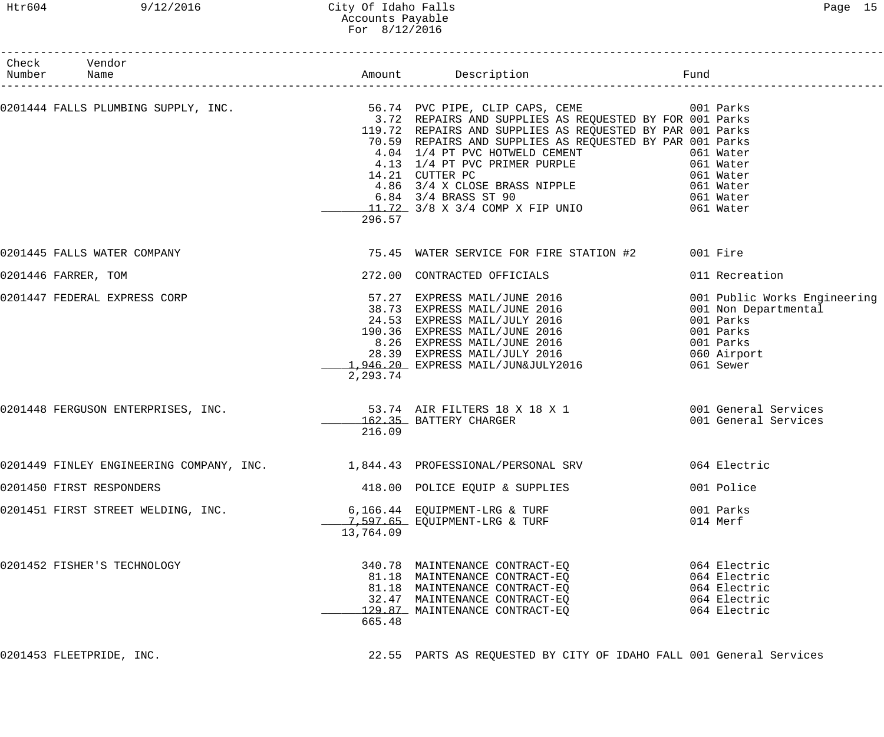# Htr604 9/12/2016 City Of Idaho Falls Page 15 Accounts Payable For 8/12/2016

| Check Vendor<br>Number Name                                                                                                                                                        |           |                                                                                                                                                                                                                                                                                                                                                                      |                                                                                                                         |
|------------------------------------------------------------------------------------------------------------------------------------------------------------------------------------|-----------|----------------------------------------------------------------------------------------------------------------------------------------------------------------------------------------------------------------------------------------------------------------------------------------------------------------------------------------------------------------------|-------------------------------------------------------------------------------------------------------------------------|
| 0201444 FALLS PLUMBING SUPPLY, INC.                                 56.74 PVC PIPE, CLIP CAPS, CEME           001 Parks<br>3.72 REPAIRS AND SUPPLIES AS REQUESTED BY FOR 001 Parks | 296.57    | 119.72 REPAIRS AND SUPPLIES AS REQUESTED BY PAR 001 Parks<br>70.59 REPAIRS AND SUPPLIES AS REQUESTED BY PAR 001 Parks<br>4.04 1/4 PT PVC HOTWELD CEMENT<br>4.13 1/4 PT PVC PRIMER PURPLE<br>14.21 CUTTER PC<br>4.86 3/4 X CLOSE BRASS NIPPLE<br>6.84 3/4 BRASS ST 90<br>11.72 3/8 X 3/4 COMP X FIP UNIO<br>061 Water<br>11.72 3/8 X 3/4 COMP X FIP UNIO<br>061 Water |                                                                                                                         |
| 0201445 FALLS WATER COMPANY                                                                                                                                                        |           | 75.45 WATER SERVICE FOR FIRE STATION #2 001 Fire                                                                                                                                                                                                                                                                                                                     |                                                                                                                         |
| 0201446 FARRER, TOM                                                                                                                                                                |           | 272.00 CONTRACTED OFFICIALS                                                                                                                                                                                                                                                                                                                                          | 011 Recreation                                                                                                          |
| 0201447 FEDERAL EXPRESS CORP                                                                                                                                                       | 2,293.74  | 57.27 EXPRESS MAIL/JUNE 2016<br>38.73 EXPRESS MAIL/JUNE 2016<br>24.53 EXPRESS MAIL/JULY 2016<br>190.36 EXPRESS MAIL/JUNE 2016<br>8.26 EXPRESS MAIL/JUNE 2016<br>28.39 EXPRESS MAIL/JULY 2016<br>1,946.20 EXPRESS MAIL/JULY 2016                                                                                                                                      | 001 Public Works Engineering<br>001 Non Departmental<br>001 Parks<br>001 Parks<br>001 Parks<br>060 Airport<br>061 Sewer |
| 0201448 FERGUSON ENTERPRISES, INC.                        53.74 AIR FILTERS 18 X 18 X 1                 001 General Services                                                       | 216.09    | 162.35 BATTERY CHARGER                                                                                                                                                                                                                                                                                                                                               | 001 General Services                                                                                                    |
| 0201449 FINLEY ENGINEERING COMPANY, INC. 1,844.43 PROFESSIONAL/PERSONAL SRV 064 Electric                                                                                           |           |                                                                                                                                                                                                                                                                                                                                                                      |                                                                                                                         |
| 0201450 FIRST RESPONDERS                                                                                                                                                           |           | 418.00 POLICE EQUIP & SUPPLIES                                                                                                                                                                                                                                                                                                                                       | 001 Police                                                                                                              |
| 0201451 FIRST STREET WELDING, INC.                                                                                                                                                 | 13,764.09 | 6,166.44 EQUIPMENT-LRG & TURF<br>7,597.65 EQUIPMENT-LRG & TURF                                                                                                                                                                                                                                                                                                       | 001 Parks<br>014 Merf                                                                                                   |
| 0201452 FISHER'S TECHNOLOGY                                                                                                                                                        | 665.48    | 340.78 MAINTENANCE CONTRACT-EQ<br>81.18 MAINTENANCE CONTRACT-EQ<br>81.18 MAINTENANCE CONTRACT-EQ<br>32.47 MAINTENANCE CONTRACT-EQ<br>129.87 MAINTENANCE CONTRACT-EQ                                                                                                                                                                                                  | 064 Electric<br>064 Electric<br>064 Electric<br>064 Electric<br>064 Electric                                            |

0201453 FLEETPRIDE, INC. 22.55 PARTS AS REQUESTED BY CITY OF IDAHO FALL 001 General Services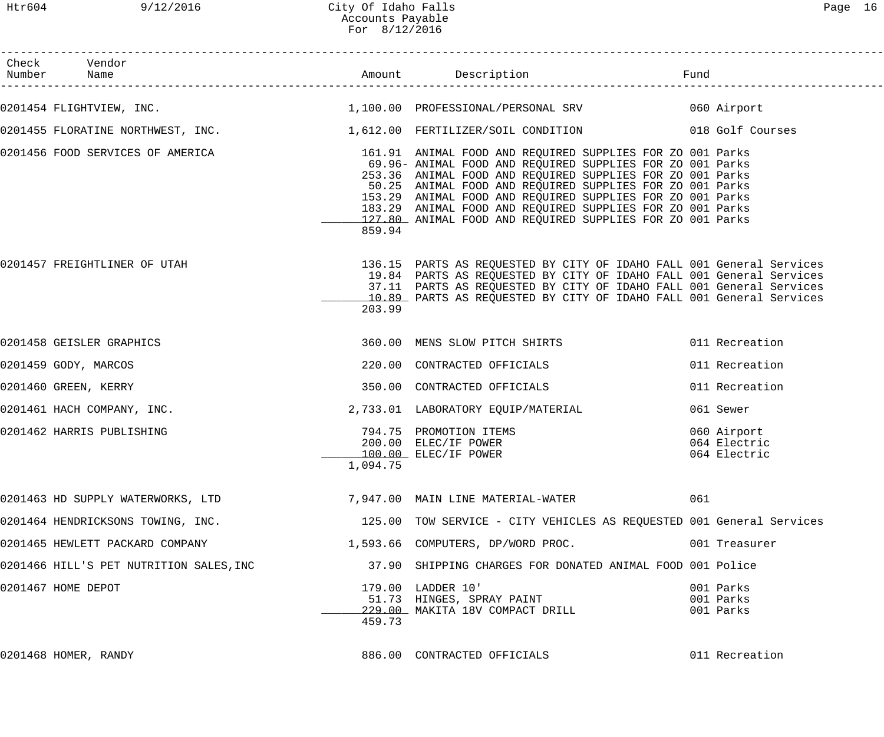| Check Vendor<br>Number Name                                                                              |          |                                                                                                                                                                                                                                                                                                                                                                           |                                             |
|----------------------------------------------------------------------------------------------------------|----------|---------------------------------------------------------------------------------------------------------------------------------------------------------------------------------------------------------------------------------------------------------------------------------------------------------------------------------------------------------------------------|---------------------------------------------|
| 0201454 FLIGHTVIEW, INC.                                                                                 |          | 1,100.00 PROFESSIONAL/PERSONAL SRV 060 Airport                                                                                                                                                                                                                                                                                                                            |                                             |
| 0201455 FLORATINE NORTHWEST, INC. 1,612.00 FERTILIZER/SOIL CONDITION 018 Golf Courses                    |          |                                                                                                                                                                                                                                                                                                                                                                           |                                             |
| 0201456 FOOD SERVICES OF AMERICA THE SERVICE SUPPLIES OF A SERVICES OF AMERICA SUPPLIES FOR ZO 001 Parks | 859.94   | 69.96- ANIMAL FOOD AND REQUIRED SUPPLIES FOR ZO 001 Parks<br>253.36 ANIMAL FOOD AND REQUIRED SUPPLIES FOR ZO 001 Parks<br>50.25 ANIMAL FOOD AND REQUIRED SUPPLIES FOR ZO 001 Parks<br>153.29 ANIMAL FOOD AND REQUIRED SUPPLIES FOR ZO 001 Parks<br>183.29 ANIMAL FOOD AND REQUIRED SUPPLIES FOR ZO 001 Parks<br>127.80 ANIMAL FOOD AND REQUIRED SUPPLIES FOR ZO 001 Parks |                                             |
| 0201457 FREIGHTLINER OF UTAH                                                                             | 203.99   | 136.15 PARTS AS REQUESTED BY CITY OF IDAHO FALL 001 General Services<br>19.84 PARTS AS REQUESTED BY CITY OF IDAHO FALL 001 General Services<br>37.11 PARTS AS REQUESTED BY CITY OF IDAHO FALL 001 General Services<br>10.89 PARTS AS REQUESTED BY CITY OF IDAHO FALL 001 General Services                                                                                 |                                             |
| 0201458 GEISLER GRAPHICS                                                                                 |          | 360.00 MENS SLOW PITCH SHIRTS                                                                                                                                                                                                                                                                                                                                             | 011 Recreation                              |
| 0201459 GODY, MARCOS                                                                                     |          | 220.00 CONTRACTED OFFICIALS                                                                                                                                                                                                                                                                                                                                               | 011 Recreation                              |
| 0201460 GREEN, KERRY                                                                                     |          | 350.00 CONTRACTED OFFICIALS                                                                                                                                                                                                                                                                                                                                               | 011 Recreation                              |
| 0201461 HACH COMPANY, INC.                                                                               |          | 2,733.01 LABORATORY EQUIP/MATERIAL                                                                                                                                                                                                                                                                                                                                        | 061 Sewer                                   |
| 0201462 HARRIS PUBLISHING                                                                                | 1,094.75 | 794.75 PROMOTION ITEMS<br>200.00 ELEC/IF POWER<br>100.00 ELEC/IF POWER                                                                                                                                                                                                                                                                                                    | 060 Airport<br>064 Electric<br>064 Electric |
| 0201463 HD SUPPLY WATERWORKS, LTD                                                                        |          | 7,947.00 MAIN LINE MATERIAL-WATER                                                                                                                                                                                                                                                                                                                                         | 061                                         |
| 0201464 HENDRICKSONS TOWING, INC.                                                                        |          | 125.00 TOW SERVICE - CITY VEHICLES AS REQUESTED 001 General Services                                                                                                                                                                                                                                                                                                      |                                             |
| 0201465 HEWLETT PACKARD COMPANY                                                                          |          | 1,593.66 COMPUTERS, DP/WORD PROC.                                                                                                                                                                                                                                                                                                                                         | 001 Treasurer                               |
| 0201466 HILL'S PET NUTRITION SALES, INC                                                                  |          | 37.90 SHIPPING CHARGES FOR DONATED ANIMAL FOOD 001 Police                                                                                                                                                                                                                                                                                                                 |                                             |
| 0201467 HOME DEPOT                                                                                       | 459.73   | 179.00 LADDER 10'<br>51.73 HINGES, SPRAY PAINT<br>229.00 MAKITA 18V COMPACT DRILL                                                                                                                                                                                                                                                                                         | 001 Parks<br>001 Parks<br>001 Parks         |
| 0201468 HOMER, RANDY                                                                                     |          | 886.00 CONTRACTED OFFICIALS                                                                                                                                                                                                                                                                                                                                               | 011 Recreation                              |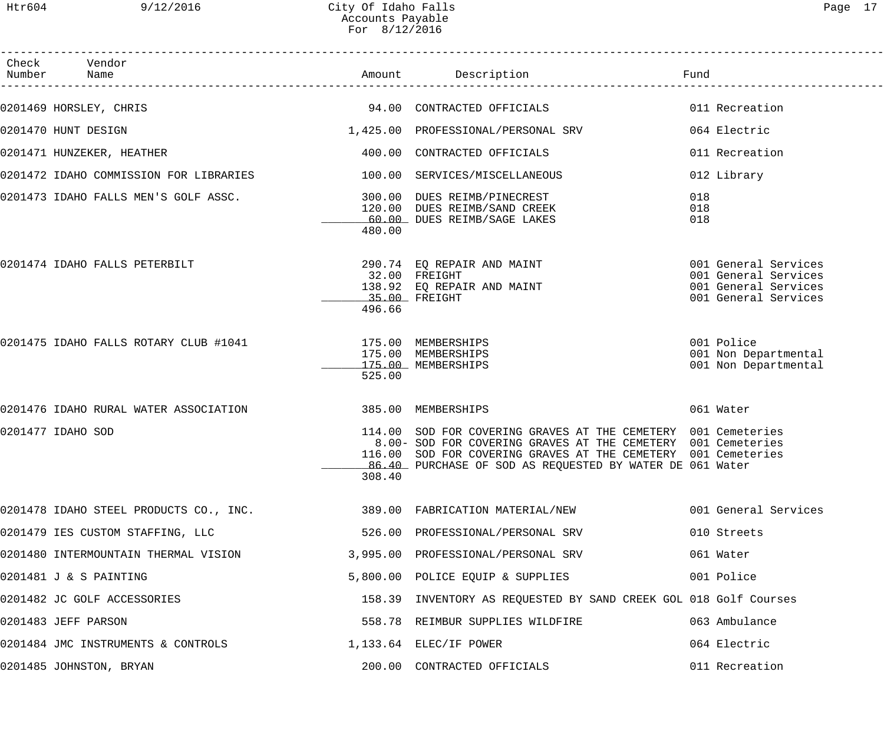| Check Vendor<br>Number Name                                            |        |                                                                                                                                                                                                                                                            |                                                                                              |
|------------------------------------------------------------------------|--------|------------------------------------------------------------------------------------------------------------------------------------------------------------------------------------------------------------------------------------------------------------|----------------------------------------------------------------------------------------------|
| 0201469 HORSLEY, CHRIS                                                 |        | 94.00 CONTRACTED OFFICIALS                                                                                                                                                                                                                                 | 011 Recreation                                                                               |
| 0201470 HUNT DESIGN                                                    |        | 1,425.00 PROFESSIONAL/PERSONAL SRV                                                                                                                                                                                                                         | 064 Electric                                                                                 |
| 0201471 HUNZEKER, HEATHER                                              |        | 400.00 CONTRACTED OFFICIALS                                                                                                                                                                                                                                | 011 Recreation                                                                               |
| 0201472 IDAHO COMMISSION FOR LIBRARIES 100.00 SERVICES/MISCELLANEOUS   |        |                                                                                                                                                                                                                                                            | 012 Library                                                                                  |
| 0201473 IDAHO FALLS MEN'S GOLF ASSC. 300.00 DUES REIMB/PINECREST       | 480.00 | 120.00 DUES REIMB/SAND CREEK<br>60.00 DUES REIMB/SAGE LAKES                                                                                                                                                                                                | 018<br>018<br>018                                                                            |
| 0201474 IDAHO FALLS PETERBILT                                          | 496.66 | 290.74 EQ REPAIR AND MAINT<br>32.00 FREIGHT<br>138.92 EQ REPAIR AND MAINT<br>35.00 FREIGHT                                                                                                                                                                 | 001 General Services<br>001 General Services<br>001 General Services<br>001 General Services |
| 0201475 IDAHO FALLS ROTARY CLUB #1041 175.00 MEMBERSHIPS               | 525.00 | 175.00 MEMBERSHIPS<br>175.00 MEMBERSHIPS                                                                                                                                                                                                                   | 001 Police<br>001 Non Departmental<br>001 Non Departmental                                   |
| 0201476 IDAHO RURAL WATER ASSOCIATION                                  |        | 385.00 MEMBERSHIPS                                                                                                                                                                                                                                         | 061 Water                                                                                    |
| 0201477 IDAHO SOD                                                      | 308.40 | 114.00 SOD FOR COVERING GRAVES AT THE CEMETERY 001 Cemeteries<br>8.00- SOD FOR COVERING GRAVES AT THE CEMETERY 001 Cemeteries<br>116.00 SOD FOR COVERING GRAVES AT THE CEMETERY 001 Cemeteries<br>86.40 PURCHASE OF SOD AS REQUESTED BY WATER DE 061 Water |                                                                                              |
| 0201478 IDAHO STEEL PRODUCTS CO., INC. 389.00 FABRICATION MATERIAL/NEW |        |                                                                                                                                                                                                                                                            | 001 General Services                                                                         |
| 0201479 IES CUSTOM STAFFING, LLC                                       |        | 526.00 PROFESSIONAL/PERSONAL SRV                                                                                                                                                                                                                           | 010 Streets                                                                                  |
| 0201480 INTERMOUNTAIN THERMAL VISION                                   |        | 3,995.00 PROFESSIONAL/PERSONAL SRV                                                                                                                                                                                                                         | 061 Water                                                                                    |
| 0201481 J & S PAINTING                                                 |        | 5,800.00 POLICE EQUIP & SUPPLIES                                                                                                                                                                                                                           | 001 Police                                                                                   |
| 0201482 JC GOLF ACCESSORIES                                            |        | 158.39 INVENTORY AS REQUESTED BY SAND CREEK GOL 018 Golf Courses                                                                                                                                                                                           |                                                                                              |
| 0201483 JEFF PARSON                                                    |        | 558.78 REIMBUR SUPPLIES WILDFIRE                                                                                                                                                                                                                           | 063 Ambulance                                                                                |
| 0201484 JMC INSTRUMENTS & CONTROLS 1,133.64 ELEC/IF POWER              |        |                                                                                                                                                                                                                                                            | 064 Electric                                                                                 |
| 0201485 JOHNSTON, BRYAN                                                |        | 200.00 CONTRACTED OFFICIALS                                                                                                                                                                                                                                | 011 Recreation                                                                               |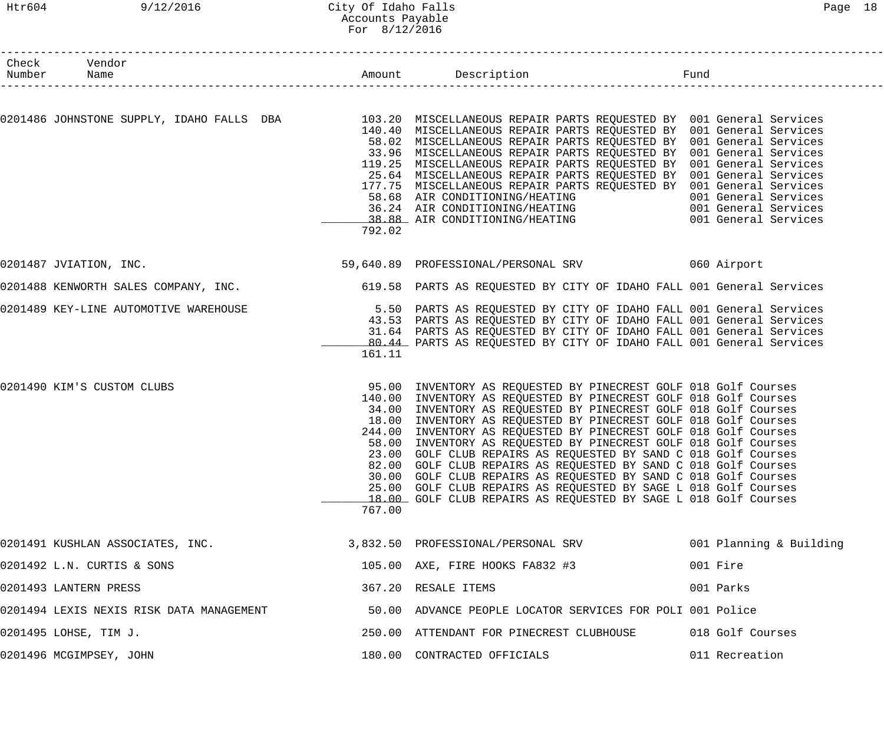# Htr604 9/12/2016 City Of Idaho Falls Page 18 Accounts Payable For 8/12/2016

| Check Vendor<br>Number Name              |        |                                                                                                                                                                                                                                                                                                                                                                                                                                                                                                                                                                                                                                                                                                                                                                 |                         |
|------------------------------------------|--------|-----------------------------------------------------------------------------------------------------------------------------------------------------------------------------------------------------------------------------------------------------------------------------------------------------------------------------------------------------------------------------------------------------------------------------------------------------------------------------------------------------------------------------------------------------------------------------------------------------------------------------------------------------------------------------------------------------------------------------------------------------------------|-------------------------|
|                                          | 792.02 | 0201486 JOHNSTONE SUPPLY, IDAHO FALLS DBA 103.20 MISCELLANEOUS REPAIR PARTS REQUESTED BY 001 General Services<br>140.40 MISCELLANEOUS REPAIR PARTS REQUESTED BY 001 General Services<br>58.02 MISCELLANEOUS REPAIR PARTS REQUESTED BY 001 General Services<br>33.96 MISCELLANEOUS REPAIR PARTS REQUESTED BY 001 General Services<br>119.25 MISCELLANEOUS REPAIR PARTS REQUESTED BY 001 General Services<br>25.64 MISCELLANEOUS REPAIR PARTS REQUESTED BY 001 General Services<br>177.75 MISCELLANEOUS REPAIR PARTS REQUESTED BY 001 General Services<br>58.68 AIR CONDITIONING/HEATING<br>36.24 AIR CONDITIONING/HEATING 601 General Services                                                                                                                   | 001 General Services    |
| 0201487 JVIATION, INC.                   |        |                                                                                                                                                                                                                                                                                                                                                                                                                                                                                                                                                                                                                                                                                                                                                                 |                         |
|                                          |        | 0201488 KENWORTH SALES COMPANY, INC.<br>619.58 PARTS AS REQUESTED BY CITY OF IDAHO FALL 001 General Services                                                                                                                                                                                                                                                                                                                                                                                                                                                                                                                                                                                                                                                    |                         |
| 0201489 KEY-LINE AUTOMOTIVE WAREHOUSE    | 161.11 | 5.50 PARTS AS REQUESTED BY CITY OF IDAHO FALL 001 General Services<br>43.53 PARTS AS REQUESTED BY CITY OF IDAHO FALL 001 General Services<br>31.64 PARTS AS REQUESTED BY CITY OF IDAHO FALL 001 General Services<br>80.44 PARTS AS REQUESTED BY CITY OF IDAHO FALL 001 General Services                                                                                                                                                                                                                                                                                                                                                                                                                                                                         |                         |
| 0201490 KIM'S CUSTOM CLUBS               | 767.00 | 95.00 INVENTORY AS REQUESTED BY PINECREST GOLF 018 Golf Courses<br>140.00 INVENTORY AS REQUESTED BY PINECREST GOLF 018 Golf Courses<br>34.00 INVENTORY AS REQUESTED BY PINECREST GOLF 018 Golf Courses<br>18.00 INVENTORY AS REQUESTED BY PINECREST GOLF 018 Golf Courses<br>244.00 INVENTORY AS REQUESTED BY PINECREST GOLF 018 Golf Courses<br>58.00 INVENTORY AS REQUESTED BY PINECREST GOLF 018 Golf Courses<br>23.00 GOLF CLUB REPAIRS AS REQUESTED BY SAND C 018 Golf Courses<br>82.00 GOLF CLUB REPAIRS AS REQUESTED BY SAND C 018 Golf Courses<br>30.00 GOLF CLUB REPAIRS AS REQUESTED BY SAND C 018 Golf Courses<br>25.00 GOLF CLUB REPAIRS AS REQUESTED BY SAGE L 018 Golf Courses<br>18.00 GOLF CLUB REPAIRS AS REQUESTED BY SAGE L 018 Golf Courses |                         |
| 0201491 KUSHLAN ASSOCIATES, INC.         |        | 3,832.50 PROFESSIONAL/PERSONAL SRV                                                                                                                                                                                                                                                                                                                                                                                                                                                                                                                                                                                                                                                                                                                              | 001 Planning & Building |
| 0201492 L.N. CURTIS & SONS               |        | 105.00 AXE, FIRE HOOKS FA832 #3                                                                                                                                                                                                                                                                                                                                                                                                                                                                                                                                                                                                                                                                                                                                 | 001 Fire                |
| 0201493 LANTERN PRESS                    |        | 367.20 RESALE ITEMS                                                                                                                                                                                                                                                                                                                                                                                                                                                                                                                                                                                                                                                                                                                                             | 001 Parks               |
| 0201494 LEXIS NEXIS RISK DATA MANAGEMENT |        | 50.00 ADVANCE PEOPLE LOCATOR SERVICES FOR POLI 001 Police                                                                                                                                                                                                                                                                                                                                                                                                                                                                                                                                                                                                                                                                                                       |                         |
| 0201495 LOHSE, TIM J.                    |        | 250.00 ATTENDANT FOR PINECREST CLUBHOUSE                                                                                                                                                                                                                                                                                                                                                                                                                                                                                                                                                                                                                                                                                                                        | 018 Golf Courses        |
| 0201496 MCGIMPSEY, JOHN                  |        | 180.00 CONTRACTED OFFICIALS                                                                                                                                                                                                                                                                                                                                                                                                                                                                                                                                                                                                                                                                                                                                     | 011 Recreation          |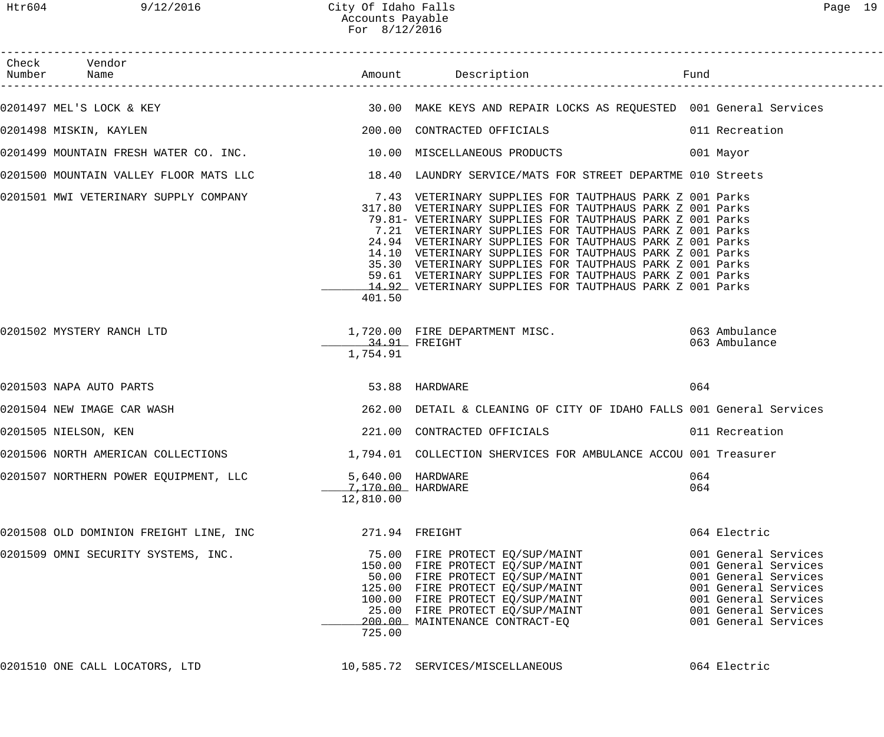| Check Vendor<br>Number Name                                        |                                                     |                                                                                                                                                                                                                                                                                                                                                                                                                                                                                                                                                                                                               |            |                                                                                                                                                                      |
|--------------------------------------------------------------------|-----------------------------------------------------|---------------------------------------------------------------------------------------------------------------------------------------------------------------------------------------------------------------------------------------------------------------------------------------------------------------------------------------------------------------------------------------------------------------------------------------------------------------------------------------------------------------------------------------------------------------------------------------------------------------|------------|----------------------------------------------------------------------------------------------------------------------------------------------------------------------|
|                                                                    |                                                     | 0201497 MEL'S LOCK & KEY (30.00 MAKE KEYS AND REPAIR LOCKS AS REQUESTED 001 General Services                                                                                                                                                                                                                                                                                                                                                                                                                                                                                                                  |            |                                                                                                                                                                      |
| 0201498 MISKIN, KAYLEN                                             |                                                     | 200.00 CONTRACTED OFFICIALS<br>011 Recreation                                                                                                                                                                                                                                                                                                                                                                                                                                                                                                                                                                 |            |                                                                                                                                                                      |
| 0201499 MOUNTAIN FRESH WATER CO. INC. 10.00 MISCELLANEOUS PRODUCTS |                                                     |                                                                                                                                                                                                                                                                                                                                                                                                                                                                                                                                                                                                               |            | 001 Mayor                                                                                                                                                            |
|                                                                    |                                                     | 0201500 MOUNTAIN VALLEY FLOOR MATS LLC 18.40 LAUNDRY SERVICE/MATS FOR STREET DEPARTME 010 Streets                                                                                                                                                                                                                                                                                                                                                                                                                                                                                                             |            |                                                                                                                                                                      |
|                                                                    | 401.50                                              | 0201501 MWI VETERINARY SUPPLY COMPANY 1999 1999 1999 7.43 VETERINARY SUPPLIES FOR TAUTPHAUS PARK Z 001 Parks<br>317.80 VETERINARY SUPPLIES FOR TAUTPHAUS PARK Z 001 Parks<br>79.81- VETERINARY SUPPLIES FOR TAUTPHAUS PARK Z 001 Parks<br>7.21 VETERINARY SUPPLIES FOR TAUTPHAUS PARK Z 001 Parks<br>24.94 VETERINARY SUPPLIES FOR TAUTPHAUS PARK Z 001 Parks<br>14.10 VETERINARY SUPPLIES FOR TAUTPHAUS PARK Z 001 Parks<br>35.30 VETERINARY SUPPLIES FOR TAUTPHAUS PARK Z 001 Parks<br>59.61 VETERINARY SUPPLIES FOR TAUTPHAUS PARK Z 001 Parks<br>14.92 VETERINARY SUPPLIES FOR TAUTPHAUS PARK Z 001 Parks |            |                                                                                                                                                                      |
| 0201502 MYSTERY RANCH LTD                                          | 34.91 FREIGHT<br>1,754.91                           | 1,720.00 FIRE DEPARTMENT MISC. 063 Ambulance                                                                                                                                                                                                                                                                                                                                                                                                                                                                                                                                                                  |            | 063 Ambulance                                                                                                                                                        |
| 0201503 NAPA AUTO PARTS                                            |                                                     | 53.88 HARDWARE                                                                                                                                                                                                                                                                                                                                                                                                                                                                                                                                                                                                | 064        |                                                                                                                                                                      |
| 0201504 NEW IMAGE CAR WASH                                         |                                                     | 262.00 DETAIL & CLEANING OF CITY OF IDAHO FALLS 001 General Services                                                                                                                                                                                                                                                                                                                                                                                                                                                                                                                                          |            |                                                                                                                                                                      |
| 0201505 NIELSON, KEN                                               |                                                     | 221.00 CONTRACTED OFFICIALS 6011 Recreation                                                                                                                                                                                                                                                                                                                                                                                                                                                                                                                                                                   |            |                                                                                                                                                                      |
| 0201506 NORTH AMERICAN COLLECTIONS                                 |                                                     | 1,794.01 COLLECTION SHERVICES FOR AMBULANCE ACCOU 001 Treasurer                                                                                                                                                                                                                                                                                                                                                                                                                                                                                                                                               |            |                                                                                                                                                                      |
| 0201507 NORTHERN POWER EQUIPMENT, LLC                              | 5,640.00 HARDWARE<br>7,170.00 HARDWARE<br>12,810.00 |                                                                                                                                                                                                                                                                                                                                                                                                                                                                                                                                                                                                               | 064<br>064 |                                                                                                                                                                      |
| 0201508 OLD DOMINION FREIGHT LINE, INC                             | 271.94 FREIGHT                                      |                                                                                                                                                                                                                                                                                                                                                                                                                                                                                                                                                                                                               |            | 064 Electric                                                                                                                                                         |
| 0201509 OMNI SECURITY SYSTEMS, INC.                                | 725.00                                              | 75.00 FIRE PROTECT EQ/SUP/MAINT<br>150.00 FIRE PROTECT EQ/SUP/MAINT<br>50.00 FIRE PROTECT EQ/SUP/MAINT<br>125.00 FIRE PROTECT EQ/SUP/MAINT<br>100.00 FIRE PROTECT EQ/SUP/MAINT<br>25.00 FIRE PROTECT EQ/SUP/MAINT<br>200.00 MAINTENANCE CONTRACT-EQ                                                                                                                                                                                                                                                                                                                                                           |            | 001 General Services<br>001 General Services<br>001 General Services<br>001 General Services<br>001 General Services<br>001 General Services<br>001 General Services |
| 0201510 ONE CALL LOCATORS, LTD                                     |                                                     | 10,585.72 SERVICES/MISCELLANEOUS                                                                                                                                                                                                                                                                                                                                                                                                                                                                                                                                                                              |            | 064 Electric                                                                                                                                                         |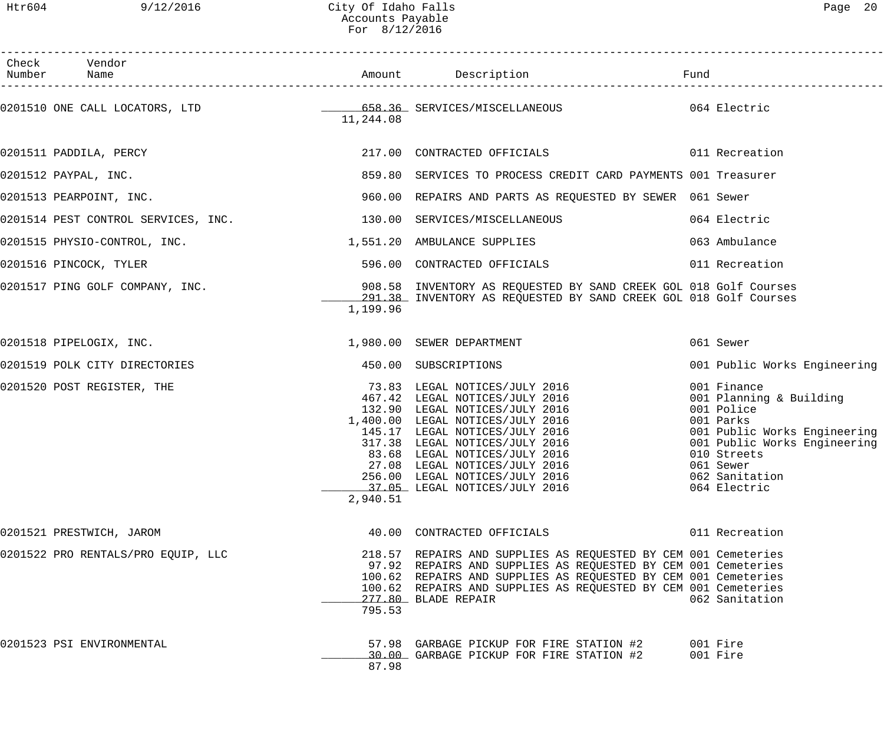| Check Vendor<br>Number Name                                       |           |                                                                                                                                                                                                                                                                                                                                                |                                                                                                                                                                                                 |
|-------------------------------------------------------------------|-----------|------------------------------------------------------------------------------------------------------------------------------------------------------------------------------------------------------------------------------------------------------------------------------------------------------------------------------------------------|-------------------------------------------------------------------------------------------------------------------------------------------------------------------------------------------------|
|                                                                   | 11,244.08 |                                                                                                                                                                                                                                                                                                                                                |                                                                                                                                                                                                 |
| 0201511 PADDILA, PERCY                                            |           | 217.00 CONTRACTED OFFICIALS 6011 Recreation                                                                                                                                                                                                                                                                                                    |                                                                                                                                                                                                 |
| 0201512 PAYPAL, INC.                                              |           | 859.80 SERVICES TO PROCESS CREDIT CARD PAYMENTS 001 Treasurer                                                                                                                                                                                                                                                                                  |                                                                                                                                                                                                 |
| 0201513 PEARPOINT, INC.                                           |           | 960.00 REPAIRS AND PARTS AS REQUESTED BY SEWER 061 Sewer                                                                                                                                                                                                                                                                                       |                                                                                                                                                                                                 |
| 0201514 PEST CONTROL SERVICES, INC. 130.00 SERVICES/MISCELLANEOUS |           |                                                                                                                                                                                                                                                                                                                                                | 064 Electric                                                                                                                                                                                    |
| 0201515 PHYSIO-CONTROL, INC. 2551.20 AMBULANCE SUPPLIES           |           |                                                                                                                                                                                                                                                                                                                                                | 063 Ambulance                                                                                                                                                                                   |
| 0201516 PINCOCK, TYLER                                            |           | 596.00 CONTRACTED OFFICIALS                                                                                                                                                                                                                                                                                                                    | 011 Recreation                                                                                                                                                                                  |
|                                                                   | 1,199.96  | 0201517 PING GOLF COMPANY, INC. The Sample of the Subset of the Sample State of the Sample of the Courses of t<br>291.38 INVENTORY AS REQUESTED BY SAND CREEK GOL 018 Golf Courses                                                                                                                                                             |                                                                                                                                                                                                 |
| 0201518 PIPELOGIX, INC.                                           |           | 1,980.00 SEWER DEPARTMENT                                                                                                                                                                                                                                                                                                                      | 061 Sewer                                                                                                                                                                                       |
| 0201519 POLK CITY DIRECTORIES                                     |           | 450.00 SUBSCRIPTIONS                                                                                                                                                                                                                                                                                                                           | 001 Public Works Engineering                                                                                                                                                                    |
| 0201520 POST REGISTER, THE                                        | 2,940.51  | 73.83 LEGAL NOTICES/JULY 2016<br>467.42 LEGAL NOTICES/JULY 2016<br>132.90 LEGAL NOTICES/JULY 2016<br>1,400.00 LEGAL NOTICES/JULY 2016<br>145.17 LEGAL NOTICES/JULY 2016<br>317.38 LEGAL NOTICES/JULY 2016<br>83.68 LEGAL NOTICES/JULY 2016<br>27.08 LEGAL NOTICES/JULY 2016<br>256.00 LEGAL NOTICES/JULY 2016<br>37.05 LEGAL NOTICES/JULY 2016 | 001 Finance<br>001 Planning & Building<br>001 Police<br>001 Parks<br>001 Public Works Engineering<br>001 Public Works Engineering<br>010 Streets<br>061 Sewer<br>062 Sanitation<br>064 Electric |
| 0201521 PRESTWICH, JAROM                                          |           | 40.00 CONTRACTED OFFICIALS                                                                                                                                                                                                                                                                                                                     | 011 Recreation                                                                                                                                                                                  |
| 0201522 PRO RENTALS/PRO EQUIP, LLC                                | 795.53    | 218.57 REPAIRS AND SUPPLIES AS REQUESTED BY CEM 001 Cemeteries<br>97.92 REPAIRS AND SUPPLIES AS REQUESTED BY CEM 001 Cemeteries<br>100.62 REPAIRS AND SUPPLIES AS REQUESTED BY CEM 001 Cemeteries<br>100.62 REPAIRS AND SUPPLIES AS REQUESTED BY CEM 001 Cemeteries<br>277.80 BLADE REPAIR                                                     | 062 Sanitation                                                                                                                                                                                  |
| 0201523 PSI ENVIRONMENTAL                                         | 87.98     | 57.98 GARBAGE PICKUP FOR FIRE STATION #2<br>30.00 GARBAGE PICKUP FOR FIRE STATION #2                                                                                                                                                                                                                                                           | 001 Fire<br>001 Fire                                                                                                                                                                            |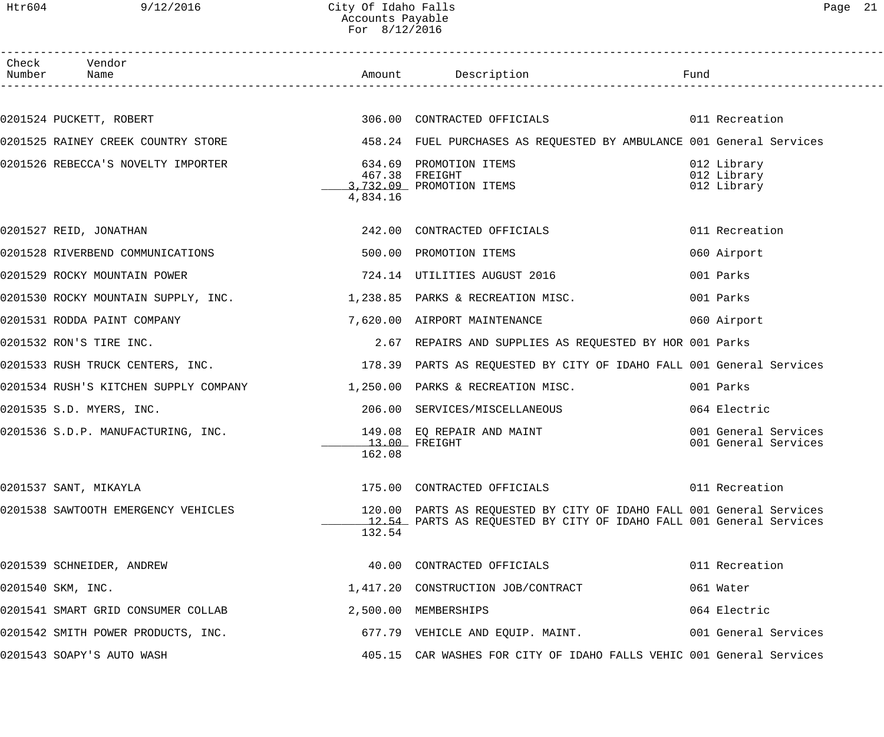# Htr604 9/12/2016 City Of Idaho Falls Page 21 Accounts Payable For 8/12/2016

| Page | 21 |
|------|----|
|      |    |

| Check Vendor<br>Number Name                                                                                     |          |                                                                      |                                              |
|-----------------------------------------------------------------------------------------------------------------|----------|----------------------------------------------------------------------|----------------------------------------------|
|                                                                                                                 |          |                                                                      |                                              |
| 0201524 PUCKETT, ROBERT 600 CONTRACTED OFFICIALS 60 CONTROLLER 11 Recreation                                    |          |                                                                      |                                              |
| 0201525 RAINEY CREEK COUNTRY STORE                                                                              |          | 458.24 FUEL PURCHASES AS REQUESTED BY AMBULANCE 001 General Services |                                              |
| 0201526 REBECCA'S NOVELTY IMPORTER                                                                              | 634.69   | PROMOTION ITEMS                                                      | 012 Library<br>012 Library                   |
|                                                                                                                 |          | 467.38 FREIGHT<br>3,732.09 PROMOTION ITEMS                           | 012 Library                                  |
|                                                                                                                 | 4,834.16 |                                                                      |                                              |
| 0201527 REID, JONATHAN                                                                                          |          | 242.00 CONTRACTED OFFICIALS                                          | 011 Recreation                               |
| 0201528 RIVERBEND COMMUNICATIONS                                                                                |          | 500.00 PROMOTION ITEMS                                               | 060 Airport                                  |
| 0201529 ROCKY MOUNTAIN POWER                                                                                    |          | 724.14 UTILITIES AUGUST 2016                                         | 001 Parks                                    |
| 0201530 ROCKY MOUNTAIN SUPPLY, INC. 4. 1,238.85 PARKS & RECREATION MISC.                                        |          |                                                                      | 001 Parks                                    |
| 0201531 RODDA PAINT COMPANY THE SERVICE RESOLUTION OF A SERVICE RESOLUTION OF SALES AND THE SERVICE STREAM OF S |          |                                                                      | 060 Airport                                  |
| 0201532 RON'S TIRE INC.                                                                                         |          | 2.67 REPAIRS AND SUPPLIES AS REQUESTED BY HOR 001 Parks              |                                              |
| 0201533 RUSH TRUCK CENTERS, INC. THE SAME REARTS AS REQUESTED BY CITY OF IDAHO FALL 001 General Services        |          |                                                                      |                                              |
| 0201534 RUSH'S KITCHEN SUPPLY COMPANY 1,250.00 PARKS & RECREATION MISC.                                         |          |                                                                      | 001 Parks                                    |
| 0201535 S.D. MYERS, INC.                                                                                        |          | 206.00 SERVICES/MISCELLANEOUS                                        | 064 Electric                                 |
| 0201536 S.D.P. MANUFACTURING, INC.                                                                              |          | 149.08 EQ REPAIR AND MAINT<br>$13.00$ FREIGHT                        | 001 General Services<br>001 General Services |
|                                                                                                                 | 162.08   |                                                                      |                                              |
| 0201537 SANT, MIKAYLA                                                                                           |          | 175.00 CONTRACTED OFFICIALS 6011 Recreation                          |                                              |
| 0201538 SAWTOOTH EMERGENCY VEHICLES                                                                             |          | 120.00 PARTS AS REQUESTED BY CITY OF IDAHO FALL 001 General Services |                                              |
|                                                                                                                 | 132.54   | 12.54 PARTS AS REQUESTED BY CITY OF IDAHO FALL 001 General Services  |                                              |
|                                                                                                                 |          |                                                                      |                                              |
| 0201539 SCHNEIDER, ANDREW                                                                                       |          | 40.00 CONTRACTED OFFICIALS                                           | 011 Recreation                               |
| 0201540 SKM, INC.                                                                                               |          | 1,417.20 CONSTRUCTION JOB/CONTRACT                                   | 061 Water                                    |
| 0201541 SMART GRID CONSUMER COLLAB                                                                              |          | 2,500.00 MEMBERSHIPS                                                 | 064 Electric                                 |
| 0201542 SMITH POWER PRODUCTS, INC.                                                                              |          | 677.79 VEHICLE AND EQUIP. MAINT.                                     | 001 General Services                         |
| 0201543 SOAPY'S AUTO WASH                                                                                       |          | 405.15 CAR WASHES FOR CITY OF IDAHO FALLS VEHIC 001 General Services |                                              |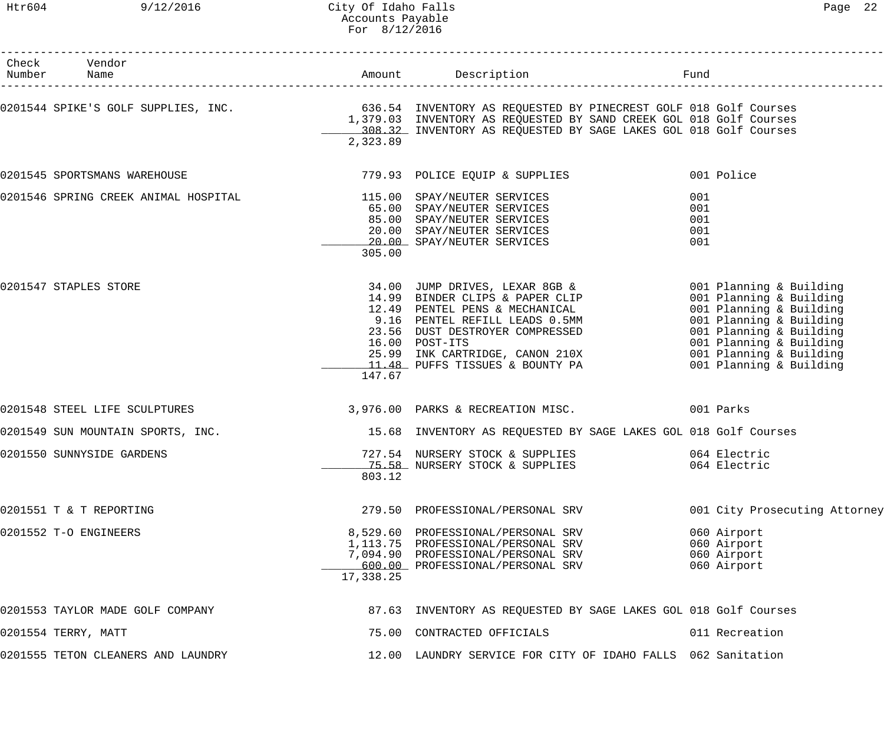| Check Vendor<br>Number Name                                      |           | Amount Description Description Fund                                                                                                                                                                                                                                                                                                   |                                                          |
|------------------------------------------------------------------|-----------|---------------------------------------------------------------------------------------------------------------------------------------------------------------------------------------------------------------------------------------------------------------------------------------------------------------------------------------|----------------------------------------------------------|
|                                                                  | 2,323.89  | 108.32 INVENTORY AS REQUESTED BY SAGE LAKES GOL 018 Golf Courses                                                                                                                                                                                                                                                                      |                                                          |
| 0201545 SPORTSMANS WAREHOUSE                                     |           | 779.93 POLICE EQUIP & SUPPLIES                                                                                                                                                                                                                                                                                                        | 001 Police                                               |
| 0201546 SPRING CREEK ANIMAL HOSPITAL 115.00 SPAY/NEUTER SERVICES | 305.00    | 65.00 SPAY/NEUTER SERVICES<br>85.00 SPAY/NEUTER SERVICES<br>20.00 SPAY/NEUTER SERVICES<br>20.00 SPAY/NEUTER SERVICES                                                                                                                                                                                                                  | 001<br>001<br>001<br>001<br>001                          |
| 0201547 STAPLES STORE                                            | 147.67    | 34.00 JUMP DRIVES, LEXAR 8GB & 001 Planning & Building<br>14.99 BINDER CLIPS & PAPER CLIP<br>12.49 PENTEL PENS & MECHANICAL<br>9.16 PENTEL REFILL LEADS 0.5MM<br>23.56 DUST DESTROYER COMPRESSED<br>16.00 POST-ITS 001 Planning & Building<br>25.99 INK CARTRIDGE, CANON 210X<br>11.48 PUFFS TISSUES & BOUNTY PA 001 Planning & Build | 001 Planning & Building                                  |
| 0201548 STEEL LIFE SCULPTURES                                    |           | 3,976.00 PARKS & RECREATION MISC. 001 Parks                                                                                                                                                                                                                                                                                           |                                                          |
| 0201549 SUN MOUNTAIN SPORTS, INC.                                |           | 15.68 INVENTORY AS REQUESTED BY SAGE LAKES GOL 018 Golf Courses                                                                                                                                                                                                                                                                       |                                                          |
| 0201550 SUNNYSIDE GARDENS                                        | 803.12    | 727.54 NURSERY STOCK & SUPPLIES<br>75.58 NURSERY STOCK & SUPPLIES                                                                                                                                                                                                                                                                     | 064 Electric<br>064 Electric                             |
| 0201551 T & T REPORTING                                          |           | 279.50 PROFESSIONAL/PERSONAL SRV                                                                                                                                                                                                                                                                                                      | 001 City Prosecuting Attorney                            |
| 0201552 T-O ENGINEERS                                            | 17,338.25 | 8,529.60 PROFESSIONAL/PERSONAL SRV<br>1,113.75 PROFESSIONAL/PERSONAL SRV<br>7,094.90 PROFESSIONAL/PERSONAL SRV<br>600.00 PROFESSIONAL/PERSONAL SRV                                                                                                                                                                                    | 060 Airport<br>060 Airport<br>060 Airport<br>060 Airport |
| 0201553 TAYLOR MADE GOLF COMPANY                                 |           | 87.63 INVENTORY AS REQUESTED BY SAGE LAKES GOL 018 Golf Courses                                                                                                                                                                                                                                                                       |                                                          |
| 0201554 TERRY, MATT                                              |           | 75.00 CONTRACTED OFFICIALS                                                                                                                                                                                                                                                                                                            | 011 Recreation                                           |
| 0201555 TETON CLEANERS AND LAUNDRY                               |           | 12.00 LAUNDRY SERVICE FOR CITY OF IDAHO FALLS 062 Sanitation                                                                                                                                                                                                                                                                          |                                                          |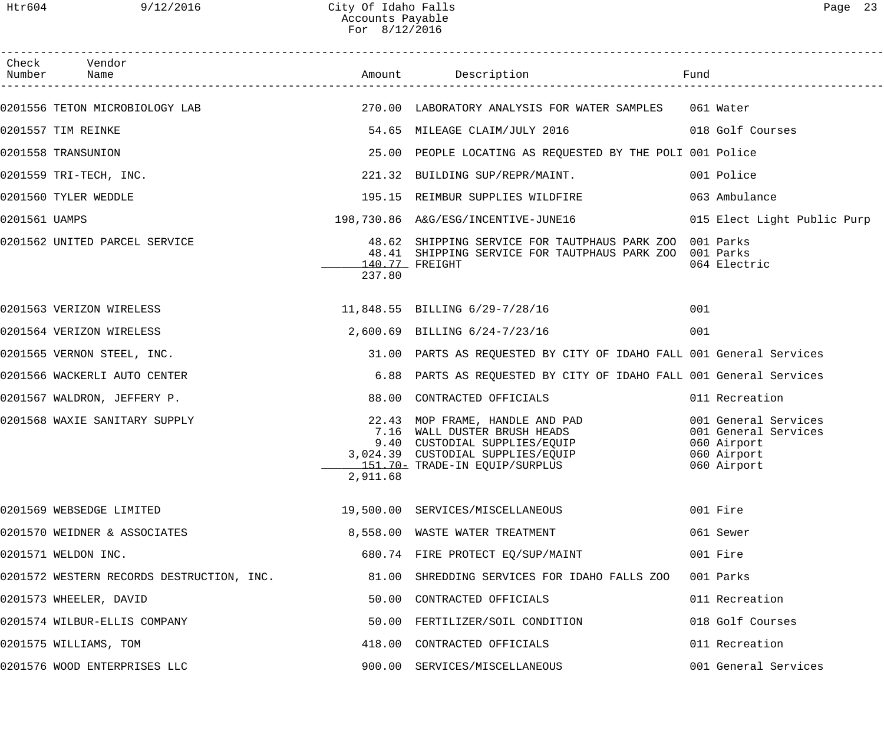| Page |  |
|------|--|
|------|--|

| Check Vendor<br>Number Name<br>0201556 TETON MICROBIOLOGY LAB                                 270.00 LABORATORY ANALYSIS FOR WATER SAMPLES   061 Water<br>54.65 MILEAGE CLAIM/JULY 2016 6018 Golf Courses<br>0201557 TIM REINKE<br>0201558 TRANSUNION<br>25.00 PEOPLE LOCATING AS REQUESTED BY THE POLI 001 Police<br>221.32 BUILDING SUP/REPR/MAINT.<br>0201559 TRI-TECH, INC.<br>001 Police<br>195.15 REIMBUR SUPPLIES WILDFIRE<br>0201560 TYLER WEDDLE<br>063 Ambulance<br>198,730.86 A&G/ESG/INCENTIVE-JUNE16<br>0201561 UAMPS<br>015 Elect Light Public Purp<br>0201562 UNITED PARCEL SERVICE<br>48.62 SHIPPING SERVICE FOR TAUTPHAUS PARK ZOO 001 Parks<br>48.41 SHIPPING SERVICE FOR TAUTPHAUS PARK ZOO 001 Parks<br>140.77 FREIGHT<br>064 Electric<br>237.80<br>11,848.55 BILLING 6/29-7/28/16<br>0201563 VERIZON WIRELESS<br>001<br>0201564 VERIZON WIRELESS<br>2,600.69 BILLING 6/24-7/23/16<br>001<br>31.00 PARTS AS REQUESTED BY CITY OF IDAHO FALL 001 General Services<br>0201565 VERNON STEEL, INC.<br>0201566 WACKERLI AUTO CENTER<br>6.88 PARTS AS REQUESTED BY CITY OF IDAHO FALL 001 General Services<br>88.00 CONTRACTED OFFICIALS<br>0201567 WALDRON, JEFFERY P.<br>011 Recreation |  |
|---------------------------------------------------------------------------------------------------------------------------------------------------------------------------------------------------------------------------------------------------------------------------------------------------------------------------------------------------------------------------------------------------------------------------------------------------------------------------------------------------------------------------------------------------------------------------------------------------------------------------------------------------------------------------------------------------------------------------------------------------------------------------------------------------------------------------------------------------------------------------------------------------------------------------------------------------------------------------------------------------------------------------------------------------------------------------------------------------------------------------------------------------------------------------------------------------------|--|
|                                                                                                                                                                                                                                                                                                                                                                                                                                                                                                                                                                                                                                                                                                                                                                                                                                                                                                                                                                                                                                                                                                                                                                                                         |  |
|                                                                                                                                                                                                                                                                                                                                                                                                                                                                                                                                                                                                                                                                                                                                                                                                                                                                                                                                                                                                                                                                                                                                                                                                         |  |
|                                                                                                                                                                                                                                                                                                                                                                                                                                                                                                                                                                                                                                                                                                                                                                                                                                                                                                                                                                                                                                                                                                                                                                                                         |  |
|                                                                                                                                                                                                                                                                                                                                                                                                                                                                                                                                                                                                                                                                                                                                                                                                                                                                                                                                                                                                                                                                                                                                                                                                         |  |
|                                                                                                                                                                                                                                                                                                                                                                                                                                                                                                                                                                                                                                                                                                                                                                                                                                                                                                                                                                                                                                                                                                                                                                                                         |  |
|                                                                                                                                                                                                                                                                                                                                                                                                                                                                                                                                                                                                                                                                                                                                                                                                                                                                                                                                                                                                                                                                                                                                                                                                         |  |
|                                                                                                                                                                                                                                                                                                                                                                                                                                                                                                                                                                                                                                                                                                                                                                                                                                                                                                                                                                                                                                                                                                                                                                                                         |  |
|                                                                                                                                                                                                                                                                                                                                                                                                                                                                                                                                                                                                                                                                                                                                                                                                                                                                                                                                                                                                                                                                                                                                                                                                         |  |
|                                                                                                                                                                                                                                                                                                                                                                                                                                                                                                                                                                                                                                                                                                                                                                                                                                                                                                                                                                                                                                                                                                                                                                                                         |  |
|                                                                                                                                                                                                                                                                                                                                                                                                                                                                                                                                                                                                                                                                                                                                                                                                                                                                                                                                                                                                                                                                                                                                                                                                         |  |
|                                                                                                                                                                                                                                                                                                                                                                                                                                                                                                                                                                                                                                                                                                                                                                                                                                                                                                                                                                                                                                                                                                                                                                                                         |  |
|                                                                                                                                                                                                                                                                                                                                                                                                                                                                                                                                                                                                                                                                                                                                                                                                                                                                                                                                                                                                                                                                                                                                                                                                         |  |
|                                                                                                                                                                                                                                                                                                                                                                                                                                                                                                                                                                                                                                                                                                                                                                                                                                                                                                                                                                                                                                                                                                                                                                                                         |  |
| 22.43 MOP FRAME, HANDLE AND PAD<br>7.16 WALL DUSTER BRUSH HEADS<br>0201568 WAXIE SANITARY SUPPLY<br>001 General Services<br>001 General Services<br>9.40 CUSTODIAL SUPPLIES/EQUIP<br>060 Airport<br>3,024.39 CUSTODIAL SUPPLIES/EQUIP<br>151.70- TRADE-IN EQUIP/SURPLUS<br>060 Airport<br>060 Airport<br>2,911.68                                                                                                                                                                                                                                                                                                                                                                                                                                                                                                                                                                                                                                                                                                                                                                                                                                                                                       |  |
| 0201569 WEBSEDGE LIMITED<br>001 Fire<br>19,500.00 SERVICES/MISCELLANEOUS                                                                                                                                                                                                                                                                                                                                                                                                                                                                                                                                                                                                                                                                                                                                                                                                                                                                                                                                                                                                                                                                                                                                |  |
| 0201570 WEIDNER & ASSOCIATES<br>8,558.00 WASTE WATER TREATMENT<br>061 Sewer                                                                                                                                                                                                                                                                                                                                                                                                                                                                                                                                                                                                                                                                                                                                                                                                                                                                                                                                                                                                                                                                                                                             |  |
| 0201571 WELDON INC.<br>680.74 FIRE PROTECT EQ/SUP/MAINT<br>001 Fire                                                                                                                                                                                                                                                                                                                                                                                                                                                                                                                                                                                                                                                                                                                                                                                                                                                                                                                                                                                                                                                                                                                                     |  |
| 0201572 WESTERN RECORDS DESTRUCTION, INC.<br>81.00 SHREDDING SERVICES FOR IDAHO FALLS ZOO<br>001 Parks                                                                                                                                                                                                                                                                                                                                                                                                                                                                                                                                                                                                                                                                                                                                                                                                                                                                                                                                                                                                                                                                                                  |  |
| 0201573 WHEELER, DAVID<br>50.00 CONTRACTED OFFICIALS<br>011 Recreation                                                                                                                                                                                                                                                                                                                                                                                                                                                                                                                                                                                                                                                                                                                                                                                                                                                                                                                                                                                                                                                                                                                                  |  |
| 0201574 WILBUR-ELLIS COMPANY<br>018 Golf Courses<br>50.00 FERTILIZER/SOIL CONDITION                                                                                                                                                                                                                                                                                                                                                                                                                                                                                                                                                                                                                                                                                                                                                                                                                                                                                                                                                                                                                                                                                                                     |  |
| 0201575 WILLIAMS, TOM<br>418.00 CONTRACTED OFFICIALS<br>011 Recreation                                                                                                                                                                                                                                                                                                                                                                                                                                                                                                                                                                                                                                                                                                                                                                                                                                                                                                                                                                                                                                                                                                                                  |  |
| 0201576 WOOD ENTERPRISES LLC<br>001 General Services<br>900.00 SERVICES/MISCELLANEOUS                                                                                                                                                                                                                                                                                                                                                                                                                                                                                                                                                                                                                                                                                                                                                                                                                                                                                                                                                                                                                                                                                                                   |  |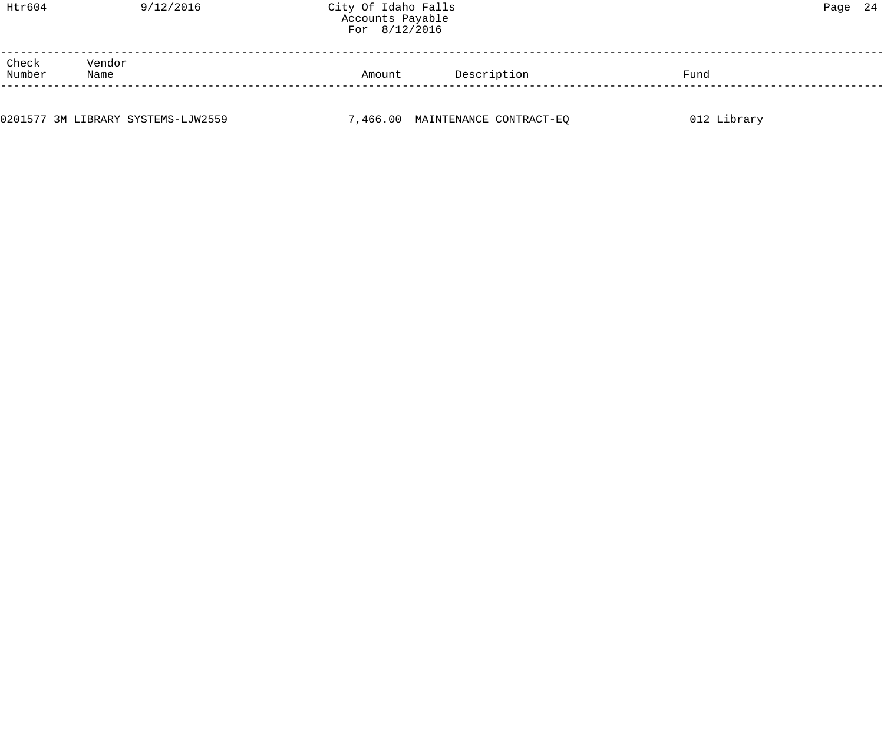| Htr604          |                | 9/12/2016 | City Of Idaho Falls<br>Accounts Payable<br>For $8/12/2016$ |             |      | Page 24 |  |
|-----------------|----------------|-----------|------------------------------------------------------------|-------------|------|---------|--|
| Check<br>Number | Vendor<br>Name |           | Amount                                                     | Description | Fund |         |  |
|                 |                |           |                                                            |             |      |         |  |

0201577 3M LIBRARY SYSTEMS-LJW2559 **7,466.00 MAINTENANCE CONTRACT-EQ** 012 Library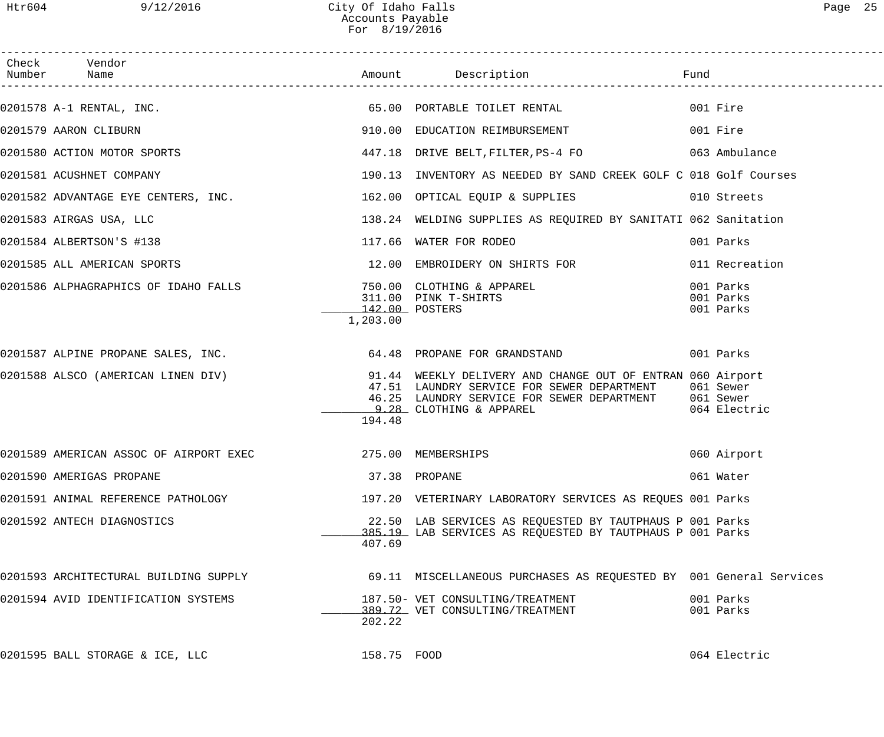| Check Vendor                                                                    |             |                                                                                                                                                                                             |                                     |
|---------------------------------------------------------------------------------|-------------|---------------------------------------------------------------------------------------------------------------------------------------------------------------------------------------------|-------------------------------------|
|                                                                                 |             |                                                                                                                                                                                             |                                     |
| 0201579 AARON CLIBURN                                                           |             | 910.00 EDUCATION REIMBURSEMENT                                                                                                                                                              | 001 Fire                            |
| 0201580 ACTION MOTOR SPORTS                                                     |             | 447.18 DRIVE BELT, FILTER, PS-4 FO 63 Ambulance                                                                                                                                             |                                     |
| 0201581 ACUSHNET COMPANY                                                        | 190.13      | INVENTORY AS NEEDED BY SAND CREEK GOLF C 018 Golf Courses                                                                                                                                   |                                     |
| 0201582 ADVANTAGE EYE CENTERS, INC. 162.00 OPTICAL EQUIP & SUPPLIES 010 Streets |             |                                                                                                                                                                                             |                                     |
| 0201583 AIRGAS USA, LLC                                                         |             | 138.24 WELDING SUPPLIES AS REQUIRED BY SANITATI 062 Sanitation                                                                                                                              |                                     |
| 0201584 ALBERTSON'S #138                                                        |             | 117.66 WATER FOR RODEO                                                                                                                                                                      | 001 Parks                           |
| 0201585 ALL AMERICAN SPORTS                                                     |             | 12.00 EMBROIDERY ON SHIRTS FOR                                                                                                                                                              | 011 Recreation                      |
|                                                                                 | 1,203.00    |                                                                                                                                                                                             | 001 Parks<br>001 Parks<br>001 Parks |
| 0201587 ALPINE PROPANE SALES, INC. 64.48 PROPANE FOR GRANDSTAND                 |             |                                                                                                                                                                                             | 001 Parks                           |
| 0201588 ALSCO (AMERICAN LINEN DIV)                                              | 194.48      | 91.44 WEEKLY DELIVERY AND CHANGE OUT OF ENTRAN 060 Airport<br>47.51 LAUNDRY SERVICE FOR SEWER DEPARTMENT<br>46.25 LAUNDRY SERVICE FOR SEWER DEPARTMENT 061 Sewer<br>9.28 CLOTHING & APPAREL | 061 Sewer<br>064 Electric           |
| 0201589 AMERICAN ASSOC OF AIRPORT EXEC 40 1275.00 MEMBERSHIPS                   |             |                                                                                                                                                                                             | 060 Airport                         |
| 0201590 AMERIGAS PROPANE                                                        |             | 37.38 PROPANE                                                                                                                                                                               | 061 Water                           |
| 0201591 ANIMAL REFERENCE PATHOLOGY                                              |             | 197.20 VETERINARY LABORATORY SERVICES AS REQUES 001 Parks                                                                                                                                   |                                     |
| 0201592 ANTECH DIAGNOSTICS                                                      | 407.69      | 22.50 LAB SERVICES AS REQUESTED BY TAUTPHAUS P 001 Parks<br>385.19 LAB SERVICES AS REQUESTED BY TAUTPHAUS P 001 Parks                                                                       |                                     |
| 0201593 ARCHITECTURAL BUILDING SUPPLY                                           |             | 69.11 MISCELLANEOUS PURCHASES AS REQUESTED BY 001 General Services                                                                                                                          |                                     |
| 0201594 AVID IDENTIFICATION SYSTEMS                                             | 202.22      | 187.50- VET CONSULTING/TREATMENT<br>389.72 VET CONSULTING/TREATMENT                                                                                                                         | 001 Parks<br>001 Parks              |
| 0201595 BALL STORAGE & ICE, LLC                                                 | 158.75 FOOD |                                                                                                                                                                                             | 064 Electric                        |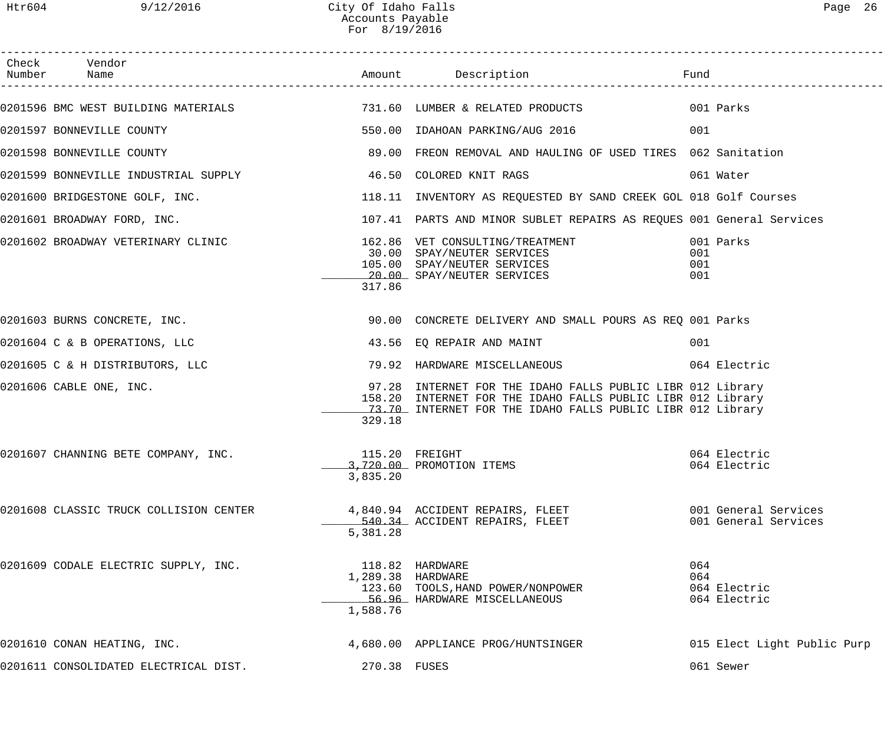------------------------------------------------------------------------------------------------------------------------------------

| Check<br>Number | Vendor<br>Name                                                          |                               | Amount Description                                                                                                                                                                      | Fund                                         |
|-----------------|-------------------------------------------------------------------------|-------------------------------|-----------------------------------------------------------------------------------------------------------------------------------------------------------------------------------------|----------------------------------------------|
|                 | 0201596 BMC WEST BUILDING MATERIALS 60 731.60 LUMBER & RELATED PRODUCTS |                               |                                                                                                                                                                                         | 001 Parks                                    |
|                 | 0201597 BONNEVILLE COUNTY                                               | 550.00                        | IDAHOAN PARKING/AUG 2016                                                                                                                                                                | 001                                          |
|                 | 0201598 BONNEVILLE COUNTY                                               | 89.00                         | FREON REMOVAL AND HAULING OF USED TIRES 062 Sanitation                                                                                                                                  |                                              |
|                 | 0201599 BONNEVILLE INDUSTRIAL SUPPLY                                    | 46.50                         | COLORED KNIT RAGS                                                                                                                                                                       | 061 Water                                    |
|                 | 0201600 BRIDGESTONE GOLF, INC.                                          |                               | 118.11 INVENTORY AS REQUESTED BY SAND CREEK GOL 018 Golf Courses                                                                                                                        |                                              |
|                 | 0201601 BROADWAY FORD, INC.                                             |                               | 107.41 PARTS AND MINOR SUBLET REPAIRS AS REQUES 001 General Services                                                                                                                    |                                              |
|                 | 0201602 BROADWAY VETERINARY CLINIC                                      | 317.86                        | 162.86 VET CONSULTING/TREATMENT<br>30.00 SPAY/NEUTER SERVICES<br>105.00 SPAY/NEUTER SERVICES<br>20.00 SPAY/NEUTER SERVICES                                                              | 001 Parks<br>001<br>001<br>001               |
|                 | 0201603 BURNS CONCRETE, INC.                                            |                               | 90.00 CONCRETE DELIVERY AND SMALL POURS AS REQ 001 Parks                                                                                                                                |                                              |
|                 | 0201604 C & B OPERATIONS, LLC                                           |                               | 43.56 EQ REPAIR AND MAINT                                                                                                                                                               | 001                                          |
|                 | 0201605 C & H DISTRIBUTORS, LLC                                         |                               | 79.92 HARDWARE MISCELLANEOUS                                                                                                                                                            | 064 Electric                                 |
|                 | 0201606 CABLE ONE, INC.                                                 | 329.18                        | 97.28 INTERNET FOR THE IDAHO FALLS PUBLIC LIBR 012 Library<br>158.20 INTERNET FOR THE IDAHO FALLS PUBLIC LIBR 012 Library<br>73.70 INTERNET FOR THE IDAHO FALLS PUBLIC LIBR 012 Library |                                              |
|                 | 0201607 CHANNING BETE COMPANY, INC.                                     | 3,835.20                      | 115.20 FREIGHT<br>3,720.00 PROMOTION ITEMS                                                                                                                                              | 064 Electric<br>064 Electric                 |
|                 | 0201608 CLASSIC TRUCK COLLISION CENTER                                  | 5,381.28                      | 4,840.94 ACCIDENT REPAIRS, FLEET<br>540.34 ACCIDENT REPAIRS, FLEET                                                                                                                      | 001 General Services<br>001 General Services |
|                 | 0201609 CODALE ELECTRIC SUPPLY, INC.                                    | 1,289.38 HARDWARE<br>1,588.76 | 118.82 HARDWARE<br>123.60 TOOLS, HAND POWER/NONPOWER<br>56.96 HARDWARE MISCELLANEOUS                                                                                                    | 064<br>064<br>064 Electric<br>064 Electric   |
|                 | 0201610 CONAN HEATING, INC.                                             |                               | 4,680.00 APPLIANCE PROG/HUNTSINGER                                                                                                                                                      | 015 Elect Light Public Purp                  |
|                 | 0201611 CONSOLIDATED ELECTRICAL DIST.                                   | 270.38 FUSES                  |                                                                                                                                                                                         | 061 Sewer                                    |
|                 |                                                                         |                               |                                                                                                                                                                                         |                                              |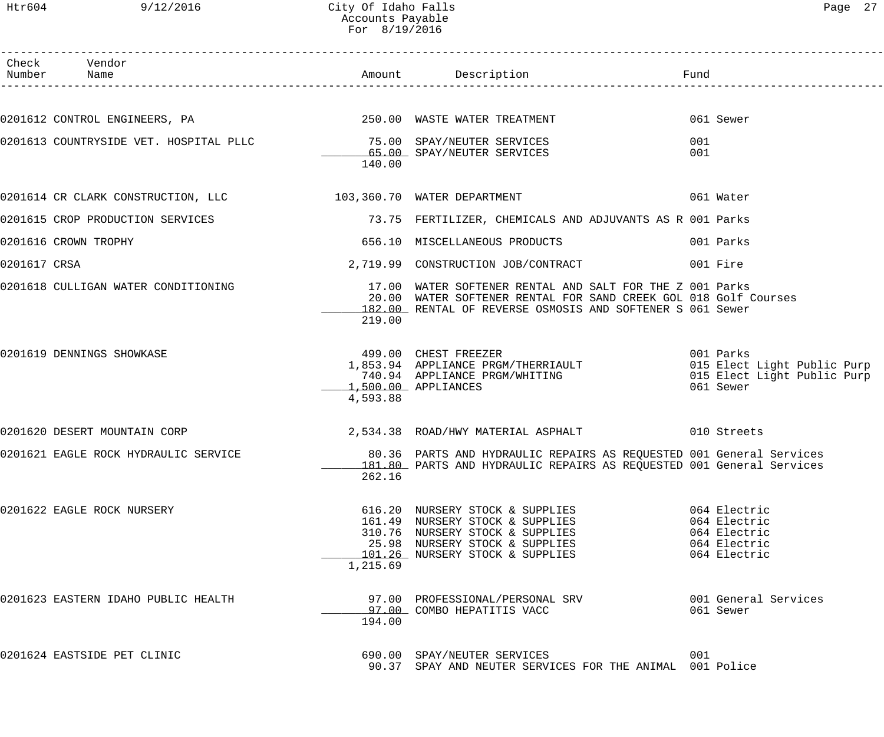# Htr604 9/12/2016 City Of Idaho Falls Page 27 Accounts Payable For 8/19/2016

|              | Check Vendor<br>Number Name                                                                              |          |                                                                                                                                                                                          |            |                                                                              |
|--------------|----------------------------------------------------------------------------------------------------------|----------|------------------------------------------------------------------------------------------------------------------------------------------------------------------------------------------|------------|------------------------------------------------------------------------------|
|              |                                                                                                          |          |                                                                                                                                                                                          |            | 061 Sewer                                                                    |
|              | 0201613 COUNTRYSIDE VET. HOSPITAL PLLC          75.00 SPAY/NEUTER SERVICES<br>65.00 SPAY/NEUTER SERVICES | 140.00   | 65.00 SPAY/NEUTER SERVICES                                                                                                                                                               | 001<br>001 |                                                                              |
|              | $0201614$ CR CLARK CONSTRUCTION, LLC $103,360.70$ WATER DEPARTMENT                                       |          |                                                                                                                                                                                          |            | 061 Water                                                                    |
|              |                                                                                                          |          | 0201615 CROP PRODUCTION SERVICES TERREST TERRILLIZER, CHEMICALS AND ADJUVANTS AS R 001 Parks                                                                                             |            |                                                                              |
|              | 0201616 CROWN TROPHY                                                                                     |          | 656.10 MISCELLANEOUS PRODUCTS                                                                                                                                                            |            | 001 Parks                                                                    |
| 0201617 CRSA |                                                                                                          |          | 2,719.99 CONSTRUCTION JOB/CONTRACT                                                                                                                                                       |            | 001 Fire                                                                     |
|              | 0201618 CULLIGAN WATER CONDITIONING                                                                      | 219.00   | 17.00 WATER SOFTENER RENTAL AND SALT FOR THE Z 001 Parks<br>20.00 WATER SOFTENER RENTAL FOR SAND CREEK GOL 018 Golf Courses<br>182.00 RENTAL OF REVERSE OSMOSIS AND SOFTENER S 061 Sewer |            |                                                                              |
|              | 0201619 DENNINGS SHOWKASE                                                                                | 4,593.88 | 499.00 CHEST FREEZER<br>1,853.94 APPLIANCE PRGM/THERRIAULT 001 Parks<br>740.94 APPLIANCE PRGM/WHITING 015 Elect Light Public Purp<br>1,500.00 APPLIANCES                                 |            | 061 Sewer                                                                    |
|              | 0201620 DESERT MOUNTAIN CORP                                                                             |          | 2,534.38 ROAD/HWY MATERIAL ASPHALT 610 Streets                                                                                                                                           |            |                                                                              |
|              | 0201621 EAGLE ROCK HYDRAULIC SERVICE                                                                     | 262.16   | 80.36 PARTS AND HYDRAULIC REPAIRS AS REQUESTED 001 General Services<br>181.80 PARTS AND HYDRAULIC REPAIRS AS REQUESTED 001 General Services                                              |            |                                                                              |
|              | 0201622 EAGLE ROCK NURSERY                                                                               | 1,215.69 | 616.20 NURSERY STOCK & SUPPLIES<br>161.49 NURSERY STOCK & SUPPLIES<br>310.76 NURSERY STOCK & SUPPLIES<br>25.98 NURSERY STOCK & SUPPLIES<br>101.26 NURSERY STOCK & SUPPLIES               |            | 064 Electric<br>064 Electric<br>064 Electric<br>064 Electric<br>064 Electric |
|              | 0201623 EASTERN IDAHO PUBLIC HEALTH                                                                      | 194.00   | 97.00 PROFESSIONAL/PERSONAL SRV<br>97.00 COMBO HEPATITIS VACC                                                                                                                            |            | 001 General Services<br>061 Sewer                                            |
|              | 0201624 EASTSIDE PET CLINIC                                                                              |          | 690.00 SPAY/NEUTER SERVICES<br>90.37 SPAY AND NEUTER SERVICES FOR THE ANIMAL 001 Police                                                                                                  | 001        |                                                                              |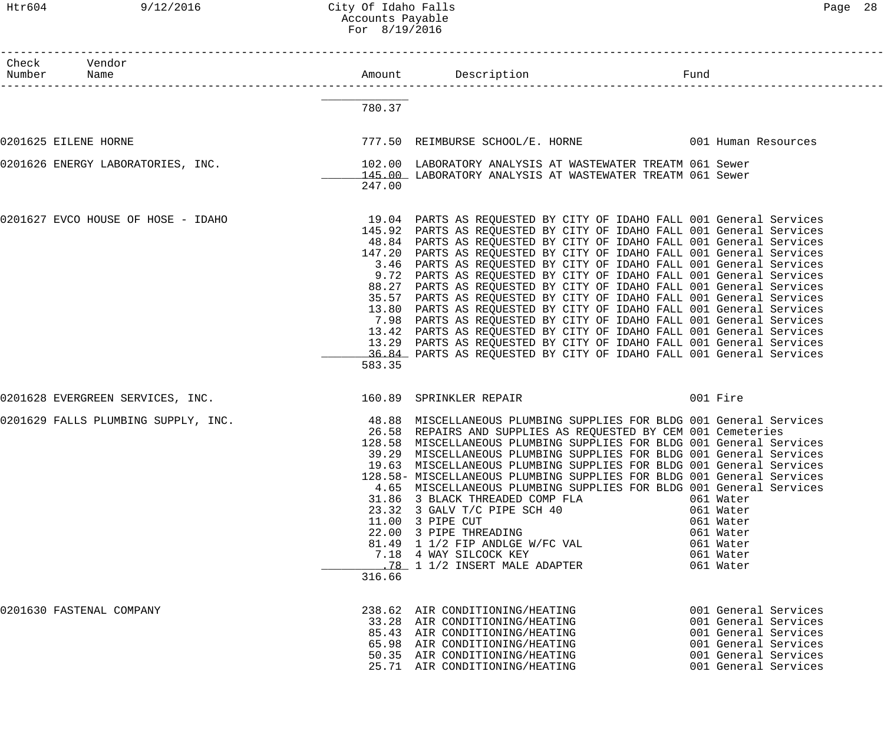Htr604 9/12/2016 City Of Idaho Falls Page 28 Accounts Payable For 8/19/2016

| Check Vendor<br>Number Name        |        |                                                                                                                                                                                                                                                                                                                                                                                                                                                                                                                                                                                                                                                                                                                                                                                                                                                                                                                                                        |                                                                                                                                              |
|------------------------------------|--------|--------------------------------------------------------------------------------------------------------------------------------------------------------------------------------------------------------------------------------------------------------------------------------------------------------------------------------------------------------------------------------------------------------------------------------------------------------------------------------------------------------------------------------------------------------------------------------------------------------------------------------------------------------------------------------------------------------------------------------------------------------------------------------------------------------------------------------------------------------------------------------------------------------------------------------------------------------|----------------------------------------------------------------------------------------------------------------------------------------------|
|                                    | 780.37 |                                                                                                                                                                                                                                                                                                                                                                                                                                                                                                                                                                                                                                                                                                                                                                                                                                                                                                                                                        |                                                                                                                                              |
| 0201625 EILENE HORNE               |        | 777.50 REIMBURSE SCHOOL/E. HORNE 1999 1001 Human Resources                                                                                                                                                                                                                                                                                                                                                                                                                                                                                                                                                                                                                                                                                                                                                                                                                                                                                             |                                                                                                                                              |
| 0201626 ENERGY LABORATORIES, INC.  | 247.00 | 102.00 LABORATORY ANALYSIS AT WASTEWATER TREATM 061 Sewer<br>145.00 LABORATORY ANALYSIS AT WASTEWATER TREATM 061 Sewer                                                                                                                                                                                                                                                                                                                                                                                                                                                                                                                                                                                                                                                                                                                                                                                                                                 |                                                                                                                                              |
| 0201627 EVCO HOUSE OF HOSE - IDAHO | 583.35 | 19.04 PARTS AS REQUESTED BY CITY OF IDAHO FALL 001 General Services<br>145.92 PARTS AS REQUESTED BY CITY OF IDAHO FALL 001 General Services<br>48.84 PARTS AS REQUESTED BY CITY OF IDAHO FALL 001 General Services<br>147.20 PARTS AS REQUESTED BY CITY OF IDAHO FALL 001 General Services<br>3.46 PARTS AS REQUESTED BY CITY OF IDAHO FALL 001 General Services<br>9.72 PARTS AS REQUESTED BY CITY OF IDAHO FALL 001 General Services<br>88.27 PARTS AS REQUESTED BY CITY OF IDAHO FALL 001 General Services<br>35.57 PARTS AS REQUESTED BY CITY OF IDAHO FALL 001 General Services<br>13.80 PARTS AS REQUESTED BY CITY OF IDAHO FALL 001 General Services<br>7.98 PARTS AS REQUESTED BY CITY OF IDAHO FALL 001 General Services<br>13.42 PARTS AS REQUESTED BY CITY OF IDAHO FALL 001 General Services<br>13.29 PARTS AS REQUESTED BY CITY OF IDAHO FALL 001 General Services<br>36.84 PARTS AS REQUESTED BY CITY OF IDAHO FALL 001 General Services |                                                                                                                                              |
| 0201628 EVERGREEN SERVICES, INC.   |        | 160.89 SPRINKLER REPAIR                                                                                                                                                                                                                                                                                                                                                                                                                                                                                                                                                                                                                                                                                                                                                                                                                                                                                                                                | 001 Fire                                                                                                                                     |
|                                    | 316.66 | 0201629 FALLS PLUMBING SUPPLY, INC. 48.88 MISCELLANEOUS PLUMBING SUPPLIES FOR BLDG 001 General Services<br>26.58 REPAIRS AND SUPPLIES AS REQUESTED BY CEM 001 Cemeteries<br>128.58 MISCELLANEOUS PLUMBING SUPPLIES FOR BLDG 001 General Services<br>39.29 MISCELLANEOUS PLUMBING SUPPLIES FOR BLDG 001 General Services<br>19.63 MISCELLANEOUS PLUMBING SUPPLIES FOR BLDG 001 General Services<br>128.58- MISCELLANEOUS PLUMBING SUPPLIES FOR BLDG 001 General Services<br>4.65 MISCELLANEOUS PLUMBING SUPPLIES FOR BLDG 001 General Services<br>31.86 3 BLACK THREADED COMP FLA<br>23.32 3 GALV T/C PIPE SCH 40<br>11.00 3 PIPE CUT<br>22.00 3 PIPE THREADING<br>81.49 1 1/2 FIP ANDLGE W/FC VAL<br>7.18 4 WAY SILCOCK KEY<br>.78 1 1/2 INSERT MALE ADAPTER                                                                                                                                                                                           | 061 Water<br>061 Water<br>061 Water<br>061 Water<br>061 Water<br>061 Water<br>061 Water                                                      |
| 0201630 FASTENAL COMPANY           |        | 238.62 AIR CONDITIONING/HEATING<br>33.28 AIR CONDITIONING/HEATING<br>85.43 AIR CONDITIONING/HEATING<br>65.98 AIR CONDITIONING/HEATING<br>50.35 AIR CONDITIONING/HEATING<br>25.71 AIR CONDITIONING/HEATING                                                                                                                                                                                                                                                                                                                                                                                                                                                                                                                                                                                                                                                                                                                                              | 001 General Services<br>001 General Services<br>001 General Services<br>001 General Services<br>001 General Services<br>001 General Services |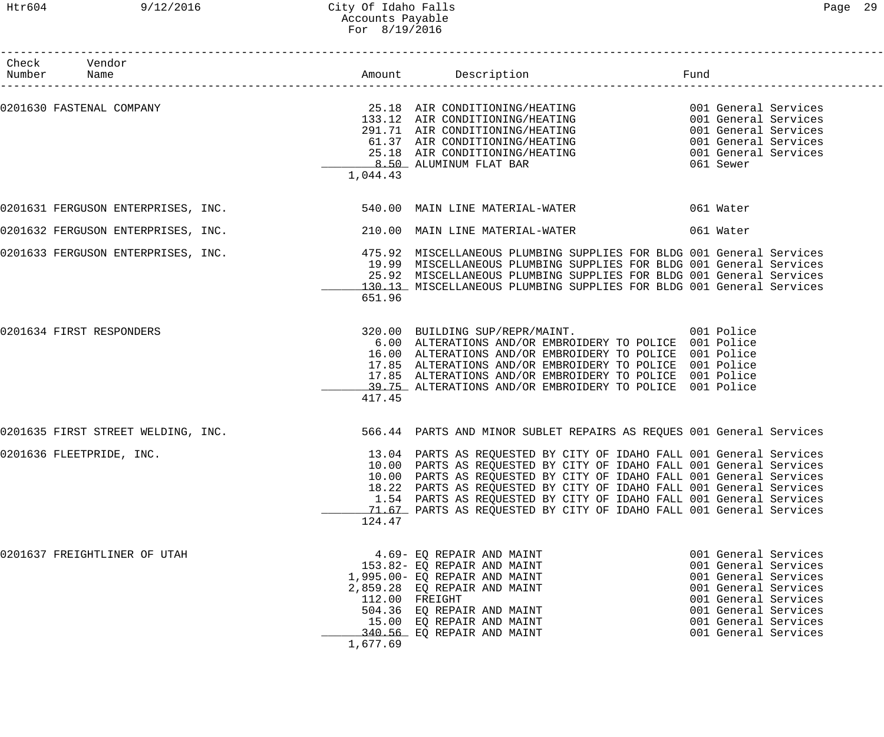# Htr604 9/12/2016 City Of Idaho Falls Page 29 Accounts Payable For 8/19/2016

| Check Vendor<br>Number Name        |          |                                                                                                                                                                                                                                                                                                                                                                                                                                       | Fund                                                                                                                                                                                         |  |
|------------------------------------|----------|---------------------------------------------------------------------------------------------------------------------------------------------------------------------------------------------------------------------------------------------------------------------------------------------------------------------------------------------------------------------------------------------------------------------------------------|----------------------------------------------------------------------------------------------------------------------------------------------------------------------------------------------|--|
| 0201630 FASTENAL COMPANY           | 1,044.43 | 25.18 AIR CONDITIONING/HEATING 001 General Services<br>133.12 AIR CONDITIONING/HEATING 001 General Services<br>291.71 AIR CONDITIONING/HEATING 001 General Services<br>61.37 AIR CONDITIONING/HEATING 001 General Services<br>001 General Services<br>001 General Services<br>25.18 AIR CONDITIONING/HEATING<br>8.50 ALUMINUM FLAT BAR                                                                                                | 061 Sewer                                                                                                                                                                                    |  |
|                                    |          | 0201631 FERGUSON ENTERPRISES, INC. 540.00 MAIN LINE MATERIAL-WATER 661 Water                                                                                                                                                                                                                                                                                                                                                          |                                                                                                                                                                                              |  |
| 0201632 FERGUSON ENTERPRISES, INC. |          | 210.00 MAIN LINE MATERIAL-WATER                                                                                                                                                                                                                                                                                                                                                                                                       | 061 Water                                                                                                                                                                                    |  |
| 0201633 FERGUSON ENTERPRISES, INC. | 651.96   | 475.92 MISCELLANEOUS PLUMBING SUPPLIES FOR BLDG 001 General Services<br>19.99 MISCELLANEOUS PLUMBING SUPPLIES FOR BLDG 001 General Services<br>25.92 MISCELLANEOUS PLUMBING SUPPLIES FOR BLDG 001 General Services<br>130.13 MISCELLANEOUS PLUMBING SUPPLIES FOR BLDG 001 General Services                                                                                                                                            |                                                                                                                                                                                              |  |
| 0201634 FIRST RESPONDERS           | 417.45   | 320.00 BUILDING SUP/REPR/MAINT. 001 Police<br>6.00 ALTERATIONS AND/OR EMBROIDERY TO POLICE 001 Police<br>16.00 ALTERATIONS AND/OR EMBROIDERY TO POLICE 001 Police<br>17.85 ALTERATIONS AND/OR EMBROIDERY TO POLICE 001 Police<br>17.85 ALTERATIONS AND/OR EMBROIDERY TO POLICE 001 Police<br>19.75 ALTERATIONS AND/OR EMBROIDERY TO POLICE 001 Police                                                                                 |                                                                                                                                                                                              |  |
| 0201635 FIRST STREET WELDING, INC. |          | 566.44 PARTS AND MINOR SUBLET REPAIRS AS REQUES 001 General Services                                                                                                                                                                                                                                                                                                                                                                  |                                                                                                                                                                                              |  |
| 0201636 FLEETPRIDE, INC.           | 124.47   | 13.04 PARTS AS REQUESTED BY CITY OF IDAHO FALL 001 General Services<br>10.00 PARTS AS REQUESTED BY CITY OF IDAHO FALL 001 General Services<br>10.00 PARTS AS REQUESTED BY CITY OF IDAHO FALL 001 General Services<br>18.22 PARTS AS REQUESTED BY CITY OF IDAHO FALL 001 General Services<br>1.54 PARTS AS REQUESTED BY CITY OF IDAHO FALL 001 General Services<br>71.67 PARTS AS REQUESTED BY CITY OF IDAHO FALL 001 General Services |                                                                                                                                                                                              |  |
| 0201637 FREIGHTLINER OF UTAH       | 1,677.69 | 4.69- EQ REPAIR AND MAINT<br>153.82- EQ REPAIR AND MAINT<br>1,995.00- EQ REPAIR AND MAINT<br>2,859.28 EQ REPAIR AND MAINT<br>112.00 FREIGHT<br>504.36 EQ REPAIR AND MAINT<br>15.00 EQ REPAIR AND MAINT<br>340.56 EQ REPAIR AND MAINT                                                                                                                                                                                                  | 001 General Services<br>001 General Services<br>001 General Services<br>001 General Services<br>001 General Services<br>001 General Services<br>001 General Services<br>001 General Services |  |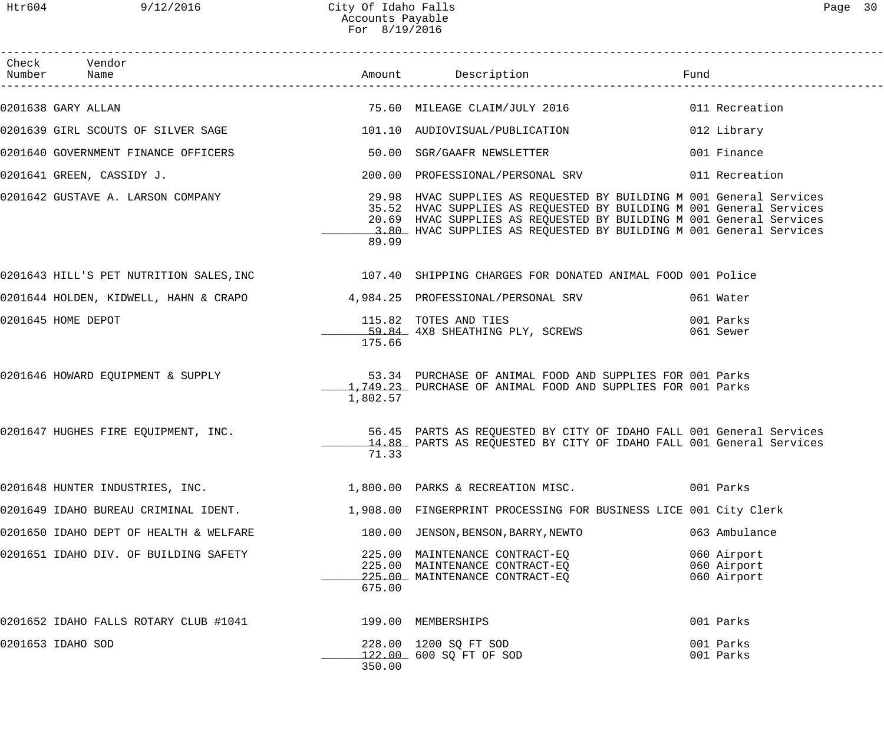| Page | 30 |
|------|----|
|      |    |

| Check Vendor<br>Number Name                                       |          |                                                                                                                                                                                                                                                                                                                            | Fund |                                           |
|-------------------------------------------------------------------|----------|----------------------------------------------------------------------------------------------------------------------------------------------------------------------------------------------------------------------------------------------------------------------------------------------------------------------------|------|-------------------------------------------|
| 0201638 GARY ALLAN                                                |          |                                                                                                                                                                                                                                                                                                                            |      |                                           |
| 0201639 GIRL SCOUTS OF SILVER SAGE 101.10 AUDIOVISUAL/PUBLICATION |          |                                                                                                                                                                                                                                                                                                                            |      | 012 Library                               |
| 0201640 GOVERNMENT FINANCE OFFICERS 600 100 SGR/GAAFR NEWSLETTER  |          |                                                                                                                                                                                                                                                                                                                            |      | 001 Finance                               |
| 0201641 GREEN, CASSIDY J.                                         |          | 200.00 PROFESSIONAL/PERSONAL SRV 011 Recreation                                                                                                                                                                                                                                                                            |      |                                           |
|                                                                   | 89.99    | 0201642 GUSTAVE A. LARSON COMPANY (29.98 HVAC SUPPLIES AS REQUESTED BY BUILDING M 001 General Services<br>35.52 HVAC SUPPLIES AS REQUESTED BY BUILDING M 001 General Services<br>20.69 HVAC SUPPLIES AS REQUESTED BY BUILDING M 001 General Services<br>3.80 HVAC SUPPLIES AS REQUESTED BY BUILDING M 001 General Services |      |                                           |
|                                                                   |          | 0201643 HILL'S PET NUTRITION SALES, INC 107.40 SHIPPING CHARGES FOR DONATED ANIMAL FOOD 001 Police                                                                                                                                                                                                                         |      |                                           |
|                                                                   |          | 0201644 HOLDEN, KIDWELL, HAHN & CRAPO 4,984.25 PROFESSIONAL/PERSONAL SRV 061 Water                                                                                                                                                                                                                                         |      |                                           |
| 0201645 HOME DEPOT                                                | 175.66   | 115.82 TOTES AND TIES<br>59.84 4X8 SHEATHING PLY, SCREWS                                                                                                                                                                                                                                                                   |      | 001 Parks<br>061 Sewer                    |
| 0201646 HOWARD EQUIPMENT & SUPPLY                                 | 1,802.57 | 53.34 PURCHASE OF ANIMAL FOOD AND SUPPLIES FOR 001 Parks<br>1,749.23 PURCHASE OF ANIMAL FOOD AND SUPPLIES FOR 001 Parks                                                                                                                                                                                                    |      |                                           |
| 0201647 HUGHES FIRE EQUIPMENT, INC.                               | 71.33    | 56.45 PARTS AS REQUESTED BY CITY OF IDAHO FALL 001 General Services<br>14.88 PARTS AS REQUESTED BY CITY OF IDAHO FALL 001 General Services                                                                                                                                                                                 |      |                                           |
| 0201648 HUNTER INDUSTRIES, INC.                                   |          | 1,800.00 PARKS & RECREATION MISC.                                                                                                                                                                                                                                                                                          |      | 001 Parks                                 |
| 0201649 IDAHO BUREAU CRIMINAL IDENT.                              |          | 1,908.00 FINGERPRINT PROCESSING FOR BUSINESS LICE 001 City Clerk                                                                                                                                                                                                                                                           |      |                                           |
| 0201650 IDAHO DEPT OF HEALTH & WELFARE                            |          | 180.00 JENSON, BENSON, BARRY, NEWTO                                                                                                                                                                                                                                                                                        |      | 063 Ambulance                             |
| 0201651 IDAHO DIV. OF BUILDING SAFETY                             | 675.00   | 225.00 MAINTENANCE CONTRACT-EQ<br>225.00 MAINTENANCE CONTRACT-EQ<br>225.00 MAINTENANCE CONTRACT-EQ                                                                                                                                                                                                                         |      | 060 Airport<br>060 Airport<br>060 Airport |
| 0201652 IDAHO FALLS ROTARY CLUB #1041                             |          | 199.00 MEMBERSHIPS                                                                                                                                                                                                                                                                                                         |      | 001 Parks                                 |
| 0201653 IDAHO SOD                                                 | 350.00   | 228.00 1200 SQ FT SOD<br>122.00 600 SQ FT OF SOD                                                                                                                                                                                                                                                                           |      | 001 Parks<br>001 Parks                    |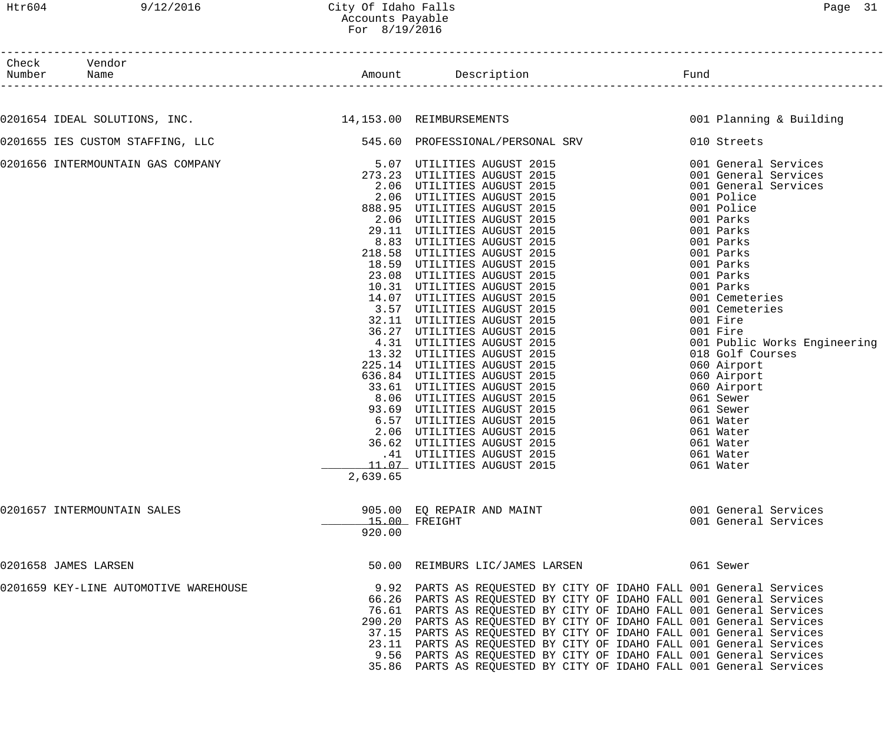------------------------------------------------------------------------------------------------------------------------------------

| Check  | Vendor       |        |                |         |  |
|--------|--------------|--------|----------------|---------|--|
| Number | $ -$<br>Name | Amount | ، ص د ۱<br>.on | $F$ una |  |

Amount Description **Example Amount** Pund

| 0201654 IDEAL SOLUTIONS, INC. 14,153.00 REIMBURSEMENTS                                      |          |                                                                                                                                                                                                                                             | 001 Planning & Building |
|---------------------------------------------------------------------------------------------|----------|---------------------------------------------------------------------------------------------------------------------------------------------------------------------------------------------------------------------------------------------|-------------------------|
| 0201655 IES CUSTOM STAFFING, LLC 60 CONNECTES 545.60 PROFESSIONAL/PERSONAL SRV 6010 Streets |          |                                                                                                                                                                                                                                             |                         |
| 0201656 INTERMOUNTAIN GAS COMPANY                                                           |          | 5.00 PRIMERIPHES ANGUST 2015<br>1993-2018 (PUILITIES ANGUST 2015<br>273.205 UTILITIES ANGUST 2015<br>2.006 UTILITIES ANGUST 2015<br>2.006 UTILITIES ANGUST 2015<br>2.006 UTILITIES ANGUST 2015<br>2.006 UTILITIES ANGUST 2015<br>2.006 UTIL |                         |
|                                                                                             |          |                                                                                                                                                                                                                                             |                         |
|                                                                                             |          |                                                                                                                                                                                                                                             |                         |
|                                                                                             |          |                                                                                                                                                                                                                                             |                         |
|                                                                                             |          |                                                                                                                                                                                                                                             |                         |
|                                                                                             |          |                                                                                                                                                                                                                                             |                         |
|                                                                                             |          |                                                                                                                                                                                                                                             |                         |
|                                                                                             |          |                                                                                                                                                                                                                                             |                         |
|                                                                                             |          |                                                                                                                                                                                                                                             |                         |
|                                                                                             |          |                                                                                                                                                                                                                                             |                         |
|                                                                                             |          |                                                                                                                                                                                                                                             |                         |
|                                                                                             |          |                                                                                                                                                                                                                                             |                         |
|                                                                                             |          |                                                                                                                                                                                                                                             |                         |
|                                                                                             |          |                                                                                                                                                                                                                                             |                         |
|                                                                                             |          |                                                                                                                                                                                                                                             |                         |
|                                                                                             |          |                                                                                                                                                                                                                                             |                         |
|                                                                                             |          |                                                                                                                                                                                                                                             |                         |
|                                                                                             |          |                                                                                                                                                                                                                                             |                         |
|                                                                                             |          |                                                                                                                                                                                                                                             |                         |
|                                                                                             |          |                                                                                                                                                                                                                                             |                         |
|                                                                                             |          |                                                                                                                                                                                                                                             |                         |
|                                                                                             |          |                                                                                                                                                                                                                                             |                         |
|                                                                                             |          |                                                                                                                                                                                                                                             |                         |
|                                                                                             |          |                                                                                                                                                                                                                                             |                         |
|                                                                                             |          |                                                                                                                                                                                                                                             |                         |
|                                                                                             |          |                                                                                                                                                                                                                                             |                         |
|                                                                                             |          |                                                                                                                                                                                                                                             |                         |
|                                                                                             |          | 11.07 UTILITIES AUGUST 2015 11.07 061 Water                                                                                                                                                                                                 |                         |
|                                                                                             | 2,639.65 |                                                                                                                                                                                                                                             |                         |
| 0201657 INTERMOUNTAIN SALES                                                                 |          | 905.00 EQ REPAIR AND MAINT                                                                                                                                                                                                                  | 001 General Services    |
|                                                                                             |          | $15.00$ FREIGHT                                                                                                                                                                                                                             | 001 General Services    |
|                                                                                             | 920.00   |                                                                                                                                                                                                                                             |                         |
|                                                                                             |          |                                                                                                                                                                                                                                             |                         |
| 0201658 JAMES LARSEN                                                                        |          | 50.00 REIMBURS LIC/JAMES LARSEN 661 Sewer                                                                                                                                                                                                   |                         |
| 0201659 KEY-LINE AUTOMOTIVE WAREHOUSE                                                       |          | 9.92 PARTS AS REQUESTED BY CITY OF IDAHO FALL 001 General Services                                                                                                                                                                          |                         |
|                                                                                             |          | 66.26 PARTS AS REQUESTED BY CITY OF IDAHO FALL 001 General Services                                                                                                                                                                         |                         |
|                                                                                             |          | 76.61 PARTS AS REQUESTED BY CITY OF IDAHO FALL 001 General Services                                                                                                                                                                         |                         |
|                                                                                             |          | 290.20 PARTS AS REQUESTED BY CITY OF IDAHO FALL 001 General Services                                                                                                                                                                        |                         |
|                                                                                             |          | 37.15 PARTS AS REQUESTED BY CITY OF IDAHO FALL 001 General Services                                                                                                                                                                         |                         |
|                                                                                             |          | 23.11 PARTS AS REQUESTED BY CITY OF IDAHO FALL 001 General Services                                                                                                                                                                         |                         |
|                                                                                             |          | 9.56 PARTS AS REQUESTED BY CITY OF IDAHO FALL 001 General Services                                                                                                                                                                          |                         |
|                                                                                             |          | 35.86 PARTS AS REQUESTED BY CITY OF IDAHO FALL 001 General Services                                                                                                                                                                         |                         |
|                                                                                             |          |                                                                                                                                                                                                                                             |                         |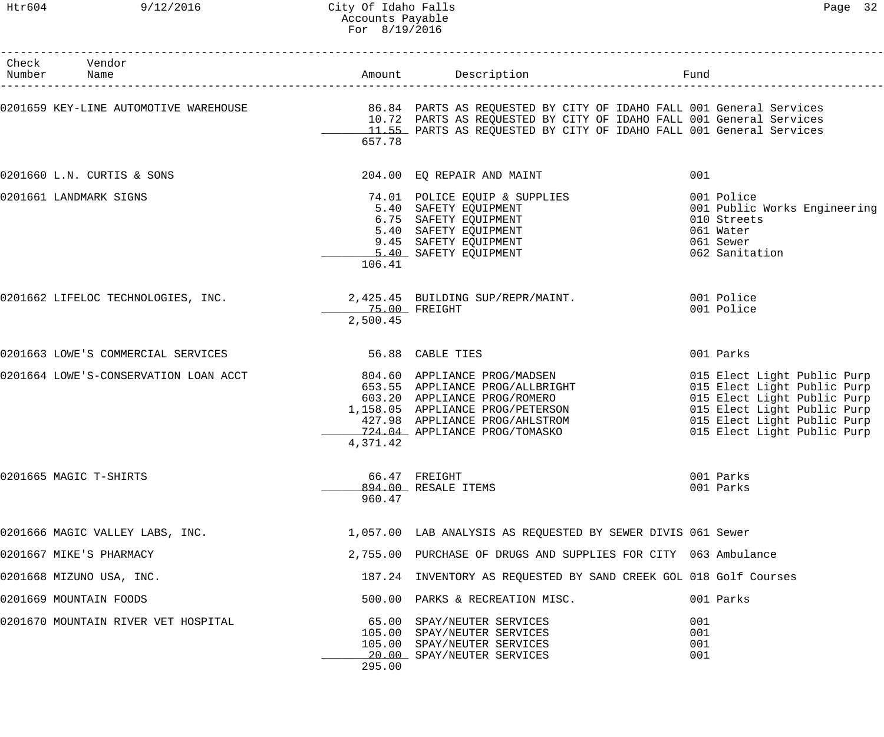# Htr604 9/12/2016 City Of Idaho Falls Page 32 Accounts Payable For 8/19/2016

| Check Vendor<br>Number Name           |                           | Amount Description                                                                                                                                                                                     | Fund                                                                                                                                                                                   |
|---------------------------------------|---------------------------|--------------------------------------------------------------------------------------------------------------------------------------------------------------------------------------------------------|----------------------------------------------------------------------------------------------------------------------------------------------------------------------------------------|
|                                       | 657.78                    | 10.72 PARTS AS REQUESTED BY CITY OF IDAHO FALL 001 General Services<br>11.55 PARTS AS REQUESTED BY CITY OF IDAHO FALL 001 General Services                                                             |                                                                                                                                                                                        |
| 0201660 L.N. CURTIS & SONS            |                           | 204.00 EQ REPAIR AND MAINT                                                                                                                                                                             | 001                                                                                                                                                                                    |
| 0201661 LANDMARK SIGNS                | 106.41                    | 74.01 POLICE EQUIP & SUPPLIES<br>5.40 SAFETY EQUIPMENT<br>6.75 SAFETY EQUIPMENT<br>5.40 SAFETY EQUIPMENT<br>9.45 SAFETY EQUIPMENT<br>5.40 SAFETY EQUIPMENT<br>16.41                                    | 001 Police<br>001 Public Works Engineering<br>010 Streets<br>061 Water<br>061 Sewer<br>062 Sanitation                                                                                  |
| 0201662 LIFELOC TECHNOLOGIES, INC.    | 75.00 FREIGHT<br>2,500.45 | 2,425.45 BUILDING SUP/REPR/MAINT.                                                                                                                                                                      | 001 Police<br>001 Police                                                                                                                                                               |
| 0201663 LOWE'S COMMERCIAL SERVICES    | 56.88 CABLE TIES          |                                                                                                                                                                                                        | 001 Parks                                                                                                                                                                              |
| 0201664 LOWE'S-CONSERVATION LOAN ACCT | 4,371.42                  | 804.60 APPLIANCE PROG/MADSEN<br>653.55 APPLIANCE PROG/ALLBRIGHT<br>603.20 APPLIANCE PROG/ROMERO<br>1,158.05 APPLIANCE PROG/PETERSON<br>427.98 APPLIANCE PROG/AHLSTROM<br>724.04 APPLIANCE PROG/TOMASKO | 015 Elect Light Public Purp<br>015 Elect Light Public Purp<br>015 Elect Light Public Purp<br>015 Elect Light Public Purp<br>015 Elect Light Public Purp<br>015 Elect Light Public Purp |
| 0201665 MAGIC T-SHIRTS                | 960.47                    | 66.47 FREIGHT<br>894.00 RESALE ITEMS                                                                                                                                                                   | 001 Parks<br>001 Parks                                                                                                                                                                 |
| 0201666 MAGIC VALLEY LABS, INC.       |                           | 1,057.00 LAB ANALYSIS AS REQUESTED BY SEWER DIVIS 061 Sewer                                                                                                                                            |                                                                                                                                                                                        |
| 0201667 MIKE'S PHARMACY               |                           | 2,755.00 PURCHASE OF DRUGS AND SUPPLIES FOR CITY 063 Ambulance                                                                                                                                         |                                                                                                                                                                                        |
| 0201668 MIZUNO USA, INC.              |                           | 187.24 INVENTORY AS REQUESTED BY SAND CREEK GOL 018 Golf Courses                                                                                                                                       |                                                                                                                                                                                        |
| 0201669 MOUNTAIN FOODS                |                           | 500.00 PARKS & RECREATION MISC.                                                                                                                                                                        | 001 Parks                                                                                                                                                                              |
| 0201670 MOUNTAIN RIVER VET HOSPITAL   | 295.00                    | 65.00 SPAY/NEUTER SERVICES<br>105.00 SPAY/NEUTER SERVICES<br>105.00 SPAY/NEUTER SERVICES<br>20.00 SPAY/NEUTER SERVICES                                                                                 | 001<br>001<br>001<br>001                                                                                                                                                               |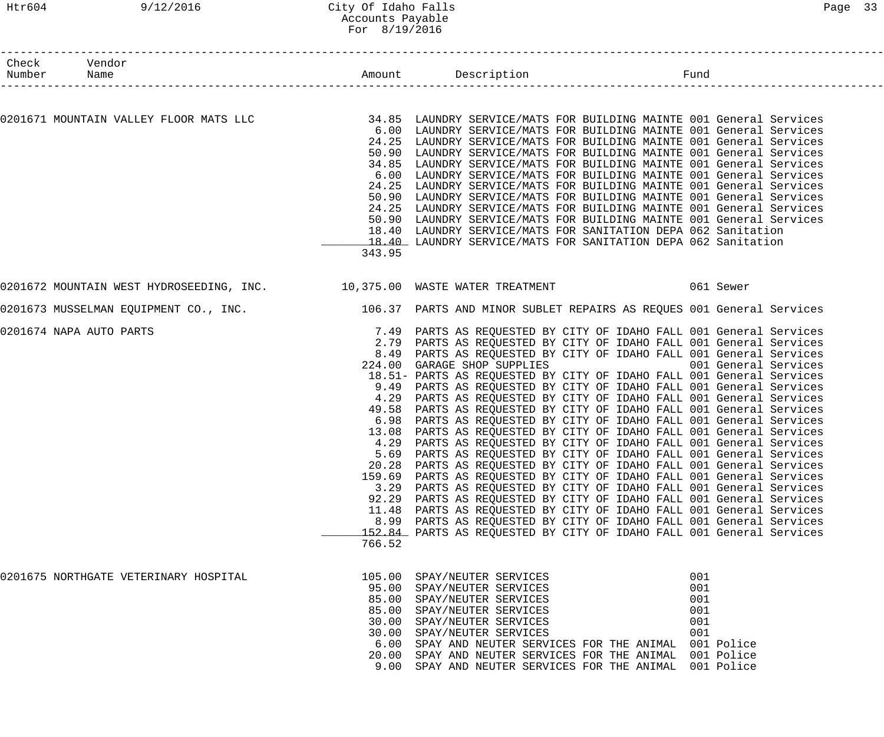# Htr604 9/12/2016 City Of Idaho Falls Page 33 Accounts Payable For 8/19/2016

| Check Vendor<br>Number Name |                                                                                                            |                                                                    | Amount Description <b>Example 1</b> Fund                             |                      |  |
|-----------------------------|------------------------------------------------------------------------------------------------------------|--------------------------------------------------------------------|----------------------------------------------------------------------|----------------------|--|
|                             |                                                                                                            |                                                                    |                                                                      |                      |  |
|                             | 0201671 MOUNTAIN VALLEY FLOOR MATS LLC 34.85 LAUNDRY SERVICE/MATS FOR BUILDING MAINTE 001 General Services |                                                                    |                                                                      |                      |  |
|                             |                                                                                                            |                                                                    | 6.00 LAUNDRY SERVICE/MATS FOR BUILDING MAINTE 001 General Services   |                      |  |
|                             |                                                                                                            |                                                                    | 24.25 LAUNDRY SERVICE/MATS FOR BUILDING MAINTE 001 General Services  |                      |  |
|                             |                                                                                                            |                                                                    | 50.90 LAUNDRY SERVICE/MATS FOR BUILDING MAINTE 001 General Services  |                      |  |
|                             |                                                                                                            |                                                                    | 34.85 LAUNDRY SERVICE/MATS FOR BUILDING MAINTE 001 General Services  |                      |  |
|                             |                                                                                                            |                                                                    | 6.00 LAUNDRY SERVICE/MATS FOR BUILDING MAINTE 001 General Services   |                      |  |
|                             |                                                                                                            |                                                                    | 24.25 LAUNDRY SERVICE/MATS FOR BUILDING MAINTE 001 General Services  |                      |  |
|                             |                                                                                                            |                                                                    | 50.90 LAUNDRY SERVICE/MATS FOR BUILDING MAINTE 001 General Services  |                      |  |
|                             |                                                                                                            |                                                                    | 24.25 LAUNDRY SERVICE/MATS FOR BUILDING MAINTE 001 General Services  |                      |  |
|                             |                                                                                                            |                                                                    | 50.90 LAUNDRY SERVICE/MATS FOR BUILDING MAINTE 001 General Services  |                      |  |
|                             |                                                                                                            |                                                                    | 18.40 LAUNDRY SERVICE/MATS FOR SANITATION DEPA 062 Sanitation        |                      |  |
|                             |                                                                                                            |                                                                    | 18.40 LAUNDRY SERVICE/MATS FOR SANITATION DEPA 062 Sanitation        |                      |  |
|                             |                                                                                                            | 343.95                                                             |                                                                      |                      |  |
|                             |                                                                                                            |                                                                    |                                                                      |                      |  |
|                             | 0201673 MUSSELMAN EQUIPMENT CO., INC. 106.37 PARTS AND MINOR SUBLET REPAIRS AS REQUES 001 General Services |                                                                    |                                                                      |                      |  |
| 0201674 NAPA AUTO PARTS     |                                                                                                            | 7.49 PARTS AS REQUESTED BY CITY OF IDAHO FALL 001 General Services |                                                                      |                      |  |
|                             |                                                                                                            |                                                                    | 2.79 PARTS AS REQUESTED BY CITY OF IDAHO FALL 001 General Services   |                      |  |
|                             |                                                                                                            |                                                                    | 8.49 PARTS AS REQUESTED BY CITY OF IDAHO FALL 001 General Services   |                      |  |
|                             |                                                                                                            |                                                                    | 224.00 GARAGE SHOP SUPPLIES                                          | 001 General Services |  |
|                             |                                                                                                            |                                                                    | 18.51- PARTS AS REQUESTED BY CITY OF IDAHO FALL 001 General Services |                      |  |
|                             |                                                                                                            | 9.49                                                               | PARTS AS REQUESTED BY CITY OF IDAHO FALL 001 General Services        |                      |  |
|                             |                                                                                                            |                                                                    | 4.29 PARTS AS REQUESTED BY CITY OF IDAHO FALL 001 General Services   |                      |  |
|                             |                                                                                                            |                                                                    | 49.58 PARTS AS REQUESTED BY CITY OF IDAHO FALL 001 General Services  |                      |  |
|                             |                                                                                                            |                                                                    | 6.98 PARTS AS REQUESTED BY CITY OF IDAHO FALL 001 General Services   |                      |  |
|                             |                                                                                                            | 13.08                                                              | PARTS AS REQUESTED BY CITY OF IDAHO FALL 001 General Services        |                      |  |
|                             |                                                                                                            | 4.29                                                               | PARTS AS REQUESTED BY CITY OF IDAHO FALL 001 General Services        |                      |  |
|                             |                                                                                                            | 5.69                                                               | PARTS AS REQUESTED BY CITY OF IDAHO FALL 001 General Services        |                      |  |
|                             |                                                                                                            |                                                                    | 20.28 PARTS AS REQUESTED BY CITY OF IDAHO FALL 001 General Services  |                      |  |
|                             |                                                                                                            |                                                                    | 159.69 PARTS AS REQUESTED BY CITY OF IDAHO FALL 001 General Services |                      |  |
|                             |                                                                                                            |                                                                    | 3.29 PARTS AS REQUESTED BY CITY OF IDAHO FALL 001 General Services   |                      |  |
|                             |                                                                                                            |                                                                    | 92.29 PARTS AS REQUESTED BY CITY OF IDAHO FALL 001 General Services  |                      |  |
|                             |                                                                                                            |                                                                    | 11.48 PARTS AS REQUESTED BY CITY OF IDAHO FALL 001 General Services  |                      |  |
|                             |                                                                                                            |                                                                    | 8.99 PARTS AS REQUESTED BY CITY OF IDAHO FALL 001 General Services   |                      |  |
|                             |                                                                                                            |                                                                    | 152.84 PARTS AS REQUESTED BY CITY OF IDAHO FALL 001 General Services |                      |  |
|                             |                                                                                                            | 766.52                                                             |                                                                      |                      |  |
|                             | 0201675 NORTHGATE VETERINARY HOSPITAL                                                                      |                                                                    | 105.00 SPAY/NEUTER SERVICES                                          | 001                  |  |
|                             |                                                                                                            |                                                                    | 95.00 SPAY/NEUTER SERVICES                                           | 001                  |  |
|                             |                                                                                                            |                                                                    | 85.00 SPAY/NEUTER SERVICES                                           | 001                  |  |
|                             |                                                                                                            |                                                                    | 85.00 SPAY/NEUTER SERVICES                                           | 001                  |  |
|                             |                                                                                                            |                                                                    | 30.00 SPAY/NEUTER SERVICES                                           | 001                  |  |
|                             |                                                                                                            |                                                                    | 30.00 SPAY/NEUTER SERVICES                                           | 001                  |  |
|                             |                                                                                                            |                                                                    | 6.00 SPAY AND NEUTER SERVICES FOR THE ANIMAL 001 Police              |                      |  |
|                             |                                                                                                            |                                                                    | 20.00 SPAY AND NEUTER SERVICES FOR THE ANIMAL 001 Police             |                      |  |
|                             |                                                                                                            |                                                                    | 9.00 SPAY AND NEUTER SERVICES FOR THE ANIMAL 001 Police              |                      |  |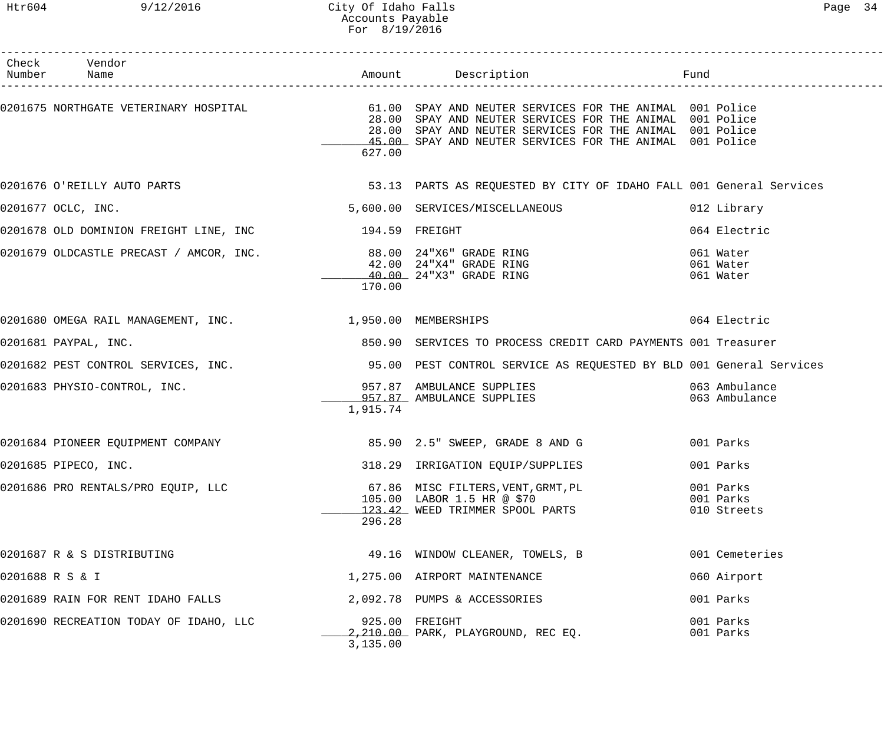| Check Vendor<br>Number Name                                      |          | Amount Description <b>Example 1</b> Fund                                                                                                                                                                                                                                            |                                       |
|------------------------------------------------------------------|----------|-------------------------------------------------------------------------------------------------------------------------------------------------------------------------------------------------------------------------------------------------------------------------------------|---------------------------------------|
|                                                                  | 627.00   | 0201675 NORTHGATE VETERINARY HOSPITAL (51.00 SPAY AND NEUTER SERVICES FOR THE ANIMAL 001 Police<br>28.00 SPAY AND NEUTER SERVICES FOR THE ANIMAL 001 Police<br>28.00 SPAY AND NEUTER SERVICES FOR THE ANIMAL 001 Police<br>45.00 SPAY AND NEUTER SERVICES FOR THE ANIMAL 001 Police |                                       |
|                                                                  |          | 0201676 O'REILLY AUTO PARTS NE SAN SERIES AS REQUESTED BY CITY OF IDAHO FALL 001 General Services                                                                                                                                                                                   |                                       |
| 0201677 OCLC, INC.                                               |          | 5,600.00 SERVICES/MISCELLANEOUS                                                                                                                                                                                                                                                     | 012 Library                           |
| 0201678 OLD DOMINION FREIGHT LINE, INC 194.59 FREIGHT            |          |                                                                                                                                                                                                                                                                                     | 064 Electric                          |
| 0201679 OLDCASTLE PRECAST / AMCOR, INC. 498.00 24"X6" GRADE RING | 170.00   | 42.00 24"X4" GRADE RING<br>40.00 24"X3" GRADE RING                                                                                                                                                                                                                                  | 061 Water<br>061 Water<br>061 Water   |
| 0201680 OMEGA RAIL MANAGEMENT, INC. 1,950.00 MEMBERSHIPS         |          |                                                                                                                                                                                                                                                                                     | 064 Electric                          |
| 0201681 PAYPAL, INC.                                             |          | 850.90 SERVICES TO PROCESS CREDIT CARD PAYMENTS 001 Treasurer                                                                                                                                                                                                                       |                                       |
|                                                                  |          | 0201682 PEST CONTROL SERVICES, INC. 40 195.00 PEST CONTROL SERVICE AS REQUESTED BY BLD 001 General Services                                                                                                                                                                         |                                       |
| 0201683 PHYSIO-CONTROL, INC.                                     | 1,915.74 | 957.87 AMBULANCE SUPPLIES<br>957.87 AMBULANCE SUPPLIES                                                                                                                                                                                                                              | 063 Ambulance<br>063 Ambulance        |
| 0201684 PIONEER EQUIPMENT COMPANY                                |          | 85.90 2.5" SWEEP, GRADE 8 AND G 600 001 Parks                                                                                                                                                                                                                                       |                                       |
| 0201685 PIPECO, INC.                                             |          | 318.29 IRRIGATION EQUIP/SUPPLIES                                                                                                                                                                                                                                                    | 001 Parks                             |
| 0201686 PRO RENTALS/PRO EQUIP, LLC                               | 296.28   | 67.86 MISC FILTERS, VENT, GRMT, PL<br>105.00 LABOR 1.5 HR @ \$70<br>123.42 WEED TRIMMER SPOOL PARTS                                                                                                                                                                                 | 001 Parks<br>001 Parks<br>010 Streets |
| 0201687 R & S DISTRIBUTING                                       |          | 49.16 WINDOW CLEANER, TOWELS, B                                                                                                                                                                                                                                                     | 001 Cemeteries                        |
| 0201688 R S & I                                                  |          | 1,275.00 AIRPORT MAINTENANCE                                                                                                                                                                                                                                                        | 060 Airport                           |
| 0201689 RAIN FOR RENT IDAHO FALLS                                |          | 2,092.78 PUMPS & ACCESSORIES                                                                                                                                                                                                                                                        | 001 Parks                             |
| 0201690 RECREATION TODAY OF IDAHO, LLC                           | 3,135.00 | 925.00 FREIGHT<br>2,210.00 PARK, PLAYGROUND, REC EQ.                                                                                                                                                                                                                                | 001 Parks<br>001 Parks                |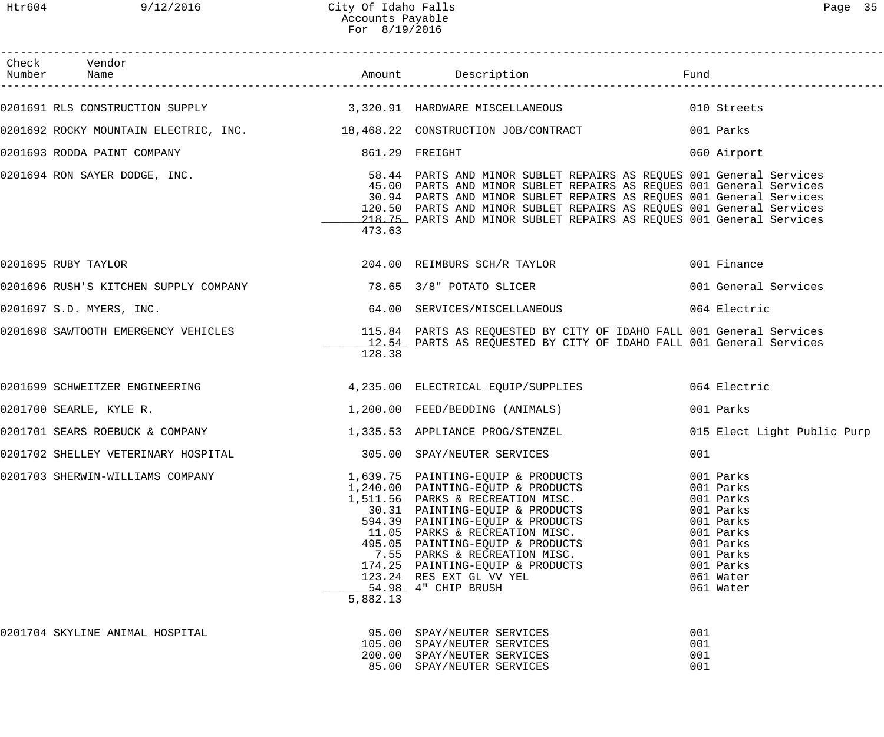| Check Vendor<br>Number Name                                               |          |                                                                                                                                                                                                                                                                                                                                                                   | Fund                     |                                                                                                                                             |
|---------------------------------------------------------------------------|----------|-------------------------------------------------------------------------------------------------------------------------------------------------------------------------------------------------------------------------------------------------------------------------------------------------------------------------------------------------------------------|--------------------------|---------------------------------------------------------------------------------------------------------------------------------------------|
|                                                                           |          | 0201691 RLS CONSTRUCTION SUPPLY 3,320.91 HARDWARE MISCELLANEOUS 010 Streets                                                                                                                                                                                                                                                                                       |                          |                                                                                                                                             |
| 0201692 ROCKY MOUNTAIN ELECTRIC, INC. 48,468.22 CONSTRUCTION JOB/CONTRACT |          |                                                                                                                                                                                                                                                                                                                                                                   |                          | 001 Parks                                                                                                                                   |
| 0201693 RODDA PAINT COMPANY                                               |          | 861.29 FREIGHT                                                                                                                                                                                                                                                                                                                                                    |                          | 060 Airport                                                                                                                                 |
| 0201694 RON SAYER DODGE, INC.                                             | 473.63   | 58.44 PARTS AND MINOR SUBLET REPAIRS AS REQUES 001 General Services<br>45.00 PARTS AND MINOR SUBLET REPAIRS AS REQUES 001 General Services<br>30.94 PARTS AND MINOR SUBLET REPAIRS AS REQUES 001 General Services<br>120.50 PARTS AND MINOR SUBLET REPAIRS AS REQUES 001 General Services<br>218.75 PARTS AND MINOR SUBLET REPAIRS AS REQUES 001 General Services |                          |                                                                                                                                             |
| 0201695 RUBY TAYLOR                                                       |          | 204.00 REIMBURS SCH/R TAYLOR                                                                                                                                                                                                                                                                                                                                      |                          | 001 Finance                                                                                                                                 |
|                                                                           |          |                                                                                                                                                                                                                                                                                                                                                                   |                          | 001 General Services                                                                                                                        |
| 0201697 S.D. MYERS, INC.                                                  |          | 64.00 SERVICES/MISCELLANEOUS                                                                                                                                                                                                                                                                                                                                      |                          | 064 Electric                                                                                                                                |
|                                                                           | 128.38   | 0201698 SAWTOOTH EMERGENCY VEHICLES THE SERIE SERIES AS REQUESTED BY CITY OF IDAHO FALL 001 General Services<br>12.54 PARTS AS REQUESTED BY CITY OF IDAHO FALL 001 General Services                                                                                                                                                                               |                          |                                                                                                                                             |
|                                                                           |          |                                                                                                                                                                                                                                                                                                                                                                   |                          | 064 Electric                                                                                                                                |
| 0201700 SEARLE, KYLE R.                                                   |          | 1,200.00 FEED/BEDDING (ANIMALS)                                                                                                                                                                                                                                                                                                                                   |                          | 001 Parks                                                                                                                                   |
| 0201701 SEARS ROEBUCK & COMPANY                                           |          | 1,335.53 APPLIANCE PROG/STENZEL                                                                                                                                                                                                                                                                                                                                   |                          | 015 Elect Light Public Purp                                                                                                                 |
| 0201702 SHELLEY VETERINARY HOSPITAL                                       |          | 305.00 SPAY/NEUTER SERVICES                                                                                                                                                                                                                                                                                                                                       | 001                      |                                                                                                                                             |
| 0201703 SHERWIN-WILLIAMS COMPANY                                          | 5,882.13 | 1,639.75 PAINTING-EQUIP & PRODUCTS<br>1,059.75 FAINTING-EQUIP & PRODUCTS<br>1,240.00 PAINTING-EQUIP & PRODUCTS<br>1,511.56 PARKS & RECREATION MISC.<br>30.31 PAINTING-EQUIP & PRODUCTS<br>594.39 PAINTING-EQUIP & PRODUCTS<br>11.05 PARKS & RECREATION MISC.<br>495.05 PAINTING-EQUIP<br>123.24 RES EXT GL VV YEL<br>54.98 4" CHIP BRUSH                          |                          | 001 Parks<br>001 Parks<br>001 Parks<br>001 Parks<br>001 Parks<br>001 Parks<br>001 Parks<br>001 Parks<br>001 Parks<br>061 Water<br>061 Water |
| 0201704 SKYLINE ANIMAL HOSPITAL                                           |          | 95.00 SPAY/NEUTER SERVICES<br>105.00 SPAY/NEUTER SERVICES<br>200.00 SPAY/NEUTER SERVICES<br>85.00 SPAY/NEUTER SERVICES                                                                                                                                                                                                                                            | 001<br>001<br>001<br>001 |                                                                                                                                             |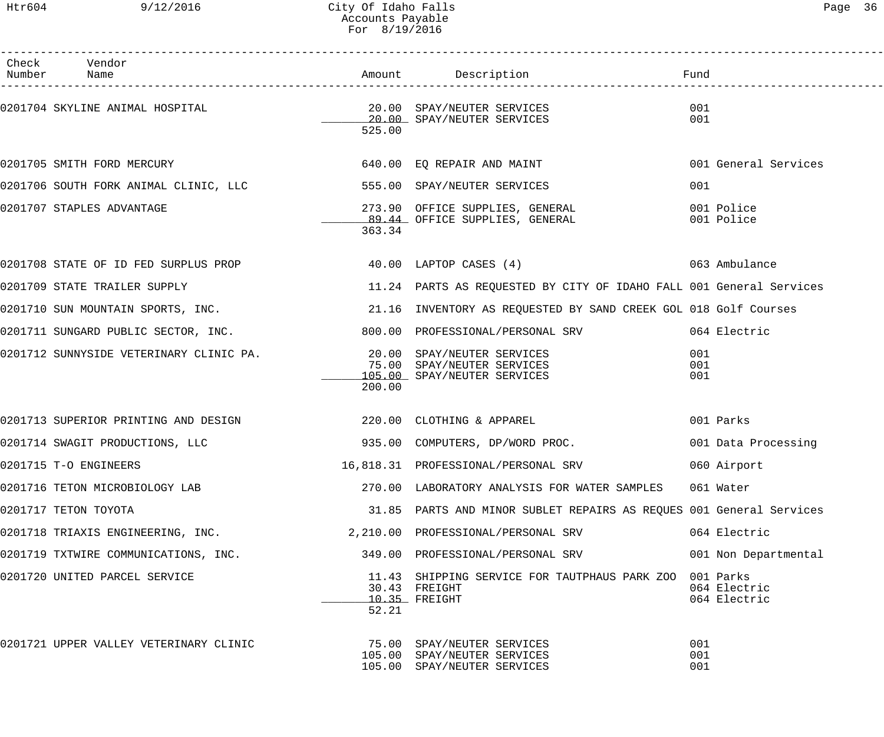| Check Vendor<br>Number Name                                               |        |                                                                                                   | Fund                         |
|---------------------------------------------------------------------------|--------|---------------------------------------------------------------------------------------------------|------------------------------|
|                                                                           | 525.00 | 20.00 SPAY/NEUTER SERVICES                                                                        | 001<br>001                   |
| 0201705 SMITH FORD MERCURY                                                |        | 640.00 EQ REPAIR AND MAINT                                                                        | 001 General Services         |
| 0201706 SOUTH FORK ANIMAL CLINIC, LLC 600 SS5.00 SPAY/NEUTER SERVICES     |        |                                                                                                   | 001                          |
| 0201707 STAPLES ADVANTAGE                                                 | 363.34 | 273.90 OFFICE SUPPLIES, GENERAL<br>89.44 OFFICE SUPPLIES, GENERAL                                 | 001 Police<br>001 Police     |
|                                                                           |        | 0201708 STATE OF ID FED SURPLUS PROP 1999 10:00 LAPTOP CASES (4) 201708 STATE OF 1063 Ambulance   |                              |
| 0201709 STATE TRAILER SUPPLY                                              |        | 11.24 PARTS AS REQUESTED BY CITY OF IDAHO FALL 001 General Services                               |                              |
|                                                                           |        | 0201710 SUN MOUNTAIN SPORTS, INC. 21.16 INVENTORY AS REQUESTED BY SAND CREEK GOL 018 Golf Courses |                              |
| 0201711 SUNGARD PUBLIC SECTOR, INC.                                       |        | 800.00 PROFESSIONAL/PERSONAL SRV 664 Electric                                                     |                              |
| 0201712 SUNNYSIDE VETERINARY CLINIC PA. 20.00 SPAY/NEUTER SERVICES        | 200.00 | 75.00 SPAY/NEUTER SERVICES<br>105.00 SPAY/NEUTER SERVICES                                         | 001<br>001<br>001            |
| 0201713 SUPERIOR PRINTING AND DESIGN THE RESOLUTION OF CLOTHING & APPAREL |        |                                                                                                   | 001 Parks                    |
| 0201714 SWAGIT PRODUCTIONS, LLC                                           |        | 935.00 COMPUTERS, DP/WORD PROC. 001 Data Processing                                               |                              |
| 0201715 T-O ENGINEERS                                                     |        | 16,818.31 PROFESSIONAL/PERSONAL SRV                                                               | 060 Airport                  |
| 0201716 TETON MICROBIOLOGY LAB                                            |        | 270.00 LABORATORY ANALYSIS FOR WATER SAMPLES 061 Water                                            |                              |
| 0201717 TETON TOYOTA                                                      |        | 31.85 PARTS AND MINOR SUBLET REPAIRS AS REQUES 001 General Services                               |                              |
| 0201718 TRIAXIS ENGINEERING, INC. 2, 210.00 PROFESSIONAL/PERSONAL SRV     |        |                                                                                                   | 064 Electric                 |
| 0201719 TXTWIRE COMMUNICATIONS, INC.                                      |        | 349.00 PROFESSIONAL/PERSONAL SRV                                                                  | 001 Non Departmental         |
| 0201720 UNITED PARCEL SERVICE                                             | 52.21  | 11.43 SHIPPING SERVICE FOR TAUTPHAUS PARK ZOO 001 Parks<br>30.43 FREIGHT<br>10.35 FREIGHT         | 064 Electric<br>064 Electric |
| 0201721 UPPER VALLEY VETERINARY CLINIC                                    |        | 75.00 SPAY/NEUTER SERVICES<br>105.00 SPAY/NEUTER SERVICES<br>105.00 SPAY/NEUTER SERVICES          | 001<br>001<br>001            |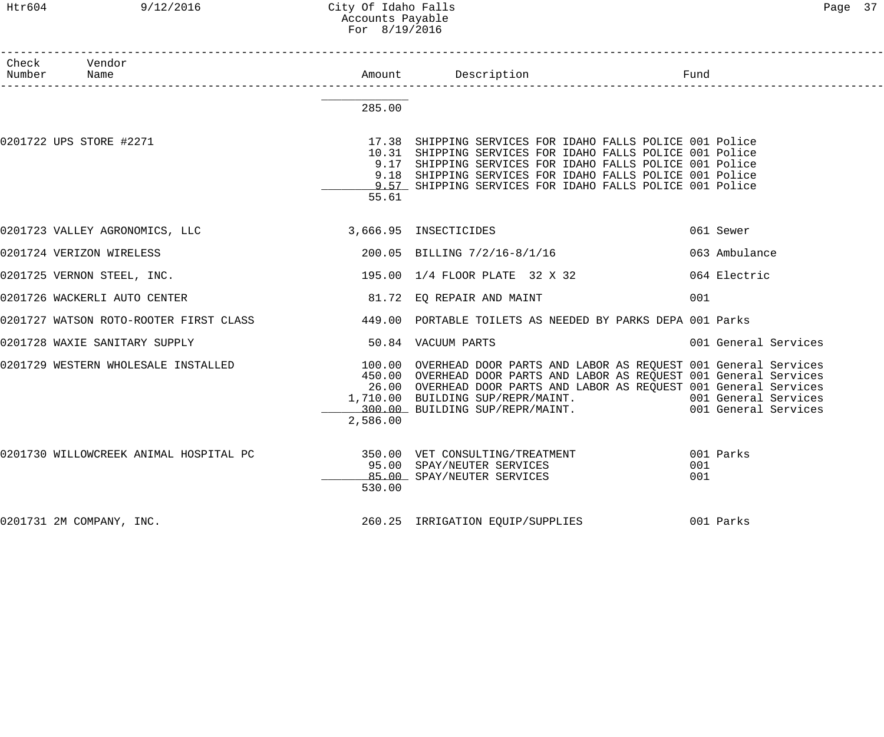# Htr604 9/12/2016 City Of Idaho Falls Page 37 Accounts Payable For 8/19/2016

| Check Vendor<br>Number Name                          |          |                                                                                                                                                                                                                                                                                                                                                          |                      |
|------------------------------------------------------|----------|----------------------------------------------------------------------------------------------------------------------------------------------------------------------------------------------------------------------------------------------------------------------------------------------------------------------------------------------------------|----------------------|
|                                                      | 285.00   |                                                                                                                                                                                                                                                                                                                                                          |                      |
| 0201722 UPS STORE #2271                              | 55.61    | 17.38 SHIPPING SERVICES FOR IDAHO FALLS POLICE 001 Police<br>10.31 SHIPPING SERVICES FOR IDAHO FALLS POLICE 001 Police<br>9.17 SHIPPING SERVICES FOR IDAHO FALLS POLICE 001 Police<br>9.18 SHIPPING SERVICES FOR IDAHO FALLS POLICE 001 Police<br>9.57 SHIPPING SERVICES FOR IDAHO FALLS POLICE 001 Police                                               |                      |
| 0201723 VALLEY AGRONOMICS, LLC 3,666.95 INSECTICIDES |          |                                                                                                                                                                                                                                                                                                                                                          | 061 Sewer            |
| 0201724 VERIZON WIRELESS                             |          | 200.05 BILLING 7/2/16-8/1/16                                                                                                                                                                                                                                                                                                                             | 063 Ambulance        |
| 0201725 VERNON STEEL, INC.                           |          | 195.00 1/4 FLOOR PLATE 32 X 32                                                                                                                                                                                                                                                                                                                           | 064 Electric         |
| 0201726 WACKERLI AUTO CENTER                         |          | 81.72 EQ REPAIR AND MAINT                                                                                                                                                                                                                                                                                                                                | 001                  |
|                                                      |          | 0201727 WATSON ROTO-ROOTER FIRST CLASS 449.00 PORTABLE TOILETS AS NEEDED BY PARKS DEPA 001 Parks                                                                                                                                                                                                                                                         |                      |
| 0201728 WAXIE SANITARY SUPPLY                        |          | 50.84 VACUUM PARTS                                                                                                                                                                                                                                                                                                                                       | 001 General Services |
| 0201729 WESTERN WHOLESALE INSTALLED                  | 2,586.00 | 100.00 OVERHEAD DOOR PARTS AND LABOR AS REQUEST 001 General Services<br>450.00 OVERHEAD DOOR PARTS AND LABOR AS REQUEST 001 General Services<br>26.00 OVERHEAD DOOR PARTS AND LABOR AS REQUEST 001 General Services<br>1,710.00 BUILDING SUP/REPR/MAINT. 1.10.00 BUILDING SUP/REPR/MAINT.<br>100.00 BUILDING SUP/REPR/MAINT. 1.1000 001 General Services |                      |
|                                                      | 530.00   | 0201730 WILLOWCREEK ANIMAL HOSPITAL PC 350.00 VET CONSULTING/TREATMENT 601 Parks<br>95.00 SPAY/NEUTER SERVICES<br>85.00 SPAY/NEUTER SERVICES                                                                                                                                                                                                             | 001<br>001           |
| 0201731 2M COMPANY, INC.                             |          | 260.25 IRRIGATION EQUIP/SUPPLIES 001 Parks                                                                                                                                                                                                                                                                                                               |                      |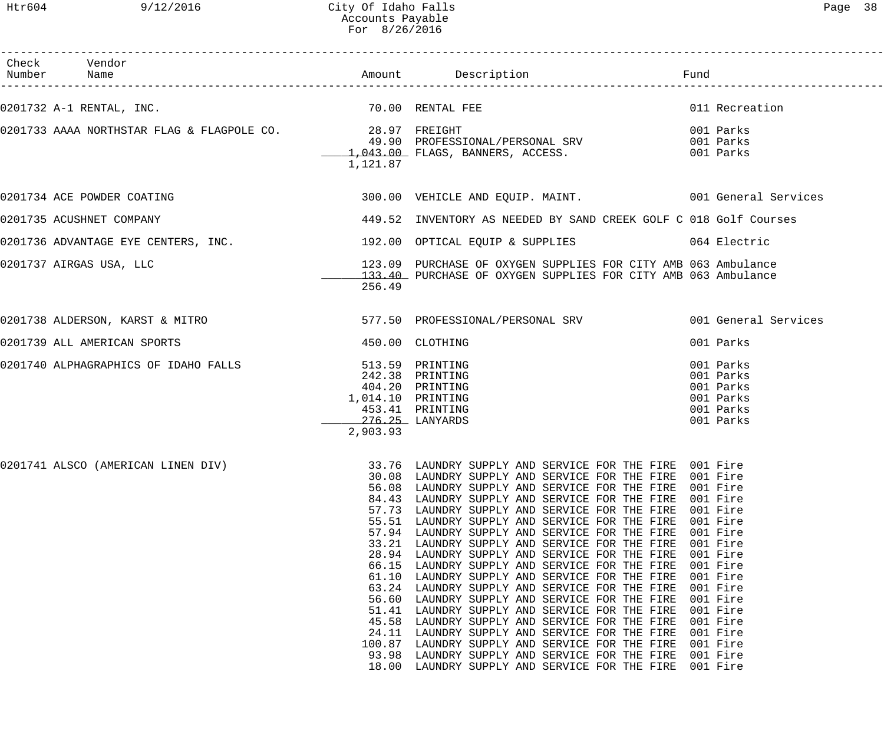Htr604 9/12/2016 City Of Idaho Falls Page 38 Accounts Payable For 8/26/2016

| Check Vendor<br>Number Name                                                      |                                                                                                                                                        |                                                                                                                                                                                                                                                                                                                                                                                                                                                                                                                                                                                                                                                                                                                                                                                                                                                                    |                                                                                                                                                                                                                      |
|----------------------------------------------------------------------------------|--------------------------------------------------------------------------------------------------------------------------------------------------------|--------------------------------------------------------------------------------------------------------------------------------------------------------------------------------------------------------------------------------------------------------------------------------------------------------------------------------------------------------------------------------------------------------------------------------------------------------------------------------------------------------------------------------------------------------------------------------------------------------------------------------------------------------------------------------------------------------------------------------------------------------------------------------------------------------------------------------------------------------------------|----------------------------------------------------------------------------------------------------------------------------------------------------------------------------------------------------------------------|
| 0201732 A-1 RENTAL, INC.                                                         |                                                                                                                                                        | 70.00 RENTAL FEE                                                                                                                                                                                                                                                                                                                                                                                                                                                                                                                                                                                                                                                                                                                                                                                                                                                   | 011 Recreation                                                                                                                                                                                                       |
| 0201733 AAAA NORTHSTAR FLAG & FLAGPOLE CO. 28.97 FREIGHT                         | 1,121.87                                                                                                                                               | 49.90 PROFESSIONAL/PERSONAL SRV<br>$1,043.00$ FLAGS, BANNERS, ACCESS.                                                                                                                                                                                                                                                                                                                                                                                                                                                                                                                                                                                                                                                                                                                                                                                              | 001 Parks<br>001 Parks<br>001 Parks                                                                                                                                                                                  |
| 0201734 ACE POWDER COATING                                                       |                                                                                                                                                        | 300.00 VEHICLE AND EQUIP. MAINT. 001 General Services                                                                                                                                                                                                                                                                                                                                                                                                                                                                                                                                                                                                                                                                                                                                                                                                              |                                                                                                                                                                                                                      |
| 0201735 ACUSHNET COMPANY                                                         |                                                                                                                                                        | 449.52 INVENTORY AS NEEDED BY SAND CREEK GOLF C 018 Golf Courses                                                                                                                                                                                                                                                                                                                                                                                                                                                                                                                                                                                                                                                                                                                                                                                                   |                                                                                                                                                                                                                      |
| 0201736 ADVANTAGE EYE CENTERS, INC. 192.00 OPTICAL EQUIP & SUPPLIES 064 Electric |                                                                                                                                                        |                                                                                                                                                                                                                                                                                                                                                                                                                                                                                                                                                                                                                                                                                                                                                                                                                                                                    |                                                                                                                                                                                                                      |
| 0201737 AIRGAS USA, LLC                                                          | 256.49                                                                                                                                                 | 123.09 PURCHASE OF OXYGEN SUPPLIES FOR CITY AMB 063 Ambulance<br>133.40 PURCHASE OF OXYGEN SUPPLIES FOR CITY AMB 063 Ambulance                                                                                                                                                                                                                                                                                                                                                                                                                                                                                                                                                                                                                                                                                                                                     |                                                                                                                                                                                                                      |
| 0201738 ALDERSON, KARST & MITRO                                                  |                                                                                                                                                        | 577.50 PROFESSIONAL/PERSONAL SRV 001 General Services                                                                                                                                                                                                                                                                                                                                                                                                                                                                                                                                                                                                                                                                                                                                                                                                              |                                                                                                                                                                                                                      |
| 0201739 ALL AMERICAN SPORTS                                                      |                                                                                                                                                        | 450.00 CLOTHING                                                                                                                                                                                                                                                                                                                                                                                                                                                                                                                                                                                                                                                                                                                                                                                                                                                    | 001 Parks                                                                                                                                                                                                            |
| 0201740 ALPHAGRAPHICS OF IDAHO FALLS                                             | 1,014.10 PRINTING<br>453.41 PRINTING<br>276.25 LANYARDS<br>2,903.93                                                                                    | 513.59 PRINTING<br>242.38 PRINTING<br>404.20 PRINTING                                                                                                                                                                                                                                                                                                                                                                                                                                                                                                                                                                                                                                                                                                                                                                                                              | 001 Parks<br>001 Parks<br>001 Parks<br>001 Parks<br>001 Parks<br>001 Parks                                                                                                                                           |
| 0201741 ALSCO (AMERICAN LINEN DIV)                                               | 30.08<br>56.08<br>84.43<br>57.73<br>57.94<br>33.21<br>28.94<br>66.15<br>61.10<br>63.24<br>56.60<br>51.41<br>45.58<br>24.11<br>100.87<br>93.98<br>18.00 | 33.76 LAUNDRY SUPPLY AND SERVICE FOR THE FIRE 001 Fire<br>LAUNDRY SUPPLY AND SERVICE FOR THE FIRE<br>LAUNDRY SUPPLY AND SERVICE FOR THE FIRE<br>LAUNDRY SUPPLY AND SERVICE FOR THE FIRE<br>LAUNDRY SUPPLY AND SERVICE FOR THE FIRE<br>55.51 LAUNDRY SUPPLY AND SERVICE FOR THE FIRE<br>LAUNDRY SUPPLY AND SERVICE FOR THE FIRE<br>LAUNDRY SUPPLY AND SERVICE FOR THE FIRE<br>LAUNDRY SUPPLY AND SERVICE FOR THE FIRE<br>LAUNDRY SUPPLY AND SERVICE FOR THE FIRE<br>LAUNDRY SUPPLY AND SERVICE FOR THE FIRE<br>LAUNDRY SUPPLY AND SERVICE FOR THE FIRE<br>LAUNDRY SUPPLY AND SERVICE FOR THE FIRE<br>LAUNDRY SUPPLY AND SERVICE FOR THE FIRE<br>LAUNDRY SUPPLY AND SERVICE FOR THE FIRE<br>LAUNDRY SUPPLY AND SERVICE FOR THE FIRE<br>LAUNDRY SUPPLY AND SERVICE FOR THE FIRE<br>LAUNDRY SUPPLY AND SERVICE FOR THE FIRE<br>LAUNDRY SUPPLY AND SERVICE FOR THE FIRE | 001 Fire<br>001 Fire<br>001 Fire<br>001 Fire<br>001 Fire<br>001 Fire<br>001 Fire<br>001 Fire<br>001 Fire<br>001 Fire<br>001 Fire<br>001 Fire<br>001 Fire<br>001 Fire<br>001 Fire<br>001 Fire<br>001 Fire<br>001 Fire |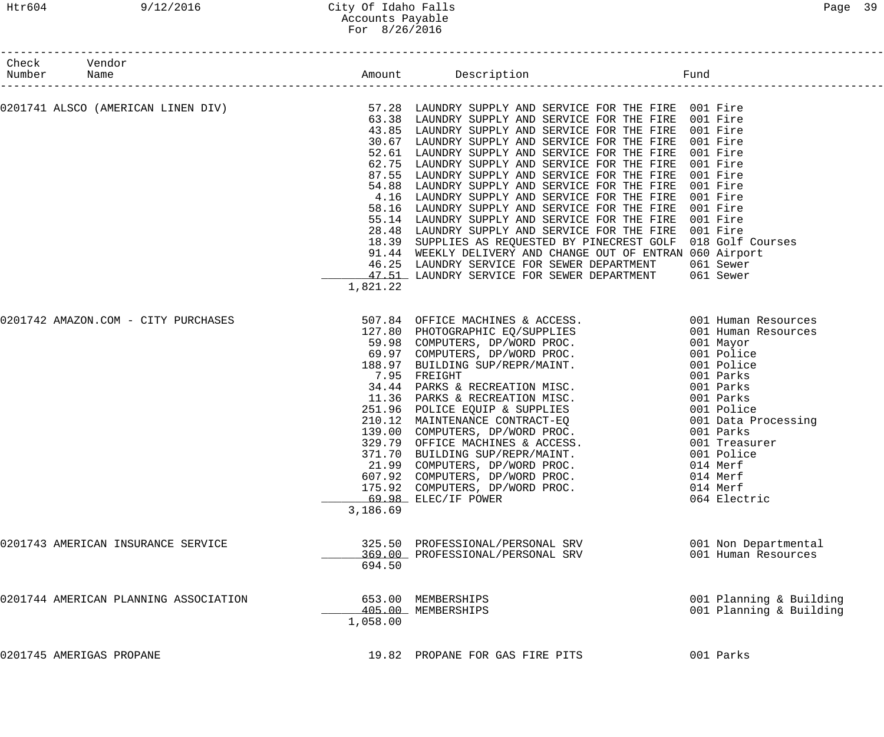| Check Vendor<br>Number Name                                                                                                                                                             |          |                                                                                                                                                                                                                                                                                                                                                                                                                                                                                                                                                                                                                                                                                                                                                                                                                                                     |                                                                      |
|-----------------------------------------------------------------------------------------------------------------------------------------------------------------------------------------|----------|-----------------------------------------------------------------------------------------------------------------------------------------------------------------------------------------------------------------------------------------------------------------------------------------------------------------------------------------------------------------------------------------------------------------------------------------------------------------------------------------------------------------------------------------------------------------------------------------------------------------------------------------------------------------------------------------------------------------------------------------------------------------------------------------------------------------------------------------------------|----------------------------------------------------------------------|
| --------------------<br>0201741 ALSCO (AMERICAN LINEN DIV)             57.28 LAUNDRY SUPPLY AND SERVICE FOR THE FIRE 001 Fire<br>63.38 LAUNDRY SUPPLY AND SERVICE FOR THE FIRE 001 Fire |          | 63.38 LAUNDRY SUPPLY AND SERVICE FOR THE FIRE 001 Fire<br>43.85 LAUNDRY SUPPLY AND SERVICE FOR THE FIRE 001 Fire<br>30.67 LAUNDRY SUPPLY AND SERVICE FOR THE FIRE<br>52.61 LAUNDRY SUPPLY AND SERVICE FOR THE FIRE<br>62.75 LAUNDRY SUPPLY AND SERVICE FOR THE FIRE<br>87.55 LAUNDRY SUPPLY AND SERVICE FOR THE FIRE 001 Fire<br>54.88 LAUNDRY SUPPLY AND SERVICE FOR THE FIRE 001 Fire<br>4.16 LAUNDRY SUPPLY AND SERVICE FOR THE FIRE<br>58.16 LAUNDRY SUPPLY AND SERVICE FOR THE FIRE<br>55.14 LAUNDRY SUPPLY AND SERVICE FOR THE FIRE<br>28.48 LAUNDRY SUPPLY AND SERVICE FOR THE FIRE 001 Fire<br>18.39 SUPPLIES AS REQUESTED BY PINECREST GOLF 018 Golf Courses<br>91.44 WEEKLY DELIVERY AND CHANGE OUT OF ENTRAN 060 Airport<br>46.25 LAUNDRY SERVICE FOR SEWER DEPARTMENT 061 Sewer<br>47.51 LAUNDRY SERVICE FOR SEWER DEPARTMENT 061 Sewer | 001 Fire<br>001 Fire<br>001 Fire<br>001 Fire<br>001 Fire<br>001 Fire |
| 0201742 AMAZON.COM - CITY PURCHASES                                                                                                                                                     | 1,821.22 |                                                                                                                                                                                                                                                                                                                                                                                                                                                                                                                                                                                                                                                                                                                                                                                                                                                     |                                                                      |
|                                                                                                                                                                                         | 3,186.69 | 907.84 OFFICE MACHINES & ACCESS.<br>127.80 PHOTOGRAPHIC EQ/SUPPLIES 001 Human Resources<br>59.98 COMPUTERS, DP/WORD PROC. 001 Mayor<br>69.97 COMPUTERS, DP/WORD PROC. 001 Police<br>188.97 BUILDING SUP/REPR/MAINT. 001 Police<br>7.95 F<br>7.95 FREIGHT<br>7.95 FREIGHT<br>34.44 PARKS & RECREATION MISC.<br>11.36 PARKS & RECREATION MISC.<br>251.96 POLICE EQUIP & SUPPLIES<br>210.12 MAINTENANCE CONTRACT-EQ<br>139.00 COMPUTERS, DP/WORD PROC.<br>329.79 OFFICE MACHINES & ACCESS.<br>371.70 BUILDI<br>21.99 COMPUTERS, DP/WORD PROC.<br>607.92 COMPUTERS, DP/WORD PROC.<br>175.92 COMPUTERS, DP/WORD PROC.<br>69.98 ELEC/IF POWER                                                                                                                                                                                                             | 001 Parks<br>014 Merf<br>014 Merf<br>014 Merf<br>064 Electric        |
| 0201743 AMERICAN INSURANCE SERVICE                                                                                                                                                      | 694.50   | 325.50 PROFESSIONAL/PERSONAL SRV<br>369.00 PROFESSIONAL/PERSONAL SRV                                                                                                                                                                                                                                                                                                                                                                                                                                                                                                                                                                                                                                                                                                                                                                                | 001 Non Departmental<br>001 Human Resources                          |
| 0201744 AMERICAN PLANNING ASSOCIATION                                                                                                                                                   | 1,058.00 | 653.00 MEMBERSHIPS<br>405.00 MEMBERSHIPS                                                                                                                                                                                                                                                                                                                                                                                                                                                                                                                                                                                                                                                                                                                                                                                                            | 001 Planning & Building<br>001 Planning & Building                   |
| 0201745 AMERIGAS PROPANE                                                                                                                                                                |          | 19.82 PROPANE FOR GAS FIRE PITS                                                                                                                                                                                                                                                                                                                                                                                                                                                                                                                                                                                                                                                                                                                                                                                                                     | 001 Parks                                                            |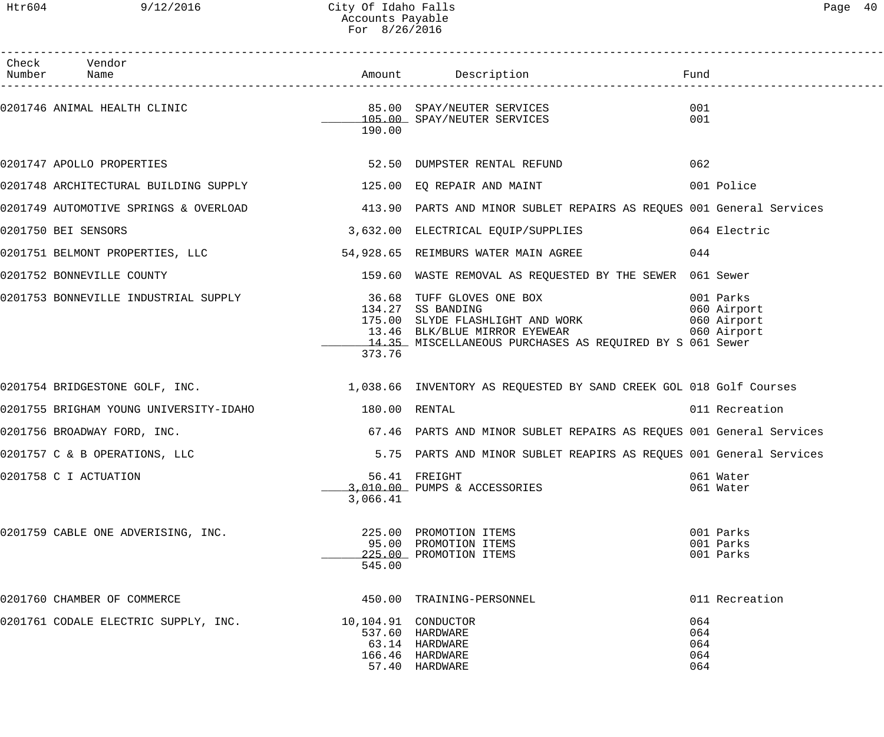| Page | 40 |
|------|----|
|      |    |

| Check Vendor<br>Number Name                                                                          |          |                                                                                                                                                                                                                                                                                       |                                     |
|------------------------------------------------------------------------------------------------------|----------|---------------------------------------------------------------------------------------------------------------------------------------------------------------------------------------------------------------------------------------------------------------------------------------|-------------------------------------|
| 0201746 ANIMAL HEALTH CLINIC $\begin{array}{r} 85.00 \\ -105.00 \\ \end{array}$ SPAY/NEUTER SERVICES | 190.00   |                                                                                                                                                                                                                                                                                       | 001<br>001                          |
|                                                                                                      |          |                                                                                                                                                                                                                                                                                       | 062                                 |
|                                                                                                      |          | 0201748 ARCHITECTURAL BUILDING SUPPLY 125.00 EQ REPAIR AND MAINT 120 1001 Police                                                                                                                                                                                                      |                                     |
|                                                                                                      |          | 0201749 AUTOMOTIVE SPRINGS & OVERLOAD (413.90) PARTS AND MINOR SUBLET REPAIRS AS REQUES 001 General Services                                                                                                                                                                          |                                     |
| 0201750 BEI SENSORS                                                                                  |          | 3,632.00 ELECTRICAL EQUIP/SUPPLIES 064 Electric                                                                                                                                                                                                                                       |                                     |
|                                                                                                      |          | 0201751 BELMONT PROPERTIES, LLC 64 028, 65 REIMBURS WATER MAIN AGREE                                                                                                                                                                                                                  |                                     |
|                                                                                                      |          | 0201752 BONNEVILLE COUNTY THE SERVING SERVING SERVING A STRAIN AND REQUESTED BY THE SEWER 061 Sewer                                                                                                                                                                                   |                                     |
|                                                                                                      | 373.76   | 0201753 BONNEVILLE INDUSTRIAL SUPPLY 36.68 TUFF GLOVES ONE BOX 001 Parks<br>134.27 SS BANDING 060 Airport<br>13.46 BLK/BLUE MIRROR ET SERVER 13.46 BLK/BLUE MIRROR EXEMPLISE 175.00 SLYDE FLASHLIGHT AND WORK 060 Airport<br>14.35 MISCELLANEOUS PURCHASES AS REQUIRED BY S 061 Sewer |                                     |
|                                                                                                      |          | 0201754 BRIDGESTONE GOLF, INC.<br>1,038.66 INVENTORY AS REQUESTED BY SAND CREEK GOL 018 Golf Courses                                                                                                                                                                                  |                                     |
|                                                                                                      |          |                                                                                                                                                                                                                                                                                       | 011 Recreation                      |
| 0201756 BROADWAY FORD, INC.                                                                          |          | 67.46 PARTS AND MINOR SUBLET REPAIRS AS REQUES 001 General Services                                                                                                                                                                                                                   |                                     |
| 0201757 C & B OPERATIONS, LLC                                                                        |          | 5.75 PARTS AND MINOR SUBLET REAPIRS AS REQUES 001 General Services                                                                                                                                                                                                                    |                                     |
| 0201758 C I ACTUATION                                                                                | 3,066.41 | 56.41 FREIGHT<br>3,010.00 PUMPS & ACCESSORIES                                                                                                                                                                                                                                         | 061 Water<br>061 Water              |
| 0201759 CABLE ONE ADVERISING, INC.                                                                   | 545.00   | 225.00 PROMOTION ITEMS<br>95.00 PROMOTION ITEMS<br>225.00 PROMOTION ITEMS                                                                                                                                                                                                             | 001 Parks<br>001 Parks<br>001 Parks |
| 0201760 CHAMBER OF COMMERCE                                                                          |          | 450.00 TRAINING-PERSONNEL                                                                                                                                                                                                                                                             | 011 Recreation                      |
| 0201761 CODALE ELECTRIC SUPPLY, INC.                                                                 |          | 537.60 HARDWARE<br>63.14 HARDWARE<br>166.46 HARDWARE<br>57.40 HARDWARE                                                                                                                                                                                                                | 064<br>064<br>064<br>064<br>064     |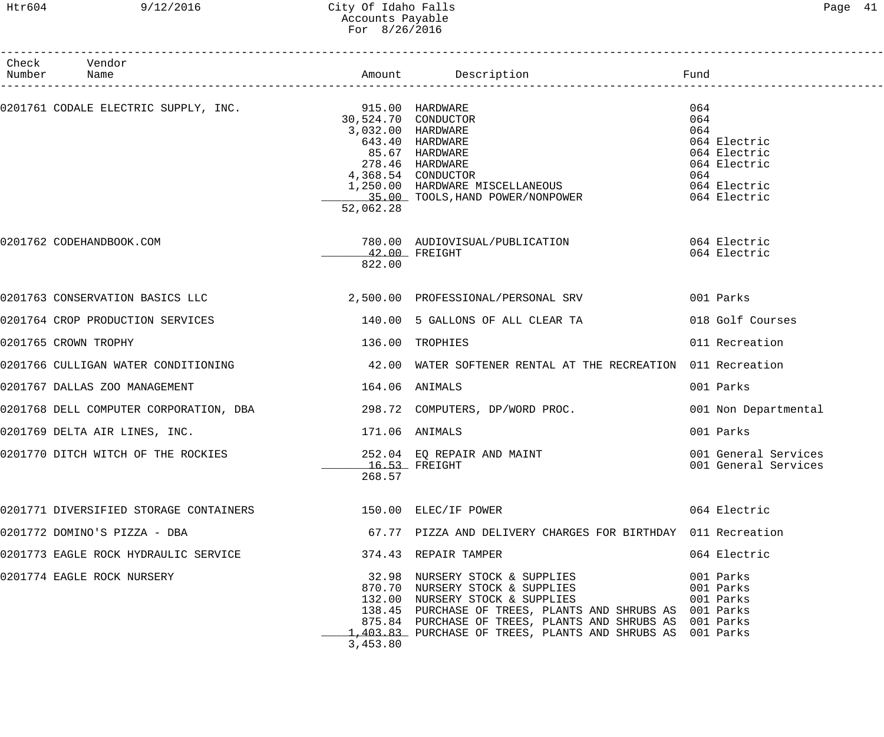# Htr604 9/12/2016 City Of Idaho Falls Page 41 Accounts Payable For 8/26/2016

| Check Vendor<br>Number Name                                              |                                                       | Amount Description <b>Example 1</b> Fund                                                                                                                                                                                                                                                   |                                                                                                          |
|--------------------------------------------------------------------------|-------------------------------------------------------|--------------------------------------------------------------------------------------------------------------------------------------------------------------------------------------------------------------------------------------------------------------------------------------------|----------------------------------------------------------------------------------------------------------|
|                                                                          | 30,524.70 CONDUCTOR<br>3,032.00 HARDWARE<br>52,062.28 | 643.40 HARDWARE<br>85.67 HARDWARE<br>278.46 HARDWARE<br>4,368.54 CONDUCTOR<br>1,250.00 HARDWARE MISCELLANEOUS<br>35.00 TOOLS, HAND POWER/NONPOWER                                                                                                                                          | 064<br>064<br>064<br>064 Electric<br>064 Electric<br>064 Electric<br>064<br>064 Electric<br>064 Electric |
| 0201762 CODEHANDBOOK.COM                                                 | 822.00                                                | 780.00 AUDIOVISUAL/PUBLICATION 064 Electric<br>$42.00$ FREIGHT                                                                                                                                                                                                                             | 064 Electric                                                                                             |
| 0201763 CONSERVATION BASICS LLC                                          |                                                       | 2,500.00 PROFESSIONAL/PERSONAL SRV                                                                                                                                                                                                                                                         | 001 Parks                                                                                                |
| 0201764 CROP PRODUCTION SERVICES                                         |                                                       | 140.00 5 GALLONS OF ALL CLEAR TA                                                                                                                                                                                                                                                           | 018 Golf Courses                                                                                         |
| 0201765 CROWN TROPHY                                                     |                                                       | 136.00 TROPHIES                                                                                                                                                                                                                                                                            | 011 Recreation                                                                                           |
| 0201766 CULLIGAN WATER CONDITIONING                                      |                                                       | 42.00 WATER SOFTENER RENTAL AT THE RECREATION 011 Recreation                                                                                                                                                                                                                               |                                                                                                          |
| 0201767 DALLAS ZOO MANAGEMENT                                            | 164.06                                                | ANIMALS                                                                                                                                                                                                                                                                                    | 001 Parks                                                                                                |
| 0201768 DELL COMPUTER CORPORATION, DBA $298.72$ COMPUTERS, DP/WORD PROC. |                                                       |                                                                                                                                                                                                                                                                                            | 001 Non Departmental                                                                                     |
| 0201769 DELTA AIR LINES, INC.                                            |                                                       | 171.06 ANIMALS                                                                                                                                                                                                                                                                             | 001 Parks                                                                                                |
| 0201770 DITCH WITCH OF THE ROCKIES                                       | 268.57                                                | 252.04 EQ REPAIR AND MAINT<br>$16.53$ FREIGHT                                                                                                                                                                                                                                              | 001 General Services<br>001 General Services                                                             |
| 0201771 DIVERSIFIED STORAGE CONTAINERS 600 150.00 ELEC/IF POWER          |                                                       |                                                                                                                                                                                                                                                                                            | 064 Electric                                                                                             |
| 0201772 DOMINO'S PIZZA - DBA                                             |                                                       | 67.77 PIZZA AND DELIVERY CHARGES FOR BIRTHDAY 011 Recreation                                                                                                                                                                                                                               |                                                                                                          |
| 0201773 EAGLE ROCK HYDRAULIC SERVICE                                     |                                                       | 374.43 REPAIR TAMPER                                                                                                                                                                                                                                                                       | 064 Electric                                                                                             |
| 0201774 EAGLE ROCK NURSERY                                               | 3,453.80                                              | 32.98 NURSERY STOCK & SUPPLIES<br>870.70 NORSERY STOCK & SUPPLIES<br>132.00 NURSERY STOCK & SUPPLIES<br>138.45 PURCHASE OF TREES, PLANTS AND SHRUBS AS 001 Parks<br>875.84 PURCHASE OF TREES, PLANTS AND SHRUBS AS 001 Parks<br>1,403.83 PURCHASE OF TREES, PLANTS AND SHRUBS AS 001 Parks | 001 Parks<br>001 Parks<br>001 Parks                                                                      |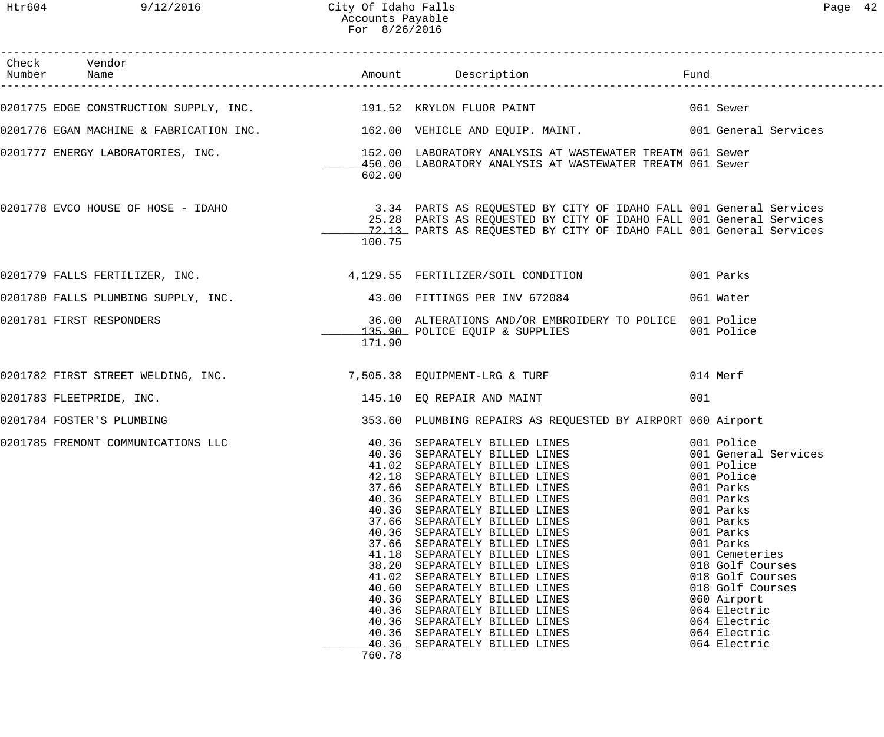Htr604 9/12/2016 City Of Idaho Falls Page 42 Accounts Payable For 8/26/2016

| 602.00                                                                                 | 0201775 EDGE CONSTRUCTION SUPPLY, INC. 191.52 KRYLON FLUOR PAINT 6061 Sewer<br>0201776 EGAN MACHINE & FABRICATION INC. 162.00 VEHICLE AND EQUIP. MAINT. 001 General Services<br>0201777 ENERGY LABORATORIES, INC. THE SERVICE SERVICE SERVICE OF LABORATORY ANALYSIS AT WASTEWATER TREATM 061 Sewer<br>450.00 LABORATORY ANALYSIS AT WASTEWATER TREATM 061 Sewer | Fund                                                                                                                                                                                                                                                                                                                                                                                                                                       |                                                                                                                                                                                                                                                                                                                                                                                                                                                                                                       |
|----------------------------------------------------------------------------------------|------------------------------------------------------------------------------------------------------------------------------------------------------------------------------------------------------------------------------------------------------------------------------------------------------------------------------------------------------------------|--------------------------------------------------------------------------------------------------------------------------------------------------------------------------------------------------------------------------------------------------------------------------------------------------------------------------------------------------------------------------------------------------------------------------------------------|-------------------------------------------------------------------------------------------------------------------------------------------------------------------------------------------------------------------------------------------------------------------------------------------------------------------------------------------------------------------------------------------------------------------------------------------------------------------------------------------------------|
|                                                                                        |                                                                                                                                                                                                                                                                                                                                                                  |                                                                                                                                                                                                                                                                                                                                                                                                                                            |                                                                                                                                                                                                                                                                                                                                                                                                                                                                                                       |
|                                                                                        |                                                                                                                                                                                                                                                                                                                                                                  |                                                                                                                                                                                                                                                                                                                                                                                                                                            |                                                                                                                                                                                                                                                                                                                                                                                                                                                                                                       |
|                                                                                        |                                                                                                                                                                                                                                                                                                                                                                  |                                                                                                                                                                                                                                                                                                                                                                                                                                            |                                                                                                                                                                                                                                                                                                                                                                                                                                                                                                       |
|                                                                                        |                                                                                                                                                                                                                                                                                                                                                                  |                                                                                                                                                                                                                                                                                                                                                                                                                                            |                                                                                                                                                                                                                                                                                                                                                                                                                                                                                                       |
| 100.75                                                                                 |                                                                                                                                                                                                                                                                                                                                                                  |                                                                                                                                                                                                                                                                                                                                                                                                                                            |                                                                                                                                                                                                                                                                                                                                                                                                                                                                                                       |
|                                                                                        |                                                                                                                                                                                                                                                                                                                                                                  |                                                                                                                                                                                                                                                                                                                                                                                                                                            | 001 Parks                                                                                                                                                                                                                                                                                                                                                                                                                                                                                             |
|                                                                                        |                                                                                                                                                                                                                                                                                                                                                                  |                                                                                                                                                                                                                                                                                                                                                                                                                                            | 061 Water                                                                                                                                                                                                                                                                                                                                                                                                                                                                                             |
| 171.90                                                                                 |                                                                                                                                                                                                                                                                                                                                                                  |                                                                                                                                                                                                                                                                                                                                                                                                                                            | 001 Police                                                                                                                                                                                                                                                                                                                                                                                                                                                                                            |
|                                                                                        |                                                                                                                                                                                                                                                                                                                                                                  |                                                                                                                                                                                                                                                                                                                                                                                                                                            | 014 Merf                                                                                                                                                                                                                                                                                                                                                                                                                                                                                              |
|                                                                                        |                                                                                                                                                                                                                                                                                                                                                                  | 001                                                                                                                                                                                                                                                                                                                                                                                                                                        |                                                                                                                                                                                                                                                                                                                                                                                                                                                                                                       |
|                                                                                        |                                                                                                                                                                                                                                                                                                                                                                  |                                                                                                                                                                                                                                                                                                                                                                                                                                            |                                                                                                                                                                                                                                                                                                                                                                                                                                                                                                       |
| 42.18<br>37.66<br>37.66<br>37.66<br>41.18<br>38.20<br>41.02<br>40.60<br>40.36<br>40.36 | SEPARATELY BILLED LINES<br>SEPARATELY BILLED LINES<br>SEPARATELY BILLED LINES<br>SEPARATELY BILLED LINES<br>SEPARATELY BILLED LINES<br>SEPARATELY BILLED LINES<br>SEPARATELY BILLED LINES<br>SEPARATELY BILLED LINES<br>SEPARATELY BILLED LINES<br>SEPARATELY BILLED LINES                                                                                       |                                                                                                                                                                                                                                                                                                                                                                                                                                            | 001 General Services<br>001 Police<br>001 Police<br>001 Parks<br>001 Parks<br>001 Parks<br>001 Parks<br>001 Parks<br>001 Parks<br>001 Cemeteries<br>018 Golf Courses<br>018 Golf Courses<br>018 Golf Courses<br>060 Airport<br>064 Electric<br>064 Electric<br>064 Electric<br>064 Electric                                                                                                                                                                                                           |
|                                                                                        | 760.78                                                                                                                                                                                                                                                                                                                                                           | 0201780 FALLS PLUMBING SUPPLY, INC. 43.00 FITTINGS PER INV 672084<br>135.90 POLICE EQUIP & SUPPLIES<br>145.10 EQ REPAIR AND MAINT<br>40.36 SEPARATELY BILLED LINES<br>41.02 SEPARATELY RILLED LINES<br>41.02 SEPARATELY BILLED LINES<br>40.36 SEPARATELY BILLED LINES<br>40.36 SEPARATELY BILLED LINES<br>40.36 SEPARATELY BILLED LINES<br>40.36 SEPARATELY BILLED LINES<br>40.36 SEPARATELY BILLED LINES<br>40.36 SEPARATELY BILLED LINES | 0201778 EVCO HOUSE OF HOSE - IDAHO<br>25.39 DARTS AS REQUESTED BY CITY OF IDAHO FALL 001 General Services<br>25.28 PARTS AS REQUESTED BY CITY OF IDAHO FALL 001 General Services<br>12.13 PARTS AS REQUESTED BY CITY OF IDAHO FALL 001 General Services<br>0201779 FALLS FERTILIZER, INC. 4, 129.55 FERTILIZER/SOIL CONDITION<br>36.00 ALTERATIONS AND/OR EMBROIDERY TO POLICE 001 Police<br>353.60 PLUMBING REPAIRS AS REQUESTED BY AIRPORT 060 Airport<br>40.36 SEPARATELY BILLED LINES 6001 Police |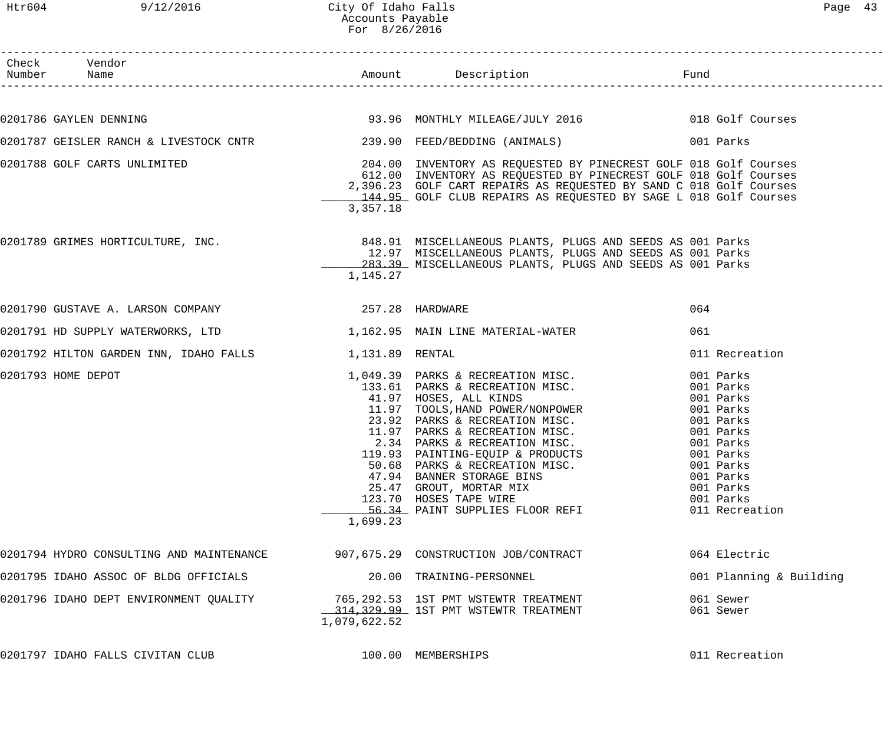| Check Vendor<br>Number Name                                                |                   |                                                                                                                                                                                                                                                                                                                                                                                                                              |                                                                                                                                                                            |
|----------------------------------------------------------------------------|-------------------|------------------------------------------------------------------------------------------------------------------------------------------------------------------------------------------------------------------------------------------------------------------------------------------------------------------------------------------------------------------------------------------------------------------------------|----------------------------------------------------------------------------------------------------------------------------------------------------------------------------|
|                                                                            |                   |                                                                                                                                                                                                                                                                                                                                                                                                                              |                                                                                                                                                                            |
| 0201786 GAYLEN DENNING                                                     |                   | 93.96 MONTHLY MILEAGE/JULY 2016 018 Golf Courses                                                                                                                                                                                                                                                                                                                                                                             |                                                                                                                                                                            |
|                                                                            |                   |                                                                                                                                                                                                                                                                                                                                                                                                                              | 001 Parks                                                                                                                                                                  |
| 0201788 GOLF CARTS UNLIMITED                                               | 3,357.18          | 204.00 INVENTORY AS REQUESTED BY PINECREST GOLF 018 Golf Courses<br>612.00 INVENTORY AS REQUESTED BY PINECREST GOLF 018 Golf Courses<br>2,396.23 GOLF CART REPAIRS AS REQUESTED BY SAND C 018 Golf Courses<br>144.95 GOLF CLUB REPAIRS AS REQUESTED BY SAGE L 018 Golf Courses                                                                                                                                               |                                                                                                                                                                            |
| 0201789 GRIMES HORTICULTURE, INC.                                          | 1,145.27          | 848.91 MISCELLANEOUS PLANTS, PLUGS AND SEEDS AS 001 Parks<br>12.97 MISCELLANEOUS PLANTS, PLUGS AND SEEDS AS 001 Parks<br>283.39 MISCELLANEOUS PLANTS, PLUGS AND SEEDS AS 001 Parks                                                                                                                                                                                                                                           |                                                                                                                                                                            |
| 0201790 GUSTAVE A. LARSON COMPANY (257.28 HARDWARE                         |                   |                                                                                                                                                                                                                                                                                                                                                                                                                              | 064                                                                                                                                                                        |
| 0201791 HD SUPPLY WATERWORKS, LTD 1,162.95 MAIN LINE MATERIAL-WATER        |                   |                                                                                                                                                                                                                                                                                                                                                                                                                              | 061                                                                                                                                                                        |
| 0201792 HILTON GARDEN INN, IDAHO FALLS 1,131.89 RENTAL                     |                   |                                                                                                                                                                                                                                                                                                                                                                                                                              | 011 Recreation                                                                                                                                                             |
| 0201793 HOME DEPOT                                                         | 11.97<br>1,699.23 | 1,049.39 PARKS & RECREATION MISC.<br>133.61 PARKS & RECREATION MISC.<br>41.97 HOSES, ALL KINDS<br>11.97 TOOLS, HAND POWER/NONPOWER<br>23.92 PARKS & RECREATION MISC.<br>PARKS & RECREATION MISC.<br>2.34 PARKS & RECREATION MISC.<br>119.93 PAINTING-EQUIP & PRODUCTS<br>50.68 PARKS & RECREATION MISC.<br>47.94 BANNER STORAGE BINS<br>25.47 GROUT, MORTAR MIX<br>123.70 HOSES TAPE WIRE<br>56.34 PAINT SUPPLIES FLOOR REFI | 001 Parks<br>001 Parks<br>001 Parks<br>001 Parks<br>001 Parks<br>001 Parks<br>001 Parks<br>001 Parks<br>001 Parks<br>001 Parks<br>001 Parks<br>001 Parks<br>011 Recreation |
| 0201794 HYDRO CONSULTING AND MAINTENANCE                                   |                   | 907,675.29 CONSTRUCTION JOB/CONTRACT                                                                                                                                                                                                                                                                                                                                                                                         | 064 Electric                                                                                                                                                               |
| 0201795 IDAHO ASSOC OF BLDG OFFICIALS                                      |                   | 20.00 TRAINING-PERSONNEL                                                                                                                                                                                                                                                                                                                                                                                                     | 001 Planning & Building                                                                                                                                                    |
| 0201796 IDAHO DEPT ENVIRONMENT QUALITY 65,292.53 1ST PMT WSTEWTR TREATMENT | 1,079,622.52      | 314, 329.99 1ST PMT WSTEWTR TREATMENT                                                                                                                                                                                                                                                                                                                                                                                        | 061 Sewer<br>061 Sewer                                                                                                                                                     |
| 0201797 IDAHO FALLS CIVITAN CLUB                                           |                   | 100.00 MEMBERSHIPS                                                                                                                                                                                                                                                                                                                                                                                                           | 011 Recreation                                                                                                                                                             |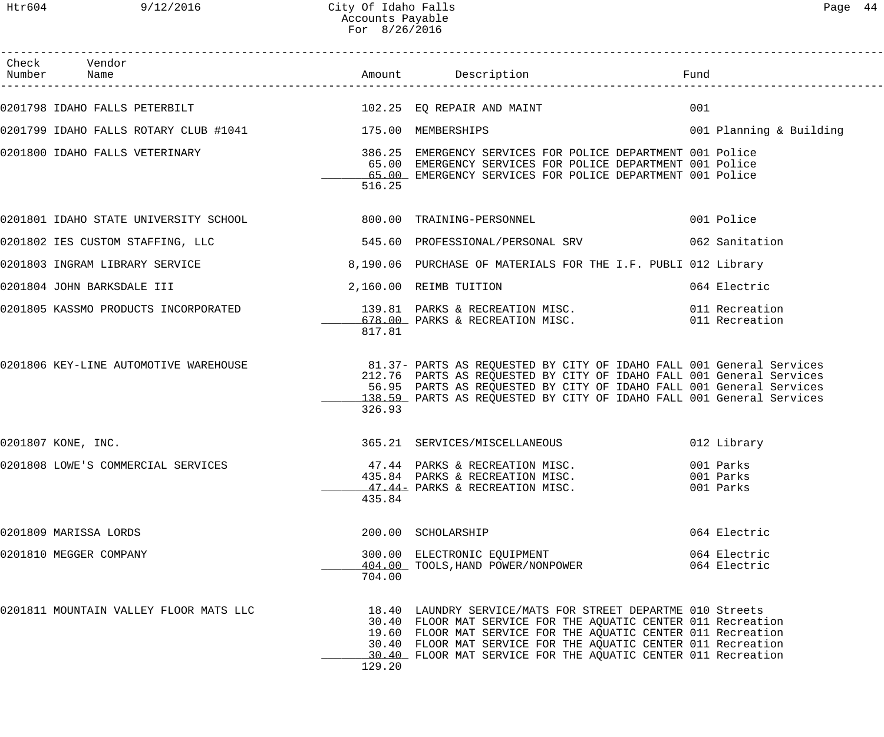Htr604 9/12/2016 City Of Idaho Falls Page 44 Accounts Payable For 8/26/2016

| Check Vendor<br>Number Name    |                                                          |        |                                                                                                                                                                                                                                                                                                                                |     |                                     |
|--------------------------------|----------------------------------------------------------|--------|--------------------------------------------------------------------------------------------------------------------------------------------------------------------------------------------------------------------------------------------------------------------------------------------------------------------------------|-----|-------------------------------------|
|                                |                                                          |        |                                                                                                                                                                                                                                                                                                                                | 001 |                                     |
|                                | 0201799 IDAHO FALLS ROTARY CLUB #1041 175.00 MEMBERSHIPS |        |                                                                                                                                                                                                                                                                                                                                |     | 001 Planning & Building             |
|                                |                                                          | 516.25 | 0201800 IDAHO FALLS VETERINARY (28 SHOT MERGENCY SERVICES FOR POLICE DEPARTMENT 1001 Police  <br>65.00 EMERGENCY SERVICES FOR POLICE DEPARTMENT 001 Police<br>65.00 EMERGENCY SERVICES FOR POLICE DEPARTMENT 001 Police                                                                                                        |     |                                     |
|                                |                                                          |        | 0201801 IDAHO STATE UNIVERSITY SCHOOL 600 00 TRAINING-PERSONNEL                                                                                                                                                                                                                                                                |     | 001 Police                          |
|                                |                                                          |        | 0201802 IES CUSTOM STAFFING, LLC 60 7805.60 PROFESSIONAL/PERSONAL SRV 662 Sanitation                                                                                                                                                                                                                                           |     |                                     |
| 0201803 INGRAM LIBRARY SERVICE |                                                          |        | 8,190.06 PURCHASE OF MATERIALS FOR THE I.F. PUBLI 012 Library                                                                                                                                                                                                                                                                  |     |                                     |
| 0201804 JOHN BARKSDALE III     |                                                          |        | 2,160.00 REIMB TUITION                                                                                                                                                                                                                                                                                                         |     | 064 Electric                        |
|                                |                                                          | 817.81 | 0201805 KASSMO PRODUCTS INCORPORATED 139.81 PARKS & RECREATION MISC. 011 Recreation 139.81 PARKS & RECREATION MISC.                                                                                                                                                                                                            |     |                                     |
|                                | 0201806 KEY-LINE AUTOMOTIVE WAREHOUSE                    | 326.93 | 81.37- PARTS AS REQUESTED BY CITY OF IDAHO FALL 001 General Services<br>212.76 PARTS AS REQUESTED BY CITY OF IDAHO FALL 001 General Services<br>56.95 PARTS AS REQUESTED BY CITY OF IDAHO FALL 001 General Services<br>138.59 PARTS AS REQUESTED BY CITY OF IDAHO FALL 001 General Services                                    |     |                                     |
| 0201807 KONE, INC.             |                                                          |        | 365.21 SERVICES/MISCELLANEOUS                                                                                                                                                                                                                                                                                                  |     | 012 Library                         |
|                                |                                                          | 435.84 | 0201808 LOWE'S COMMERCIAL SERVICES 6 17.44 PARKS & RECREATION MISC.<br>435.84 PARKS & RECREATION MISC.<br>47.44- PARKS & RECREATION MISC.                                                                                                                                                                                      |     | 001 Parks<br>001 Parks<br>001 Parks |
| 0201809 MARISSA LORDS          |                                                          |        | 200.00 SCHOLARSHIP                                                                                                                                                                                                                                                                                                             |     | 064 Electric                        |
| 0201810 MEGGER COMPANY         |                                                          | 704.00 | 300.00 ELECTRONIC EQUIPMENT<br>404.00 TOOLS, HAND POWER/NONPOWER                                                                                                                                                                                                                                                               |     | 064 Electric<br>064 Electric        |
|                                | 0201811 MOUNTAIN VALLEY FLOOR MATS LLC                   | 129.20 | 18.40 LAUNDRY SERVICE/MATS FOR STREET DEPARTME 010 Streets<br>30.40 FLOOR MAT SERVICE FOR THE AQUATIC CENTER 011 Recreation<br>19.60 FLOOR MAT SERVICE FOR THE AQUATIC CENTER 011 Recreation<br>30.40 FLOOR MAT SERVICE FOR THE AQUATIC CENTER 011 Recreation<br>30.40 FLOOR MAT SERVICE FOR THE AQUATIC CENTER 011 Recreation |     |                                     |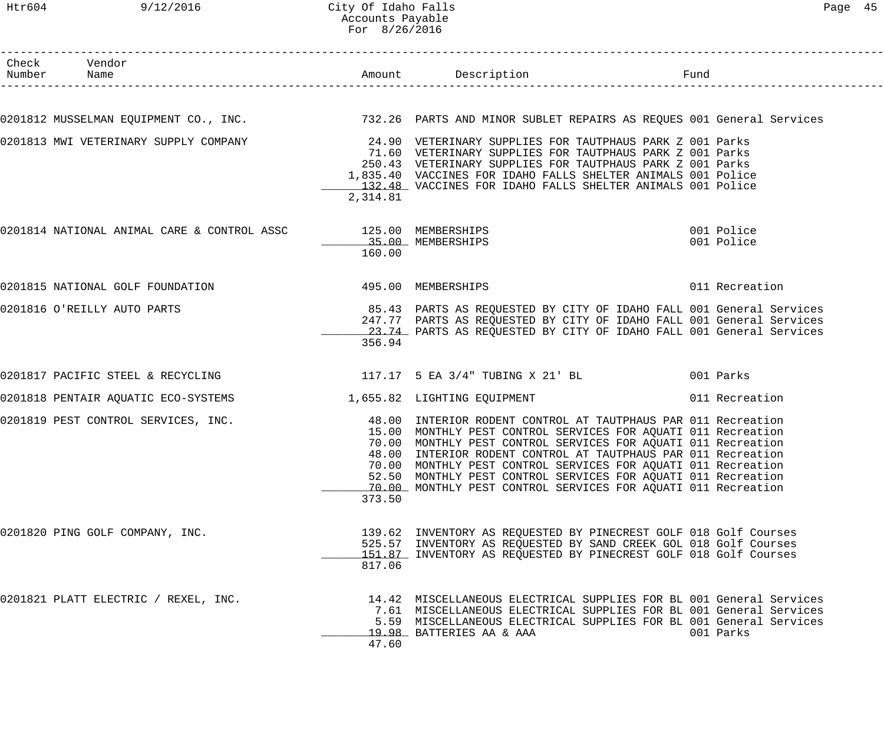## Htr604 9/12/2016 City Of Idaho Falls Page 45 Accounts Payable For 8/26/2016

| Check Vendor<br>Number Name                                    |          |                                                                                                                                                                                                                                                                                                                                                                                                                                                                     |                          |
|----------------------------------------------------------------|----------|---------------------------------------------------------------------------------------------------------------------------------------------------------------------------------------------------------------------------------------------------------------------------------------------------------------------------------------------------------------------------------------------------------------------------------------------------------------------|--------------------------|
|                                                                |          |                                                                                                                                                                                                                                                                                                                                                                                                                                                                     |                          |
|                                                                |          | 0201812 MUSSELMAN EQUIPMENT CO., INC. 25 20 PARTS AND MINOR SUBLET REPAIRS AS REQUES 001 General Services                                                                                                                                                                                                                                                                                                                                                           |                          |
| 0201813 MWI VETERINARY SUPPLY COMPANY                          | 2,314.81 | 24.90 VETERINARY SUPPLIES FOR TAUTPHAUS PARK Z 001 Parks<br>71.60 VETERINARY SUPPLIES FOR TAUTPHAUS PARK Z 001 Parks<br>250.43 VETERINARY SUPPLIES FOR TAUTPHAUS PARK Z 001 Parks<br>1,835.40 VACCINES FOR IDAHO FALLS SHELTER ANIMALS 001 Police<br>132.48 VACCINES FOR IDAHO FALLS SHELTER ANIMALS 001 Police                                                                                                                                                     |                          |
| 0201814 NATIONAL ANIMAL CARE & CONTROL ASSC 425.00 MEMBERSHIPS | 160.00   | 35.00 MEMBERSHIPS                                                                                                                                                                                                                                                                                                                                                                                                                                                   | 001 Police<br>001 Police |
|                                                                |          |                                                                                                                                                                                                                                                                                                                                                                                                                                                                     | 011 Recreation           |
| 0201816 O'REILLY AUTO PARTS                                    | 356.94   | 85.43 PARTS AS REQUESTED BY CITY OF IDAHO FALL 001 General Services<br>247.77 PARTS AS REQUESTED BY CITY OF IDAHO FALL 001 General Services<br>23.74 PARTS AS REQUESTED BY CITY OF IDAHO FALL 001 General Services                                                                                                                                                                                                                                                  |                          |
|                                                                |          | 0201817 PACIFIC STEEL & RECYCLING $117.17$ 5 EA $3/4$ " TUBING X 21' BL $001$ Parks                                                                                                                                                                                                                                                                                                                                                                                 |                          |
|                                                                |          | 0201818 PENTAIR AQUATIC ECO-SYSTEMS 1,655.82 LIGHTING EQUIPMENT 1991 1992 011 Recreation                                                                                                                                                                                                                                                                                                                                                                            |                          |
| 0201819 PEST CONTROL SERVICES, INC.                            | 373.50   | 48.00 INTERIOR RODENT CONTROL AT TAUTPHAUS PAR 011 Recreation<br>15.00 MONTHLY PEST CONTROL SERVICES FOR AQUATI 011 Recreation<br>70.00 MONTHLY PEST CONTROL SERVICES FOR AQUATI 011 Recreation<br>48.00 INTERIOR RODENT CONTROL AT TAUTPHAUS PAR 011 Recreation<br>70.00 MONTHLY PEST CONTROL SERVICES FOR AQUATI 011 Recreation<br>52.50 MONTHLY PEST CONTROL SERVICES FOR AQUATI 011 Recreation<br>70.00 MONTHLY PEST CONTROL SERVICES FOR AQUATI 011 Recreation |                          |
| 0201820 PING GOLF COMPANY, INC.                                | 817.06   | 139.62 INVENTORY AS REQUESTED BY PINECREST GOLF 018 Golf Courses<br>525.57 INVENTORY AS REQUESTED BY SAND CREEK GOL 018 Golf Courses<br>151.87 INVENTORY AS REQUESTED BY PINECREST GOLF 018 Golf Courses                                                                                                                                                                                                                                                            |                          |
| 0201821 PLATT ELECTRIC / REXEL, INC.                           | 47.60    | 14.42 MISCELLANEOUS ELECTRICAL SUPPLIES FOR BL 001 General Services<br>7.61 MISCELLANEOUS ELECTRICAL SUPPLIES FOR BL 001 General Services<br>5.59 MISCELLANEOUS ELECTRICAL SUPPLIES FOR BL 001 General Services<br>19.98 BATTERIES AA & AAA                                                                                                                                                                                                                         | 001 Parks                |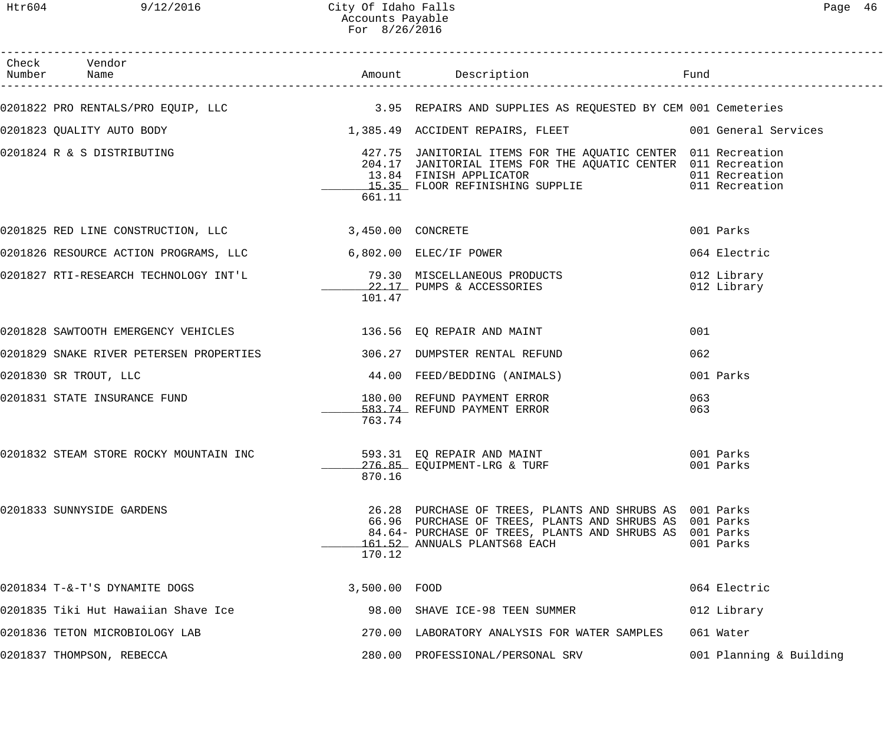| Check Vendor                                                                                    |               |                                                                                                                                                                                                                              |                            |
|-------------------------------------------------------------------------------------------------|---------------|------------------------------------------------------------------------------------------------------------------------------------------------------------------------------------------------------------------------------|----------------------------|
| 0201822 PRO RENTALS/PRO EQUIP, LLC 3.95 REPAIRS AND SUPPLIES AS REQUESTED BY CEM 001 Cemeteries |               |                                                                                                                                                                                                                              |                            |
| 0201823 QUALITY AUTO BODY                                                                       |               | 1,385.49 ACCIDENT REPAIRS, FLEET 6001 General Services                                                                                                                                                                       |                            |
| 0201824 R & S DISTRIBUTING                                                                      | 661.11        | 427.75 JANITORIAL ITEMS FOR THE AQUATIC CENTER 011 Recreation<br>204.17 JANITORIAL ITEMS FOR THE AQUATIC CENTER 011 Recreation<br>13.84 FINISH APPLICATOR<br>15.35 FLOOR REFINISHING SUPPLIE 15.35 FLOOR REFINISHING SUPPLIE |                            |
| 0201825 RED LINE CONSTRUCTION, LLC 3,450.00 CONCRETE                                            |               |                                                                                                                                                                                                                              | 001 Parks                  |
| 0201826 RESOURCE ACTION PROGRAMS, LLC 6,802.00 ELEC/IF POWER                                    |               |                                                                                                                                                                                                                              | 064 Electric               |
|                                                                                                 | 101.47        | 22.17 PUMPS & ACCESSORIES                                                                                                                                                                                                    | 012 Library<br>012 Library |
| 0201828 SAWTOOTH EMERGENCY VEHICLES 136.56 EQ REPAIR AND MAINT                                  |               |                                                                                                                                                                                                                              | 001                        |
| 0201829 SNAKE RIVER PETERSEN PROPERTIES 306.27 DUMPSTER RENTAL REFUND                           |               |                                                                                                                                                                                                                              | 062                        |
| 0201830 SR TROUT, LLC                                                                           |               | 44.00 FEED/BEDDING (ANIMALS)                                                                                                                                                                                                 | 001 Parks                  |
| 0201831 STATE INSURANCE FUND                                                                    | 763.74        | 180.00 REFUND PAYMENT ERROR<br>583.74 REFUND PAYMENT ERROR                                                                                                                                                                   | 063<br>063                 |
| 0201832 STEAM STORE ROCKY MOUNTAIN INC                                                          | 870.16        | 593.31 EQ REPAIR AND MAINT<br>276.85 EQUIPMENT-LRG & TURF                                                                                                                                                                    | 001 Parks<br>001 Parks     |
| 0201833 SUNNYSIDE GARDENS                                                                       | 170.12        | 26.28 PURCHASE OF TREES, PLANTS AND SHRUBS AS 001 Parks<br>66.96 PURCHASE OF TREES, PLANTS AND SHRUBS AS 001 Parks<br>84.64- PURCHASE OF TREES, PLANTS AND SHRUBS AS 001 Parks<br>161.52 ANNUALS PLANTS68 EACH               | 001 Parks                  |
| 0201834 T-&-T'S DYNAMITE DOGS                                                                   | 3,500.00 FOOD |                                                                                                                                                                                                                              | 064 Electric               |
| 0201835 Tiki Hut Hawaiian Shave Ice                                                             |               | 98.00 SHAVE ICE-98 TEEN SUMMER                                                                                                                                                                                               | 012 Library                |
| 0201836 TETON MICROBIOLOGY LAB                                                                  |               | 270.00 LABORATORY ANALYSIS FOR WATER SAMPLES                                                                                                                                                                                 | 061 Water                  |
| 0201837 THOMPSON, REBECCA                                                                       |               | 280.00 PROFESSIONAL/PERSONAL SRV                                                                                                                                                                                             | 001 Planning & Building    |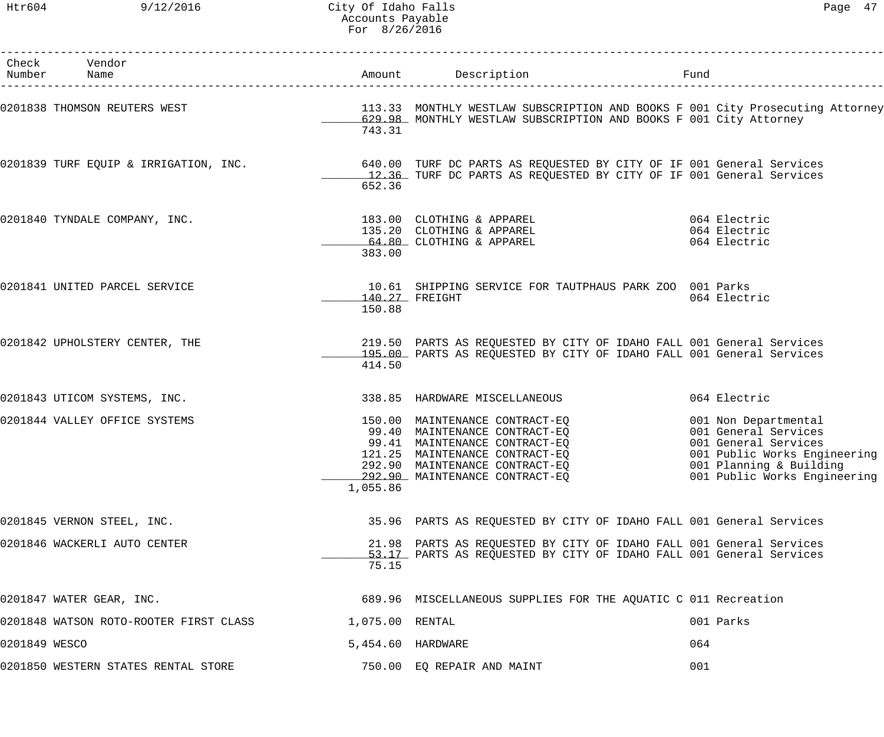|               | Check Vendor<br>Number Name                                                                                                                                                                |                 |                                                                                                                                                                                                        |     |                                                                                                                                                                 |
|---------------|--------------------------------------------------------------------------------------------------------------------------------------------------------------------------------------------|-----------------|--------------------------------------------------------------------------------------------------------------------------------------------------------------------------------------------------------|-----|-----------------------------------------------------------------------------------------------------------------------------------------------------------------|
|               | 0201838 THOMSON REUTERS WEST <b>113.33</b> MONTHLY WESTLAW SUBSCRIPTION AND BOOKS F 001 City Prosecuting Attorney                                                                          | 743.31          | 629.98 MONTHLY WESTLAW SUBSCRIPTION AND BOOKS F 001 City Attorney                                                                                                                                      |     |                                                                                                                                                                 |
|               | 0201839 TURF EQUIP & IRRIGATION, INC.          640.00 TURF DC PARTS AS REQUESTED BY CITY OF IF 001 General Services<br>12.36 TURF DC PARTS AS REQUESTED BY CITY OF IF 001 General Services | 652.36          |                                                                                                                                                                                                        |     |                                                                                                                                                                 |
|               | 0201840 TYNDALE COMPANY, INC.                                                                                                                                                              | 383.00          | 183.00 CLOTHING & APPAREL<br>135.20 CLOTHING & APPAREL<br>64.80 CLOTHING & APPAREL                                                                                                                     |     | 064 Electric<br>064 Electric<br>064 Electric                                                                                                                    |
|               | 0201841 UNITED PARCEL SERVICE                                                                                                                                                              | 150.88          | 10.61 SHIPPING SERVICE FOR TAUTPHAUS PARK ZOO 001 Parks<br>140.27 FREIGHT                                                                                                                              |     | 064 Electric                                                                                                                                                    |
|               | 0201842 UPHOLSTERY CENTER, THE                                                                                                                                                             | 414.50          | 219.50 PARTS AS REQUESTED BY CITY OF IDAHO FALL 001 General Services<br>195.00 PARTS AS REQUESTED BY CITY OF IDAHO FALL 001 General Services                                                           |     |                                                                                                                                                                 |
|               | 0201843 UTICOM SYSTEMS, INC.                                                                                                                                                               |                 | 338.85 HARDWARE MISCELLANEOUS                                                                                                                                                                          |     | 064 Electric                                                                                                                                                    |
|               | 0201844 VALLEY OFFICE SYSTEMS                                                                                                                                                              | 1,055.86        | 150.00 MAINTENANCE CONTRACT-EQ<br>99.40 MAINTENANCE CONTRACT-EQ<br>99.41 MAINTENANCE CONTRACT-EQ<br>121.25 MAINTENANCE CONTRACT-EQ<br>292.90 MAINTENANCE CONTRACT-EQ<br>292.90 MAINTENANCE CONTRACT-EO |     | 001 Non Departmental<br>001 General Services<br>001 General Services<br>001 Public Works Engineering<br>001 Planning & Building<br>001 Public Works Engineering |
|               | 0201845 VERNON STEEL, INC.                                                                                                                                                                 |                 | 35.96 PARTS AS REQUESTED BY CITY OF IDAHO FALL 001 General Services                                                                                                                                    |     |                                                                                                                                                                 |
|               | 0201846 WACKERLI AUTO CENTER                                                                                                                                                               | 75.15           | 21.98 PARTS AS REQUESTED BY CITY OF IDAHO FALL 001 General Services<br>53.17 PARTS AS REQUESTED BY CITY OF IDAHO FALL 001 General Services                                                             |     |                                                                                                                                                                 |
|               | 0201847 WATER GEAR, INC.                                                                                                                                                                   |                 | 689.96 MISCELLANEOUS SUPPLIES FOR THE AQUATIC C 011 Recreation                                                                                                                                         |     |                                                                                                                                                                 |
|               | 0201848 WATSON ROTO-ROOTER FIRST CLASS                                                                                                                                                     | 1,075.00 RENTAL |                                                                                                                                                                                                        |     | 001 Parks                                                                                                                                                       |
| 0201849 WESCO |                                                                                                                                                                                            |                 | 5,454.60 HARDWARE                                                                                                                                                                                      | 064 |                                                                                                                                                                 |
|               | 0201850 WESTERN STATES RENTAL STORE                                                                                                                                                        |                 | 750.00 EQ REPAIR AND MAINT                                                                                                                                                                             | 001 |                                                                                                                                                                 |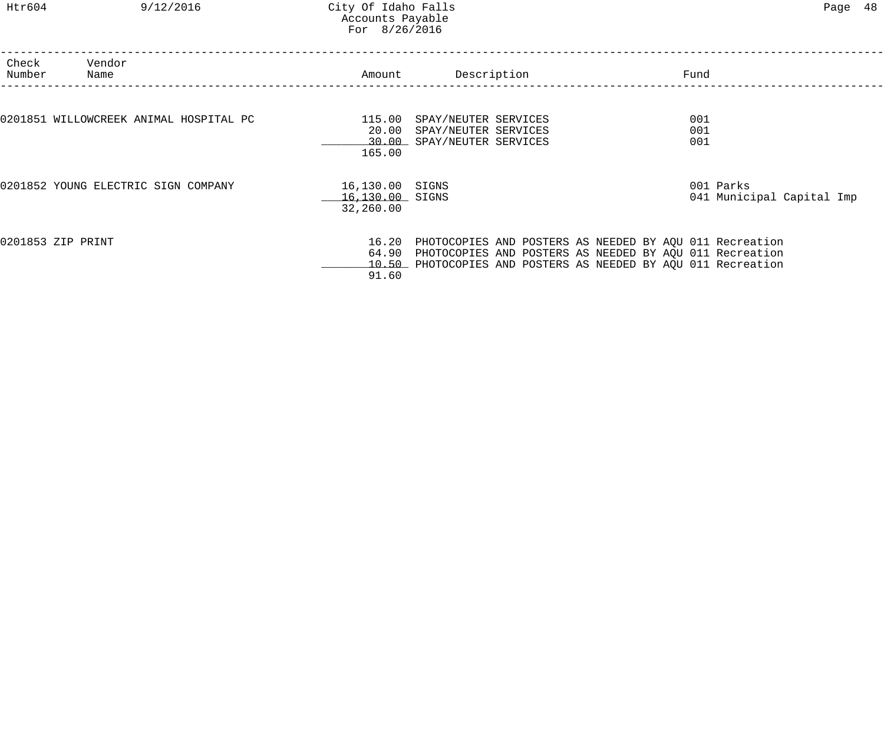## Htr604 9/12/2016 City Of Idaho Falls Page 48 Accounts Payable For 8/26/2016

| Check<br>Number | Vendor<br>Name                         | Amount                                          | Description                                                                                                                                                                                     | Fund              |                                        |
|-----------------|----------------------------------------|-------------------------------------------------|-------------------------------------------------------------------------------------------------------------------------------------------------------------------------------------------------|-------------------|----------------------------------------|
|                 | 0201851 WILLOWCREEK ANIMAL HOSPITAL PC | 115.00<br>20.00<br>165.00                       | SPAY/NEUTER SERVICES<br>SPAY/NEUTER SERVICES<br>30.00 SPAY/NEUTER SERVICES                                                                                                                      | 001<br>001<br>001 |                                        |
|                 | 0201852 YOUNG ELECTRIC SIGN COMPANY    | 16,130.00 SIGNS<br>16,130.00 SIGNS<br>32,260.00 |                                                                                                                                                                                                 |                   | 001 Parks<br>041 Municipal Capital Imp |
|                 | 0201853 ZIP PRINT                      | 91.60                                           | 16.20 PHOTOCOPIES AND POSTERS AS NEEDED BY AQU 011 Recreation<br>64.90 PHOTOCOPIES AND POSTERS AS NEEDED BY AQU 011 Recreation<br>10.50 PHOTOCOPIES AND POSTERS AS NEEDED BY AQU 011 Recreation |                   |                                        |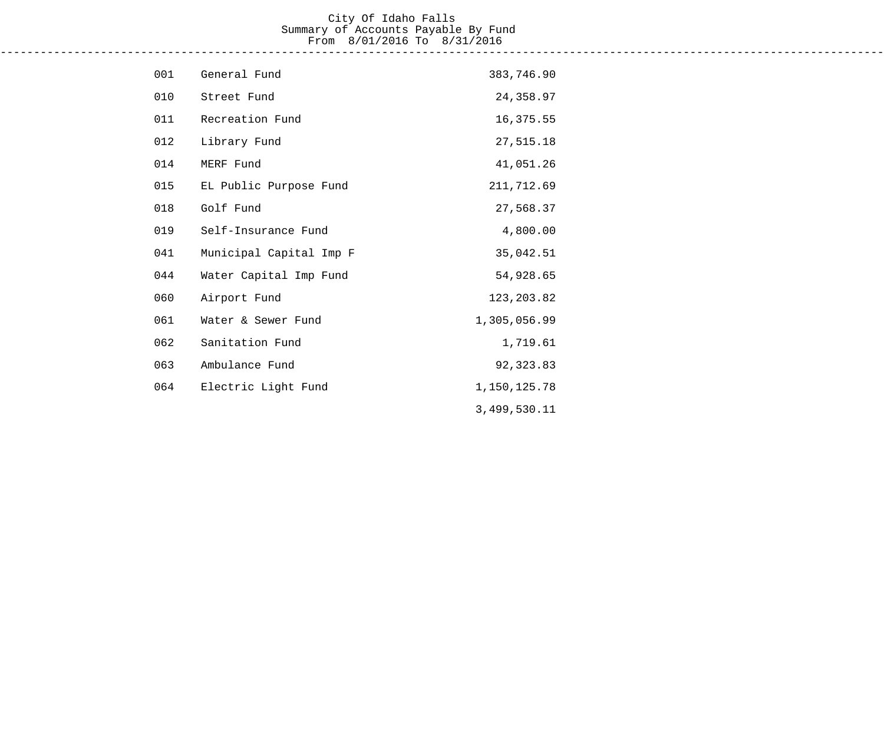## City Of Idaho Falls Summary of Accounts Payable By Fund From 8/01/2016 To 8/31/2016 ------------------------------------------------------------------------------------------------------------------------------------

| 001 | General Fund            | 383,746.90   |
|-----|-------------------------|--------------|
| 010 | Street Fund             | 24,358.97    |
| 011 | Recreation Fund         | 16,375.55    |
| 012 | Library Fund            | 27,515.18    |
| 014 | MERF Fund               | 41,051.26    |
| 015 | EL Public Purpose Fund  | 211,712.69   |
| 018 | Golf Fund               | 27,568.37    |
| 019 | Self-Insurance Fund     | 4,800.00     |
| 041 | Municipal Capital Imp F | 35,042.51    |
| 044 | Water Capital Imp Fund  | 54,928.65    |
| 060 | Airport Fund            | 123, 203.82  |
| 061 | Water & Sewer Fund      | 1,305,056.99 |
| 062 | Sanitation Fund         | 1,719.61     |
| 063 | Ambulance Fund          | 92,323.83    |
| 064 | Electric Light Fund     | 1,150,125.78 |
|     |                         | 3,499,530.11 |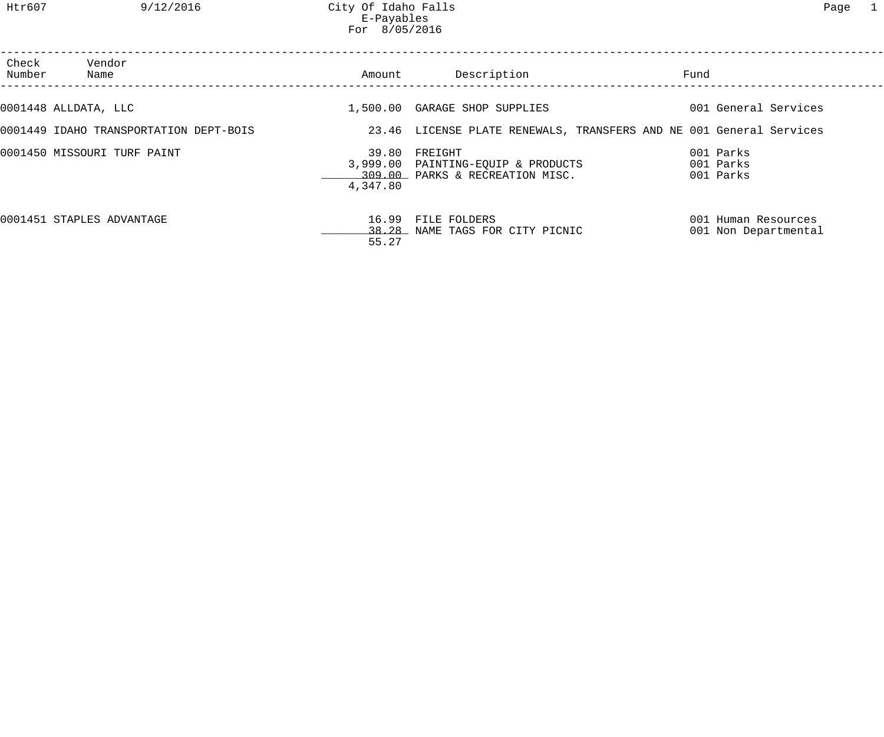Htr607 9/12/2016 City Of Idaho Falls Page 1 E-Payables For 8/05/2016

| Check<br>Number | Vendor<br>Name                         | Amount         | Description                                                                            | Fund                                                                |  |
|-----------------|----------------------------------------|----------------|----------------------------------------------------------------------------------------|---------------------------------------------------------------------|--|
|                 | 0001448 ALLDATA, LLC                   |                | 1,500.00 GARAGE SHOP SUPPLIES                                                          | 001 General Services                                                |  |
|                 | 0001449 IDAHO TRANSPORTATION DEPT-BOIS |                |                                                                                        | 23.46 LICENSE PLATE RENEWALS, TRANSFERS AND NE 001 General Services |  |
|                 | 0001450 MISSOURI TURF PAINT            | 4,347.80       | 39.80 FREIGHT<br>3,999.00 PAINTING-EQUIP & PRODUCTS<br>309.00 PARKS & RECREATION MISC. | 001 Parks<br>001 Parks<br>001 Parks                                 |  |
|                 | 0001451 STAPLES ADVANTAGE              | 16.99<br>55.27 | FILE FOLDERS<br>38.28 NAME TAGS FOR CITY PICNIC                                        | 001 Human Resources<br>001 Non Departmental                         |  |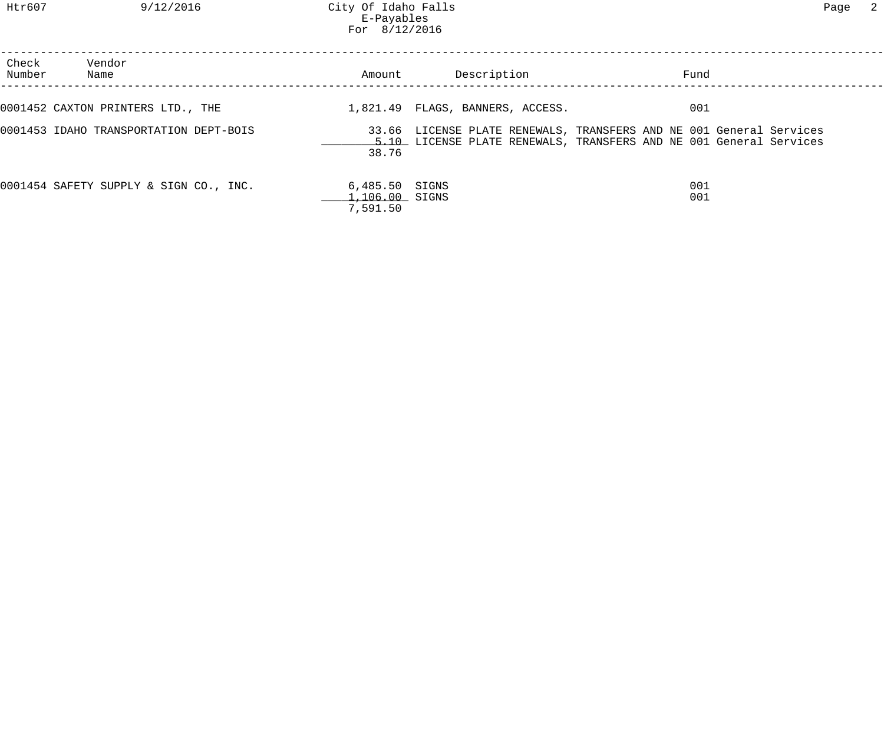| Check<br>Number | Vendor<br>Name                         | Amount                                         | Description                                                                                                                               | Fund       |  |
|-----------------|----------------------------------------|------------------------------------------------|-------------------------------------------------------------------------------------------------------------------------------------------|------------|--|
|                 | 0001452 CAXTON PRINTERS LTD., THE      |                                                | 1,821.49 FLAGS, BANNERS, ACCESS.                                                                                                          | 001        |  |
|                 | 0001453 IDAHO TRANSPORTATION DEPT-BOIS | 38.76                                          | 33.66 LICENSE PLATE RENEWALS, TRANSFERS AND NE 001 General Services<br>5.10 LICENSE PLATE RENEWALS, TRANSFERS AND NE 001 General Services |            |  |
|                 | 0001454 SAFETY SUPPLY & SIGN CO., INC. | 6,485.50 SIGNS<br>$1,106.00$ SIGNS<br>7,591.50 |                                                                                                                                           | 001<br>001 |  |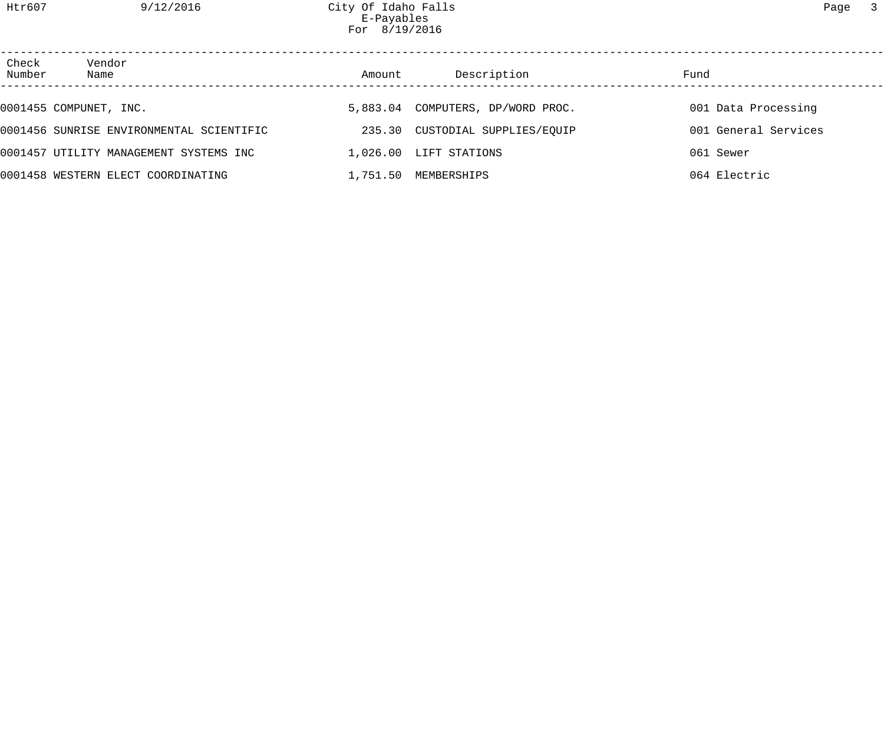Htr607 9/12/2016 City Of Idaho Falls Page 3 E-Payables For 8/19/2016

| Check<br>Number | Vendor<br>Name                           | Amount | Description                       | Fund                 |  |
|-----------------|------------------------------------------|--------|-----------------------------------|----------------------|--|
|                 | 0001455 COMPUNET, INC.                   |        | 5,883.04 COMPUTERS, DP/WORD PROC. | 001 Data Processing  |  |
|                 | 0001456 SUNRISE ENVIRONMENTAL SCIENTIFIC |        | 235.30 CUSTODIAL SUPPLIES/EQUIP   | 001 General Services |  |
|                 | 0001457 UTILITY MANAGEMENT SYSTEMS INC   |        | 1,026.00 LIFT STATIONS            | 061 Sewer            |  |
|                 | 0001458 WESTERN ELECT COORDINATING       |        | 1,751.50 MEMBERSHIPS              | 064 Electric         |  |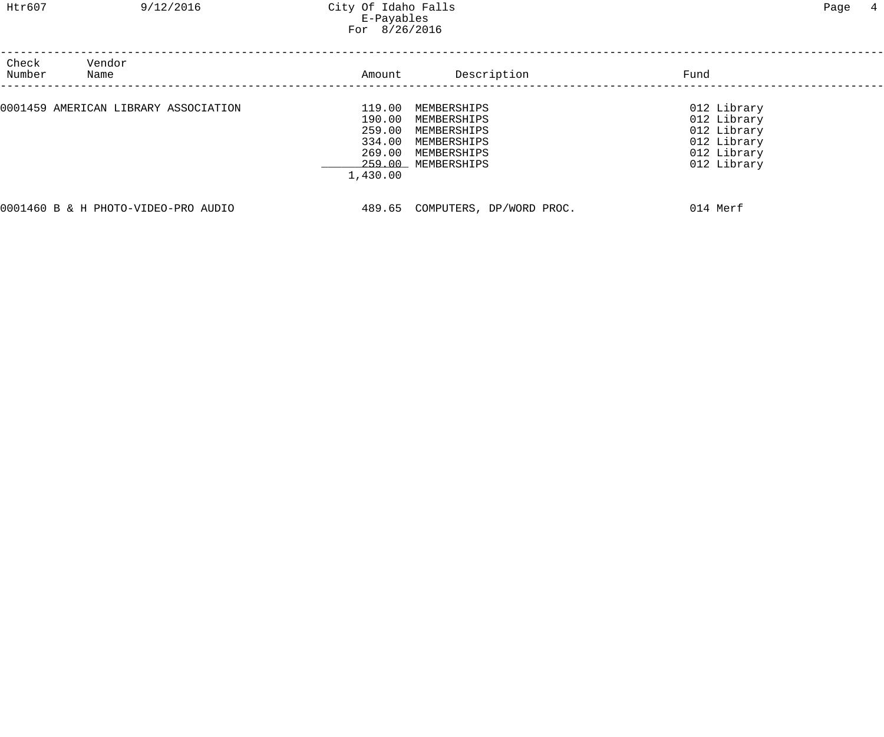| Check<br>Number | Vendor<br>Name                       | Amount                                                     | Description                                                                                   | Fund                                                                                   |  |
|-----------------|--------------------------------------|------------------------------------------------------------|-----------------------------------------------------------------------------------------------|----------------------------------------------------------------------------------------|--|
|                 | 0001459 AMERICAN LIBRARY ASSOCIATION | 119.00<br>190.00<br>259.00<br>334.00<br>269.00<br>1,430.00 | MEMBERSHIPS<br>MEMBERSHIPS<br>MEMBERSHIPS<br>MEMBERSHIPS<br>MEMBERSHIPS<br>259.00 MEMBERSHIPS | 012 Library<br>012 Library<br>012 Library<br>012 Library<br>012 Library<br>012 Library |  |
|                 | 0001460 B & H PHOTO-VIDEO-PRO AUDIO  | 489.65                                                     | COMPUTERS, DP/WORD PROC.                                                                      | 014 Merf                                                                               |  |